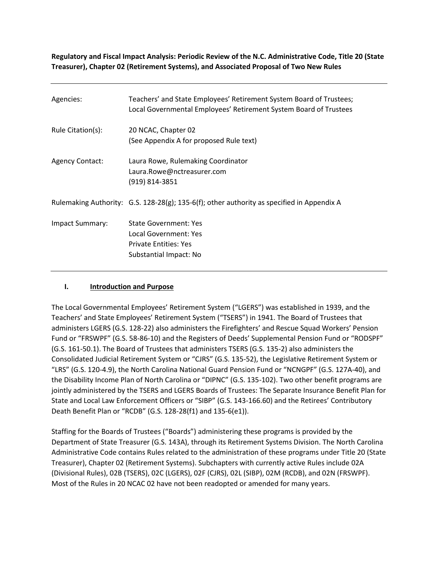**Regulatory and Fiscal Impact Analysis: Periodic Review of the N.C. Administrative Code, Title 20 (State Treasurer), Chapter 02 (Retirement Systems), and Associated Proposal of Two New Rules**

| Agencies:              | Teachers' and State Employees' Retirement System Board of Trustees;<br>Local Governmental Employees' Retirement System Board of Trustees |
|------------------------|------------------------------------------------------------------------------------------------------------------------------------------|
| Rule Citation(s):      | 20 NCAC, Chapter 02<br>(See Appendix A for proposed Rule text)                                                                           |
| <b>Agency Contact:</b> | Laura Rowe, Rulemaking Coordinator<br>Laura.Rowe@nctreasurer.com<br>(919) 814-3851                                                       |
|                        | Rulemaking Authority: $G.S. 128-28(g)$ ; 135-6(f); other authority as specified in Appendix A                                            |
| Impact Summary:        | <b>State Government: Yes</b><br>Local Government: Yes<br><b>Private Entities: Yes</b><br>Substantial Impact: No                          |

#### **I. Introduction and Purpose**

The Local Governmental Employees' Retirement System ("LGERS") was established in 1939, and the Teachers' and State Employees' Retirement System ("TSERS") in 1941. The Board of Trustees that administers LGERS (G.S. 128-22) also administers the Firefighters' and Rescue Squad Workers' Pension Fund or "FRSWPF" (G.S. 58-86-10) and the Registers of Deeds' Supplemental Pension Fund or "RODSPF" (G.S. 161-50.1). The Board of Trustees that administers TSERS (G.S. 135-2) also administers the Consolidated Judicial Retirement System or "CJRS" (G.S. 135-52), the Legislative Retirement System or "LRS" (G.S. 120-4.9), the North Carolina National Guard Pension Fund or "NCNGPF" (G.S. 127A-40), and the Disability Income Plan of North Carolina or "DIPNC" (G.S. 135-102). Two other benefit programs are jointly administered by the TSERS and LGERS Boards of Trustees: The Separate Insurance Benefit Plan for State and Local Law Enforcement Officers or "SIBP" (G.S. 143-166.60) and the Retirees' Contributory Death Benefit Plan or "RCDB" (G.S. 128-28(f1) and 135-6(e1)).

Staffing for the Boards of Trustees ("Boards") administering these programs is provided by the Department of State Treasurer (G.S. 143A), through its Retirement Systems Division. The North Carolina Administrative Code contains Rules related to the administration of these programs under Title 20 (State Treasurer), Chapter 02 (Retirement Systems). Subchapters with currently active Rules include 02A (Divisional Rules), 02B (TSERS), 02C (LGERS), 02F (CJRS), 02L (SIBP), 02M (RCDB), and 02N (FRSWPF). Most of the Rules in 20 NCAC 02 have not been readopted or amended for many years.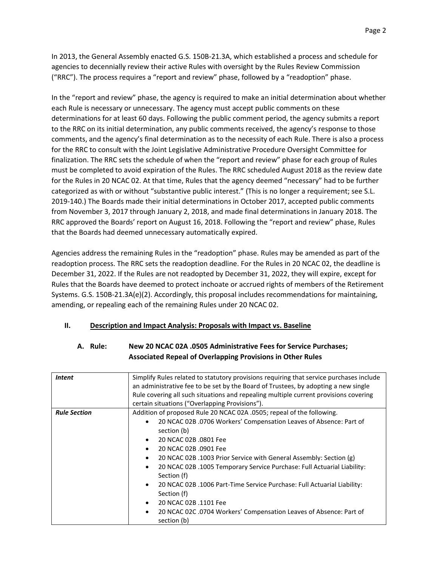In 2013, the General Assembly enacted G.S. 150B-21.3A, which established a process and schedule for agencies to decennially review their active Rules with oversight by the Rules Review Commission ("RRC"). The process requires a "report and review" phase, followed by a "readoption" phase.

In the "report and review" phase, the agency is required to make an initial determination about whether each Rule is necessary or unnecessary. The agency must accept public comments on these determinations for at least 60 days. Following the public comment period, the agency submits a report to the RRC on its initial determination, any public comments received, the agency's response to those comments, and the agency's final determination as to the necessity of each Rule. There is also a process for the RRC to consult with the Joint Legislative Administrative Procedure Oversight Committee for finalization. The RRC sets the schedule of when the "report and review" phase for each group of Rules must be completed to avoid expiration of the Rules. The RRC scheduled August 2018 as the review date for the Rules in 20 NCAC 02. At that time, Rules that the agency deemed "necessary" had to be further categorized as with or without "substantive public interest." (This is no longer a requirement; see S.L. 2019-140.) The Boards made their initial determinations in October 2017, accepted public comments from November 3, 2017 through January 2, 2018, and made final determinations in January 2018. The RRC approved the Boards' report on August 16, 2018. Following the "report and review" phase, Rules that the Boards had deemed unnecessary automatically expired.

Agencies address the remaining Rules in the "readoption" phase. Rules may be amended as part of the readoption process. The RRC sets the readoption deadline. For the Rules in 20 NCAC 02, the deadline is December 31, 2022. If the Rules are not readopted by December 31, 2022, they will expire, except for Rules that the Boards have deemed to protect inchoate or accrued rights of members of the Retirement Systems. G.S. 150B-21.3A(e)(2). Accordingly, this proposal includes recommendations for maintaining, amending, or repealing each of the remaining Rules under 20 NCAC 02.

#### **II. Description and Impact Analysis: Proposals with Impact vs. Baseline**

| A. Rule: | New 20 NCAC 02A .0505 Administrative Fees for Service Purchases;  |
|----------|-------------------------------------------------------------------|
|          | <b>Associated Repeal of Overlapping Provisions in Other Rules</b> |

| <b>Intent</b>       | Simplify Rules related to statutory provisions requiring that service purchases include<br>an administrative fee to be set by the Board of Trustees, by adopting a new single<br>Rule covering all such situations and repealing multiple current provisions covering<br>certain situations ("Overlapping Provisions").                                                                                                                                                                                                                                                                                                                                                                      |
|---------------------|----------------------------------------------------------------------------------------------------------------------------------------------------------------------------------------------------------------------------------------------------------------------------------------------------------------------------------------------------------------------------------------------------------------------------------------------------------------------------------------------------------------------------------------------------------------------------------------------------------------------------------------------------------------------------------------------|
| <b>Rule Section</b> | Addition of proposed Rule 20 NCAC 02A .0505; repeal of the following.<br>20 NCAC 02B .0706 Workers' Compensation Leaves of Absence: Part of<br>$\bullet$<br>section (b)<br>20 NCAC 02B .0801 Fee<br>$\bullet$<br>20 NCAC 02B .0901 Fee<br>$\bullet$<br>20 NCAC 02B .1003 Prior Service with General Assembly: Section (g)<br>$\bullet$<br>20 NCAC 02B .1005 Temporary Service Purchase: Full Actuarial Liability:<br>$\bullet$<br>Section (f)<br>20 NCAC 02B .1006 Part-Time Service Purchase: Full Actuarial Liability:<br>$\bullet$<br>Section (f)<br>20 NCAC 02B .1101 Fee<br>$\bullet$<br>20 NCAC 02C .0704 Workers' Compensation Leaves of Absence: Part of<br>$\bullet$<br>section (b) |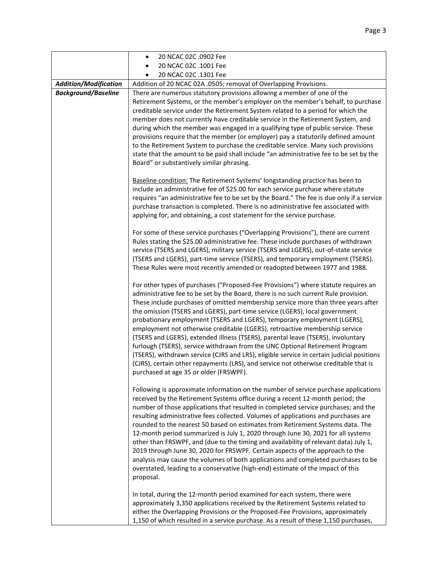|                              | 20 NCAC 02C .0902 Fee                                                                                                                                                                                                                                                                                                                                                                                                                                                                                                                                                                                                                                                                                                                                                                                                                                                                                       |  |  |
|------------------------------|-------------------------------------------------------------------------------------------------------------------------------------------------------------------------------------------------------------------------------------------------------------------------------------------------------------------------------------------------------------------------------------------------------------------------------------------------------------------------------------------------------------------------------------------------------------------------------------------------------------------------------------------------------------------------------------------------------------------------------------------------------------------------------------------------------------------------------------------------------------------------------------------------------------|--|--|
|                              | 20 NCAC 02C .1001 Fee                                                                                                                                                                                                                                                                                                                                                                                                                                                                                                                                                                                                                                                                                                                                                                                                                                                                                       |  |  |
|                              | 20 NCAC 02C .1301 Fee                                                                                                                                                                                                                                                                                                                                                                                                                                                                                                                                                                                                                                                                                                                                                                                                                                                                                       |  |  |
| <b>Addition/Modification</b> | Addition of 20 NCAC 02A .0505; removal of Overlapping Provisions.                                                                                                                                                                                                                                                                                                                                                                                                                                                                                                                                                                                                                                                                                                                                                                                                                                           |  |  |
| <b>Background/Baseline</b>   | There are numerous statutory provisions allowing a member of one of the<br>Retirement Systems, or the member's employer on the member's behalf, to purchase<br>creditable service under the Retirement System related to a period for which the                                                                                                                                                                                                                                                                                                                                                                                                                                                                                                                                                                                                                                                             |  |  |
|                              | member does not currently have creditable service in the Retirement System, and<br>during which the member was engaged in a qualifying type of public service. These<br>provisions require that the member (or employer) pay a statutorily defined amount<br>to the Retirement System to purchase the creditable service. Many such provisions<br>state that the amount to be paid shall include "an administrative fee to be set by the<br>Board" or substantively similar phrasing.                                                                                                                                                                                                                                                                                                                                                                                                                       |  |  |
|                              | Baseline condition: The Retirement Systems' longstanding practice has been to<br>include an administrative fee of \$25.00 for each service purchase where statute<br>requires "an administrative fee to be set by the Board." The fee is due only if a service<br>purchase transaction is completed. There is no administrative fee associated with<br>applying for, and obtaining, a cost statement for the service purchase.                                                                                                                                                                                                                                                                                                                                                                                                                                                                              |  |  |
|                              | For some of these service purchases ("Overlapping Provisions"), there are current<br>Rules stating the \$25.00 administrative fee. These include purchases of withdrawn<br>service (TSERS and LGERS), military service (TSERS and LGERS), out-of-state service<br>(TSERS and LGERS), part-time service (TSERS), and temporary employment (TSERS).<br>These Rules were most recently amended or readopted between 1977 and 1988.                                                                                                                                                                                                                                                                                                                                                                                                                                                                             |  |  |
|                              | For other types of purchases ("Proposed-Fee Provisions") where statute requires an<br>administrative fee to be set by the Board, there is no such current Rule provision.<br>These include purchases of omitted membership service more than three years after<br>the omission (TSERS and LGERS), part-time service (LGERS), local government<br>probationary employment (TSERS and LGERS), temporary employment (LGERS),<br>employment not otherwise creditable (LGERS), retroactive membership service<br>(TSERS and LGERS), extended illness (TSERS), parental leave (TSERS), involuntary<br>furlough (TSERS), service withdrawn from the UNC Optional Retirement Program<br>(TSERS), withdrawn service (CJRS and LRS), eligible service in certain judicial positions<br>(CJRS), certain other repayments (LRS), and service not otherwise creditable that is<br>purchased at age 35 or older (FRSWPF). |  |  |
|                              | Following is approximate information on the number of service purchase applications<br>received by the Retirement Systems office during a recent 12-month period; the<br>number of those applications that resulted in completed service purchases; and the<br>resulting administrative fees collected. Volumes of applications and purchases are<br>rounded to the nearest 50 based on estimates from Retirement Systems data. The<br>12-month period summarized is July 1, 2020 through June 30, 2021 for all systems<br>other than FRSWPF, and (due to the timing and availability of relevant data) July 1,<br>2019 through June 30, 2020 for FRSWPF. Certain aspects of the approach to the<br>analysis may cause the volumes of both applications and completed purchases to be<br>overstated, leading to a conservative (high-end) estimate of the impact of this<br>proposal.                       |  |  |
|                              | In total, during the 12-month period examined for each system, there were<br>approximately 3,350 applications received by the Retirement Systems related to<br>either the Overlapping Provisions or the Proposed-Fee Provisions, approximately<br>1,150 of which resulted in a service purchase. As a result of these 1,150 purchases,                                                                                                                                                                                                                                                                                                                                                                                                                                                                                                                                                                      |  |  |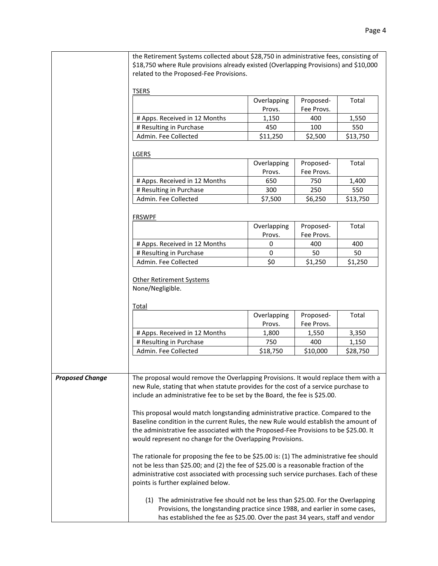|                        | the Retirement Systems collected about \$28,750 in administrative fees, consisting of<br>\$18,750 where Rule provisions already existed (Overlapping Provisions) and \$10,000<br>related to the Proposed-Fee Provisions.                                                                                                    |                       |                         |          |
|------------------------|-----------------------------------------------------------------------------------------------------------------------------------------------------------------------------------------------------------------------------------------------------------------------------------------------------------------------------|-----------------------|-------------------------|----------|
|                        | <b>TSERS</b>                                                                                                                                                                                                                                                                                                                |                       |                         |          |
|                        |                                                                                                                                                                                                                                                                                                                             | Overlapping<br>Provs. | Proposed-<br>Fee Provs. | Total    |
|                        | # Apps. Received in 12 Months                                                                                                                                                                                                                                                                                               | 1,150                 | 400                     | 1,550    |
|                        | # Resulting in Purchase                                                                                                                                                                                                                                                                                                     | 450                   | 100                     | 550      |
|                        | Admin. Fee Collected                                                                                                                                                                                                                                                                                                        | \$11,250              | \$2,500                 | \$13,750 |
|                        |                                                                                                                                                                                                                                                                                                                             |                       |                         |          |
|                        | <b>LGERS</b>                                                                                                                                                                                                                                                                                                                |                       |                         |          |
|                        |                                                                                                                                                                                                                                                                                                                             | Overlapping           | Proposed-               | Total    |
|                        |                                                                                                                                                                                                                                                                                                                             | Provs.                | Fee Provs.              |          |
|                        | # Apps. Received in 12 Months                                                                                                                                                                                                                                                                                               | 650                   | 750                     | 1,400    |
|                        | # Resulting in Purchase                                                                                                                                                                                                                                                                                                     | 300                   | 250                     | 550      |
|                        | Admin. Fee Collected                                                                                                                                                                                                                                                                                                        | \$7,500               | \$6,250                 | \$13,750 |
|                        | <b>FRSWPF</b>                                                                                                                                                                                                                                                                                                               |                       |                         |          |
|                        |                                                                                                                                                                                                                                                                                                                             | Overlapping           | Proposed-               | Total    |
|                        |                                                                                                                                                                                                                                                                                                                             | Provs.                | Fee Provs.              |          |
|                        | # Apps. Received in 12 Months                                                                                                                                                                                                                                                                                               | 0                     | 400                     | 400      |
|                        | # Resulting in Purchase                                                                                                                                                                                                                                                                                                     | 0                     | 50                      | 50       |
|                        | Admin. Fee Collected                                                                                                                                                                                                                                                                                                        | \$0                   | \$1,250                 | \$1,250  |
|                        | None/Negligible.<br><b>Total</b>                                                                                                                                                                                                                                                                                            |                       |                         |          |
|                        |                                                                                                                                                                                                                                                                                                                             | Overlapping<br>Provs. | Proposed-<br>Fee Provs. | Total    |
|                        | # Apps. Received in 12 Months                                                                                                                                                                                                                                                                                               | 1,800                 | 1,550                   | 3,350    |
|                        | # Resulting in Purchase                                                                                                                                                                                                                                                                                                     | 750                   | 400                     | 1,150    |
|                        | Admin. Fee Collected                                                                                                                                                                                                                                                                                                        | \$18,750              | \$10,000                | \$28,750 |
|                        |                                                                                                                                                                                                                                                                                                                             |                       |                         |          |
| <b>Proposed Change</b> | The proposal would remove the Overlapping Provisions. It would replace them with a<br>new Rule, stating that when statute provides for the cost of a service purchase to<br>include an administrative fee to be set by the Board, the fee is \$25.00.                                                                       |                       |                         |          |
|                        | This proposal would match longstanding administrative practice. Compared to the<br>Baseline condition in the current Rules, the new Rule would establish the amount of<br>the administrative fee associated with the Proposed-Fee Provisions to be \$25.00. It<br>would represent no change for the Overlapping Provisions. |                       |                         |          |
|                        | The rationale for proposing the fee to be \$25.00 is: (1) The administrative fee should<br>not be less than \$25.00; and (2) the fee of \$25.00 is a reasonable fraction of the<br>administrative cost associated with processing such service purchases. Each of these<br>points is further explained below.               |                       |                         |          |
|                        | (1) The administrative fee should not be less than \$25.00. For the Overlapping<br>Provisions, the longstanding practice since 1988, and earlier in some cases,<br>has established the fee as \$25.00. Over the past 34 years, staff and vendor                                                                             |                       |                         |          |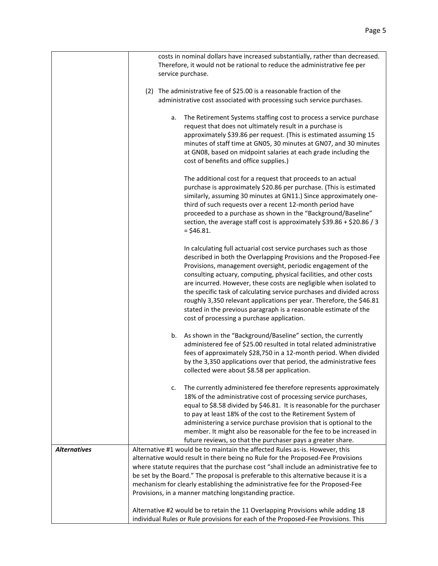|                     | costs in nominal dollars have increased substantially, rather than decreased.<br>Therefore, it would not be rational to reduce the administrative fee per<br>service purchase.                                                                                                                                                                                                                                                                                                                                                                                                                                          |
|---------------------|-------------------------------------------------------------------------------------------------------------------------------------------------------------------------------------------------------------------------------------------------------------------------------------------------------------------------------------------------------------------------------------------------------------------------------------------------------------------------------------------------------------------------------------------------------------------------------------------------------------------------|
|                     | (2) The administrative fee of \$25.00 is a reasonable fraction of the<br>administrative cost associated with processing such service purchases.                                                                                                                                                                                                                                                                                                                                                                                                                                                                         |
|                     | The Retirement Systems staffing cost to process a service purchase<br>a.<br>request that does not ultimately result in a purchase is<br>approximately \$39.86 per request. (This is estimated assuming 15<br>minutes of staff time at GN05, 30 minutes at GN07, and 30 minutes<br>at GN08, based on midpoint salaries at each grade including the<br>cost of benefits and office supplies.)                                                                                                                                                                                                                             |
|                     | The additional cost for a request that proceeds to an actual<br>purchase is approximately \$20.86 per purchase. (This is estimated<br>similarly, assuming 30 minutes at GN11.) Since approximately one-<br>third of such requests over a recent 12-month period have<br>proceeded to a purchase as shown in the "Background/Baseline"<br>section, the average staff cost is approximately \$39.86 + \$20.86 / 3<br>$=$ \$46.81.                                                                                                                                                                                         |
|                     | In calculating full actuarial cost service purchases such as those<br>described in both the Overlapping Provisions and the Proposed-Fee<br>Provisions, management oversight, periodic engagement of the<br>consulting actuary, computing, physical facilities, and other costs<br>are incurred. However, these costs are negligible when isolated to<br>the specific task of calculating service purchases and divided across<br>roughly 3,350 relevant applications per year. Therefore, the \$46.81<br>stated in the previous paragraph is a reasonable estimate of the<br>cost of processing a purchase application. |
|                     | As shown in the "Background/Baseline" section, the currently<br>b.<br>administered fee of \$25.00 resulted in total related administrative<br>fees of approximately \$28,750 in a 12-month period. When divided<br>by the 3,350 applications over that period, the administrative fees<br>collected were about \$8.58 per application.                                                                                                                                                                                                                                                                                  |
|                     | The currently administered fee therefore represents approximately<br>c.<br>18% of the administrative cost of processing service purchases,<br>equal to \$8.58 divided by \$46.81. It is reasonable for the purchaser<br>to pay at least 18% of the cost to the Retirement System of<br>administering a service purchase provision that is optional to the<br>member. It might also be reasonable for the fee to be increased in<br>future reviews, so that the purchaser pays a greater share.                                                                                                                          |
| <b>Alternatives</b> | Alternative #1 would be to maintain the affected Rules as-is. However, this                                                                                                                                                                                                                                                                                                                                                                                                                                                                                                                                             |
|                     | alternative would result in there being no Rule for the Proposed-Fee Provisions<br>where statute requires that the purchase cost "shall include an administrative fee to                                                                                                                                                                                                                                                                                                                                                                                                                                                |
|                     | be set by the Board." The proposal is preferable to this alternative because it is a                                                                                                                                                                                                                                                                                                                                                                                                                                                                                                                                    |
|                     | mechanism for clearly establishing the administrative fee for the Proposed-Fee                                                                                                                                                                                                                                                                                                                                                                                                                                                                                                                                          |
|                     | Provisions, in a manner matching longstanding practice.                                                                                                                                                                                                                                                                                                                                                                                                                                                                                                                                                                 |
|                     | Alternative #2 would be to retain the 11 Overlapping Provisions while adding 18                                                                                                                                                                                                                                                                                                                                                                                                                                                                                                                                         |
|                     | individual Rules or Rule provisions for each of the Proposed-Fee Provisions. This                                                                                                                                                                                                                                                                                                                                                                                                                                                                                                                                       |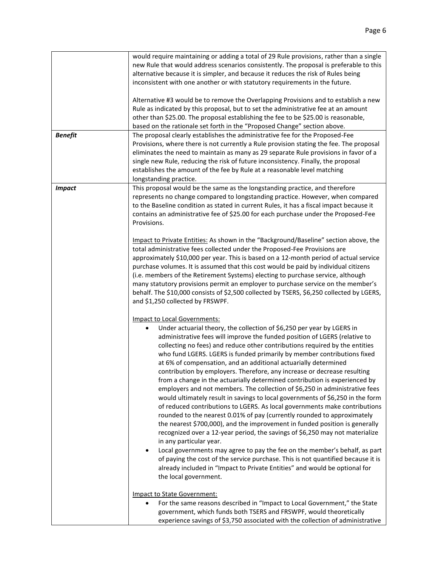| <b>Benefit</b> | would require maintaining or adding a total of 29 Rule provisions, rather than a single<br>new Rule that would address scenarios consistently. The proposal is preferable to this<br>alternative because it is simpler, and because it reduces the risk of Rules being<br>inconsistent with one another or with statutory requirements in the future.<br>Alternative #3 would be to remove the Overlapping Provisions and to establish a new<br>Rule as indicated by this proposal, but to set the administrative fee at an amount<br>other than \$25.00. The proposal establishing the fee to be \$25.00 is reasonable,<br>based on the rationale set forth in the "Proposed Change" section above.<br>The proposal clearly establishes the administrative fee for the Proposed-Fee<br>Provisions, where there is not currently a Rule provision stating the fee. The proposal<br>eliminates the need to maintain as many as 29 separate Rule provisions in favor of a<br>single new Rule, reducing the risk of future inconsistency. Finally, the proposal<br>establishes the amount of the fee by Rule at a reasonable level matching                                                                                                                                                                                                                                             |
|----------------|--------------------------------------------------------------------------------------------------------------------------------------------------------------------------------------------------------------------------------------------------------------------------------------------------------------------------------------------------------------------------------------------------------------------------------------------------------------------------------------------------------------------------------------------------------------------------------------------------------------------------------------------------------------------------------------------------------------------------------------------------------------------------------------------------------------------------------------------------------------------------------------------------------------------------------------------------------------------------------------------------------------------------------------------------------------------------------------------------------------------------------------------------------------------------------------------------------------------------------------------------------------------------------------------------------------------------------------------------------------------------------------|
|                | longstanding practice.                                                                                                                                                                                                                                                                                                                                                                                                                                                                                                                                                                                                                                                                                                                                                                                                                                                                                                                                                                                                                                                                                                                                                                                                                                                                                                                                                               |
| <b>Impact</b>  | This proposal would be the same as the longstanding practice, and therefore<br>represents no change compared to longstanding practice. However, when compared<br>to the Baseline condition as stated in current Rules, it has a fiscal impact because it<br>contains an administrative fee of \$25.00 for each purchase under the Proposed-Fee<br>Provisions.                                                                                                                                                                                                                                                                                                                                                                                                                                                                                                                                                                                                                                                                                                                                                                                                                                                                                                                                                                                                                        |
|                | Impact to Private Entities: As shown in the "Background/Baseline" section above, the<br>total administrative fees collected under the Proposed-Fee Provisions are<br>approximately \$10,000 per year. This is based on a 12-month period of actual service<br>purchase volumes. It is assumed that this cost would be paid by individual citizens<br>(i.e. members of the Retirement Systems) electing to purchase service, although<br>many statutory provisions permit an employer to purchase service on the member's<br>behalf. The \$10,000 consists of \$2,500 collected by TSERS, \$6,250 collected by LGERS,<br>and \$1,250 collected by FRSWPF.                                                                                                                                                                                                                                                                                                                                                                                                                                                                                                                                                                                                                                                                                                                             |
|                | <b>Impact to Local Governments:</b><br>Under actuarial theory, the collection of \$6,250 per year by LGERS in<br>٠<br>administrative fees will improve the funded position of LGERS (relative to<br>collecting no fees) and reduce other contributions required by the entities<br>who fund LGERS. LGERS is funded primarily by member contributions fixed<br>at 6% of compensation, and an additional actuarially determined<br>contribution by employers. Therefore, any increase or decrease resulting<br>from a change in the actuarially determined contribution is experienced by<br>employers and not members. The collection of \$6,250 in administrative fees<br>would ultimately result in savings to local governments of \$6,250 in the form<br>of reduced contributions to LGERS. As local governments make contributions<br>rounded to the nearest 0.01% of pay (currently rounded to approximately<br>the nearest \$700,000), and the improvement in funded position is generally<br>recognized over a 12-year period, the savings of \$6,250 may not materialize<br>in any particular year.<br>Local governments may agree to pay the fee on the member's behalf, as part<br>of paying the cost of the service purchase. This is not quantified because it is<br>already included in "Impact to Private Entities" and would be optional for<br>the local government. |
|                | Impact to State Government:                                                                                                                                                                                                                                                                                                                                                                                                                                                                                                                                                                                                                                                                                                                                                                                                                                                                                                                                                                                                                                                                                                                                                                                                                                                                                                                                                          |
|                | For the same reasons described in "Impact to Local Government," the State<br>$\bullet$<br>government, which funds both TSERS and FRSWPF, would theoretically<br>experience savings of \$3,750 associated with the collection of administrative                                                                                                                                                                                                                                                                                                                                                                                                                                                                                                                                                                                                                                                                                                                                                                                                                                                                                                                                                                                                                                                                                                                                       |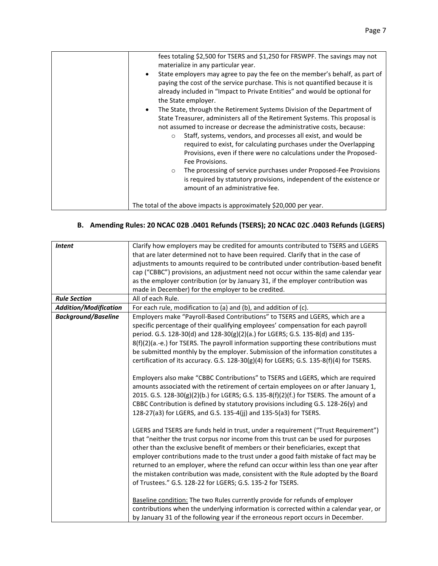| fees totaling \$2,500 for TSERS and \$1,250 for FRSWPF. The savings may not<br>materialize in any particular year.<br>State employers may agree to pay the fee on the member's behalf, as part of<br>$\bullet$<br>paying the cost of the service purchase. This is not quantified because it is<br>already included in "Impact to Private Entities" and would be optional for<br>the State employer.                                                                                       |
|--------------------------------------------------------------------------------------------------------------------------------------------------------------------------------------------------------------------------------------------------------------------------------------------------------------------------------------------------------------------------------------------------------------------------------------------------------------------------------------------|
| The State, through the Retirement Systems Division of the Department of<br>$\bullet$<br>State Treasurer, administers all of the Retirement Systems. This proposal is<br>not assumed to increase or decrease the administrative costs, because:<br>Staff, systems, vendors, and processes all exist, and would be<br>$\circ$<br>required to exist, for calculating purchases under the Overlapping<br>Provisions, even if there were no calculations under the Proposed-<br>Fee Provisions. |
| The processing of service purchases under Proposed-Fee Provisions<br>$\circ$<br>is required by statutory provisions, independent of the existence or<br>amount of an administrative fee.                                                                                                                                                                                                                                                                                                   |
| The total of the above impacts is approximately \$20,000 per year.                                                                                                                                                                                                                                                                                                                                                                                                                         |

## **B. Amending Rules: 20 NCAC 02B .0401 Refunds (TSERS); 20 NCAC 02C .0403 Refunds (LGERS)**

| <b>Intent</b>                | Clarify how employers may be credited for amounts contributed to TSERS and LGERS        |  |  |
|------------------------------|-----------------------------------------------------------------------------------------|--|--|
|                              | that are later determined not to have been required. Clarify that in the case of        |  |  |
|                              | adjustments to amounts required to be contributed under contribution-based benefit      |  |  |
|                              | cap ("CBBC") provisions, an adjustment need not occur within the same calendar year     |  |  |
|                              | as the employer contribution (or by January 31, if the employer contribution was        |  |  |
|                              | made in December) for the employer to be credited.                                      |  |  |
| <b>Rule Section</b>          | All of each Rule.                                                                       |  |  |
| <b>Addition/Modification</b> | For each rule, modification to (a) and (b), and addition of (c).                        |  |  |
| <b>Background/Baseline</b>   | Employers make "Payroll-Based Contributions" to TSERS and LGERS, which are a            |  |  |
|                              | specific percentage of their qualifying employees' compensation for each payroll        |  |  |
|                              | period. G.S. 128-30(d) and 128-30(g)(2)(a.) for LGERS; G.S. 135-8(d) and 135-           |  |  |
|                              | 8(f)(2)(a.-e.) for TSERS. The payroll information supporting these contributions must   |  |  |
|                              | be submitted monthly by the employer. Submission of the information constitutes a       |  |  |
|                              | certification of its accuracy. G.S. 128-30(g)(4) for LGERS; G.S. 135-8(f)(4) for TSERS. |  |  |
|                              |                                                                                         |  |  |
|                              | Employers also make "CBBC Contributions" to TSERS and LGERS, which are required         |  |  |
|                              | amounts associated with the retirement of certain employees on or after January 1,      |  |  |
|                              | 2015. G.S. 128-30(g)(2)(b.) for LGERS; G.S. 135-8(f)(2)(f.) for TSERS. The amount of a  |  |  |
|                              | CBBC Contribution is defined by statutory provisions including G.S. 128-26(y) and       |  |  |
|                              | 128-27(a3) for LGERS, and G.S. 135-4(jj) and 135-5(a3) for TSERS.                       |  |  |
|                              |                                                                                         |  |  |
|                              | LGERS and TSERS are funds held in trust, under a requirement ("Trust Requirement")      |  |  |
|                              | that "neither the trust corpus nor income from this trust can be used for purposes      |  |  |
|                              | other than the exclusive benefit of members or their beneficiaries, except that         |  |  |
|                              | employer contributions made to the trust under a good faith mistake of fact may be      |  |  |
|                              | returned to an employer, where the refund can occur within less than one year after     |  |  |
|                              | the mistaken contribution was made, consistent with the Rule adopted by the Board       |  |  |
|                              | of Trustees." G.S. 128-22 for LGERS; G.S. 135-2 for TSERS.                              |  |  |
|                              |                                                                                         |  |  |
|                              | Baseline condition: The two Rules currently provide for refunds of employer             |  |  |
|                              | contributions when the underlying information is corrected within a calendar year, or   |  |  |
|                              | by January 31 of the following year if the erroneous report occurs in December.         |  |  |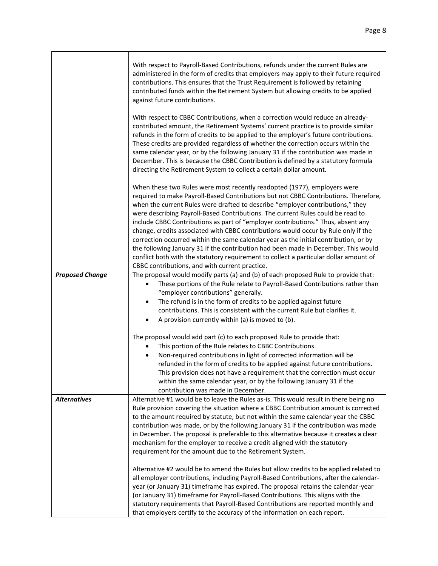|                        | With respect to Payroll-Based Contributions, refunds under the current Rules are<br>administered in the form of credits that employers may apply to their future required<br>contributions. This ensures that the Trust Requirement is followed by retaining<br>contributed funds within the Retirement System but allowing credits to be applied<br>against future contributions.<br>With respect to CBBC Contributions, when a correction would reduce an already-<br>contributed amount, the Retirement Systems' current practice is to provide similar<br>refunds in the form of credits to be applied to the employer's future contributions.<br>These credits are provided regardless of whether the correction occurs within the<br>same calendar year, or by the following January 31 if the contribution was made in<br>December. This is because the CBBC Contribution is defined by a statutory formula<br>directing the Retirement System to collect a certain dollar amount. |
|------------------------|-------------------------------------------------------------------------------------------------------------------------------------------------------------------------------------------------------------------------------------------------------------------------------------------------------------------------------------------------------------------------------------------------------------------------------------------------------------------------------------------------------------------------------------------------------------------------------------------------------------------------------------------------------------------------------------------------------------------------------------------------------------------------------------------------------------------------------------------------------------------------------------------------------------------------------------------------------------------------------------------|
|                        | When these two Rules were most recently readopted (1977), employers were<br>required to make Payroll-Based Contributions but not CBBC Contributions. Therefore,<br>when the current Rules were drafted to describe "employer contributions," they<br>were describing Payroll-Based Contributions. The current Rules could be read to<br>include CBBC Contributions as part of "employer contributions." Thus, absent any<br>change, credits associated with CBBC contributions would occur by Rule only if the<br>correction occurred within the same calendar year as the initial contribution, or by<br>the following January 31 if the contribution had been made in December. This would<br>conflict both with the statutory requirement to collect a particular dollar amount of<br>CBBC contributions, and with current practice.                                                                                                                                                   |
| <b>Proposed Change</b> | The proposal would modify parts (a) and (b) of each proposed Rule to provide that:<br>These portions of the Rule relate to Payroll-Based Contributions rather than<br>$\bullet$<br>"employer contributions" generally.<br>The refund is in the form of credits to be applied against future<br>$\bullet$<br>contributions. This is consistent with the current Rule but clarifies it.<br>A provision currently within (a) is moved to (b).<br>$\bullet$                                                                                                                                                                                                                                                                                                                                                                                                                                                                                                                                   |
|                        | The proposal would add part (c) to each proposed Rule to provide that:<br>This portion of the Rule relates to CBBC Contributions.<br>$\bullet$<br>Non-required contributions in light of corrected information will be<br>$\bullet$<br>refunded in the form of credits to be applied against future contributions.<br>This provision does not have a requirement that the correction must occur<br>within the same calendar year, or by the following January 31 if the<br>contribution was made in December.                                                                                                                                                                                                                                                                                                                                                                                                                                                                             |
| <b>Alternatives</b>    | Alternative #1 would be to leave the Rules as-is. This would result in there being no<br>Rule provision covering the situation where a CBBC Contribution amount is corrected<br>to the amount required by statute, but not within the same calendar year the CBBC<br>contribution was made, or by the following January 31 if the contribution was made<br>in December. The proposal is preferable to this alternative because it creates a clear<br>mechanism for the employer to receive a credit aligned with the statutory<br>requirement for the amount due to the Retirement System.                                                                                                                                                                                                                                                                                                                                                                                                |
|                        | Alternative #2 would be to amend the Rules but allow credits to be applied related to<br>all employer contributions, including Payroll-Based Contributions, after the calendar-<br>year (or January 31) timeframe has expired. The proposal retains the calendar-year<br>(or January 31) timeframe for Payroll-Based Contributions. This aligns with the<br>statutory requirements that Payroll-Based Contributions are reported monthly and<br>that employers certify to the accuracy of the information on each report.                                                                                                                                                                                                                                                                                                                                                                                                                                                                 |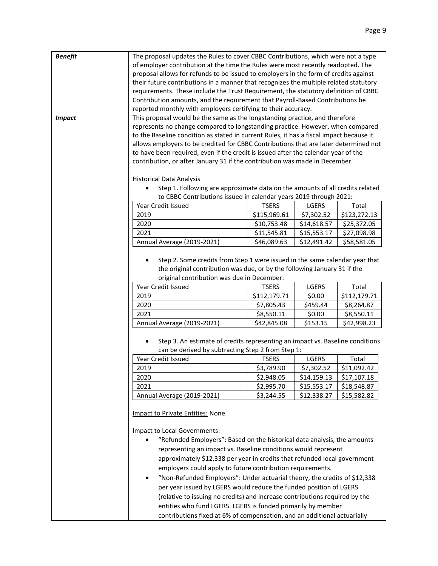| <b>Benefit</b> | The proposal updates the Rules to cover CBBC Contributions, which were not a type                                                                                                                                  |              |             |              |
|----------------|--------------------------------------------------------------------------------------------------------------------------------------------------------------------------------------------------------------------|--------------|-------------|--------------|
|                | of employer contribution at the time the Rules were most recently readopted. The                                                                                                                                   |              |             |              |
|                | proposal allows for refunds to be issued to employers in the form of credits against                                                                                                                               |              |             |              |
|                | their future contributions in a manner that recognizes the multiple related statutory                                                                                                                              |              |             |              |
|                | requirements. These include the Trust Requirement, the statutory definition of CBBC                                                                                                                                |              |             |              |
|                | Contribution amounts, and the requirement that Payroll-Based Contributions be                                                                                                                                      |              |             |              |
|                | reported monthly with employers certifying to their accuracy.                                                                                                                                                      |              |             |              |
| <b>Impact</b>  | This proposal would be the same as the longstanding practice, and therefore                                                                                                                                        |              |             |              |
|                | represents no change compared to longstanding practice. However, when compared                                                                                                                                     |              |             |              |
|                | to the Baseline condition as stated in current Rules, it has a fiscal impact because it                                                                                                                            |              |             |              |
|                | allows employers to be credited for CBBC Contributions that are later determined not                                                                                                                               |              |             |              |
|                | to have been required, even if the credit is issued after the calendar year of the                                                                                                                                 |              |             |              |
|                | contribution, or after January 31 if the contribution was made in December.                                                                                                                                        |              |             |              |
|                | <b>Historical Data Analysis</b>                                                                                                                                                                                    |              |             |              |
|                | Step 1. Following are approximate data on the amounts of all credits related<br>$\bullet$                                                                                                                          |              |             |              |
|                | to CBBC Contributions issued in calendar years 2019 through 2021:                                                                                                                                                  |              |             |              |
|                | Year Credit Issued                                                                                                                                                                                                 | <b>TSERS</b> | LGERS       | Total        |
|                | 2019                                                                                                                                                                                                               | \$115,969.61 | \$7,302.52  | \$123,272.13 |
|                | 2020                                                                                                                                                                                                               | \$10,753.48  | \$14,618.57 | \$25,372.05  |
|                | 2021                                                                                                                                                                                                               | \$11,545.81  | \$15,553.17 | \$27,098.98  |
|                |                                                                                                                                                                                                                    |              |             |              |
|                | Annual Average (2019-2021)                                                                                                                                                                                         | \$46,089.63  | \$12,491.42 | \$58,581.05  |
|                | Step 2. Some credits from Step 1 were issued in the same calendar year that<br>$\bullet$<br>the original contribution was due, or by the following January 31 if the<br>original contribution was due in December: |              |             |              |
|                | Year Credit Issued                                                                                                                                                                                                 | <b>TSERS</b> | LGERS       | Total        |
|                | 2019                                                                                                                                                                                                               | \$112,179.71 | \$0.00      | \$112,179.71 |
|                | 2020                                                                                                                                                                                                               | \$7,805.43   | \$459.44    | \$8,264.87   |
|                | 2021                                                                                                                                                                                                               | \$8,550.11   | \$0.00      | \$8,550.11   |
|                | Annual Average (2019-2021)                                                                                                                                                                                         | \$42,845.08  | \$153.15    | \$42,998.23  |
|                | Step 3. An estimate of credits representing an impact vs. Baseline conditions<br>can be derived by subtracting Step 2 from Step 1:                                                                                 |              |             |              |
|                | Year Credit Issued                                                                                                                                                                                                 | <b>TSERS</b> | LGERS       | Total        |
|                | 2019                                                                                                                                                                                                               | \$3,789.90   | \$7,302.52  | \$11,092.42  |
|                | 2020                                                                                                                                                                                                               | \$2,948.05   | \$14,159.13 | \$17,107.18  |
|                | 2021                                                                                                                                                                                                               | \$2,995.70   | \$15,553.17 | \$18,548.87  |
|                | Annual Average (2019-2021)                                                                                                                                                                                         | \$3,244.55   | \$12,338.27 | \$15,582.82  |
|                | Impact to Private Entities: None.                                                                                                                                                                                  |              |             |              |
|                | <b>Impact to Local Governments:</b>                                                                                                                                                                                |              |             |              |
|                | "Refunded Employers": Based on the historical data analysis, the amounts                                                                                                                                           |              |             |              |
|                | representing an impact vs. Baseline conditions would represent                                                                                                                                                     |              |             |              |
|                | approximately \$12,338 per year in credits that refunded local government                                                                                                                                          |              |             |              |
|                | employers could apply to future contribution requirements.                                                                                                                                                         |              |             |              |
|                | "Non-Refunded Employers": Under actuarial theory, the credits of \$12,338<br>$\bullet$                                                                                                                             |              |             |              |
|                | per year issued by LGERS would reduce the funded position of LGERS                                                                                                                                                 |              |             |              |
|                | (relative to issuing no credits) and increase contributions required by the                                                                                                                                        |              |             |              |
|                | entities who fund LGERS. LGERS is funded primarily by member                                                                                                                                                       |              |             |              |
|                | contributions fixed at 6% of compensation, and an additional actuarially                                                                                                                                           |              |             |              |
|                |                                                                                                                                                                                                                    |              |             |              |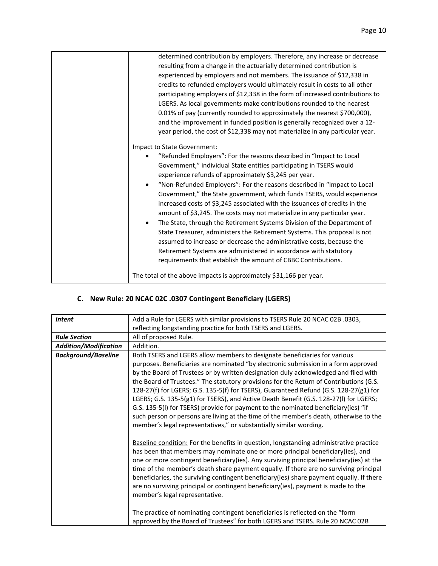| determined contribution by employers. Therefore, any increase or decrease            |
|--------------------------------------------------------------------------------------|
| resulting from a change in the actuarially determined contribution is                |
| experienced by employers and not members. The issuance of \$12,338 in                |
| credits to refunded employers would ultimately result in costs to all other          |
| participating employers of \$12,338 in the form of increased contributions to        |
| LGERS. As local governments make contributions rounded to the nearest                |
| 0.01% of pay (currently rounded to approximately the nearest \$700,000),             |
| and the improvement in funded position is generally recognized over a 12-            |
| year period, the cost of \$12,338 may not materialize in any particular year.        |
| Impact to State Government:                                                          |
| "Refunded Employers": For the reasons described in "Impact to Local                  |
| Government," individual State entities participating in TSERS would                  |
| experience refunds of approximately \$3,245 per year.                                |
| "Non-Refunded Employers": For the reasons described in "Impact to Local<br>$\bullet$ |
| Government," the State government, which funds TSERS, would experience               |
| increased costs of \$3,245 associated with the issuances of credits in the           |
| amount of \$3,245. The costs may not materialize in any particular year.             |
| The State, through the Retirement Systems Division of the Department of<br>$\bullet$ |
| State Treasurer, administers the Retirement Systems. This proposal is not            |
| assumed to increase or decrease the administrative costs, because the                |
| Retirement Systems are administered in accordance with statutory                     |
| requirements that establish the amount of CBBC Contributions.                        |
|                                                                                      |
| The total of the above impacts is approximately \$31,166 per year.                   |
|                                                                                      |

# **C. New Rule: 20 NCAC 02C .0307 Contingent Beneficiary (LGERS)**

| <b>Intent</b>                                                                            | Add a Rule for LGERS with similar provisions to TSERS Rule 20 NCAC 02B .0303,             |  |
|------------------------------------------------------------------------------------------|-------------------------------------------------------------------------------------------|--|
|                                                                                          | reflecting longstanding practice for both TSERS and LGERS.                                |  |
| <b>Rule Section</b>                                                                      | All of proposed Rule.                                                                     |  |
| <b>Addition/Modification</b>                                                             | Addition.                                                                                 |  |
| <b>Background/Baseline</b>                                                               | Both TSERS and LGERS allow members to designate beneficiaries for various                 |  |
|                                                                                          | purposes. Beneficiaries are nominated "by electronic submission in a form approved        |  |
|                                                                                          | by the Board of Trustees or by written designation duly acknowledged and filed with       |  |
|                                                                                          | the Board of Trustees." The statutory provisions for the Return of Contributions (G.S.    |  |
|                                                                                          | 128-27(f) for LGERS; G.S. 135-5(f) for TSERS), Guaranteed Refund (G.S. 128-27(g1) for     |  |
|                                                                                          | LGERS; G.S. 135-5(g1) for TSERS), and Active Death Benefit (G.S. 128-27(I) for LGERS;     |  |
|                                                                                          | G.S. 135-5(I) for TSERS) provide for payment to the nominated beneficiary(ies) "if        |  |
|                                                                                          | such person or persons are living at the time of the member's death, otherwise to the     |  |
|                                                                                          | member's legal representatives," or substantially similar wording.                        |  |
|                                                                                          |                                                                                           |  |
|                                                                                          | Baseline condition: For the benefits in question, longstanding administrative practice    |  |
|                                                                                          | has been that members may nominate one or more principal beneficiary(ies), and            |  |
| one or more contingent beneficiary(ies). Any surviving principal beneficiary(ies) at the |                                                                                           |  |
|                                                                                          | time of the member's death share payment equally. If there are no surviving principal     |  |
|                                                                                          | beneficiaries, the surviving contingent beneficiary (ies) share payment equally. If there |  |
|                                                                                          | are no surviving principal or contingent beneficiary(ies), payment is made to the         |  |
|                                                                                          | member's legal representative.                                                            |  |
|                                                                                          |                                                                                           |  |
|                                                                                          | The practice of nominating contingent beneficiaries is reflected on the "form             |  |
|                                                                                          | approved by the Board of Trustees" for both LGERS and TSERS. Rule 20 NCAC 02B             |  |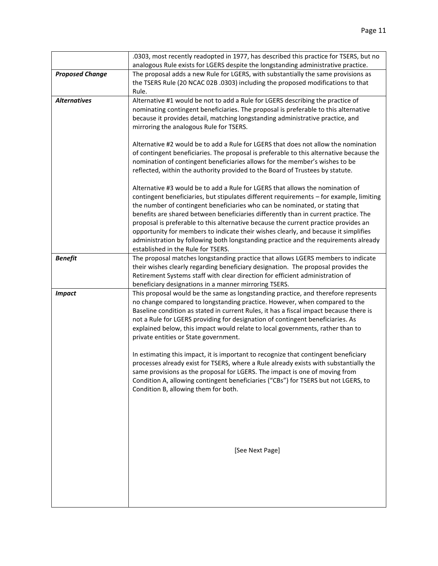|                        | .0303, most recently readopted in 1977, has described this practice for TSERS, but no                                                                                                                                                                                                                                                                                                                                                                                                                                                                                                                                                                                                                                                                                                                                                                                                   |
|------------------------|-----------------------------------------------------------------------------------------------------------------------------------------------------------------------------------------------------------------------------------------------------------------------------------------------------------------------------------------------------------------------------------------------------------------------------------------------------------------------------------------------------------------------------------------------------------------------------------------------------------------------------------------------------------------------------------------------------------------------------------------------------------------------------------------------------------------------------------------------------------------------------------------|
|                        | analogous Rule exists for LGERS despite the longstanding administrative practice.                                                                                                                                                                                                                                                                                                                                                                                                                                                                                                                                                                                                                                                                                                                                                                                                       |
| <b>Proposed Change</b> | The proposal adds a new Rule for LGERS, with substantially the same provisions as<br>the TSERS Rule (20 NCAC 02B .0303) including the proposed modifications to that<br>Rule.                                                                                                                                                                                                                                                                                                                                                                                                                                                                                                                                                                                                                                                                                                           |
| <b>Alternatives</b>    | Alternative #1 would be not to add a Rule for LGERS describing the practice of<br>nominating contingent beneficiaries. The proposal is preferable to this alternative<br>because it provides detail, matching longstanding administrative practice, and<br>mirroring the analogous Rule for TSERS.                                                                                                                                                                                                                                                                                                                                                                                                                                                                                                                                                                                      |
|                        | Alternative #2 would be to add a Rule for LGERS that does not allow the nomination<br>of contingent beneficiaries. The proposal is preferable to this alternative because the<br>nomination of contingent beneficiaries allows for the member's wishes to be<br>reflected, within the authority provided to the Board of Trustees by statute.                                                                                                                                                                                                                                                                                                                                                                                                                                                                                                                                           |
|                        | Alternative #3 would be to add a Rule for LGERS that allows the nomination of<br>contingent beneficiaries, but stipulates different requirements - for example, limiting<br>the number of contingent beneficiaries who can be nominated, or stating that<br>benefits are shared between beneficiaries differently than in current practice. The<br>proposal is preferable to this alternative because the current practice provides an<br>opportunity for members to indicate their wishes clearly, and because it simplifies<br>administration by following both longstanding practice and the requirements already<br>established in the Rule for TSERS.                                                                                                                                                                                                                              |
| <b>Benefit</b>         | The proposal matches longstanding practice that allows LGERS members to indicate<br>their wishes clearly regarding beneficiary designation. The proposal provides the<br>Retirement Systems staff with clear direction for efficient administration of<br>beneficiary designations in a manner mirroring TSERS.                                                                                                                                                                                                                                                                                                                                                                                                                                                                                                                                                                         |
| <b>Impact</b>          | This proposal would be the same as longstanding practice, and therefore represents<br>no change compared to longstanding practice. However, when compared to the<br>Baseline condition as stated in current Rules, it has a fiscal impact because there is<br>not a Rule for LGERS providing for designation of contingent beneficiaries. As<br>explained below, this impact would relate to local governments, rather than to<br>private entities or State government.<br>In estimating this impact, it is important to recognize that contingent beneficiary<br>processes already exist for TSERS, where a Rule already exists with substantially the<br>same provisions as the proposal for LGERS. The impact is one of moving from<br>Condition A, allowing contingent beneficiaries ("CBs") for TSERS but not LGERS, to<br>Condition B, allowing them for both.<br>[See Next Page] |
|                        |                                                                                                                                                                                                                                                                                                                                                                                                                                                                                                                                                                                                                                                                                                                                                                                                                                                                                         |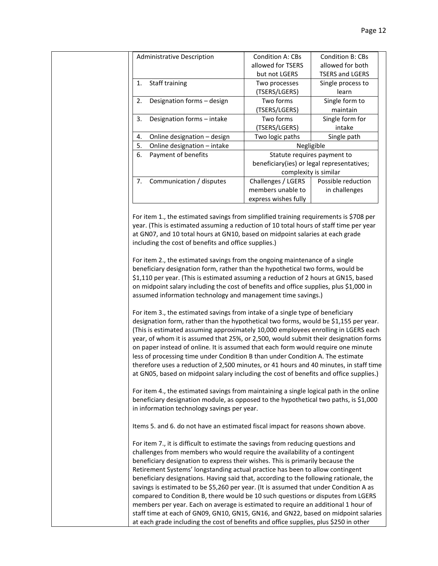|    | <b>Administrative Description</b> | <b>Condition A: CBs</b>                    | <b>Condition B: CBs</b> |
|----|-----------------------------------|--------------------------------------------|-------------------------|
|    |                                   | allowed for TSERS                          | allowed for both        |
|    |                                   | but not LGERS                              | <b>TSERS and LGERS</b>  |
| 1. | Staff training                    | Two processes                              | Single process to       |
|    |                                   | (TSERS/LGERS)                              | learn                   |
| 2. | Designation forms - design        | Two forms                                  | Single form to          |
|    |                                   | (TSERS/LGERS)                              | maintain                |
| 3. | Designation forms - intake        | Two forms                                  | Single form for         |
|    |                                   | (TSERS/LGERS)                              | intake                  |
| 4. | Online designation – design       | Two logic paths                            | Single path             |
| 5. | Online designation - intake       | Negligible                                 |                         |
| 6. | Payment of benefits               | Statute requires payment to                |                         |
|    |                                   | beneficiary(ies) or legal representatives; |                         |
|    |                                   | complexity is similar                      |                         |
| 7. | Communication / disputes          | Challenges / LGERS                         | Possible reduction      |
|    |                                   | members unable to                          | in challenges           |
|    |                                   | express wishes fully                       |                         |

For item 1., the estimated savings from simplified training requirements is \$708 per year. (This is estimated assuming a reduction of 10 total hours of staff time per year at GN07, and 10 total hours at GN10, based on midpoint salaries at each grade including the cost of benefits and office supplies.)

For item 2., the estimated savings from the ongoing maintenance of a single beneficiary designation form, rather than the hypothetical two forms, would be \$1,110 per year. (This is estimated assuming a reduction of 2 hours at GN15, based on midpoint salary including the cost of benefits and office supplies, plus \$1,000 in assumed information technology and management time savings.)

For item 3., the estimated savings from intake of a single type of beneficiary designation form, rather than the hypothetical two forms, would be \$1,155 per year. (This is estimated assuming approximately 10,000 employees enrolling in LGERS each year, of whom it is assumed that 25%, or 2,500, would submit their designation forms on paper instead of online. It is assumed that each form would require one minute less of processing time under Condition B than under Condition A. The estimate therefore uses a reduction of 2,500 minutes, or 41 hours and 40 minutes, in staff time at GN05, based on midpoint salary including the cost of benefits and office supplies.)

For item 4., the estimated savings from maintaining a single logical path in the online beneficiary designation module, as opposed to the hypothetical two paths, is \$1,000 in information technology savings per year.

Items 5. and 6. do not have an estimated fiscal impact for reasons shown above.

For item 7., it is difficult to estimate the savings from reducing questions and challenges from members who would require the availability of a contingent beneficiary designation to express their wishes. This is primarily because the Retirement Systems' longstanding actual practice has been to allow contingent beneficiary designations. Having said that, according to the following rationale, the savings is estimated to be \$5,260 per year. (It is assumed that under Condition A as compared to Condition B, there would be 10 such questions or disputes from LGERS members per year. Each on average is estimated to require an additional 1 hour of staff time at each of GN09, GN10, GN15, GN16, and GN22, based on midpoint salaries at each grade including the cost of benefits and office supplies, plus \$250 in other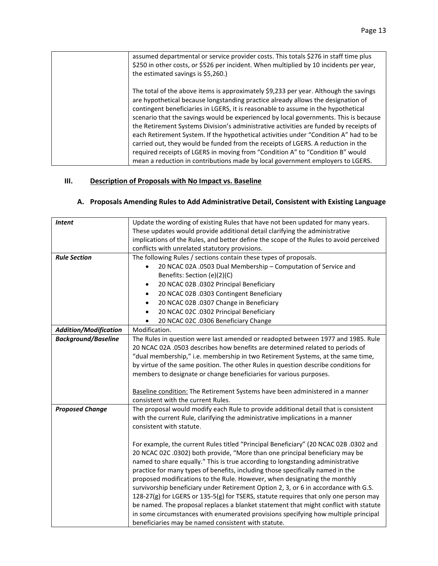| assumed departmental or service provider costs. This totals \$276 in staff time plus<br>\$250 in other costs, or \$526 per incident. When multiplied by 10 incidents per year,<br>the estimated savings is \$5,260.)                                                                                                                                                                                                                                                                                                                                                                                                                                                                                                                                                                           |
|------------------------------------------------------------------------------------------------------------------------------------------------------------------------------------------------------------------------------------------------------------------------------------------------------------------------------------------------------------------------------------------------------------------------------------------------------------------------------------------------------------------------------------------------------------------------------------------------------------------------------------------------------------------------------------------------------------------------------------------------------------------------------------------------|
| The total of the above items is approximately \$9,233 per year. Although the savings<br>are hypothetical because longstanding practice already allows the designation of<br>contingent beneficiaries in LGERS, it is reasonable to assume in the hypothetical<br>scenario that the savings would be experienced by local governments. This is because<br>the Retirement Systems Division's administrative activities are funded by receipts of<br>each Retirement System. If the hypothetical activities under "Condition A" had to be<br>carried out, they would be funded from the receipts of LGERS. A reduction in the<br>required receipts of LGERS in moving from "Condition A" to "Condition B" would<br>mean a reduction in contributions made by local government employers to LGERS. |

### **III. Description of Proposals with No Impact vs. Baseline**

| <b>Intent</b>                | Update the wording of existing Rules that have not been updated for many years.<br>These updates would provide additional detail clarifying the administrative<br>implications of the Rules, and better define the scope of the Rules to avoid perceived                                                                                                                                                                                                                                                                                                                                                                                                                                                                                                                                                                                  |  |
|------------------------------|-------------------------------------------------------------------------------------------------------------------------------------------------------------------------------------------------------------------------------------------------------------------------------------------------------------------------------------------------------------------------------------------------------------------------------------------------------------------------------------------------------------------------------------------------------------------------------------------------------------------------------------------------------------------------------------------------------------------------------------------------------------------------------------------------------------------------------------------|--|
|                              | conflicts with unrelated statutory provisions.                                                                                                                                                                                                                                                                                                                                                                                                                                                                                                                                                                                                                                                                                                                                                                                            |  |
| <b>Rule Section</b>          | The following Rules / sections contain these types of proposals.                                                                                                                                                                                                                                                                                                                                                                                                                                                                                                                                                                                                                                                                                                                                                                          |  |
|                              | 20 NCAC 02A .0503 Dual Membership - Computation of Service and<br>$\bullet$                                                                                                                                                                                                                                                                                                                                                                                                                                                                                                                                                                                                                                                                                                                                                               |  |
|                              | Benefits: Section (e)(2)(C)                                                                                                                                                                                                                                                                                                                                                                                                                                                                                                                                                                                                                                                                                                                                                                                                               |  |
|                              | 20 NCAC 02B .0302 Principal Beneficiary<br>$\bullet$                                                                                                                                                                                                                                                                                                                                                                                                                                                                                                                                                                                                                                                                                                                                                                                      |  |
|                              | 20 NCAC 02B .0303 Contingent Beneficiary<br>$\bullet$                                                                                                                                                                                                                                                                                                                                                                                                                                                                                                                                                                                                                                                                                                                                                                                     |  |
|                              | 20 NCAC 02B .0307 Change in Beneficiary                                                                                                                                                                                                                                                                                                                                                                                                                                                                                                                                                                                                                                                                                                                                                                                                   |  |
|                              | 20 NCAC 02C .0302 Principal Beneficiary                                                                                                                                                                                                                                                                                                                                                                                                                                                                                                                                                                                                                                                                                                                                                                                                   |  |
|                              | 20 NCAC 02C .0306 Beneficiary Change<br>$\bullet$                                                                                                                                                                                                                                                                                                                                                                                                                                                                                                                                                                                                                                                                                                                                                                                         |  |
| <b>Addition/Modification</b> | Modification.                                                                                                                                                                                                                                                                                                                                                                                                                                                                                                                                                                                                                                                                                                                                                                                                                             |  |
| <b>Background/Baseline</b>   | The Rules in question were last amended or readopted between 1977 and 1985. Rule<br>20 NCAC 02A .0503 describes how benefits are determined related to periods of<br>"dual membership," i.e. membership in two Retirement Systems, at the same time,<br>by virtue of the same position. The other Rules in question describe conditions for                                                                                                                                                                                                                                                                                                                                                                                                                                                                                               |  |
|                              | members to designate or change beneficiaries for various purposes.<br>Baseline condition: The Retirement Systems have been administered in a manner<br>consistent with the current Rules.                                                                                                                                                                                                                                                                                                                                                                                                                                                                                                                                                                                                                                                 |  |
| <b>Proposed Change</b>       | The proposal would modify each Rule to provide additional detail that is consistent<br>with the current Rule, clarifying the administrative implications in a manner<br>consistent with statute.                                                                                                                                                                                                                                                                                                                                                                                                                                                                                                                                                                                                                                          |  |
|                              | For example, the current Rules titled "Principal Beneficiary" (20 NCAC 02B .0302 and<br>20 NCAC 02C .0302) both provide, "More than one principal beneficiary may be<br>named to share equally." This is true according to longstanding administrative<br>practice for many types of benefits, including those specifically named in the<br>proposed modifications to the Rule. However, when designating the monthly<br>survivorship beneficiary under Retirement Option 2, 3, or 6 in accordance with G.S.<br>128-27(g) for LGERS or 135-5(g) for TSERS, statute requires that only one person may<br>be named. The proposal replaces a blanket statement that might conflict with statute<br>in some circumstances with enumerated provisions specifying how multiple principal<br>beneficiaries may be named consistent with statute. |  |

## **A. Proposals Amending Rules to Add Administrative Detail, Consistent with Existing Language**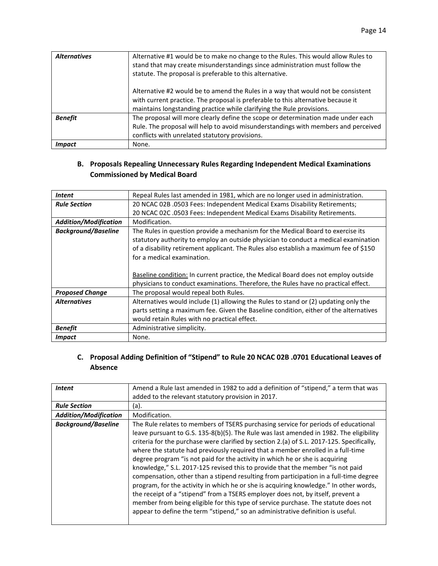| <b>Alternatives</b> | Alternative #1 would be to make no change to the Rules. This would allow Rules to<br>stand that may create misunderstandings since administration must follow the<br>statute. The proposal is preferable to this alternative. |
|---------------------|-------------------------------------------------------------------------------------------------------------------------------------------------------------------------------------------------------------------------------|
|                     | Alternative #2 would be to amend the Rules in a way that would not be consistent                                                                                                                                              |

|                      | Alternative #2 would be to amend the Rules in a way that would not be consistent   |  |
|----------------------|------------------------------------------------------------------------------------|--|
|                      | with current practice. The proposal is preferable to this alternative because it   |  |
|                      | maintains longstanding practice while clarifying the Rule provisions.              |  |
| <b>Benefit</b>       | The proposal will more clearly define the scope or determination made under each   |  |
|                      | Rule. The proposal will help to avoid misunderstandings with members and perceived |  |
|                      | conflicts with unrelated statutory provisions.                                     |  |
| <i><b>Impact</b></i> | None.                                                                              |  |

#### **B. Proposals Repealing Unnecessary Rules Regarding Independent Medical Examinations Commissioned by Medical Board**

| <b>Intent</b>                | Repeal Rules last amended in 1981, which are no longer used in administration.        |  |
|------------------------------|---------------------------------------------------------------------------------------|--|
| <b>Rule Section</b>          | 20 NCAC 02B .0503 Fees: Independent Medical Exams Disability Retirements;             |  |
|                              | 20 NCAC 02C .0503 Fees: Independent Medical Exams Disability Retirements.             |  |
| <b>Addition/Modification</b> | Modification.                                                                         |  |
| <b>Background/Baseline</b>   | The Rules in question provide a mechanism for the Medical Board to exercise its       |  |
|                              | statutory authority to employ an outside physician to conduct a medical examination   |  |
|                              | of a disability retirement applicant. The Rules also establish a maximum fee of \$150 |  |
|                              | for a medical examination.                                                            |  |
|                              |                                                                                       |  |
|                              | Baseline condition: In current practice, the Medical Board does not employ outside    |  |
|                              | physicians to conduct examinations. Therefore, the Rules have no practical effect.    |  |
| <b>Proposed Change</b>       | The proposal would repeal both Rules.                                                 |  |
| <b>Alternatives</b>          | Alternatives would include (1) allowing the Rules to stand or (2) updating only the   |  |
|                              | parts setting a maximum fee. Given the Baseline condition, either of the alternatives |  |
|                              | would retain Rules with no practical effect.                                          |  |
| <b>Benefit</b>               | Administrative simplicity.                                                            |  |
| <i><b>Impact</b></i>         | None.                                                                                 |  |

#### **C. Proposal Adding Definition of "Stipend" to Rule 20 NCAC 02B .0701 Educational Leaves of Absence**

| <i>Intent</i>                | Amend a Rule last amended in 1982 to add a definition of "stipend," a term that was                                                                                                                                                                                                                                                                                                                                                                                                                                                                                                                                                                                                                                                                                                                                                                                                                                                                                          |  |
|------------------------------|------------------------------------------------------------------------------------------------------------------------------------------------------------------------------------------------------------------------------------------------------------------------------------------------------------------------------------------------------------------------------------------------------------------------------------------------------------------------------------------------------------------------------------------------------------------------------------------------------------------------------------------------------------------------------------------------------------------------------------------------------------------------------------------------------------------------------------------------------------------------------------------------------------------------------------------------------------------------------|--|
|                              | added to the relevant statutory provision in 2017.                                                                                                                                                                                                                                                                                                                                                                                                                                                                                                                                                                                                                                                                                                                                                                                                                                                                                                                           |  |
| <b>Rule Section</b>          | (a).                                                                                                                                                                                                                                                                                                                                                                                                                                                                                                                                                                                                                                                                                                                                                                                                                                                                                                                                                                         |  |
| <b>Addition/Modification</b> | Modification.                                                                                                                                                                                                                                                                                                                                                                                                                                                                                                                                                                                                                                                                                                                                                                                                                                                                                                                                                                |  |
| <b>Background/Baseline</b>   | The Rule relates to members of TSERS purchasing service for periods of educational<br>leave pursuant to G.S. 135-8(b)(5). The Rule was last amended in 1982. The eligibility<br>criteria for the purchase were clarified by section 2.(a) of S.L. 2017-125. Specifically,<br>where the statute had previously required that a member enrolled in a full-time<br>degree program "is not paid for the activity in which he or she is acquiring<br>knowledge," S.L. 2017-125 revised this to provide that the member "is not paid<br>compensation, other than a stipend resulting from participation in a full-time degree<br>program, for the activity in which he or she is acquiring knowledge." In other words,<br>the receipt of a "stipend" from a TSERS employer does not, by itself, prevent a<br>member from being eligible for this type of service purchase. The statute does not<br>appear to define the term "stipend," so an administrative definition is useful. |  |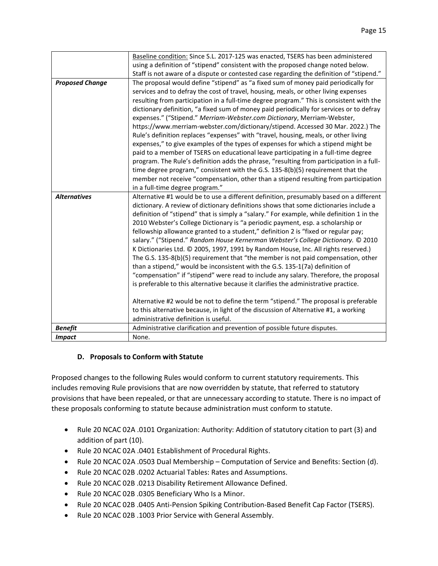|                        | Baseline condition: Since S.L. 2017-125 was enacted, TSERS has been administered          |  |
|------------------------|-------------------------------------------------------------------------------------------|--|
|                        | using a definition of "stipend" consistent with the proposed change noted below.          |  |
|                        | Staff is not aware of a dispute or contested case regarding the definition of "stipend."  |  |
| <b>Proposed Change</b> | The proposal would define "stipend" as "a fixed sum of money paid periodically for        |  |
|                        | services and to defray the cost of travel, housing, meals, or other living expenses       |  |
|                        | resulting from participation in a full-time degree program." This is consistent with the  |  |
|                        | dictionary definition, "a fixed sum of money paid periodically for services or to defray  |  |
|                        | expenses." ("Stipend." Merriam-Webster.com Dictionary, Merriam-Webster,                   |  |
|                        | https://www.merriam-webster.com/dictionary/stipend. Accessed 30 Mar. 2022.) The           |  |
|                        | Rule's definition replaces "expenses" with "travel, housing, meals, or other living       |  |
|                        | expenses," to give examples of the types of expenses for which a stipend might be         |  |
|                        | paid to a member of TSERS on educational leave participating in a full-time degree        |  |
|                        | program. The Rule's definition adds the phrase, "resulting from participation in a full-  |  |
|                        | time degree program," consistent with the G.S. 135-8(b)(5) requirement that the           |  |
|                        | member not receive "compensation, other than a stipend resulting from participation       |  |
|                        | in a full-time degree program."                                                           |  |
| <b>Alternatives</b>    | Alternative #1 would be to use a different definition, presumably based on a different    |  |
|                        | dictionary. A review of dictionary definitions shows that some dictionaries include a     |  |
|                        | definition of "stipend" that is simply a "salary." For example, while definition 1 in the |  |
|                        | 2010 Webster's College Dictionary is "a periodic payment, esp. a scholarship or           |  |
|                        | fellowship allowance granted to a student," definition 2 is "fixed or regular pay;        |  |
|                        | salary." ("Stipend." Random House Kernerman Webster's College Dictionary. © 2010          |  |
|                        | K Dictionaries Ltd. © 2005, 1997, 1991 by Random House, Inc. All rights reserved.)        |  |
|                        | The G.S. 135-8(b)(5) requirement that "the member is not paid compensation, other         |  |
|                        | than a stipend," would be inconsistent with the G.S. 135-1(7a) definition of              |  |
|                        | "compensation" if "stipend" were read to include any salary. Therefore, the proposal      |  |
|                        | is preferable to this alternative because it clarifies the administrative practice.       |  |
|                        |                                                                                           |  |
|                        | Alternative #2 would be not to define the term "stipend." The proposal is preferable      |  |
|                        | to this alternative because, in light of the discussion of Alternative #1, a working      |  |
|                        | administrative definition is useful.                                                      |  |
| <b>Benefit</b>         | Administrative clarification and prevention of possible future disputes.                  |  |
| <b>Impact</b>          | None.                                                                                     |  |

#### **D. Proposals to Conform with Statute**

Proposed changes to the following Rules would conform to current statutory requirements. This includes removing Rule provisions that are now overridden by statute, that referred to statutory provisions that have been repealed, or that are unnecessary according to statute. There is no impact of these proposals conforming to statute because administration must conform to statute.

- Rule 20 NCAC 02A .0101 Organization: Authority: Addition of statutory citation to part (3) and addition of part (10).
- Rule 20 NCAC 02A .0401 Establishment of Procedural Rights.
- Rule 20 NCAC 02A .0503 Dual Membership Computation of Service and Benefits: Section (d).
- Rule 20 NCAC 02B .0202 Actuarial Tables: Rates and Assumptions.
- Rule 20 NCAC 02B .0213 Disability Retirement Allowance Defined.
- Rule 20 NCAC 02B .0305 Beneficiary Who Is a Minor.
- Rule 20 NCAC 02B .0405 Anti-Pension Spiking Contribution-Based Benefit Cap Factor (TSERS).
- Rule 20 NCAC 02B .1003 Prior Service with General Assembly.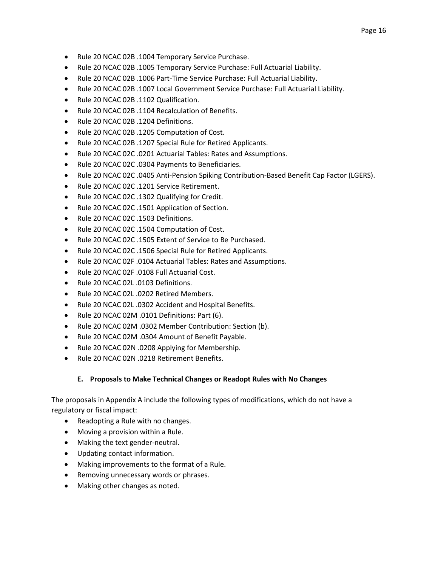- Rule 20 NCAC 02B .1004 Temporary Service Purchase.
- Rule 20 NCAC 02B .1005 Temporary Service Purchase: Full Actuarial Liability.
- Rule 20 NCAC 02B .1006 Part-Time Service Purchase: Full Actuarial Liability.
- Rule 20 NCAC 02B .1007 Local Government Service Purchase: Full Actuarial Liability.
- Rule 20 NCAC 02B .1102 Qualification.
- Rule 20 NCAC 02B .1104 Recalculation of Benefits.
- Rule 20 NCAC 02B .1204 Definitions.
- Rule 20 NCAC 02B .1205 Computation of Cost.
- Rule 20 NCAC 02B .1207 Special Rule for Retired Applicants.
- Rule 20 NCAC 02C .0201 Actuarial Tables: Rates and Assumptions.
- Rule 20 NCAC 02C .0304 Payments to Beneficiaries.
- Rule 20 NCAC 02C .0405 Anti-Pension Spiking Contribution-Based Benefit Cap Factor (LGERS).
- Rule 20 NCAC 02C .1201 Service Retirement.
- Rule 20 NCAC 02C .1302 Qualifying for Credit.
- Rule 20 NCAC 02C .1501 Application of Section.
- Rule 20 NCAC 02C .1503 Definitions.
- Rule 20 NCAC 02C .1504 Computation of Cost.
- Rule 20 NCAC 02C .1505 Extent of Service to Be Purchased.
- Rule 20 NCAC 02C .1506 Special Rule for Retired Applicants.
- Rule 20 NCAC 02F .0104 Actuarial Tables: Rates and Assumptions.
- Rule 20 NCAC 02F .0108 Full Actuarial Cost.
- Rule 20 NCAC 02L .0103 Definitions.
- Rule 20 NCAC 02L .0202 Retired Members.
- Rule 20 NCAC 02L .0302 Accident and Hospital Benefits.
- Rule 20 NCAC 02M .0101 Definitions: Part (6).
- Rule 20 NCAC 02M .0302 Member Contribution: Section (b).
- Rule 20 NCAC 02M .0304 Amount of Benefit Payable.
- Rule 20 NCAC 02N .0208 Applying for Membership.
- Rule 20 NCAC 02N .0218 Retirement Benefits.

#### **E. Proposals to Make Technical Changes or Readopt Rules with No Changes**

The proposals in Appendix A include the following types of modifications, which do not have a regulatory or fiscal impact:

- Readopting a Rule with no changes.
- Moving a provision within a Rule.
- Making the text gender-neutral.
- Updating contact information.
- Making improvements to the format of a Rule.
- Removing unnecessary words or phrases.
- Making other changes as noted.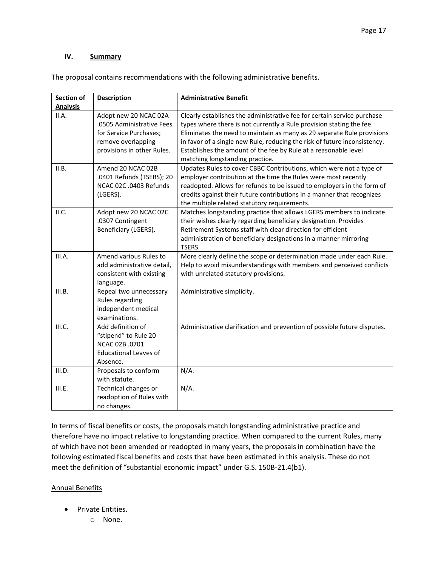#### **IV. Summary**

The proposal contains recommendations with the following administrative benefits.

| Section of      | <b>Description</b>                                                                                                               | <b>Administrative Benefit</b>                                                                                                                                                                                                                                                                                                                                                                                |
|-----------------|----------------------------------------------------------------------------------------------------------------------------------|--------------------------------------------------------------------------------------------------------------------------------------------------------------------------------------------------------------------------------------------------------------------------------------------------------------------------------------------------------------------------------------------------------------|
| <b>Analysis</b> |                                                                                                                                  |                                                                                                                                                                                                                                                                                                                                                                                                              |
| II.A.           | Adopt new 20 NCAC 02A<br>.0505 Administrative Fees<br>for Service Purchases;<br>remove overlapping<br>provisions in other Rules. | Clearly establishes the administrative fee for certain service purchase<br>types where there is not currently a Rule provision stating the fee.<br>Eliminates the need to maintain as many as 29 separate Rule provisions<br>in favor of a single new Rule, reducing the risk of future inconsistency.<br>Establishes the amount of the fee by Rule at a reasonable level<br>matching longstanding practice. |
| II.B.           | Amend 20 NCAC 02B<br>.0401 Refunds (TSERS); 20<br>NCAC 02C .0403 Refunds<br>(LGERS).                                             | Updates Rules to cover CBBC Contributions, which were not a type of<br>employer contribution at the time the Rules were most recently<br>readopted. Allows for refunds to be issued to employers in the form of<br>credits against their future contributions in a manner that recognizes<br>the multiple related statutory requirements.                                                                    |
| II.C.           | Adopt new 20 NCAC 02C<br>.0307 Contingent<br>Beneficiary (LGERS).                                                                | Matches longstanding practice that allows LGERS members to indicate<br>their wishes clearly regarding beneficiary designation. Provides<br>Retirement Systems staff with clear direction for efficient<br>administration of beneficiary designations in a manner mirroring<br>TSERS.                                                                                                                         |
| III.A.          | Amend various Rules to<br>add administrative detail,<br>consistent with existing<br>language.                                    | More clearly define the scope or determination made under each Rule.<br>Help to avoid misunderstandings with members and perceived conflicts<br>with unrelated statutory provisions.                                                                                                                                                                                                                         |
| III.B.          | Repeal two unnecessary<br>Rules regarding<br>independent medical<br>examinations.                                                | Administrative simplicity.                                                                                                                                                                                                                                                                                                                                                                                   |
| III.C.          | Add definition of<br>"stipend" to Rule 20<br>NCAC 02B .0701<br><b>Educational Leaves of</b><br>Absence.                          | Administrative clarification and prevention of possible future disputes.                                                                                                                                                                                                                                                                                                                                     |
| III.D.          | Proposals to conform<br>with statute.                                                                                            | $N/A$ .                                                                                                                                                                                                                                                                                                                                                                                                      |
| III.E.          | Technical changes or<br>readoption of Rules with<br>no changes.                                                                  | $N/A$ .                                                                                                                                                                                                                                                                                                                                                                                                      |

In terms of fiscal benefits or costs, the proposals match longstanding administrative practice and therefore have no impact relative to longstanding practice. When compared to the current Rules, many of which have not been amended or readopted in many years, the proposals in combination have the following estimated fiscal benefits and costs that have been estimated in this analysis. These do not meet the definition of "substantial economic impact" under G.S. 150B-21.4(b1).

#### Annual Benefits

- Private Entities.
	- o None.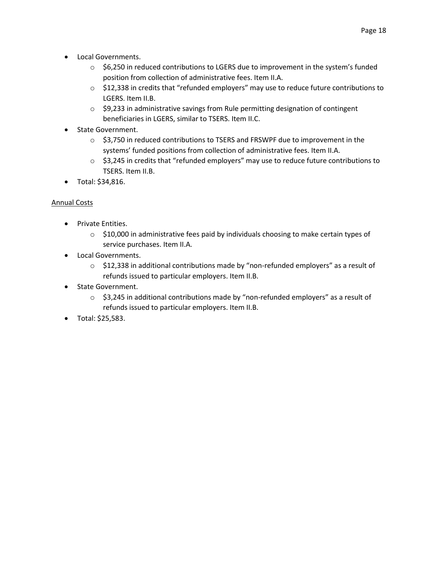- Local Governments.
	- $\circ$  \$6,250 in reduced contributions to LGERS due to improvement in the system's funded position from collection of administrative fees. Item II.A.
	- $\circ$  \$12,338 in credits that "refunded employers" may use to reduce future contributions to LGERS. Item II.B.
	- o \$9,233 in administrative savings from Rule permitting designation of contingent beneficiaries in LGERS, similar to TSERS. Item II.C.
- State Government.
	- $\circ$  \$3,750 in reduced contributions to TSERS and FRSWPF due to improvement in the systems' funded positions from collection of administrative fees. Item II.A.
	- o \$3,245 in credits that "refunded employers" may use to reduce future contributions to TSERS. Item II.B.
- Total: \$34,816.

#### Annual Costs

- Private Entities.
	- $\circ$  \$10,000 in administrative fees paid by individuals choosing to make certain types of service purchases. Item II.A.
- Local Governments.
	- o \$12,338 in additional contributions made by "non-refunded employers" as a result of refunds issued to particular employers. Item II.B.
- State Government.
	- $\circ$  \$3,245 in additional contributions made by "non-refunded employers" as a result of refunds issued to particular employers. Item II.B.
- Total: \$25,583.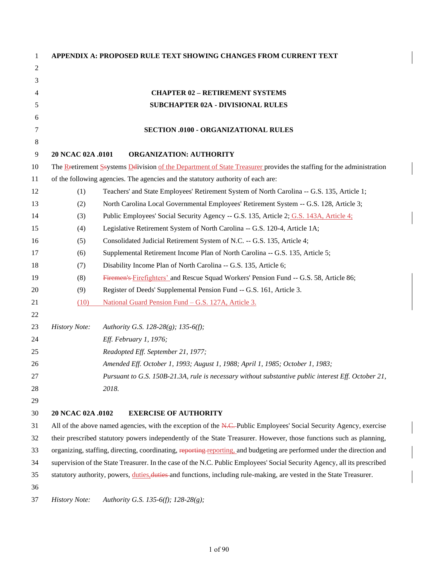| 1              |                                                                                                                          | APPENDIX A: PROPOSED RULE TEXT SHOWING CHANGES FROM CURRENT TEXT                                                      |
|----------------|--------------------------------------------------------------------------------------------------------------------------|-----------------------------------------------------------------------------------------------------------------------|
| $\overline{c}$ |                                                                                                                          |                                                                                                                       |
| 3              |                                                                                                                          |                                                                                                                       |
| 4              |                                                                                                                          | <b>CHAPTER 02 - RETIREMENT SYSTEMS</b>                                                                                |
| 5              |                                                                                                                          | <b>SUBCHAPTER 02A - DIVISIONAL RULES</b>                                                                              |
| 6              |                                                                                                                          |                                                                                                                       |
| 7              |                                                                                                                          | <b>SECTION .0100 - ORGANIZATIONAL RULES</b>                                                                           |
| 8              |                                                                                                                          |                                                                                                                       |
| 9              | 20 NCAC 02A .0101                                                                                                        | <b>ORGANIZATION: AUTHORITY</b>                                                                                        |
| 10             |                                                                                                                          | The Restirement Ssystems Delivision of the Department of State Treasurer provides the staffing for the administration |
| 11             |                                                                                                                          | of the following agencies. The agencies and the statutory authority of each are:                                      |
| 12             | (1)                                                                                                                      | Teachers' and State Employees' Retirement System of North Carolina -- G.S. 135, Article 1;                            |
| 13             | (2)                                                                                                                      | North Carolina Local Governmental Employees' Retirement System -- G.S. 128, Article 3;                                |
| 14             | (3)                                                                                                                      | Public Employees' Social Security Agency -- G.S. 135, Article 2; G.S. 143A, Article 4;                                |
| 15             | (4)                                                                                                                      | Legislative Retirement System of North Carolina -- G.S. 120-4, Article 1A;                                            |
| 16             | (5)                                                                                                                      | Consolidated Judicial Retirement System of N.C. -- G.S. 135, Article 4;                                               |
| 17             | (6)                                                                                                                      | Supplemental Retirement Income Plan of North Carolina -- G.S. 135, Article 5;                                         |
| 18             | (7)                                                                                                                      | Disability Income Plan of North Carolina -- G.S. 135, Article 6;                                                      |
| 19             | (8)                                                                                                                      | Firemen's Firefighters' and Rescue Squad Workers' Pension Fund -- G.S. 58, Article 86;                                |
| 20             | (9)                                                                                                                      | Register of Deeds' Supplemental Pension Fund -- G.S. 161, Article 3.                                                  |
| 21             | (10)                                                                                                                     | National Guard Pension Fund - G.S. 127A, Article 3.                                                                   |
| 22             |                                                                                                                          |                                                                                                                       |
| 23             | <b>History Note:</b>                                                                                                     | Authority G.S. 128-28(g); 135-6(f);                                                                                   |
| 24             |                                                                                                                          | Eff. February 1, 1976;                                                                                                |
| 25             |                                                                                                                          | Readopted Eff. September 21, 1977;                                                                                    |
| 26             |                                                                                                                          | Amended Eff. October 1, 1993; August 1, 1988; April 1, 1985; October 1, 1983;                                         |
| 27             |                                                                                                                          | Pursuant to G.S. 150B-21.3A, rule is necessary without substantive public interest Eff. October 21,                   |
| 28             |                                                                                                                          | 2018.                                                                                                                 |
| 29             |                                                                                                                          |                                                                                                                       |
| 30             | 20 NCAC 02A .0102                                                                                                        | <b>EXERCISE OF AUTHORITY</b>                                                                                          |
| 31             |                                                                                                                          | All of the above named agencies, with the exception of the N.C.-Public Employees' Social Security Agency, exercise    |
| 32             |                                                                                                                          | their prescribed statutory powers independently of the State Treasurer. However, those functions such as planning,    |
| 33             | organizing, staffing, directing, coordinating, reporting reporting, and budgeting are performed under the direction and  |                                                                                                                       |
| 34             | supervision of the State Treasurer. In the case of the N.C. Public Employees' Social Security Agency, all its prescribed |                                                                                                                       |
| 35             | statutory authority, powers, duties, duties and functions, including rule-making, are vested in the State Treasurer.     |                                                                                                                       |
| 36             |                                                                                                                          |                                                                                                                       |
| 37             | <b>History Note:</b>                                                                                                     | Authority G.S. 135-6(f); 128-28(g);                                                                                   |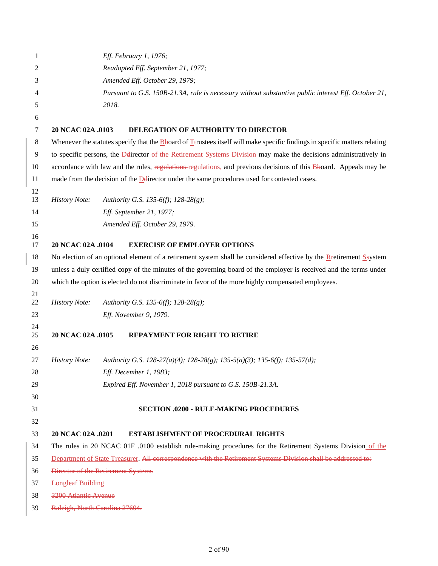| 1        |                                | Eff. February 1, 1976;                                                                                                                     |
|----------|--------------------------------|--------------------------------------------------------------------------------------------------------------------------------------------|
| 2        |                                | Readopted Eff. September 21, 1977;                                                                                                         |
| 3        |                                | Amended Eff. October 29, 1979;                                                                                                             |
| 4        |                                | Pursuant to G.S. 150B-21.3A, rule is necessary without substantive public interest Eff. October 21,                                        |
| 5        |                                | 2018.                                                                                                                                      |
| 6        |                                |                                                                                                                                            |
| 7        | 20 NCAC 02A .0103              | DELEGATION OF AUTHORITY TO DIRECTOR                                                                                                        |
| 8        |                                | Whenever the statutes specify that the <b>B</b> board of <b>T</b> trustees itself will make specific findings in specific matters relating |
| 9        |                                | to specific persons, the Delirector of the Retirement Systems Division may make the decisions administratively in                          |
| 10       |                                | accordance with law and the rules, regulations-regulations, and previous decisions of this Bboard. Appeals may be                          |
| 11       |                                | made from the decision of the <b>D</b> director under the same procedures used for contested cases.                                        |
| 12<br>13 | <b>History Note:</b>           | Authority G.S. 135-6(f); 128-28(g);                                                                                                        |
| 14       |                                | Eff. September 21, 1977;                                                                                                                   |
| 15       |                                | Amended Eff. October 29, 1979.                                                                                                             |
| 16       |                                |                                                                                                                                            |
| 17       | 20 NCAC 02A .0104              | <b>EXERCISE OF EMPLOYER OPTIONS</b>                                                                                                        |
| 18       |                                | No election of an optional element of a retirement system shall be considered effective by the Retirement Ssystem                          |
| 19       |                                | unless a duly certified copy of the minutes of the governing board of the employer is received and the terms under                         |
| 20       |                                | which the option is elected do not discriminate in favor of the more highly compensated employees.                                         |
| 21<br>22 |                                |                                                                                                                                            |
| 23       | <b>History Note:</b>           | Authority G.S. 135-6(f); 128-28(g);<br>Eff. November 9, 1979.                                                                              |
| 24       |                                |                                                                                                                                            |
| 25       | 20 NCAC 02A .0105              | <b>REPAYMENT FOR RIGHT TO RETIRE</b>                                                                                                       |
| 26       |                                |                                                                                                                                            |
| 27       | <b>History Note:</b>           | Authority G.S. 128-27(a)(4); 128-28(g); 135-5(a)(3); 135-6(f); 135-57(d);                                                                  |
| 28       |                                | Eff. December 1, 1983;                                                                                                                     |
| 29       |                                | Expired Eff. November 1, 2018 pursuant to G.S. 150B-21.3A.                                                                                 |
| 30       |                                |                                                                                                                                            |
| 31       |                                | <b>SECTION .0200 - RULE-MAKING PROCEDURES</b>                                                                                              |
| 32       |                                |                                                                                                                                            |
| 33       | 20 NCAC 02A .0201              | <b>ESTABLISHMENT OF PROCEDURAL RIGHTS</b>                                                                                                  |
| 34       |                                | The rules in 20 NCAC 01F .0100 establish rule-making procedures for the Retirement Systems Division of the                                 |
| 35       |                                | Department of State Treasurer. All correspondence with the Retirement Systems Division shall be addressed to:                              |
| 36       |                                | Director of the Retirement Systems                                                                                                         |
| 37       | <b>Longleaf Building</b>       |                                                                                                                                            |
| 38       | <b>3200 Atlantic Avenue</b>    |                                                                                                                                            |
| 39       | Raleigh, North Carolina 27604. |                                                                                                                                            |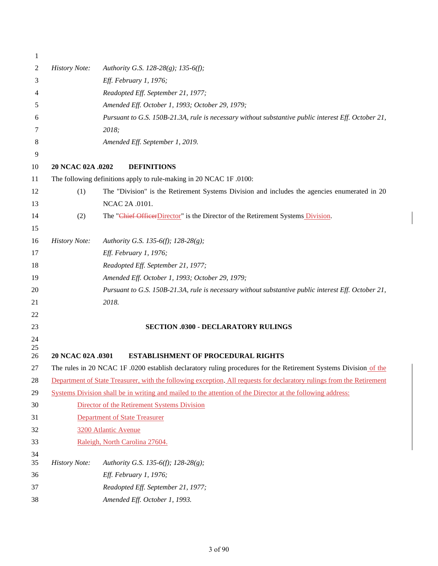| 1        |                      |                                                                                                                       |
|----------|----------------------|-----------------------------------------------------------------------------------------------------------------------|
| 2        | <b>History Note:</b> | Authority G.S. 128-28(g); 135-6(f);                                                                                   |
| 3        |                      | Eff. February 1, 1976;                                                                                                |
| 4        |                      | Readopted Eff. September 21, 1977;                                                                                    |
| 5        |                      | Amended Eff. October 1, 1993; October 29, 1979;                                                                       |
| 6        |                      | Pursuant to G.S. 150B-21.3A, rule is necessary without substantive public interest Eff. October 21,                   |
| 7        |                      | 2018;                                                                                                                 |
| 8        |                      | Amended Eff. September 1, 2019.                                                                                       |
| 9        |                      |                                                                                                                       |
| 10       | 20 NCAC 02A .0202    | <b>DEFINITIONS</b>                                                                                                    |
| 11       |                      | The following definitions apply to rule-making in 20 NCAC 1F .0100:                                                   |
| 12       | (1)                  | The "Division" is the Retirement Systems Division and includes the agencies enumerated in 20                          |
| 13       |                      | NCAC 2A .0101.                                                                                                        |
| 14       | (2)                  | The "Chief OfficerDirector" is the Director of the Retirement Systems Division.                                       |
| 15       |                      |                                                                                                                       |
| 16       | <b>History Note:</b> | Authority G.S. 135-6(f); 128-28(g);                                                                                   |
| 17       |                      | Eff. February 1, 1976;                                                                                                |
| 18       |                      | Readopted Eff. September 21, 1977;                                                                                    |
| 19       |                      | Amended Eff. October 1, 1993; October 29, 1979;                                                                       |
| 20       |                      | Pursuant to G.S. 150B-21.3A, rule is necessary without substantive public interest Eff. October 21,                   |
| 21       |                      | 2018.                                                                                                                 |
| 22       |                      |                                                                                                                       |
| 23       |                      | <b>SECTION .0300 - DECLARATORY RULINGS</b>                                                                            |
| 24       |                      |                                                                                                                       |
| 25<br>26 | 20 NCAC 02A .0301    | <b>ESTABLISHMENT OF PROCEDURAL RIGHTS</b>                                                                             |
| 27       |                      | The rules in 20 NCAC 1F .0200 establish declaratory ruling procedures for the Retirement Systems Division of the      |
| 28       |                      | Department of State Treasurer, with the following exception. All requests for declaratory rulings from the Retirement |
| 29       |                      | Systems Division shall be in writing and mailed to the attention of the Director at the following address:            |
| 30       |                      | Director of the Retirement Systems Division                                                                           |
| 31       |                      | <b>Department of State Treasurer</b>                                                                                  |
| 32       |                      | 3200 Atlantic Avenue                                                                                                  |
| 33       |                      | Raleigh, North Carolina 27604.                                                                                        |
| 34<br>35 | <b>History Note:</b> | Authority G.S. 135-6(f); 128-28(g);                                                                                   |
| 36       |                      | Eff. February 1, 1976;                                                                                                |
| 37       |                      | Readopted Eff. September 21, 1977;                                                                                    |
| 38       |                      | Amended Eff. October 1, 1993.                                                                                         |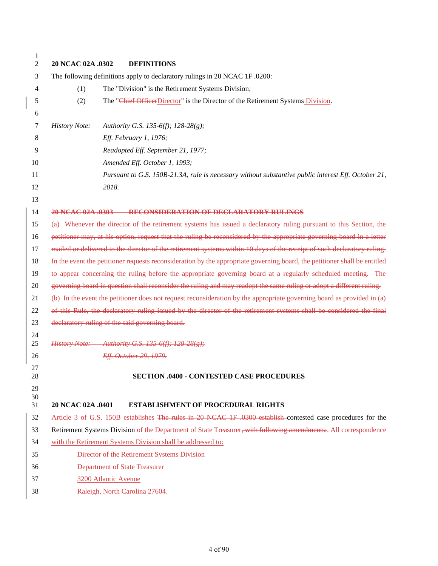| $\mathbf{1}$<br>2 | 20 NCAC 02A .0302<br><b>DEFINITIONS</b>                                    |                                                                                                                           |
|-------------------|----------------------------------------------------------------------------|---------------------------------------------------------------------------------------------------------------------------|
| 3                 | The following definitions apply to declaratory rulings in 20 NCAC 1F.0200: |                                                                                                                           |
| 4                 | The "Division" is the Retirement Systems Division;<br>(1)                  |                                                                                                                           |
| 5                 | (2)                                                                        | The "Chief OfficerDirector" is the Director of the Retirement Systems Division.                                           |
| 6                 |                                                                            |                                                                                                                           |
| 7                 | <b>History Note:</b><br>Authority G.S. 135-6(f); 128-28(g);                |                                                                                                                           |
| 8                 | Eff. February 1, 1976;                                                     |                                                                                                                           |
| 9                 | Readopted Eff. September 21, 1977;                                         |                                                                                                                           |
| 10                | Amended Eff. October 1, 1993;                                              |                                                                                                                           |
| 11                |                                                                            | Pursuant to G.S. 150B-21.3A, rule is necessary without substantive public interest Eff. October 21,                       |
| 12                | 2018.                                                                      |                                                                                                                           |
| 13                |                                                                            |                                                                                                                           |
| 14                | 20 NCAC 02A .0303 RECONSIDERATION OF DECLARATORY RULINGS                   |                                                                                                                           |
| 15                |                                                                            | (a) Whenever the director of the retirement systems has issued a declaratory ruling pursuant to this Section, the         |
| 16                |                                                                            | petitioner may, at his option, request that the ruling be reconsidered by the appropriate governing board in a letter     |
| 17                |                                                                            | mailed or delivered to the director of the retirement systems within 10 days of the receipt of such declaratory ruling.   |
| 18                |                                                                            | In the event the petitioner requests reconsideration by the appropriate governing board, the petitioner shall be entitled |
| 19                |                                                                            | to appear concerning the ruling before the appropriate governing board at a regularly scheduled meeting. The              |
| 20                |                                                                            | governing board in question shall reconsider the ruling and may readopt the same ruling or adopt a different ruling.      |
| 21                |                                                                            | (b) In the event the petitioner does not request reconsideration by the appropriate governing board as provided in (a)    |
| 22                |                                                                            | of this Rule, the declaratory ruling issued by the director of the retirement systems shall be considered the final       |
| 23                | declaratory ruling of the said governing board.                            |                                                                                                                           |
| 24                |                                                                            |                                                                                                                           |
| 25                | History Note: Authority G.S. 135 6(f); 128 28(g);                          |                                                                                                                           |
| 26                | Eff. October 29, 1979.                                                     |                                                                                                                           |
| 27<br>28          |                                                                            | <b>SECTION .0400 - CONTESTED CASE PROCEDURES</b>                                                                          |
| 29                |                                                                            |                                                                                                                           |
| $30\,$<br>31      | 20 NCAC 02A .0401<br><b>ESTABLISHMENT OF PROCEDURAL RIGHTS</b>             |                                                                                                                           |
| 32                |                                                                            | Article 3 of G.S. 150B establishes The rules in 20 NCAC 1F .0300 establish contested case procedures for the              |
| 33                |                                                                            | Retirement Systems Division of the Department of State Treasurer, with following amendments: All correspondence           |
| 34                | with the Retirement Systems Division shall be addressed to:                |                                                                                                                           |
| 35                | Director of the Retirement Systems Division                                |                                                                                                                           |
| 36                | <b>Department of State Treasurer</b>                                       |                                                                                                                           |
| 37                | 3200 Atlantic Avenue                                                       |                                                                                                                           |
| 38                | Raleigh, North Carolina 27604.                                             |                                                                                                                           |
|                   |                                                                            |                                                                                                                           |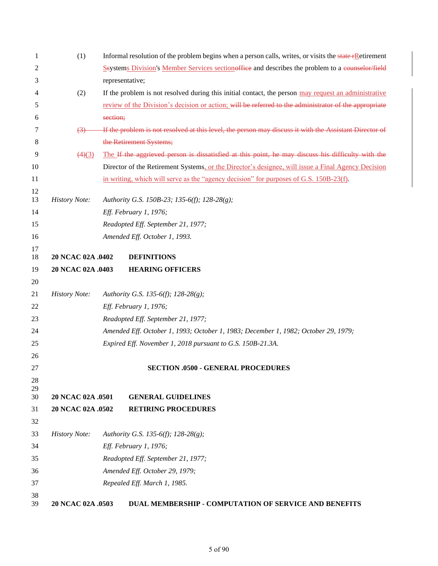| 1        | (1)                  | Informal resolution of the problem begins when a person calls, writes, or visits the state FR etirement |
|----------|----------------------|---------------------------------------------------------------------------------------------------------|
| 2        |                      | Seystems Division's Member Services sectionsffiee and describes the problem to a counselor/field        |
| 3        |                      | representative;                                                                                         |
| 4        | (2)                  | If the problem is not resolved during this initial contact, the person may request an administrative    |
| 5        |                      | review of the Division's decision or action; will be referred to the administrator of the appropriate   |
| 6        |                      | section;                                                                                                |
| 7        | $\left(3\right)$     | If the problem is not resolved at this level, the person may discuss it with the Assistant Director of  |
| 8        |                      | the Retirement Systems;                                                                                 |
| 9        | (4)(3)               | The If the aggrieved person is dissatisfied at this point, he may discuss his difficulty with the       |
| 10       |                      | Director of the Retirement Systems, or the Director's designee, will issue a Final Agency Decision      |
| 11       |                      | in writing, which will serve as the "agency decision" for purposes of G.S. 150B-23(f).                  |
| 12       |                      |                                                                                                         |
| 13       | <b>History Note:</b> | Authority G.S. 150B-23; 135-6(f); 128-28(g);                                                            |
| 14       |                      | Eff. February 1, 1976;                                                                                  |
| 15       |                      | Readopted Eff. September 21, 1977;                                                                      |
| 16       |                      | Amended Eff. October 1, 1993.                                                                           |
| 17<br>18 | 20 NCAC 02A .0402    | <b>DEFINITIONS</b>                                                                                      |
| 19       | 20 NCAC 02A .0403    | <b>HEARING OFFICERS</b>                                                                                 |
| 20       |                      |                                                                                                         |
| 21       | <b>History Note:</b> | Authority G.S. 135-6(f); 128-28(g);                                                                     |
| 22       |                      | Eff. February 1, 1976;                                                                                  |
| 23       |                      | Readopted Eff. September 21, 1977;                                                                      |
| 24       |                      | Amended Eff. October 1, 1993; October 1, 1983; December 1, 1982; October 29, 1979;                      |
| 25       |                      | Expired Eff. November 1, 2018 pursuant to G.S. 150B-21.3A.                                              |
| 26       |                      |                                                                                                         |
| 27       |                      | <b>SECTION .0500 - GENERAL PROCEDURES</b>                                                               |
| 28       |                      |                                                                                                         |
| 29<br>30 | 20 NCAC 02A .0501    | <b>GENERAL GUIDELINES</b>                                                                               |
| 31       | 20 NCAC 02A .0502    | <b>RETIRING PROCEDURES</b>                                                                              |
| 32       |                      |                                                                                                         |
| 33       | <b>History Note:</b> | Authority G.S. 135-6(f); 128-28(g);                                                                     |
| 34       |                      | Eff. February 1, 1976;                                                                                  |
| 35       |                      | Readopted Eff. September 21, 1977;                                                                      |
| 36       |                      | Amended Eff. October 29, 1979;                                                                          |
| 37       |                      | Repealed Eff. March 1, 1985.                                                                            |
| 38<br>39 | 20 NCAC 02A .0503    | DUAL MEMBERSHIP - COMPUTATION OF SERVICE AND BENEFITS                                                   |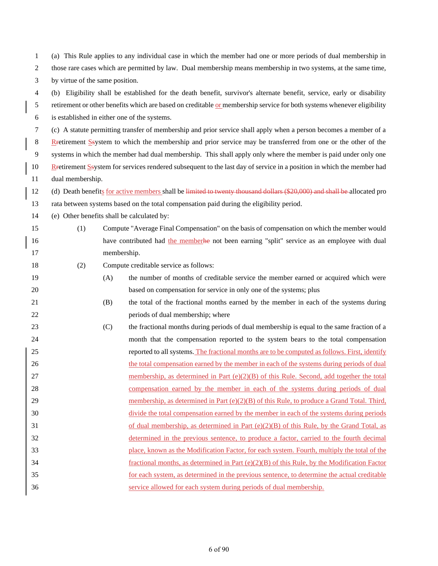| 3                | by virtue of the same position.                                                                                        |     |                                                                                                                         |  |
|------------------|------------------------------------------------------------------------------------------------------------------------|-----|-------------------------------------------------------------------------------------------------------------------------|--|
| $\overline{4}$   | (b) Eligibility shall be established for the death benefit, survivor's alternate benefit, service, early or disability |     |                                                                                                                         |  |
| 5                |                                                                                                                        |     | retirement or other benefits which are based on creditable or membership service for both systems whenever eligibility  |  |
| $\sqrt{6}$       |                                                                                                                        |     | is established in either one of the systems.                                                                            |  |
| $\tau$           |                                                                                                                        |     | (c) A statute permitting transfer of membership and prior service shall apply when a person becomes a member of a       |  |
| $\,8\,$          |                                                                                                                        |     | Retirement System to which the membership and prior service may be transferred from one or the other of the             |  |
| $\boldsymbol{9}$ |                                                                                                                        |     | systems in which the member had dual membership. This shall apply only where the member is paid under only one          |  |
| 10               |                                                                                                                        |     | Retirement Ssystem for services rendered subsequent to the last day of service in a position in which the member had    |  |
| 11               | dual membership.                                                                                                       |     |                                                                                                                         |  |
| 12               |                                                                                                                        |     | (d) Death benefits for active members shall be limited to twenty thousand dollars (\$20,000) and shall be allocated pro |  |
| 13               |                                                                                                                        |     | rata between systems based on the total compensation paid during the eligibility period.                                |  |
| 14               |                                                                                                                        |     | (e) Other benefits shall be calculated by:                                                                              |  |
| 15               | (1)                                                                                                                    |     | Compute "Average Final Compensation" on the basis of compensation on which the member would                             |  |
| 16               |                                                                                                                        |     | have contributed had the memberhe not been earning "split" service as an employee with dual                             |  |
| 17               |                                                                                                                        |     | membership.                                                                                                             |  |
| 18               | (2)                                                                                                                    |     | Compute creditable service as follows:                                                                                  |  |
| 19               |                                                                                                                        | (A) | the number of months of creditable service the member earned or acquired which were                                     |  |
| 20               |                                                                                                                        |     | based on compensation for service in only one of the systems; plus                                                      |  |
| 21               |                                                                                                                        | (B) | the total of the fractional months earned by the member in each of the systems during                                   |  |
| 22               |                                                                                                                        |     | periods of dual membership; where                                                                                       |  |
| 23               |                                                                                                                        | (C) | the fractional months during periods of dual membership is equal to the same fraction of a                              |  |
| 24               |                                                                                                                        |     | month that the compensation reported to the system bears to the total compensation                                      |  |
| 25               |                                                                                                                        |     | reported to all systems. The fractional months are to be computed as follows. First, identify                           |  |
| 26               |                                                                                                                        |     | the total compensation earned by the member in each of the systems during periods of dual                               |  |
| 27               |                                                                                                                        |     | membership, as determined in Part (e)(2)(B) of this Rule. Second, add together the total                                |  |
| 28               |                                                                                                                        |     | compensation earned by the member in each of the systems during periods of dual                                         |  |
| 29               |                                                                                                                        |     | membership, as determined in Part $(e)(2)(B)$ of this Rule, to produce a Grand Total. Third,                            |  |
| 30               |                                                                                                                        |     | divide the total compensation earned by the member in each of the systems during periods                                |  |
| 31               |                                                                                                                        |     | of dual membership, as determined in Part $(e)(2)(B)$ of this Rule, by the Grand Total, as                              |  |
| 32               |                                                                                                                        |     | determined in the previous sentence, to produce a factor, carried to the fourth decimal                                 |  |
| 33               |                                                                                                                        |     | place, known as the Modification Factor, for each system. Fourth, multiply the total of the                             |  |
| 34               |                                                                                                                        |     | fractional months, as determined in Part $(e)(2)(B)$ of this Rule, by the Modification Factor                           |  |
| 35               |                                                                                                                        |     | for each system, as determined in the previous sentence, to determine the actual creditable                             |  |
| 36               |                                                                                                                        |     | service allowed for each system during periods of dual membership.                                                      |  |
|                  |                                                                                                                        |     |                                                                                                                         |  |
|                  |                                                                                                                        |     |                                                                                                                         |  |

 (a) This Rule applies to any individual case in which the member had one or more periods of dual membership in those rare cases which are permitted by law. Dual membership means membership in two systems, at the same time,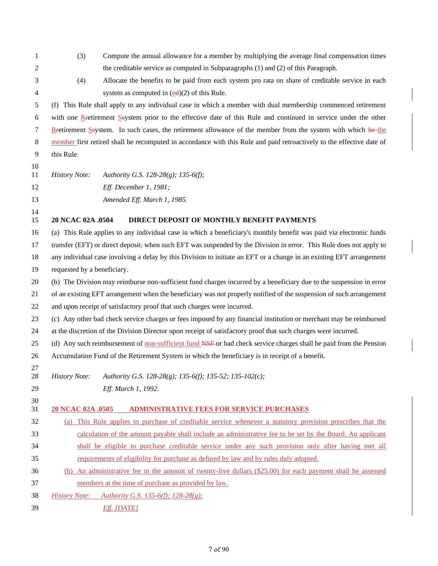| 1        | (3)                         | Compute the annual allowance for a member by multiplying the average final compensation times                         |
|----------|-----------------------------|-----------------------------------------------------------------------------------------------------------------------|
| 2        |                             | the creditable service as computed in Subparagraphs (1) and (2) of this Paragraph.                                    |
| 3        | (4)                         | Allocate the benefits to be paid from each system pro rata on share of creditable service in each                     |
| 4        |                             | system as computed in $(\underline{ed})(2)$ of this Rule.                                                             |
| 5        |                             | (f) This Rule shall apply to any individual case in which a member with dual membership commenced retirement          |
| 6        |                             | with one Retirement Ssystem prior to the effective date of this Rule and continued in service under the other         |
| 7        |                             | Retirement Ssystem. In such cases, the retirement allowance of the member from the system with which he-the           |
| 8        |                             | member first retired shall be recomputed in accordance with this Rule and paid retroactively to the effective date of |
| 9        | this Rule.                  |                                                                                                                       |
| 10       |                             |                                                                                                                       |
| 11       | <b>History Note:</b>        | Authority G.S. 128-28(g); 135-6(f);                                                                                   |
| 12       |                             | Eff. December 1, 1981;                                                                                                |
| 13       |                             | Amended Eff. March 1, 1985.                                                                                           |
| 14<br>15 | 20 NCAC 02A .0504           | DIRECT DEPOSIT OF MONTHLY BENEFIT PAYMENTS                                                                            |
| 16       |                             | (a) This Rule applies to any individual case in which a beneficiary's monthly benefit was paid via electronic funds   |
| 17       |                             | transfer (EFT) or direct deposit, when such EFT was suspended by the Division in error. This Rule does not apply to   |
| 18       |                             | any individual case involving a delay by this Division to initiate an EFT or a change in an existing EFT arrangement  |
| 19       | requested by a beneficiary. |                                                                                                                       |
| 20       |                             | (b) The Division may reimburse non-sufficient fund charges incurred by a beneficiary due to the suspension in error   |
| 21       |                             | of an existing EFT arrangement when the beneficiary was not properly notified of the suspension of such arrangement   |
| 22       |                             | and upon receipt of satisfactory proof that such charges were incurred.                                               |
| 23       |                             | (c) Any other bad check service charges or fees imposed by any financial institution or merchant may be reimbursed    |
| 24       |                             | at the discretion of the Division Director upon receipt of satisfactory proof that such charges were incurred.        |
| 25       |                             | (d) Any such reimbursement of non-sufficient fund NSF or bad check service charges shall be paid from the Pension     |
| 26       |                             | Accumulation Fund of the Retirement System in which the beneficiary is in receipt of a benefit.                       |
| 27<br>28 | <b>History Note:</b>        | Authority G.S. 128-28(g); 135-6(f); 135-52; 135-102(c);                                                               |
| 29       |                             | Eff. March 1, 1992.                                                                                                   |
| 30       |                             |                                                                                                                       |
| 31       | 20 NCAC 02A .0505           | <b>ADMINISTRATIVE FEES FOR SERVICE PURCHASES</b>                                                                      |
| 32       |                             | (a) This Rule applies to purchase of creditable service whenever a statutory provision prescribes that the            |
| 33       |                             | calculation of the amount payable shall include an administrative fee to be set by the Board. An applicant            |
| 34       |                             | shall be eligible to purchase creditable service under any such provision only after having met all                   |
| 35       |                             | requirements of eligibility for purchase as defined by law and by rules duly adopted.                                 |
| 36       |                             | (b) An administrative fee in the amount of twenty-five dollars (\$25.00) for each payment shall be assessed           |
| 37       |                             | members at the time of purchase as provided by law.                                                                   |
| 38       | <b>History Note:</b>        | Authority G.S. 135-6(f); 128-28(g);                                                                                   |
| 39       |                             | Eff. [DATE]                                                                                                           |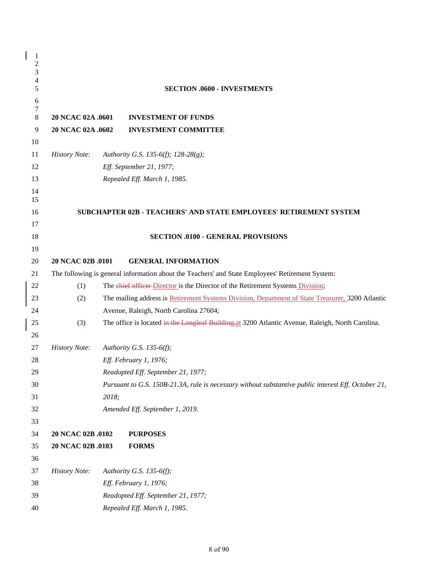| 1<br>$\overline{\mathbf{c}}$<br>3 |                      |       |                                                                                                     |
|-----------------------------------|----------------------|-------|-----------------------------------------------------------------------------------------------------|
| $\overline{\mathcal{L}}$<br>5     |                      |       | <b>SECTION .0600 - INVESTMENTS</b>                                                                  |
| 6                                 |                      |       |                                                                                                     |
| $\boldsymbol{7}$                  |                      |       |                                                                                                     |
| $\,8\,$                           | 20 NCAC 02A .0601    |       | <b>INVESTMENT OF FUNDS</b>                                                                          |
| 9                                 | 20 NCAC 02A .0602    |       | <b>INVESTMENT COMMITTEE</b>                                                                         |
| 10                                |                      |       |                                                                                                     |
| 11                                | <b>History Note:</b> |       | Authority G.S. 135-6(f); 128-28(g);                                                                 |
| 12                                |                      |       | Eff. September 21, 1977;                                                                            |
| 13                                |                      |       | Repealed Eff. March 1, 1985.                                                                        |
| 14<br>15                          |                      |       |                                                                                                     |
| 16                                |                      |       | SUBCHAPTER 02B - TEACHERS' AND STATE EMPLOYEES' RETIREMENT SYSTEM                                   |
| 17                                |                      |       |                                                                                                     |
| 18                                |                      |       | <b>SECTION .0100 - GENERAL PROVISIONS</b>                                                           |
| 19                                |                      |       |                                                                                                     |
| 20                                | 20 NCAC 02B .0101    |       | <b>GENERAL INFORMATION</b>                                                                          |
| 21                                |                      |       | The following is general information about the Teachers' and State Employees' Retirement System:    |
| 22                                | (1)                  |       | The chief officer Director is the Director of the Retirement Systems Division;                      |
| 23                                | (2)                  |       | The mailing address is Retirement Systems Division, Department of State Treasurer, 3200 Atlantic    |
| 24                                |                      |       | Avenue, Raleigh, North Carolina 27604;                                                              |
| 25                                | (3)                  |       | The office is located in the Longleaf Building, at 3200 Atlantic Avenue, Raleigh, North Carolina.   |
| 26                                |                      |       |                                                                                                     |
| 27                                | <b>History Note:</b> |       | Authority G.S. 135-6(f);                                                                            |
| 28                                |                      |       | Eff. February 1, 1976;                                                                              |
| 29                                |                      |       | Readopted Eff. September 21, 1977;                                                                  |
| 30                                |                      |       | Pursuant to G.S. 150B-21.3A, rule is necessary without substantive public interest Eff. October 21, |
| 31                                |                      | 2018; |                                                                                                     |
| 32                                |                      |       | Amended Eff. September 1, 2019.                                                                     |
| 33                                |                      |       |                                                                                                     |
| 34                                | 20 NCAC 02B .0102    |       | <b>PURPOSES</b>                                                                                     |
| 35                                | 20 NCAC 02B .0103    |       | <b>FORMS</b>                                                                                        |
| 36                                |                      |       |                                                                                                     |
| 37                                | <b>History Note:</b> |       | Authority G.S. 135-6(f);                                                                            |
| 38                                |                      |       | Eff. February 1, 1976;                                                                              |
| 39                                |                      |       | Readopted Eff. September 21, 1977;                                                                  |
| 40                                |                      |       | Repealed Eff. March 1, 1985.                                                                        |

 $\overline{\phantom{a}}$  $\overline{\phantom{a}}$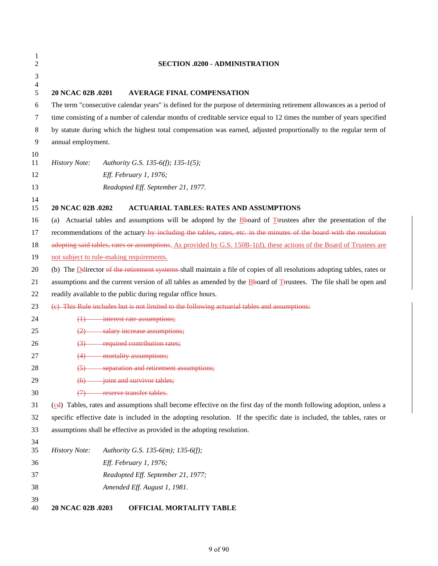| $\mathbf{1}$<br>$\overline{c}$ | <b>SECTION .0200 - ADMINISTRATION</b>                                                                                     |  |
|--------------------------------|---------------------------------------------------------------------------------------------------------------------------|--|
| $\ensuremath{\mathfrak{Z}}$    |                                                                                                                           |  |
| $\overline{\mathcal{L}}$       |                                                                                                                           |  |
| $\sqrt{5}$                     | 20 NCAC 02B .0201<br><b>AVERAGE FINAL COMPENSATION</b>                                                                    |  |
| $\sqrt{6}$                     | The term "consecutive calendar years" is defined for the purpose of determining retirement allowances as a period of      |  |
| 7                              | time consisting of a number of calendar months of creditable service equal to 12 times the number of years specified      |  |
| $\,8\,$                        | by statute during which the highest total compensation was earned, adjusted proportionally to the regular term of         |  |
| $\mathbf{9}$                   | annual employment.                                                                                                        |  |
| 10<br>11                       | <b>History Note:</b><br>Authority G.S. 135-6(f); 135-1(5);                                                                |  |
| 12                             | Eff. February 1, 1976;                                                                                                    |  |
| 13                             | Readopted Eff. September 21, 1977.                                                                                        |  |
| 14                             |                                                                                                                           |  |
| 15                             | 20 NCAC 02B .0202<br><b>ACTUARIAL TABLES: RATES AND ASSUMPTIONS</b>                                                       |  |
| 16                             | (a) Actuarial tables and assumptions will be adopted by the $\frac{B}{2}$ board of Trustees after the presentation of the |  |
| 17                             | recommendations of the actuary-by including the tables, rates, etc. in the minutes of the board with the resolution       |  |
| 18                             | adopting said tables, rates or assumptions. As provided by G.S. 150B-1(d), these actions of the Board of Trustees are     |  |
| 19                             | not subject to rule-making requirements.                                                                                  |  |
| 20                             | (b) The D director of the retirement systems shall maintain a file of copies of all resolutions adopting tables, rates or |  |
| 21                             | assumptions and the current version of all tables as amended by the Bboard of Ttrustees. The file shall be open and       |  |
| 22                             | readily available to the public during regular office hours.                                                              |  |
| 23                             | (e) This Rule includes but is not limited to the following actuarial tables and assumptions:                              |  |
| 24                             | interest rate assumptions;<br>$\leftrightarrow$                                                                           |  |
| 25                             | salary increase assumptions;<br>(2)                                                                                       |  |
| 26                             | required contribution rates;<br>$\left(3\right)$                                                                          |  |
| 27                             | mortality assumptions;<br>(4)                                                                                             |  |
| 28                             | separation and retirement assumptions;<br>$\left(5\right)$                                                                |  |
| 29                             | joint and survivor tables;                                                                                                |  |
| 30                             | reserve transfer tables.<br>$\leftrightarrow$                                                                             |  |
| 31                             | (cd) Tables, rates and assumptions shall become effective on the first day of the month following adoption, unless a      |  |
| 32                             | specific effective date is included in the adopting resolution. If the specific date is included, the tables, rates or    |  |
| 33                             | assumptions shall be effective as provided in the adopting resolution.                                                    |  |
| 34<br>35                       | <b>History Note:</b><br>Authority G.S. 135-6(m); 135-6(f);                                                                |  |
| 36                             | Eff. February 1, 1976;                                                                                                    |  |
| 37                             | Readopted Eff. September 21, 1977;                                                                                        |  |
| 38                             | Amended Eff. August 1, 1981.                                                                                              |  |
| 39                             |                                                                                                                           |  |
| 40                             | 20 NCAC 02B .0203<br>OFFICIAL MORTALITY TABLE                                                                             |  |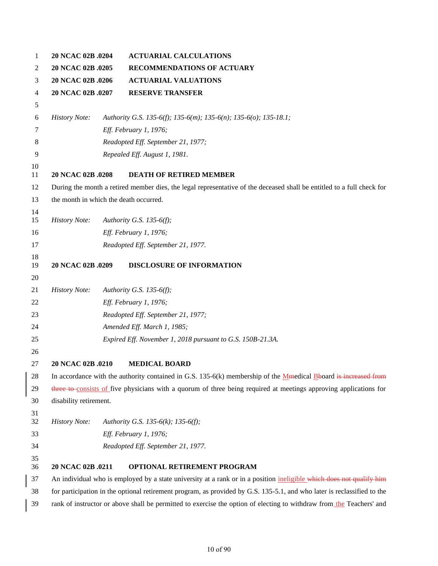| 1              | 20 NCAC 02B .0204                      | <b>ACTUARIAL CALCULATIONS</b>                                                                                           |
|----------------|----------------------------------------|-------------------------------------------------------------------------------------------------------------------------|
| 2              | 20 NCAC 02B .0205                      | RECOMMENDATIONS OF ACTUARY                                                                                              |
| 3              | 20 NCAC 02B .0206                      | <b>ACTUARIAL VALUATIONS</b>                                                                                             |
| $\overline{4}$ | 20 NCAC 02B .0207                      | <b>RESERVE TRANSFER</b>                                                                                                 |
| 5              |                                        |                                                                                                                         |
| 6              | <b>History Note:</b>                   | Authority G.S. 135-6(f); 135-6(m); 135-6(n); 135-6(o); 135-18.1;                                                        |
| 7              |                                        | Eff. February 1, 1976;                                                                                                  |
| 8              |                                        | Readopted Eff. September 21, 1977;                                                                                      |
| 9              |                                        | Repealed Eff. August 1, 1981.                                                                                           |
| 10<br>11       | 20 NCAC 02B .0208                      | <b>DEATH OF RETIRED MEMBER</b>                                                                                          |
| 12             |                                        | During the month a retired member dies, the legal representative of the deceased shall be entitled to a full check for  |
| 13             | the month in which the death occurred. |                                                                                                                         |
| 14             |                                        |                                                                                                                         |
| 15             | <b>History Note:</b>                   | Authority G.S. 135-6(f);                                                                                                |
| 16             |                                        | Eff. February 1, 1976;                                                                                                  |
| 17             |                                        | Readopted Eff. September 21, 1977.                                                                                      |
| 18             |                                        |                                                                                                                         |
| 19             | 20 NCAC 02B .0209                      | <b>DISCLOSURE OF INFORMATION</b>                                                                                        |
| 20<br>21       | <b>History Note:</b>                   | Authority G.S. 135-6(f);                                                                                                |
| 22             |                                        | Eff. February 1, 1976;                                                                                                  |
| 23             |                                        | Readopted Eff. September 21, 1977;                                                                                      |
| 24             |                                        | Amended Eff. March 1, 1985;                                                                                             |
| 25             |                                        | Expired Eff. November 1, 2018 pursuant to G.S. 150B-21.3A.                                                              |
| 26             |                                        |                                                                                                                         |
| 27             | 20 NCAC 02B .0210                      | <b>MEDICAL BOARD</b>                                                                                                    |
| 28             |                                        | In accordance with the authority contained in G.S. $135-6(k)$ membership of the Memedical Booard is increased from      |
| 29             |                                        | three to consists of five physicians with a quorum of three being required at meetings approving applications for       |
| 30             | disability retirement.                 |                                                                                                                         |
| 31             |                                        |                                                                                                                         |
| 32             | <b>History Note:</b>                   | Authority G.S. 135-6(k); 135-6(f);                                                                                      |
| 33             |                                        | Eff. February 1, 1976;                                                                                                  |
| 34             |                                        | Readopted Eff. September 21, 1977.                                                                                      |
| 35<br>36       | 20 NCAC 02B .0211                      | OPTIONAL RETIREMENT PROGRAM                                                                                             |
| 37             |                                        | An individual who is employed by a state university at a rank or in a position ineligible which does not qualify him    |
| 38             |                                        | for participation in the optional retirement program, as provided by G.S. 135-5.1, and who later is reclassified to the |
| 39             |                                        | rank of instructor or above shall be permitted to exercise the option of electing to withdraw from the Teachers' and    |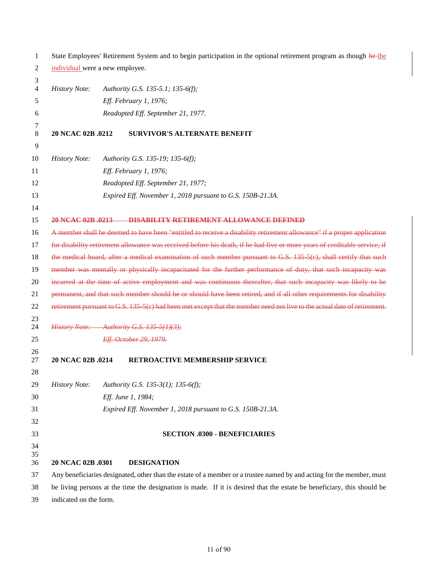| 1              | State Employees' Retirement System and to begin participation in the optional retirement program as though he-the   |  |                                                                                                                           |  |
|----------------|---------------------------------------------------------------------------------------------------------------------|--|---------------------------------------------------------------------------------------------------------------------------|--|
| 2              | individual were a new employee.                                                                                     |  |                                                                                                                           |  |
| 3<br>4         | <b>History Note:</b>                                                                                                |  | Authority G.S. 135-5.1; 135-6(f);                                                                                         |  |
| 5              |                                                                                                                     |  | Eff. February 1, 1976;                                                                                                    |  |
|                |                                                                                                                     |  |                                                                                                                           |  |
| 6              |                                                                                                                     |  | Readopted Eff. September 21, 1977.                                                                                        |  |
| 7<br>8<br>9    | 20 NCAC 02B .0212                                                                                                   |  | <b>SURVIVOR'S ALTERNATE BENEFIT</b>                                                                                       |  |
| 10             | <b>History Note:</b>                                                                                                |  | Authority G.S. 135-19; 135-6(f);                                                                                          |  |
| 11             |                                                                                                                     |  | Eff. February 1, 1976;                                                                                                    |  |
| 12             |                                                                                                                     |  | Readopted Eff. September 21, 1977;                                                                                        |  |
| 13             |                                                                                                                     |  | Expired Eff. November 1, 2018 pursuant to G.S. 150B-21.3A.                                                                |  |
| 14             |                                                                                                                     |  |                                                                                                                           |  |
| 15             |                                                                                                                     |  | 20 NCAC 02B .0213 DISABILITY RETIREMENT ALLOWANCE DEFINED                                                                 |  |
| 16             |                                                                                                                     |  | A member shall be deemed to have been "entitled to receive a disability retirement allowance" if a proper application     |  |
| 17             |                                                                                                                     |  | for disability retirement allowance was received before his death, if he had five or more years of creditable service, if |  |
| 18             |                                                                                                                     |  | the medical board, after a medical examination of such member pursuant to G.S. 135 5(c), shall certify that such          |  |
| 19             |                                                                                                                     |  | member was mentally or physically incapacitated for the further performance of duty, that such incapacity was             |  |
| 20             |                                                                                                                     |  | incurred at the time of active employment and was continuous thereafter, that such incapacity was likely to be            |  |
| 21             | permanent, and that such member should be or should have been retired, and if all other requirements for disability |  |                                                                                                                           |  |
| 22             |                                                                                                                     |  | retirement pursuant to G.S. 135-5(e) had been met except that the member need not live to the actual date of retirement.  |  |
| 23<br>24       |                                                                                                                     |  | History Note: Authority G.S. 135-5(1)(3);                                                                                 |  |
| 25             |                                                                                                                     |  | Eff. October 29, 1979.                                                                                                    |  |
| 26<br>27       | 20 NCAC 02B .0214                                                                                                   |  | <b>RETROACTIVE MEMBERSHIP SERVICE</b>                                                                                     |  |
| $28\,$         |                                                                                                                     |  |                                                                                                                           |  |
| 29             | <b>History Note:</b>                                                                                                |  | Authority G.S. 135-3(1); 135-6(f);                                                                                        |  |
| 30             |                                                                                                                     |  | Eff. June 1, 1984;                                                                                                        |  |
| 31             |                                                                                                                     |  | Expired Eff. November 1, 2018 pursuant to G.S. 150B-21.3A.                                                                |  |
| 32             |                                                                                                                     |  |                                                                                                                           |  |
| 33             |                                                                                                                     |  | <b>SECTION .0300 - BENEFICIARIES</b>                                                                                      |  |
| 34<br>35<br>36 | 20 NCAC 02B .0301                                                                                                   |  | <b>DESIGNATION</b>                                                                                                        |  |
| 37             |                                                                                                                     |  | Any beneficiaries designated, other than the estate of a member or a trustee named by and acting for the member, must     |  |
| 38             |                                                                                                                     |  | be living persons at the time the designation is made. If it is desired that the estate be beneficiary, this should be    |  |
| 39             | indicated on the form.                                                                                              |  |                                                                                                                           |  |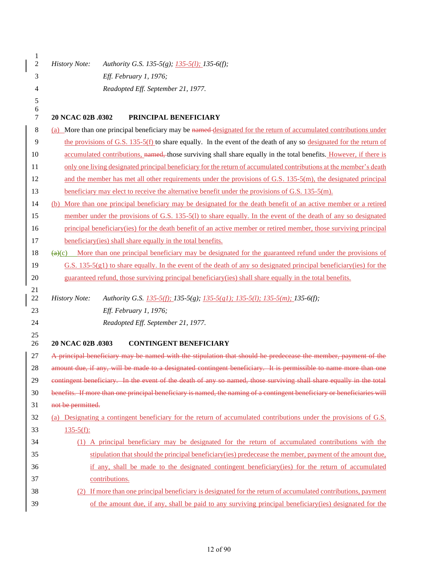| $\mathbf{1}$<br>$\overline{c}$ | <b>History Note:</b> | Authority G.S. 135-5(g); 135-5(l); 135-6(f);                                                                                       |
|--------------------------------|----------------------|------------------------------------------------------------------------------------------------------------------------------------|
| 3                              |                      | Eff. February 1, 1976;                                                                                                             |
| 4                              |                      | Readopted Eff. September 21, 1977.                                                                                                 |
| 5                              |                      |                                                                                                                                    |
| 6                              |                      |                                                                                                                                    |
| 7                              | 20 NCAC 02B .0302    | PRINCIPAL BENEFICIARY                                                                                                              |
| 8                              |                      | (a) More than one principal beneficiary may be named designated for the return of accumulated contributions under                  |
| 9                              |                      | the provisions of G.S. $135-5(f)$ to share equally. In the event of the death of any so designated for the return of               |
| 10                             |                      | accumulated contributions, named, those surviving shall share equally in the total benefits. However, if there is                  |
| 11                             |                      | only one living designated principal beneficiary for the return of accumulated contributions at the member's death                 |
| 12                             |                      | and the member has met all other requirements under the provisions of G.S. 135-5(m), the designated principal                      |
| 13                             |                      | beneficiary may elect to receive the alternative benefit under the provisions of G.S. $135-5(m)$ .                                 |
| 14                             |                      | (b) More than one principal beneficiary may be designated for the death benefit of an active member or a retired                   |
| 15                             |                      | member under the provisions of G.S. 135-5(1) to share equally. In the event of the death of any so designated                      |
| 16                             |                      | principal beneficiary(ies) for the death benefit of an active member or retired member, those surviving principal                  |
| 17                             |                      | beneficiary (ies) shall share equally in the total benefits.                                                                       |
| 18                             |                      | $\left(\frac{a}{c}\right)$ More than one principal beneficiary may be designated for the guaranteed refund under the provisions of |
| 19                             |                      | G.S. 135-5(g1) to share equally. In the event of the death of any so designated principal beneficiary(ies) for the                 |
| 20                             |                      | guaranteed refund, those surviving principal beneficiary(ies) shall share equally in the total benefits.                           |
| 21                             |                      |                                                                                                                                    |
| 22                             | <b>History Note:</b> | Authority G.S. 135-5(f); 135-5(g); 135-5(g1); 135-5(l); 135-5(m); 135-6(f);                                                        |
| 23                             |                      | Eff. February 1, 1976;                                                                                                             |
| 24                             |                      | Readopted Eff. September 21, 1977.                                                                                                 |
| 25<br>26                       | 20 NCAC 02B .0303    | <b>CONTINGENT BENEFICIARY</b>                                                                                                      |
| 27                             |                      | A principal beneficiary may be named with the stipulation that should he predecease the member, payment of the                     |
| 28                             |                      | amount due, if any, will be made to a designated contingent beneficiary. It is permissible to name more than one                   |
| 29                             |                      | contingent beneficiary. In the event of the death of any so named, those surviving shall share equally in the total                |
| 30                             |                      | benefits. If more than one principal beneficiary is named, the naming of a contingent beneficiary or beneficiaries will            |
| 31                             | not be permitted.    |                                                                                                                                    |
| 32                             |                      | (a) Designating a contingent beneficiary for the return of accumulated contributions under the provisions of G.S.                  |
| 33                             | $135-5(f)$ :         |                                                                                                                                    |
| 34                             |                      | (1) A principal beneficiary may be designated for the return of accumulated contributions with the                                 |
| 35                             |                      | stipulation that should the principal beneficiary (ies) predecease the member, payment of the amount due,                          |
| 36                             |                      | if any, shall be made to the designated contingent beneficiary(ies) for the return of accumulated                                  |
| 37                             |                      | contributions.                                                                                                                     |
| 38                             |                      | (2) If more than one principal beneficiary is designated for the return of accumulated contributions, payment                      |
| 39                             |                      | of the amount due, if any, shall be paid to any surviving principal beneficiary(ies) designated for the                            |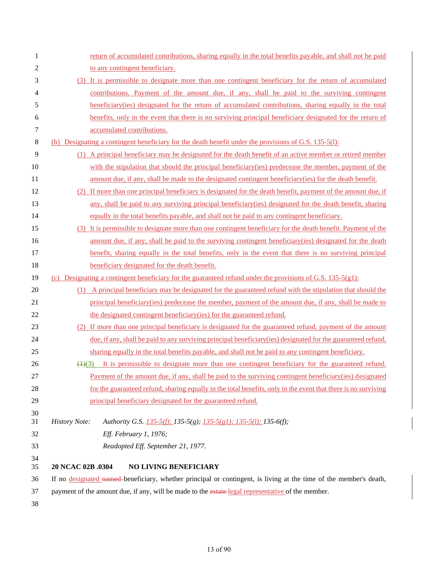| 1        | return of accumulated contributions, sharing equally in the total benefits payable, and shall not be paid                   |
|----------|-----------------------------------------------------------------------------------------------------------------------------|
| 2        | to any contingent beneficiary.                                                                                              |
| 3        | (3) It is permissible to designate more than one contingent beneficiary for the return of accumulated                       |
| 4        | contributions. Payment of the amount due, if any, shall be paid to the surviving contingent                                 |
| 5        | beneficiary (ies) designated for the return of accumulated contributions, sharing equally in the total                      |
| 6        | benefits, only in the event that there is no surviving principal beneficiary designated for the return of                   |
| 7        | accumulated contributions.                                                                                                  |
| 8        | (b) Designating a contingent beneficiary for the death benefit under the provisions of G.S. 135-5(1):                       |
| 9        | A principal beneficiary may be designated for the death benefit of an active member or retired member<br>(1)                |
| 10       | with the stipulation that should the principal beneficiary (ies) predecease the member, payment of the                      |
| 11       | amount due, if any, shall be made to the designated contingent beneficiary (ies) for the death benefit.                     |
| 12       | If more than one principal beneficiary is designated for the death benefit, payment of the amount due, if<br><sup>(2)</sup> |
| 13       | any, shall be paid to any surviving principal beneficiary (ies) designated for the death benefit, sharing                   |
| 14       | equally in the total benefits payable, and shall not be paid to any contingent beneficiary.                                 |
| 15       | (3) It is permissible to designate more than one contingent beneficiary for the death benefit. Payment of the               |
| 16       | amount due, if any, shall be paid to the surviving contingent beneficiary (ies) designated for the death                    |
| 17       | benefit, sharing equally in the total benefits, only in the event that there is no surviving principal                      |
| 18       | beneficiary designated for the death benefit.                                                                               |
| 19       | (c) Designating a contingent beneficiary for the guaranteed refund under the provisions of G.S. 135-5(g1):                  |
| 20       | (1) A principal beneficiary may be designated for the guaranteed refund with the stipulation that should the                |
| 21       | principal beneficiary (ies) predecease the member, payment of the amount due, if any, shall be made to                      |
| 22       | the designated contingent beneficiary (ies) for the guaranteed refund.                                                      |
| 23       | (2) If more than one principal beneficiary is designated for the guaranteed refund, payment of the amount                   |
| 24       | due, if any, shall be paid to any surviving principal beneficiary (ies) designated for the guaranteed refund,               |
| 25       | sharing equally in the total benefits payable, and shall not be paid to any contingent beneficiary.                         |
| 26       | $\left(\frac{1}{2}\right)$ It is permissible to designate more than one contingent beneficiary for the guaranteed refund.   |
| 27       | Payment of the amount due, if any, shall be paid to the surviving contingent beneficiary (ies) designated                   |
| 28       | for the guaranteed refund, sharing equally in the total benefits, only in the event that there is no surviving              |
| 29       | principal beneficiary designated for the guaranteed refund.                                                                 |
| 30<br>31 | <b>History Note:</b><br>Authority G.S. 135-5(f); 135-5(g); 135-5(g1); 135-5(l); 135-6(f);                                   |
| 32       | Eff. February 1, 1976;                                                                                                      |
| 33       | Readopted Eff. September 21, 1977.                                                                                          |
| 34       |                                                                                                                             |
| 35       | 20 NCAC 02B .0304<br><b>NO LIVING BENEFICIARY</b>                                                                           |
| 36       | If no designated named-beneficiary, whether principal or contingent, is living at the time of the member's death,           |
| 37       | payment of the amount due, if any, will be made to the estate-legal representative of the member.                           |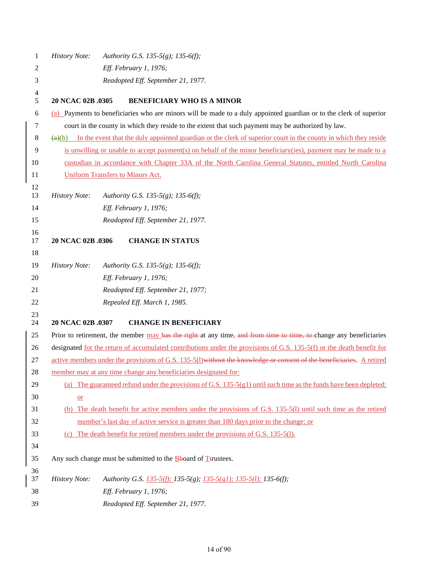| <b>History Note:</b><br>Authority G.S. 135-5(g); 135-6(f);<br>1                                                                                 |  |
|-------------------------------------------------------------------------------------------------------------------------------------------------|--|
|                                                                                                                                                 |  |
| Eff. February 1, 1976;                                                                                                                          |  |
| 3<br>Readopted Eff. September 21, 1977.                                                                                                         |  |
| 4<br>5<br>20 NCAC 02B .0305<br><b>BENEFICIARY WHO IS A MINOR</b>                                                                                |  |
| (a) Payments to beneficiaries who are minors will be made to a duly appointed guardian or to the clerk of superior<br>6                         |  |
| court in the county in which they reside to the extent that such payment may be authorized by law.<br>7                                         |  |
| 8<br>$\left(\frac{a}{b}\right)$ In the event that the duly appointed guardian or the clerk of superior court in the county in which they reside |  |
| 9<br>is unwilling or unable to accept payment(s) on behalf of the minor beneficiary(ies), payment may be made to a                              |  |
| 10<br>custodian in accordance with Chapter 33A of the North Carolina General Statutes, entitled North Carolina                                  |  |
| <b>Uniform Transfers to Minors Act.</b><br>11                                                                                                   |  |
| 12<br>13<br><b>History Note:</b><br>Authority G.S. 135-5(g); 135-6(f);                                                                          |  |
| 14<br>Eff. February 1, 1976;                                                                                                                    |  |
| 15<br>Readopted Eff. September 21, 1977.                                                                                                        |  |
| 16<br>17<br>20 NCAC 02B .0306<br><b>CHANGE IN STATUS</b>                                                                                        |  |
| 18                                                                                                                                              |  |
| 19<br><b>History Note:</b><br>Authority G.S. 135-5(g); 135-6(f);                                                                                |  |
| Eff. February 1, 1976;<br>20                                                                                                                    |  |
| Readopted Eff. September 21, 1977;<br>21                                                                                                        |  |
| Repealed Eff. March 1, 1985.<br>22                                                                                                              |  |
| 23                                                                                                                                              |  |
| 24<br>20 NCAC 02B .0307<br><b>CHANGE IN BENEFICIARY</b>                                                                                         |  |
| 25<br>Prior to retirement, the member may has the right at any time, and from time to time, to change any beneficiaries                         |  |
| designated for the return of accumulated contributions under the provisions of G.S. 135-5(f) or the death benefit for<br>26                     |  |
| active members under the provisions of G.S. 135-5(1) without the knowledge or consent of the beneficiaries. A retired<br>27                     |  |
| 28<br>member may at any time change any beneficiaries designated for:                                                                           |  |
| (a) The guaranteed refund under the provisions of G.S. 135-5(g1) until such time as the funds have been depleted;<br>29                         |  |
| 30<br>$or$                                                                                                                                      |  |
| (b) The death benefit for active members under the provisions of G.S. 135-5(l) until such time as the retired<br>31                             |  |
| 32<br>member's last day of active service is greater than 180 days prior to the change; or                                                      |  |
| 33<br>(c) The death benefit for retired members under the provisions of G.S. 135-5(1).                                                          |  |
| 34                                                                                                                                              |  |
| 35<br>Any such change must be submitted to the $\frac{B}{1}$ board of $\frac{B}{1}$ trustees.                                                   |  |
| 36<br>37<br><b>History Note:</b><br>Authority G.S. 135-5(f); 135-5(g); 135-5(g1); 135-5(l); 135-6(f);                                           |  |
| 38<br>Eff. February 1, 1976;                                                                                                                    |  |
| 39<br>Readopted Eff. September 21, 1977.                                                                                                        |  |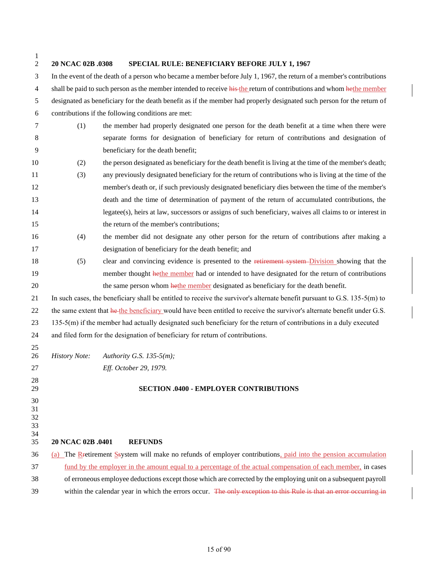| 1<br>$\overline{2}$        | 20 NCAC 02B .0308                                                                                                      | SPECIAL RULE: BENEFICIARY BEFORE JULY 1, 1967                                                                             |  |  |
|----------------------------|------------------------------------------------------------------------------------------------------------------------|---------------------------------------------------------------------------------------------------------------------------|--|--|
| 3                          |                                                                                                                        | In the event of the death of a person who became a member before July 1, 1967, the return of a member's contributions     |  |  |
| $\overline{4}$             | shall be paid to such person as the member intended to receive his the return of contributions and whom hethe member   |                                                                                                                           |  |  |
| 5                          | designated as beneficiary for the death benefit as if the member had properly designated such person for the return of |                                                                                                                           |  |  |
| $\boldsymbol{6}$           |                                                                                                                        | contributions if the following conditions are met:                                                                        |  |  |
| $\tau$                     | the member had properly designated one person for the death benefit at a time when there were<br>(1)                   |                                                                                                                           |  |  |
| $\,8\,$                    |                                                                                                                        | separate forms for designation of beneficiary for return of contributions and designation of                              |  |  |
| 9                          |                                                                                                                        | beneficiary for the death benefit;                                                                                        |  |  |
| 10                         | (2)                                                                                                                    | the person designated as beneficiary for the death benefit is living at the time of the member's death;                   |  |  |
| 11                         | (3)                                                                                                                    | any previously designated beneficiary for the return of contributions who is living at the time of the                    |  |  |
| 12                         |                                                                                                                        | member's death or, if such previously designated beneficiary dies between the time of the member's                        |  |  |
| 13                         |                                                                                                                        | death and the time of determination of payment of the return of accumulated contributions, the                            |  |  |
| 14                         |                                                                                                                        | legatee(s), heirs at law, successors or assigns of such beneficiary, waives all claims to or interest in                  |  |  |
| 15                         |                                                                                                                        | the return of the member's contributions;                                                                                 |  |  |
| 16                         | (4)                                                                                                                    | the member did not designate any other person for the return of contributions after making a                              |  |  |
| 17                         |                                                                                                                        | designation of beneficiary for the death benefit; and                                                                     |  |  |
| 18                         | (5)                                                                                                                    | clear and convincing evidence is presented to the retirement system-Division showing that the                             |  |  |
| 19                         |                                                                                                                        | member thought hethe member had or intended to have designated for the return of contributions                            |  |  |
| 20                         |                                                                                                                        | the same person whom hethe member designated as beneficiary for the death benefit.                                        |  |  |
| 21                         |                                                                                                                        | In such cases, the beneficiary shall be entitled to receive the survivor's alternate benefit pursuant to G.S. 135-5(m) to |  |  |
| 22                         |                                                                                                                        | the same extent that he the beneficiary would have been entitled to receive the survivor's alternate benefit under G.S.   |  |  |
| 23                         |                                                                                                                        | 135-5(m) if the member had actually designated such beneficiary for the return of contributions in a duly executed        |  |  |
| 24                         |                                                                                                                        | and filed form for the designation of beneficiary for return of contributions.                                            |  |  |
| 25<br>26                   | <b>History Note:</b>                                                                                                   | Authority G.S. 135-5(m);                                                                                                  |  |  |
| 27                         |                                                                                                                        | Eff. October 29, 1979.                                                                                                    |  |  |
| 28<br>29                   |                                                                                                                        | <b>SECTION .0400 - EMPLOYER CONTRIBUTIONS</b>                                                                             |  |  |
| 30<br>31<br>32<br>33<br>34 |                                                                                                                        |                                                                                                                           |  |  |
| 35                         | 20 NCAC 02B .0401<br><b>REFUNDS</b>                                                                                    |                                                                                                                           |  |  |
| 36                         |                                                                                                                        | (a) The Restirement System will make no refunds of employer contributions, paid into the pension accumulation             |  |  |
| 37                         | fund by the employer in the amount equal to a percentage of the actual compensation of each member, in cases           |                                                                                                                           |  |  |
| 38                         | of erroneous employee deductions except those which are corrected by the employing unit on a subsequent payroll        |                                                                                                                           |  |  |
| 39                         | within the calendar year in which the errors occur. The only exception to this Rule is that an error occurring in      |                                                                                                                           |  |  |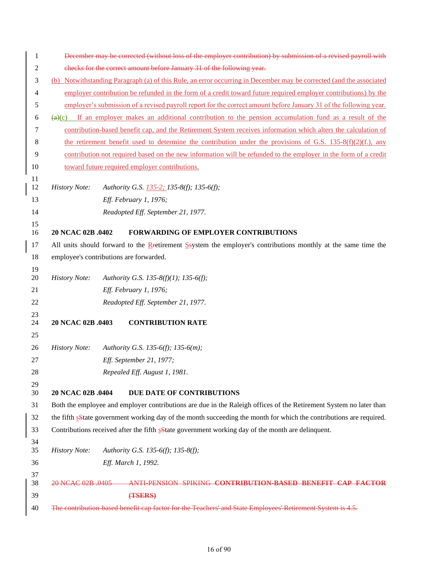| 1        |                                                                                                                                   | December may be corrected (without loss of the employer contribution) by submission of a revised payroll with      |  |
|----------|-----------------------------------------------------------------------------------------------------------------------------------|--------------------------------------------------------------------------------------------------------------------|--|
| 2        | checks for the correct amount before January 31 of the following year.                                                            |                                                                                                                    |  |
| 3        | (b) Notwithstanding Paragraph (a) of this Rule, an error occurring in December may be corrected (and the associated               |                                                                                                                    |  |
| 4        | employer contribution be refunded in the form of a credit toward future required employer contributions) by the                   |                                                                                                                    |  |
| 5        | employer's submission of a revised payroll report for the correct amount before January 31 of the following year.                 |                                                                                                                    |  |
| 6        | If an employer makes an additional contribution to the pension accumulation fund as a result of the<br>$\left(\frac{a}{c}\right)$ |                                                                                                                    |  |
| 7        |                                                                                                                                   | contribution-based benefit cap, and the Retirement System receives information which alters the calculation of     |  |
| 8        | the retirement benefit used to determine the contribution under the provisions of G.S. 135-8(f)(2)(f.), any                       |                                                                                                                    |  |
| 9        |                                                                                                                                   | contribution not required based on the new information will be refunded to the employer in the form of a credit    |  |
| 10       |                                                                                                                                   | toward future required employer contributions.                                                                     |  |
| 11       |                                                                                                                                   |                                                                                                                    |  |
| 12       | <b>History Note:</b>                                                                                                              | Authority G.S. 135-2; 135-8(f); 135-6(f);                                                                          |  |
| 13       |                                                                                                                                   | Eff. February 1, 1976;                                                                                             |  |
| 14       |                                                                                                                                   | Readopted Eff. September 21, 1977.                                                                                 |  |
| 15<br>16 | 20 NCAC 02B .0402                                                                                                                 | FORWARDING OF EMPLOYER CONTRIBUTIONS                                                                               |  |
| 17       |                                                                                                                                   | All units should forward to the Retirement Ssystem the employer's contributions monthly at the same time the       |  |
| 18       |                                                                                                                                   | employee's contributions are forwarded.                                                                            |  |
| 19       |                                                                                                                                   |                                                                                                                    |  |
| 20       | <b>History Note:</b>                                                                                                              | Authority G.S. 135-8(f)(1); 135-6(f);                                                                              |  |
| 21       |                                                                                                                                   | Eff. February 1, 1976;                                                                                             |  |
| 22       |                                                                                                                                   | Readopted Eff. September 21, 1977.                                                                                 |  |
| 23<br>24 | 20 NCAC 02B .0403                                                                                                                 | <b>CONTRIBUTION RATE</b>                                                                                           |  |
| 25       |                                                                                                                                   |                                                                                                                    |  |
| 26       | <b>History Note:</b>                                                                                                              | Authority G.S. 135-6(f); 135-6(m);                                                                                 |  |
| 27       |                                                                                                                                   | Eff. September 21, 1977;                                                                                           |  |
| 28       |                                                                                                                                   | Repealed Eff. August 1, 1981.                                                                                      |  |
| 29       |                                                                                                                                   |                                                                                                                    |  |
| 30       | 20 NCAC 02B .0404                                                                                                                 | DUE DATE OF CONTRIBUTIONS                                                                                          |  |
| 31       |                                                                                                                                   | Both the employee and employer contributions are due in the Raleigh offices of the Retirement System no later than |  |
| 32       | the fifth sState government working day of the month succeeding the month for which the contributions are required.               |                                                                                                                    |  |
| 33       |                                                                                                                                   | Contributions received after the fifth solate government working day of the month are delinquent.                  |  |
| 34<br>35 | <b>History Note:</b>                                                                                                              | Authority G.S. 135-6(f); 135-8(f);                                                                                 |  |
| 36       |                                                                                                                                   | Eff. March 1, 1992.                                                                                                |  |
| 37<br>38 | 20 NCAC 02B 0405                                                                                                                  | ANTI PENSION SPIKING CONTRIBUTION-BASED BENEFIT CAP FACTOR                                                         |  |
| 39       |                                                                                                                                   | (TSERS)                                                                                                            |  |
| 40       |                                                                                                                                   | The contribution based benefit cap factor for the Teachers' and State Employees' Retirement System is 4.5.         |  |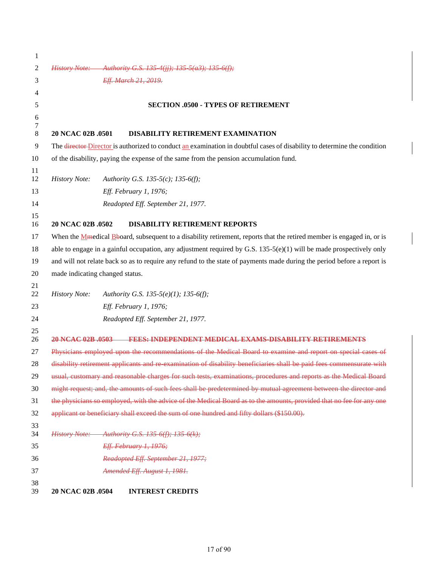| 1        |                                                                                                                           |  |  |  |
|----------|---------------------------------------------------------------------------------------------------------------------------|--|--|--|
| 2        | History Note: Authority G.S. 135 4(jj); 135 5(a3); 135 6(f);                                                              |  |  |  |
| 3        | Eff. March 21, 2019.                                                                                                      |  |  |  |
| 4        |                                                                                                                           |  |  |  |
| 5        | <b>SECTION .0500 - TYPES OF RETIREMENT</b>                                                                                |  |  |  |
| 6        |                                                                                                                           |  |  |  |
| 7<br>8   | 20 NCAC 02B .0501<br><b>DISABILITY RETIREMENT EXAMINATION</b>                                                             |  |  |  |
| 9        | The director-Director is authorized to conduct an examination in doubtful cases of disability to determine the condition  |  |  |  |
| 10       | of the disability, paying the expense of the same from the pension accumulation fund.                                     |  |  |  |
| 11       |                                                                                                                           |  |  |  |
| 12       | <b>History Note:</b><br>Authority G.S. 135-5(c); 135-6(f);                                                                |  |  |  |
| 13       | Eff. February 1, 1976;                                                                                                    |  |  |  |
| 14       | Readopted Eff. September 21, 1977.                                                                                        |  |  |  |
| 15<br>16 | 20 NCAC 02B .0502<br><b>DISABILITY RETIREMENT REPORTS</b>                                                                 |  |  |  |
| 17       | When the $M$ medical B board, subsequent to a disability retirement, reports that the retired member is engaged in, or is |  |  |  |
| 18       | able to engage in a gainful occupation, any adjustment required by G.S. $135-5(e)(1)$ will be made prospectively only     |  |  |  |
| 19       | and will not relate back so as to require any refund to the state of payments made during the period before a report is   |  |  |  |
| 20       | made indicating changed status.                                                                                           |  |  |  |
| 21       |                                                                                                                           |  |  |  |
| 22       | <b>History Note:</b><br>Authority G.S. 135-5(e)(1); 135-6(f);                                                             |  |  |  |
| 23       | Eff. February 1, 1976;                                                                                                    |  |  |  |
| 24       | Readopted Eff. September 21, 1977.                                                                                        |  |  |  |
| 25<br>26 | 20 NCAC 02B 0503<br><b>FEES: INDEPENDENT MEDICAL EXAMS DISABILITY RETIREMENTS</b>                                         |  |  |  |
| 27       | Physicians employed upon the recommendations of the Medical Board to examine and report on special cases of               |  |  |  |
| 28       | disability retirement applicants and re examination of disability beneficiaries shall be paid fees commensurate with      |  |  |  |
| 29       | usual, customary and reasonable charges for such tests, examinations, procedures and reports as the Medical Board         |  |  |  |
| 30       | might request; and, the amounts of such fees shall be predetermined by mutual agreement between the director and          |  |  |  |
| 31       | the physicians so employed, with the advice of the Medical Board as to the amounts, provided that no fee for any one      |  |  |  |
| 32       | applicant or beneficiary shall exceed the sum of one hundred and fifty dollars (\$150.00).                                |  |  |  |
| 33<br>34 | History Note: Authority G.S. 135 6(f); 135 6(k);                                                                          |  |  |  |
| 35       | Eff. February 1, 1976;                                                                                                    |  |  |  |
| 36       | Readopted Eff. September 21, 1977;                                                                                        |  |  |  |
| 37       | Amended Eff. August 1, 1981.                                                                                              |  |  |  |
| 38       |                                                                                                                           |  |  |  |
| 39       | 20 NCAC 02B .0504<br><b>INTEREST CREDITS</b>                                                                              |  |  |  |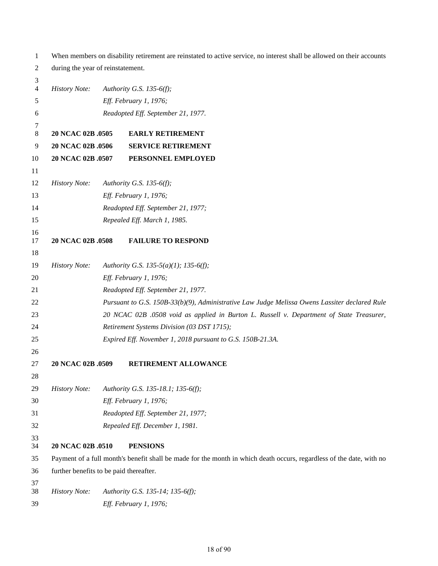| 1        | When members on disability retirement are reinstated to active service, no interest shall be allowed on their accounts |                        |                                                                                                                      |  |
|----------|------------------------------------------------------------------------------------------------------------------------|------------------------|----------------------------------------------------------------------------------------------------------------------|--|
| 2        | during the year of reinstatement.                                                                                      |                        |                                                                                                                      |  |
| 3        |                                                                                                                        |                        |                                                                                                                      |  |
| 4        | <b>History Note:</b>                                                                                                   |                        | Authority G.S. 135-6(f);                                                                                             |  |
| 5        |                                                                                                                        |                        | Eff. February 1, 1976;                                                                                               |  |
| 6        |                                                                                                                        |                        | Readopted Eff. September 21, 1977.                                                                                   |  |
| 7<br>8   | 20 NCAC 02B .0505                                                                                                      |                        | <b>EARLY RETIREMENT</b>                                                                                              |  |
| 9        | 20 NCAC 02B .0506                                                                                                      |                        | <b>SERVICE RETIREMENT</b>                                                                                            |  |
| 10       | 20 NCAC 02B .0507                                                                                                      |                        | PERSONNEL EMPLOYED                                                                                                   |  |
| 11       |                                                                                                                        |                        |                                                                                                                      |  |
| 12       | <b>History Note:</b>                                                                                                   |                        | Authority G.S. 135-6(f);                                                                                             |  |
| 13       |                                                                                                                        |                        | Eff. February 1, 1976;                                                                                               |  |
| 14       |                                                                                                                        |                        | Readopted Eff. September 21, 1977;                                                                                   |  |
| 15       |                                                                                                                        |                        | Repealed Eff. March 1, 1985.                                                                                         |  |
| 16       |                                                                                                                        |                        |                                                                                                                      |  |
| 17       | 20 NCAC 02B .0508                                                                                                      |                        | <b>FAILURE TO RESPOND</b>                                                                                            |  |
| 18       |                                                                                                                        |                        |                                                                                                                      |  |
| 19       | <b>History Note:</b>                                                                                                   |                        | Authority G.S. 135-5(a)(1); 135-6(f);                                                                                |  |
| 20       |                                                                                                                        | Eff. February 1, 1976; |                                                                                                                      |  |
| 21       |                                                                                                                        |                        | Readopted Eff. September 21, 1977.                                                                                   |  |
| 22       |                                                                                                                        |                        | Pursuant to G.S. 150B-33(b)(9), Administrative Law Judge Melissa Owens Lassiter declared Rule                        |  |
| 23       |                                                                                                                        |                        | 20 NCAC 02B .0508 void as applied in Burton L. Russell v. Department of State Treasurer,                             |  |
| 24       |                                                                                                                        |                        | Retirement Systems Division (03 DST 1715);                                                                           |  |
| 25       |                                                                                                                        |                        | Expired Eff. November 1, 2018 pursuant to G.S. 150B-21.3A.                                                           |  |
| 26       |                                                                                                                        |                        |                                                                                                                      |  |
| 27       | 20 NCAC 02B .0509                                                                                                      |                        | RETIREMENT ALLOWANCE                                                                                                 |  |
| 28       |                                                                                                                        |                        |                                                                                                                      |  |
| 29       | <b>History Note:</b>                                                                                                   |                        | Authority G.S. 135-18.1; 135-6(f);                                                                                   |  |
| 30       |                                                                                                                        |                        | Eff. February 1, 1976;                                                                                               |  |
| 31       |                                                                                                                        |                        | Readopted Eff. September 21, 1977;                                                                                   |  |
| 32       |                                                                                                                        |                        | Repealed Eff. December 1, 1981.                                                                                      |  |
| 33       |                                                                                                                        |                        |                                                                                                                      |  |
| 34       | 20 NCAC 02B .0510                                                                                                      |                        | <b>PENSIONS</b>                                                                                                      |  |
| 35       |                                                                                                                        |                        | Payment of a full month's benefit shall be made for the month in which death occurs, regardless of the date, with no |  |
| 36       | further benefits to be paid thereafter.                                                                                |                        |                                                                                                                      |  |
| 37<br>38 | <b>History Note:</b>                                                                                                   |                        | Authority G.S. 135-14; 135-6(f);                                                                                     |  |
| 39       |                                                                                                                        |                        | Eff. February 1, 1976;                                                                                               |  |
|          |                                                                                                                        |                        |                                                                                                                      |  |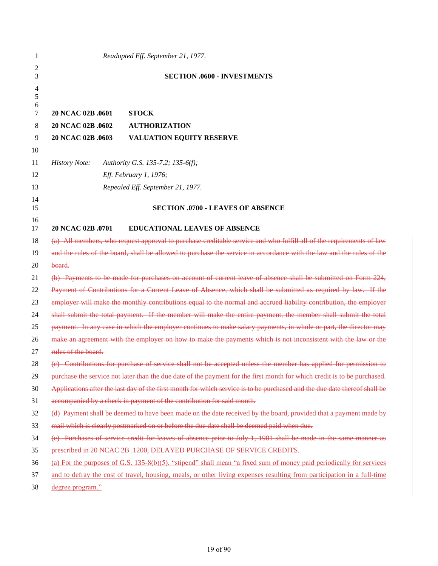| 2<br><b>SECTION .0600 - INVESTMENTS</b><br>3<br>4<br>5<br>6<br>20 NCAC 02B .0601<br><b>STOCK</b><br>7<br>20 NCAC 02B .0602<br><b>AUTHORIZATION</b><br>8<br>20 NCAC 02B .0603<br>VALUATION EQUITY RESERVE<br>9<br>10<br>11<br><b>History Note:</b><br>Authority G.S. 135-7.2; 135-6(f);<br>Eff. February 1, 1976;<br>12<br>13<br>Repealed Eff. September 21, 1977.<br>14<br><b>SECTION .0700 - LEAVES OF ABSENCE</b><br>15<br>16<br>20 NCAC 02B .0701<br><b>EDUCATIONAL LEAVES OF ABSENCE</b><br>17<br>(a) All members, who request approval to purchase creditable service and who fulfill all of the requirements of law<br>18<br>and the rules of the board, shall be allowed to purchase the service in accordance with the law and the rules of the<br>19<br>board.<br>20<br>(b) Payments to be made for purchases on account of current leave of absence shall be submitted on Form 224,<br>21<br>Payment of Contributions for a Current Leave of Absence, which shall be submitted as required by law. If the<br>22<br>employer will make the monthly contributions equal to the normal and accrued liability contribution, the employer<br>23<br>shall submit the total payment. If the member will make the entire payment, the member shall submit the total<br>24<br>payment. In any case in which the employer continues to make salary payments, in whole or part, the director may<br>25<br>make an agreement with the employer on how to make the payments which is not inconsistent with the law or the<br>26<br>rules of the board.<br>27<br>(e) Contributions for purchase of service shall not be accepted unless the member has applied for permission to<br>28<br>purchase the service not later than the due date of the payment for the first month for which credit is to be purchased.<br>29 |  |
|----------------------------------------------------------------------------------------------------------------------------------------------------------------------------------------------------------------------------------------------------------------------------------------------------------------------------------------------------------------------------------------------------------------------------------------------------------------------------------------------------------------------------------------------------------------------------------------------------------------------------------------------------------------------------------------------------------------------------------------------------------------------------------------------------------------------------------------------------------------------------------------------------------------------------------------------------------------------------------------------------------------------------------------------------------------------------------------------------------------------------------------------------------------------------------------------------------------------------------------------------------------------------------------------------------------------------------------------------------------------------------------------------------------------------------------------------------------------------------------------------------------------------------------------------------------------------------------------------------------------------------------------------------------------------------------------------------------------------------------------------------------------------------------------------------------------|--|
|                                                                                                                                                                                                                                                                                                                                                                                                                                                                                                                                                                                                                                                                                                                                                                                                                                                                                                                                                                                                                                                                                                                                                                                                                                                                                                                                                                                                                                                                                                                                                                                                                                                                                                                                                                                                                      |  |
|                                                                                                                                                                                                                                                                                                                                                                                                                                                                                                                                                                                                                                                                                                                                                                                                                                                                                                                                                                                                                                                                                                                                                                                                                                                                                                                                                                                                                                                                                                                                                                                                                                                                                                                                                                                                                      |  |
|                                                                                                                                                                                                                                                                                                                                                                                                                                                                                                                                                                                                                                                                                                                                                                                                                                                                                                                                                                                                                                                                                                                                                                                                                                                                                                                                                                                                                                                                                                                                                                                                                                                                                                                                                                                                                      |  |
|                                                                                                                                                                                                                                                                                                                                                                                                                                                                                                                                                                                                                                                                                                                                                                                                                                                                                                                                                                                                                                                                                                                                                                                                                                                                                                                                                                                                                                                                                                                                                                                                                                                                                                                                                                                                                      |  |
|                                                                                                                                                                                                                                                                                                                                                                                                                                                                                                                                                                                                                                                                                                                                                                                                                                                                                                                                                                                                                                                                                                                                                                                                                                                                                                                                                                                                                                                                                                                                                                                                                                                                                                                                                                                                                      |  |
|                                                                                                                                                                                                                                                                                                                                                                                                                                                                                                                                                                                                                                                                                                                                                                                                                                                                                                                                                                                                                                                                                                                                                                                                                                                                                                                                                                                                                                                                                                                                                                                                                                                                                                                                                                                                                      |  |
|                                                                                                                                                                                                                                                                                                                                                                                                                                                                                                                                                                                                                                                                                                                                                                                                                                                                                                                                                                                                                                                                                                                                                                                                                                                                                                                                                                                                                                                                                                                                                                                                                                                                                                                                                                                                                      |  |
|                                                                                                                                                                                                                                                                                                                                                                                                                                                                                                                                                                                                                                                                                                                                                                                                                                                                                                                                                                                                                                                                                                                                                                                                                                                                                                                                                                                                                                                                                                                                                                                                                                                                                                                                                                                                                      |  |
|                                                                                                                                                                                                                                                                                                                                                                                                                                                                                                                                                                                                                                                                                                                                                                                                                                                                                                                                                                                                                                                                                                                                                                                                                                                                                                                                                                                                                                                                                                                                                                                                                                                                                                                                                                                                                      |  |
|                                                                                                                                                                                                                                                                                                                                                                                                                                                                                                                                                                                                                                                                                                                                                                                                                                                                                                                                                                                                                                                                                                                                                                                                                                                                                                                                                                                                                                                                                                                                                                                                                                                                                                                                                                                                                      |  |
|                                                                                                                                                                                                                                                                                                                                                                                                                                                                                                                                                                                                                                                                                                                                                                                                                                                                                                                                                                                                                                                                                                                                                                                                                                                                                                                                                                                                                                                                                                                                                                                                                                                                                                                                                                                                                      |  |
|                                                                                                                                                                                                                                                                                                                                                                                                                                                                                                                                                                                                                                                                                                                                                                                                                                                                                                                                                                                                                                                                                                                                                                                                                                                                                                                                                                                                                                                                                                                                                                                                                                                                                                                                                                                                                      |  |
|                                                                                                                                                                                                                                                                                                                                                                                                                                                                                                                                                                                                                                                                                                                                                                                                                                                                                                                                                                                                                                                                                                                                                                                                                                                                                                                                                                                                                                                                                                                                                                                                                                                                                                                                                                                                                      |  |
|                                                                                                                                                                                                                                                                                                                                                                                                                                                                                                                                                                                                                                                                                                                                                                                                                                                                                                                                                                                                                                                                                                                                                                                                                                                                                                                                                                                                                                                                                                                                                                                                                                                                                                                                                                                                                      |  |
|                                                                                                                                                                                                                                                                                                                                                                                                                                                                                                                                                                                                                                                                                                                                                                                                                                                                                                                                                                                                                                                                                                                                                                                                                                                                                                                                                                                                                                                                                                                                                                                                                                                                                                                                                                                                                      |  |
|                                                                                                                                                                                                                                                                                                                                                                                                                                                                                                                                                                                                                                                                                                                                                                                                                                                                                                                                                                                                                                                                                                                                                                                                                                                                                                                                                                                                                                                                                                                                                                                                                                                                                                                                                                                                                      |  |
|                                                                                                                                                                                                                                                                                                                                                                                                                                                                                                                                                                                                                                                                                                                                                                                                                                                                                                                                                                                                                                                                                                                                                                                                                                                                                                                                                                                                                                                                                                                                                                                                                                                                                                                                                                                                                      |  |
|                                                                                                                                                                                                                                                                                                                                                                                                                                                                                                                                                                                                                                                                                                                                                                                                                                                                                                                                                                                                                                                                                                                                                                                                                                                                                                                                                                                                                                                                                                                                                                                                                                                                                                                                                                                                                      |  |
|                                                                                                                                                                                                                                                                                                                                                                                                                                                                                                                                                                                                                                                                                                                                                                                                                                                                                                                                                                                                                                                                                                                                                                                                                                                                                                                                                                                                                                                                                                                                                                                                                                                                                                                                                                                                                      |  |
|                                                                                                                                                                                                                                                                                                                                                                                                                                                                                                                                                                                                                                                                                                                                                                                                                                                                                                                                                                                                                                                                                                                                                                                                                                                                                                                                                                                                                                                                                                                                                                                                                                                                                                                                                                                                                      |  |
|                                                                                                                                                                                                                                                                                                                                                                                                                                                                                                                                                                                                                                                                                                                                                                                                                                                                                                                                                                                                                                                                                                                                                                                                                                                                                                                                                                                                                                                                                                                                                                                                                                                                                                                                                                                                                      |  |
|                                                                                                                                                                                                                                                                                                                                                                                                                                                                                                                                                                                                                                                                                                                                                                                                                                                                                                                                                                                                                                                                                                                                                                                                                                                                                                                                                                                                                                                                                                                                                                                                                                                                                                                                                                                                                      |  |
|                                                                                                                                                                                                                                                                                                                                                                                                                                                                                                                                                                                                                                                                                                                                                                                                                                                                                                                                                                                                                                                                                                                                                                                                                                                                                                                                                                                                                                                                                                                                                                                                                                                                                                                                                                                                                      |  |
|                                                                                                                                                                                                                                                                                                                                                                                                                                                                                                                                                                                                                                                                                                                                                                                                                                                                                                                                                                                                                                                                                                                                                                                                                                                                                                                                                                                                                                                                                                                                                                                                                                                                                                                                                                                                                      |  |
|                                                                                                                                                                                                                                                                                                                                                                                                                                                                                                                                                                                                                                                                                                                                                                                                                                                                                                                                                                                                                                                                                                                                                                                                                                                                                                                                                                                                                                                                                                                                                                                                                                                                                                                                                                                                                      |  |
| Applications after the last day of the first month for which service is to be purchased and the due date thereof shall be<br>30                                                                                                                                                                                                                                                                                                                                                                                                                                                                                                                                                                                                                                                                                                                                                                                                                                                                                                                                                                                                                                                                                                                                                                                                                                                                                                                                                                                                                                                                                                                                                                                                                                                                                      |  |
| accompanied by a check in payment of the contribution for said month.<br>31                                                                                                                                                                                                                                                                                                                                                                                                                                                                                                                                                                                                                                                                                                                                                                                                                                                                                                                                                                                                                                                                                                                                                                                                                                                                                                                                                                                                                                                                                                                                                                                                                                                                                                                                          |  |
| (d) Payment shall be deemed to have been made on the date received by the board, provided that a payment made by<br>32                                                                                                                                                                                                                                                                                                                                                                                                                                                                                                                                                                                                                                                                                                                                                                                                                                                                                                                                                                                                                                                                                                                                                                                                                                                                                                                                                                                                                                                                                                                                                                                                                                                                                               |  |
| mail which is clearly postmarked on or before the due date shall be deemed paid when due.<br>33                                                                                                                                                                                                                                                                                                                                                                                                                                                                                                                                                                                                                                                                                                                                                                                                                                                                                                                                                                                                                                                                                                                                                                                                                                                                                                                                                                                                                                                                                                                                                                                                                                                                                                                      |  |
| (e) Purchases of service credit for leaves of absence prior to July 1, 1981 shall be made in the same manner as<br>34                                                                                                                                                                                                                                                                                                                                                                                                                                                                                                                                                                                                                                                                                                                                                                                                                                                                                                                                                                                                                                                                                                                                                                                                                                                                                                                                                                                                                                                                                                                                                                                                                                                                                                |  |
| prescribed in 20 NCAC 2B .1200, DELAYED PURCHASE OF SERVICE CREDITS.<br>35                                                                                                                                                                                                                                                                                                                                                                                                                                                                                                                                                                                                                                                                                                                                                                                                                                                                                                                                                                                                                                                                                                                                                                                                                                                                                                                                                                                                                                                                                                                                                                                                                                                                                                                                           |  |
| (a) For the purposes of G.S. 135-8(b)(5), "stipend" shall mean "a fixed sum of money paid periodically for services<br>36                                                                                                                                                                                                                                                                                                                                                                                                                                                                                                                                                                                                                                                                                                                                                                                                                                                                                                                                                                                                                                                                                                                                                                                                                                                                                                                                                                                                                                                                                                                                                                                                                                                                                            |  |
| 37<br>and to defray the cost of travel, housing, meals, or other living expenses resulting from participation in a full-time<br>38<br>degree program."                                                                                                                                                                                                                                                                                                                                                                                                                                                                                                                                                                                                                                                                                                                                                                                                                                                                                                                                                                                                                                                                                                                                                                                                                                                                                                                                                                                                                                                                                                                                                                                                                                                               |  |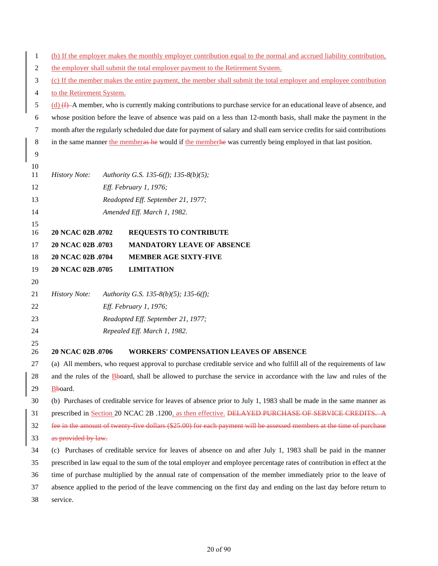| $\mathbf{1}$   |                                                                                                                      |  | (b) If the employer makes the monthly employer contribution equal to the normal and accrued liability contribution,      |  |  |
|----------------|----------------------------------------------------------------------------------------------------------------------|--|--------------------------------------------------------------------------------------------------------------------------|--|--|
| $\mathbf{2}$   | the employer shall submit the total employer payment to the Retirement System.                                       |  |                                                                                                                          |  |  |
| 3              | (c) If the member makes the entire payment, the member shall submit the total employer and employee contribution     |  |                                                                                                                          |  |  |
| $\overline{4}$ | to the Retirement System.                                                                                            |  |                                                                                                                          |  |  |
| 5              |                                                                                                                      |  | (d) $(f)$ A member, who is currently making contributions to purchase service for an educational leave of absence, and   |  |  |
| $\sqrt{6}$     |                                                                                                                      |  | whose position before the leave of absence was paid on a less than 12-month basis, shall make the payment in the         |  |  |
| $\tau$         |                                                                                                                      |  | month after the regularly scheduled due date for payment of salary and shall earn service credits for said contributions |  |  |
| $8\,$          |                                                                                                                      |  | in the same manner the members he would if the members was currently being employed in that last position.               |  |  |
| 9              |                                                                                                                      |  |                                                                                                                          |  |  |
| 10             |                                                                                                                      |  |                                                                                                                          |  |  |
| 11             | <b>History Note:</b>                                                                                                 |  | Authority G.S. 135-6(f); 135-8(b)(5);                                                                                    |  |  |
| 12             |                                                                                                                      |  | Eff. February 1, 1976;                                                                                                   |  |  |
| 13             |                                                                                                                      |  | Readopted Eff. September 21, 1977;                                                                                       |  |  |
| 14             |                                                                                                                      |  | Amended Eff. March 1, 1982.                                                                                              |  |  |
| 15<br>16       | 20 NCAC 02B .0702                                                                                                    |  | <b>REQUESTS TO CONTRIBUTE</b>                                                                                            |  |  |
| 17             | 20 NCAC 02B .0703                                                                                                    |  | <b>MANDATORY LEAVE OF ABSENCE</b>                                                                                        |  |  |
| 18             | 20 NCAC 02B .0704                                                                                                    |  | <b>MEMBER AGE SIXTY-FIVE</b>                                                                                             |  |  |
| 19             | 20 NCAC 02B .0705                                                                                                    |  | <b>LIMITATION</b>                                                                                                        |  |  |
| 20             |                                                                                                                      |  |                                                                                                                          |  |  |
| 21             | <b>History Note:</b>                                                                                                 |  | Authority G.S. 135-8(b)(5); 135-6(f);                                                                                    |  |  |
| 22             |                                                                                                                      |  | Eff. February 1, 1976;                                                                                                   |  |  |
| 23             |                                                                                                                      |  | Readopted Eff. September 21, 1977;                                                                                       |  |  |
| 24             |                                                                                                                      |  | Repealed Eff. March 1, 1982.                                                                                             |  |  |
| 25             |                                                                                                                      |  |                                                                                                                          |  |  |
| 26             | 20 NCAC 02B .0706                                                                                                    |  | <b>WORKERS' COMPENSATION LEAVES OF ABSENCE</b>                                                                           |  |  |
| 27             |                                                                                                                      |  | (a) All members, who request approval to purchase creditable service and who fulfill all of the requirements of law      |  |  |
| 28             | and the rules of the Bboard, shall be allowed to purchase the service in accordance with the law and rules of the    |  |                                                                                                                          |  |  |
| 29             | Bboard.                                                                                                              |  |                                                                                                                          |  |  |
| 30             |                                                                                                                      |  | (b) Purchases of creditable service for leaves of absence prior to July 1, 1983 shall be made in the same manner as      |  |  |
| 31             | prescribed in Section 20 NCAC 2B .1200, as then effective. DELAYED PURCHASE OF SERVICE CREDITS. A                    |  |                                                                                                                          |  |  |
| 32             | fee in the amount of twenty five dollars (\$25.00) for each payment will be assessed members at the time of purchase |  |                                                                                                                          |  |  |
| 33             | as provided by law.                                                                                                  |  |                                                                                                                          |  |  |
| 34             |                                                                                                                      |  | (c) Purchases of creditable service for leaves of absence on and after July 1, 1983 shall be paid in the manner          |  |  |
| 35             |                                                                                                                      |  | prescribed in law equal to the sum of the total employer and employee percentage rates of contribution in effect at the  |  |  |
| 36             |                                                                                                                      |  | time of purchase multiplied by the annual rate of compensation of the member immediately prior to the leave of           |  |  |
| 37             |                                                                                                                      |  | absence applied to the period of the leave commencing on the first day and ending on the last day before return to       |  |  |
| 38             | service.                                                                                                             |  |                                                                                                                          |  |  |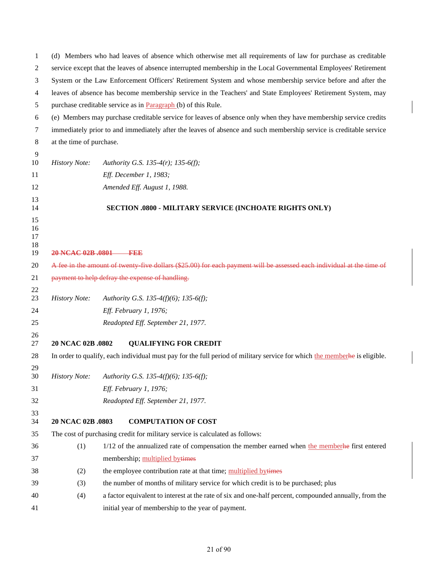| 1                    | (d) Members who had leaves of absence which otherwise met all requirements of law for purchase as creditable          |                                                                                                                            |  |  |  |
|----------------------|-----------------------------------------------------------------------------------------------------------------------|----------------------------------------------------------------------------------------------------------------------------|--|--|--|
| 2                    | service except that the leaves of absence interrupted membership in the Local Governmental Employees' Retirement      |                                                                                                                            |  |  |  |
| 3                    | System or the Law Enforcement Officers' Retirement System and whose membership service before and after the           |                                                                                                                            |  |  |  |
| 4                    |                                                                                                                       | leaves of absence has become membership service in the Teachers' and State Employees' Retirement System, may               |  |  |  |
| 5                    |                                                                                                                       | purchase creditable service as in Paragraph (b) of this Rule.                                                              |  |  |  |
| 6                    |                                                                                                                       | (e) Members may purchase creditable service for leaves of absence only when they have membership service credits           |  |  |  |
| 7                    |                                                                                                                       | immediately prior to and immediately after the leaves of absence and such membership service is creditable service         |  |  |  |
| 8                    | at the time of purchase.                                                                                              |                                                                                                                            |  |  |  |
| 9                    |                                                                                                                       |                                                                                                                            |  |  |  |
| 10                   | <b>History Note:</b>                                                                                                  | Authority G.S. 135-4(r); 135-6(f);                                                                                         |  |  |  |
| 11                   |                                                                                                                       | Eff. December 1, 1983;                                                                                                     |  |  |  |
| 12                   |                                                                                                                       | Amended Eff. August 1, 1988.                                                                                               |  |  |  |
| 13<br>14             |                                                                                                                       | SECTION .0800 - MILITARY SERVICE (INCHOATE RIGHTS ONLY)                                                                    |  |  |  |
| 15<br>16<br>17<br>18 |                                                                                                                       |                                                                                                                            |  |  |  |
| 19                   | 20 NCAC 02B 0801 FEE                                                                                                  |                                                                                                                            |  |  |  |
| 20                   | A fee in the amount of twenty five dollars (\$25.00) for each payment will be assessed each individual at the time of |                                                                                                                            |  |  |  |
| 21<br>22             |                                                                                                                       | payment to help defray the expense of handling.                                                                            |  |  |  |
| 23                   | <b>History Note:</b>                                                                                                  | Authority G.S. 135-4(f)(6); 135-6(f);                                                                                      |  |  |  |
| 24                   |                                                                                                                       | Eff. February 1, 1976;                                                                                                     |  |  |  |
| 25                   |                                                                                                                       | Readopted Eff. September 21, 1977.                                                                                         |  |  |  |
| 26                   |                                                                                                                       |                                                                                                                            |  |  |  |
| 27                   | 20 NCAC 02B .0802                                                                                                     | <b>QUALIFYING FOR CREDIT</b>                                                                                               |  |  |  |
| 28                   |                                                                                                                       | In order to qualify, each individual must pay for the full period of military service for which the member he is eligible. |  |  |  |
| 29<br>30             | <b>History Note:</b>                                                                                                  | Authority G.S. 135-4(f)(6); 135-6(f);                                                                                      |  |  |  |
| 31                   |                                                                                                                       | Eff. February 1, 1976;                                                                                                     |  |  |  |
| 32                   |                                                                                                                       | Readopted Eff. September 21, 1977.                                                                                         |  |  |  |
| 33<br>34             | 20 NCAC 02B .0803                                                                                                     | <b>COMPUTATION OF COST</b>                                                                                                 |  |  |  |
| 35                   |                                                                                                                       | The cost of purchasing credit for military service is calculated as follows:                                               |  |  |  |
| 36                   | (1)                                                                                                                   | 1/12 of the annualized rate of compensation the member earned when the member he first entered                             |  |  |  |
| 37                   |                                                                                                                       | membership; multiplied bytimes                                                                                             |  |  |  |
| 38                   | (2)                                                                                                                   | the employee contribution rate at that time; multiplied bytimes                                                            |  |  |  |
| 39                   | (3)                                                                                                                   | the number of months of military service for which credit is to be purchased; plus                                         |  |  |  |
| 40                   | (4)                                                                                                                   | a factor equivalent to interest at the rate of six and one-half percent, compounded annually, from the                     |  |  |  |
| 41                   |                                                                                                                       | initial year of membership to the year of payment.                                                                         |  |  |  |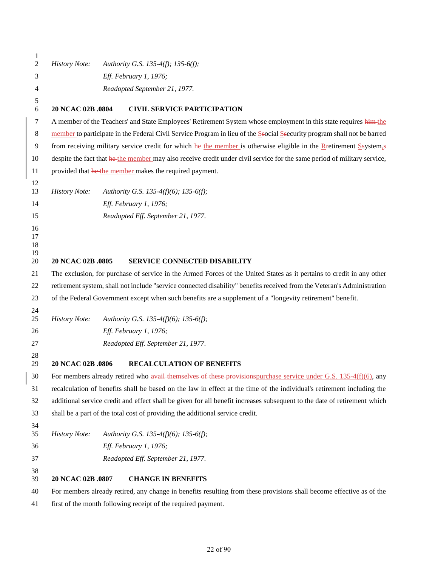| 1<br>$\overline{c}$        | <b>History Note:</b>                                                                                                    | Authority G.S. 135-4(f); 135-6(f);                                                                                       |  |  |  |  |
|----------------------------|-------------------------------------------------------------------------------------------------------------------------|--------------------------------------------------------------------------------------------------------------------------|--|--|--|--|
|                            |                                                                                                                         | Eff. February 1, 1976;                                                                                                   |  |  |  |  |
| 3                          |                                                                                                                         |                                                                                                                          |  |  |  |  |
| 4                          | Readopted September 21, 1977.                                                                                           |                                                                                                                          |  |  |  |  |
| 5<br>6                     | 20 NCAC 02B .0804                                                                                                       | <b>CIVIL SERVICE PARTICIPATION</b>                                                                                       |  |  |  |  |
| 7                          |                                                                                                                         | A member of the Teachers' and State Employees' Retirement System whose employment in this state requires him-the         |  |  |  |  |
| 8                          |                                                                                                                         | member to participate in the Federal Civil Service Program in lieu of the Ssocial Security program shall not be barred   |  |  |  |  |
| 9                          |                                                                                                                         | from receiving military service credit for which he-the member is otherwise eligible in the Rectirement Ssystem,s        |  |  |  |  |
| 10                         |                                                                                                                         | despite the fact that he the member may also receive credit under civil service for the same period of military service, |  |  |  |  |
| 11                         |                                                                                                                         | provided that he the member makes the required payment.                                                                  |  |  |  |  |
| 12<br>13                   | <b>History Note:</b>                                                                                                    | Authority G.S. 135-4(f)(6); 135-6(f);                                                                                    |  |  |  |  |
| 14                         |                                                                                                                         | Eff. February 1, 1976;                                                                                                   |  |  |  |  |
| 15                         |                                                                                                                         | Readopted Eff. September 21, 1977.                                                                                       |  |  |  |  |
| 16<br>17<br>18<br>19<br>20 | 20 NCAC 02B .0805                                                                                                       | <b>SERVICE CONNECTED DISABILITY</b>                                                                                      |  |  |  |  |
|                            |                                                                                                                         |                                                                                                                          |  |  |  |  |
| 21                         | The exclusion, for purchase of service in the Armed Forces of the United States as it pertains to credit in any other   |                                                                                                                          |  |  |  |  |
| 22                         | retirement system, shall not include "service connected disability" benefits received from the Veteran's Administration |                                                                                                                          |  |  |  |  |
| 23                         |                                                                                                                         | of the Federal Government except when such benefits are a supplement of a "longevity retirement" benefit.                |  |  |  |  |
| 24<br>25                   | <b>History Note:</b>                                                                                                    | Authority G.S. 135-4(f)(6); 135-6(f);                                                                                    |  |  |  |  |
| 26                         |                                                                                                                         | Eff. February 1, 1976;                                                                                                   |  |  |  |  |
| 27                         |                                                                                                                         | Readopted Eff. September 21, 1977.                                                                                       |  |  |  |  |
| 28                         |                                                                                                                         |                                                                                                                          |  |  |  |  |
| 29                         | 20 NCAC 02B .0806                                                                                                       | <b>RECALCULATION OF BENEFITS</b>                                                                                         |  |  |  |  |
| 30                         |                                                                                                                         | For members already retired who avail themselves of these provisions purchase service under G.S. $135-4(f)(6)$ , any     |  |  |  |  |
| 31                         |                                                                                                                         | recalculation of benefits shall be based on the law in effect at the time of the individual's retirement including the   |  |  |  |  |
| 32                         |                                                                                                                         | additional service credit and effect shall be given for all benefit increases subsequent to the date of retirement which |  |  |  |  |
| 33                         |                                                                                                                         | shall be a part of the total cost of providing the additional service credit.                                            |  |  |  |  |
| 34<br>35                   | <b>History Note:</b>                                                                                                    | Authority G.S. 135-4(f)(6); 135-6(f);                                                                                    |  |  |  |  |
| 36                         |                                                                                                                         | Eff. February 1, 1976;                                                                                                   |  |  |  |  |
| 37                         |                                                                                                                         | Readopted Eff. September 21, 1977.                                                                                       |  |  |  |  |
| 38<br>39                   | 20 NCAC 02B .0807                                                                                                       | <b>CHANGE IN BENEFITS</b>                                                                                                |  |  |  |  |
| 40                         |                                                                                                                         | For members already retired, any change in benefits resulting from these provisions shall become effective as of the     |  |  |  |  |
|                            |                                                                                                                         |                                                                                                                          |  |  |  |  |

first of the month following receipt of the required payment.

 $\begin{array}{c} \rule{0pt}{2.5ex} \rule{0pt}{2.5ex} \rule{0pt}{2.5ex} \rule{0pt}{2.5ex} \rule{0pt}{2.5ex} \rule{0pt}{2.5ex} \rule{0pt}{2.5ex} \rule{0pt}{2.5ex} \rule{0pt}{2.5ex} \rule{0pt}{2.5ex} \rule{0pt}{2.5ex} \rule{0pt}{2.5ex} \rule{0pt}{2.5ex} \rule{0pt}{2.5ex} \rule{0pt}{2.5ex} \rule{0pt}{2.5ex} \rule{0pt}{2.5ex} \rule{0pt}{2.5ex} \rule{0pt}{2.5ex} \rule{0$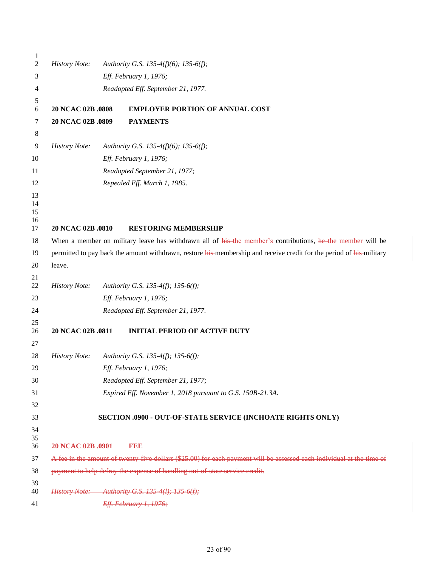| 1<br>$\boldsymbol{2}$      | <b>History Note:</b>               | Authority G.S. 135-4(f)(6); 135-6(f);                                                                                 |  |  |
|----------------------------|------------------------------------|-----------------------------------------------------------------------------------------------------------------------|--|--|
| 3                          |                                    | Eff. February 1, 1976;                                                                                                |  |  |
| 4                          | Readopted Eff. September 21, 1977. |                                                                                                                       |  |  |
| 5                          |                                    |                                                                                                                       |  |  |
| 6                          | 20 NCAC 02B .0808                  | <b>EMPLOYER PORTION OF ANNUAL COST</b>                                                                                |  |  |
| 7                          | 20 NCAC 02B .0809                  | <b>PAYMENTS</b>                                                                                                       |  |  |
| 8                          |                                    |                                                                                                                       |  |  |
| 9                          | <b>History Note:</b>               | Authority G.S. 135-4(f)(6); 135-6(f);                                                                                 |  |  |
| 10                         |                                    | Eff. February 1, 1976;                                                                                                |  |  |
| 11                         |                                    | Readopted September 21, 1977;                                                                                         |  |  |
| 12                         |                                    | Repealed Eff. March 1, 1985.                                                                                          |  |  |
| 13<br>14<br>15<br>16<br>17 | 20 NCAC 02B .0810                  | <b>RESTORING MEMBERSHIP</b>                                                                                           |  |  |
| 18                         |                                    | When a member on military leave has withdrawn all of his-the member's contributions, he the member will be            |  |  |
| 19                         |                                    | permitted to pay back the amount withdrawn, restore his membership and receive credit for the period of his-military  |  |  |
| 20                         | leave.                             |                                                                                                                       |  |  |
| 21<br>22                   | <b>History Note:</b>               | Authority G.S. 135-4(f); 135-6(f);                                                                                    |  |  |
| 23                         |                                    | Eff. February 1, 1976;                                                                                                |  |  |
| 24                         |                                    | Readopted Eff. September 21, 1977.                                                                                    |  |  |
| 25                         |                                    |                                                                                                                       |  |  |
| 26                         | 20 NCAC 02B .0811                  | <b>INITIAL PERIOD OF ACTIVE DUTY</b>                                                                                  |  |  |
| 27                         |                                    |                                                                                                                       |  |  |
| 28                         | <b>History Note:</b>               | Authority G.S. 135-4(f); 135-6(f);                                                                                    |  |  |
| 29                         |                                    | Eff. February 1, 1976;                                                                                                |  |  |
| 30                         |                                    | Readopted Eff. September 21, 1977;                                                                                    |  |  |
| 31                         |                                    | Expired Eff. November 1, 2018 pursuant to G.S. 150B-21.3A.                                                            |  |  |
| 32                         |                                    |                                                                                                                       |  |  |
| 33                         |                                    | SECTION .0900 - OUT-OF-STATE SERVICE (INCHOATE RIGHTS ONLY)                                                           |  |  |
| 34<br>35<br>36             | 20 NCAC 02B .0901 FEE              |                                                                                                                       |  |  |
| 37                         |                                    | A fee in the amount of twenty five dollars (\$25.00) for each payment will be assessed each individual at the time of |  |  |
| 38                         |                                    | payment to help defray the expense of handling out of state service credit.                                           |  |  |
| 39<br>40                   |                                    | History Note: Authority G.S. 135-4(1); 135-6(f);                                                                      |  |  |
| 41                         |                                    | Eff. February 1, 1976;                                                                                                |  |  |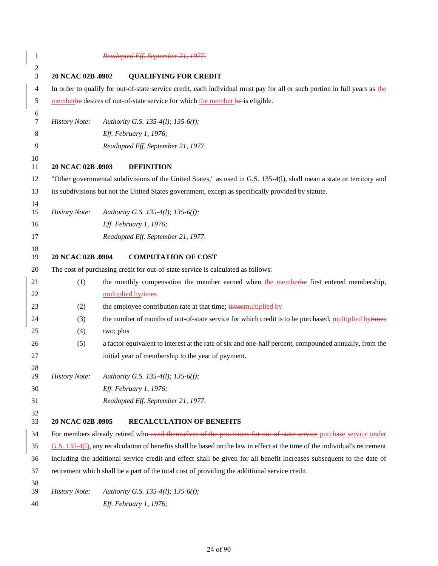| $\mathbf{1}$                       |                                                                                                                                | Readopted Eff. September 21, 1977.                                                                                         |  |  |
|------------------------------------|--------------------------------------------------------------------------------------------------------------------------------|----------------------------------------------------------------------------------------------------------------------------|--|--|
| $\boldsymbol{2}$<br>$\mathfrak{Z}$ | 20 NCAC 02B .0902                                                                                                              | <b>QUALIFYING FOR CREDIT</b>                                                                                               |  |  |
| $\overline{4}$                     |                                                                                                                                | In order to qualify for out-of-state service credit, each individual must pay for all or such portion in full years as the |  |  |
| 5                                  |                                                                                                                                | memberhe desires of out-of-state service for which the member he-is eligible.                                              |  |  |
| $\boldsymbol{6}$<br>$\tau$         | <b>History Note:</b>                                                                                                           | Authority G.S. 135-4(1); 135-6(f);                                                                                         |  |  |
| 8                                  |                                                                                                                                | Eff. February 1, 1976;                                                                                                     |  |  |
| 9                                  |                                                                                                                                | Readopted Eff. September 21, 1977.                                                                                         |  |  |
| 10<br>11                           | 20 NCAC 02B .0903                                                                                                              | <b>DEFINITION</b>                                                                                                          |  |  |
| 12                                 |                                                                                                                                | "Other governmental subdivisions of the United States," as used in G.S. 135-4(1), shall mean a state or territory and      |  |  |
| 13                                 |                                                                                                                                | its subdivisions but not the United States government, except as specifically provided by statute.                         |  |  |
| 14<br>15                           | <b>History Note:</b>                                                                                                           | Authority G.S. 135-4(1); 135-6(f);                                                                                         |  |  |
| 16                                 |                                                                                                                                | Eff. February 1, 1976;                                                                                                     |  |  |
| 17                                 |                                                                                                                                | Readopted Eff. September 21, 1977.                                                                                         |  |  |
| 18<br>19                           | 20 NCAC 02B .0904                                                                                                              | <b>COMPUTATION OF COST</b>                                                                                                 |  |  |
| 20                                 |                                                                                                                                | The cost of purchasing credit for out-of-state service is calculated as follows:                                           |  |  |
| 21                                 | (1)                                                                                                                            | the monthly compensation the member earned when the member he first entered membership;                                    |  |  |
| 22                                 |                                                                                                                                | multiplied bytimes                                                                                                         |  |  |
| 23                                 | (2)                                                                                                                            | the employee contribution rate at that time; times multiplied by                                                           |  |  |
| 24                                 | (3)                                                                                                                            | the number of months of out-of-state service for which credit is to be purchased; multiplied bytimes                       |  |  |
| 25                                 | (4)                                                                                                                            | two; plus                                                                                                                  |  |  |
| 26                                 | (5)                                                                                                                            | a factor equivalent to interest at the rate of six and one-half percent, compounded annually, from the                     |  |  |
| 27                                 |                                                                                                                                | initial year of membership to the year of payment.                                                                         |  |  |
| 28<br>29                           | <b>History Note:</b>                                                                                                           | Authority G.S. 135-4(1); 135-6(f);                                                                                         |  |  |
| 30                                 |                                                                                                                                | Eff. February 1, 1976;                                                                                                     |  |  |
| 31                                 |                                                                                                                                | Readopted Eff. September 21, 1977.                                                                                         |  |  |
| 32<br>33                           | 20 NCAC 02B .0905                                                                                                              | <b>RECALCULATION OF BENEFITS</b>                                                                                           |  |  |
| 34                                 |                                                                                                                                | For members already retired who avail themselves of the provisions for out of state service purchase service under         |  |  |
| 35                                 | $G.S. 135-4(1)$ , any recalculation of benefits shall be based on the law in effect at the time of the individual's retirement |                                                                                                                            |  |  |
| 36                                 | including the additional service credit and effect shall be given for all benefit increases subsequent to the date of          |                                                                                                                            |  |  |
| 37                                 |                                                                                                                                | retirement which shall be a part of the total cost of providing the additional service credit.                             |  |  |
| 38<br>39                           | <b>History Note:</b>                                                                                                           | Authority G.S. 135-4(1); 135-6(f);                                                                                         |  |  |
| 40                                 |                                                                                                                                | Eff. February 1, 1976;                                                                                                     |  |  |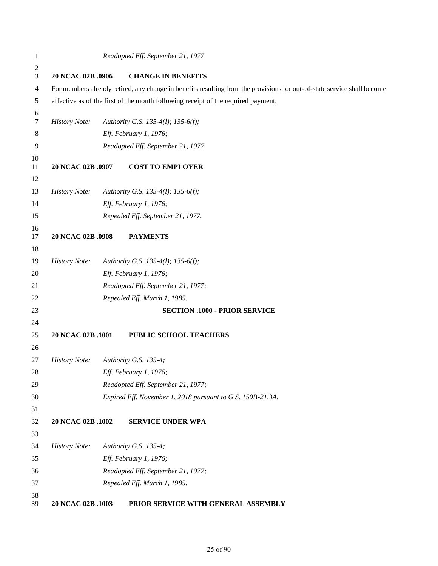| $\mathbf{1}$ |                                                                                                                         | Readopted Eff. September 21, 1977.                                                |  |  |
|--------------|-------------------------------------------------------------------------------------------------------------------------|-----------------------------------------------------------------------------------|--|--|
| 2            |                                                                                                                         |                                                                                   |  |  |
| 3            | 20 NCAC 02B .0906                                                                                                       | <b>CHANGE IN BENEFITS</b>                                                         |  |  |
| 4            | For members already retired, any change in benefits resulting from the provisions for out-of-state service shall become |                                                                                   |  |  |
| 5            |                                                                                                                         | effective as of the first of the month following receipt of the required payment. |  |  |
| 6<br>7       | <b>History Note:</b>                                                                                                    | Authority G.S. 135-4(1); 135-6(f);                                                |  |  |
| 8            |                                                                                                                         | Eff. February 1, 1976;                                                            |  |  |
| 9            |                                                                                                                         | Readopted Eff. September 21, 1977.                                                |  |  |
| 10<br>11     | 20 NCAC 02B .0907                                                                                                       | <b>COST TO EMPLOYER</b>                                                           |  |  |
| 12           |                                                                                                                         |                                                                                   |  |  |
| 13           | <b>History Note:</b>                                                                                                    | Authority G.S. 135-4(1); 135-6(f);                                                |  |  |
| 14           |                                                                                                                         | Eff. February 1, 1976;                                                            |  |  |
| 15           |                                                                                                                         | Repealed Eff. September 21, 1977.                                                 |  |  |
| 16<br>17     | 20 NCAC 02B .0908                                                                                                       | <b>PAYMENTS</b>                                                                   |  |  |
| 18           |                                                                                                                         |                                                                                   |  |  |
| 19           | <b>History Note:</b>                                                                                                    | Authority G.S. 135-4(1); 135-6(f);                                                |  |  |
| 20           |                                                                                                                         | Eff. February 1, 1976;                                                            |  |  |
| 21           |                                                                                                                         | Readopted Eff. September 21, 1977;                                                |  |  |
| 22           |                                                                                                                         | Repealed Eff. March 1, 1985.                                                      |  |  |
| 23           |                                                                                                                         | <b>SECTION .1000 - PRIOR SERVICE</b>                                              |  |  |
| 24           |                                                                                                                         |                                                                                   |  |  |
| 25           | 20 NCAC 02B .1001                                                                                                       | PUBLIC SCHOOL TEACHERS                                                            |  |  |
| 26           |                                                                                                                         |                                                                                   |  |  |
| 27           | <b>History Note:</b>                                                                                                    | Authority G.S. 135-4;                                                             |  |  |
| $28\,$       |                                                                                                                         | Eff. February 1, 1976;                                                            |  |  |
| 29           |                                                                                                                         | Readopted Eff. September 21, 1977;                                                |  |  |
| 30           |                                                                                                                         | Expired Eff. November 1, 2018 pursuant to G.S. 150B-21.3A.                        |  |  |
| 31           |                                                                                                                         |                                                                                   |  |  |
| 32           | 20 NCAC 02B .1002                                                                                                       | <b>SERVICE UNDER WPA</b>                                                          |  |  |
| 33           |                                                                                                                         |                                                                                   |  |  |
| 34           | <b>History Note:</b>                                                                                                    | Authority G.S. 135-4;                                                             |  |  |
| 35           |                                                                                                                         | Eff. February 1, 1976;                                                            |  |  |
| 36           |                                                                                                                         | Readopted Eff. September 21, 1977;                                                |  |  |
| 37           |                                                                                                                         | Repealed Eff. March 1, 1985.                                                      |  |  |
| 38<br>39     | 20 NCAC 02B .1003                                                                                                       | PRIOR SERVICE WITH GENERAL ASSEMBLY                                               |  |  |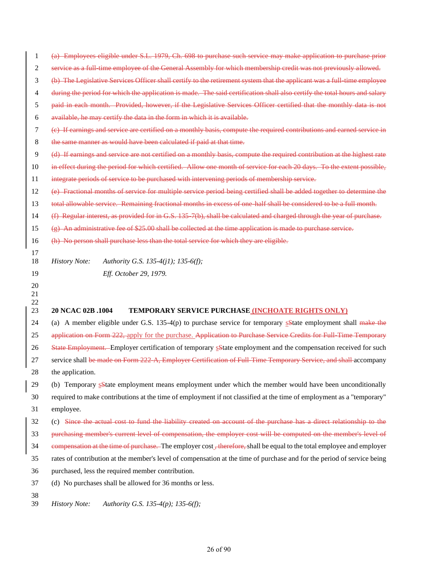(a) Employees eligible under S.L. 1979, Ch. 698 to purchase such service may make application to purchase prior service as a full-time employee of the General Assembly for which membership credit was not previously allowed. (b) The Legislative Services Officer shall certify to the retirement system that the applicant was a full-time employee

during the period for which the application is made. The said certification shall also certify the total hours and salary

- paid in each month. Provided, however, if the Legislative Services Officer certified that the monthly data is not
- available, he may certify the data in the form in which it is available.
- (c) If earnings and service are certified on a monthly basis, compute the required contributions and earned service in
- the same manner as would have been calculated if paid at that time.
- (d) If earnings and service are not certified on a monthly basis, compute the required contribution at the highest rate
- in effect during the period for which certified. Allow one month of service for each 20 days. To the extent possible,
- integrate periods of service to be purchased with intervening periods of membership service.
- (e) Fractional months of service for multiple service period being certified shall be added together to determine the
- 13 total allowable service. Remaining fractional months in excess of one-half shall be considered to be a full month.
- (f) Regular interest, as provided for in G.S. 135-7(b), shall be calculated and charged through the year of purchase.

(g) An administrative fee of \$25.00 shall be collected at the time application is made to purchase service.

(h) No person shall purchase less than the total service for which they are eligible.

*History Note: Authority G.S. 135-4(j1); 135-6(f);*

*Eff. October 29, 1979.*

## **20 NCAC 02B .1004 TEMPORARY SERVICE PURCHASE (INCHOATE RIGHTS ONLY)**

24 (a) A member eligible under G.S.  $135-4(p)$  to purchase service for temporary sState employment shall make the 25 application on Form 222, apply for the purchase. Application to Purchase Service Credits for Full Time Temporary

26 State Employment. Employer certification of temporary sState employment and the compensation received for such

- 27 service shall be made on Form 222-A, Employer Certification of Full-Time Temporary Service, and shall accompany
- the application.
- 29 (b) Temporary sState employment means employment under which the member would have been unconditionally
- required to make contributions at the time of employment if not classified at the time of employment as a "temporary" employee.
- (c) Since the actual cost to fund the liability created on account of the purchase has a direct relationship to the
- purchasing member's current level of compensation, the employer cost will be computed on the member's level of
- 34 compensation at the time of purchase. The employer cost<sub>,</sub> therefore, shall be equal to the total employee and employer
- rates of contribution at the member's level of compensation at the time of purchase and for the period of service being
- purchased, less the required member contribution.
- (d) No purchases shall be allowed for 36 months or less.
- 

 

*History Note: Authority G.S. 135-4(p); 135-6(f);*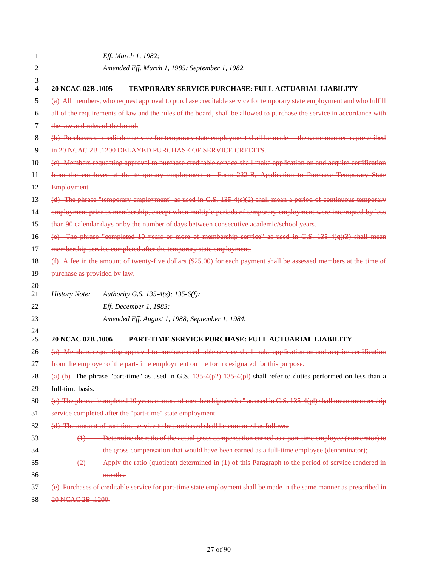| 1        | Eff. March 1, 1982;                                                                                                      |
|----------|--------------------------------------------------------------------------------------------------------------------------|
| 2        | Amended Eff. March 1, 1985; September 1, 1982.                                                                           |
| 3        |                                                                                                                          |
| 4        | 20 NCAC 02B .1005<br><b>TEMPORARY SERVICE PURCHASE: FULL ACTUARIAL LIABILITY</b>                                         |
| 5        | (a) All members, who request approval to purchase creditable service for temporary state employment and who fulfill      |
| 6        | all of the requirements of law and the rules of the board, shall be allowed to purchase the service in accordance with   |
| 7        | the law and rules of the board.                                                                                          |
| 8        | (b) Purchases of creditable service for temporary state employment shall be made in the same manner as prescribed        |
| 9        | in 20 NCAC 2B, 1200 DELAYED PURCHASE OF SERVICE CREDITS.                                                                 |
| 10       | (e) Members requesting approval to purchase creditable service shall make application on and acquire certification       |
| 11       | from the employer of the temporary employment on Form 222-B, Application to Purchase Temporary State                     |
| 12       | Employment.                                                                                                              |
| 13       | $(d)$ The phrase "temporary employment" as used in G.S. 135 $4(s)(2)$ shall mean a period of continuous temporary        |
| 14       | employment prior to membership, except when multiple periods of temporary employment were interrupted by less            |
| 15       | than 90 calendar days or by the number of days between consecutive academic/school years.                                |
| 16       | (e) The phrase "completed 10 years or more of membership service" as used in G.S. 135 $4(q)(3)$ shall mean               |
| 17       | membership service completed after the temporary state employment.                                                       |
| 18       | $(f)$ A fee in the amount of twenty five dollars $(\$25.00)$ for each payment shall be assessed members at the time of   |
| 19       | purchase as provided by law.                                                                                             |
| 20       |                                                                                                                          |
| 21       | <b>History Note:</b><br>Authority G.S. 135-4(s); 135-6(f);                                                               |
| 22       | Eff. December 1, 1983;                                                                                                   |
| 23       | Amended Eff. August 1, 1988; September 1, 1984.                                                                          |
| 24<br>25 | 20 NCAC 02B .1006<br><b>PART-TIME SERVICE PURCHASE: FULL ACTUARIAL LIABILITY</b>                                         |
| 26       | (a) Members requesting approval to purchase creditable service shall make application on and acquire certification       |
| 27       | from the employer of the part time employment on the form designated for this purpose.                                   |
| 28       | (a) $(b)$ The phrase "part-time" as used in G.S. $135-4(p2)$ $135-4(p1)$ -shall refer to duties performed on less than a |
| 29       | full-time basis.                                                                                                         |
| 30       | (c) The phrase "completed 10 years or more of membership service" as used in G.S. 135 4(pl) shall mean membership        |
| 31       | service completed after the "part time" state employment.                                                                |
| 32       | (d) The amount of part time service to be purchased shall be computed as follows:                                        |
| 33       | (1) Determine the ratio of the actual gross compensation earned as a part-time employee (numerator) to                   |
| 34       | the gross compensation that would have been earned as a full-time employee (denominator);                                |
| 35       | Apply the ratio (quotient) determined in (1) of this Paragraph to the period of service rendered in                      |
| 36       | months.                                                                                                                  |
| 37       | (e) Purchases of creditable service for part time state employment shall be made in the same manner as prescribed in     |
| 38       | 20 NCAC 2B .1200.                                                                                                        |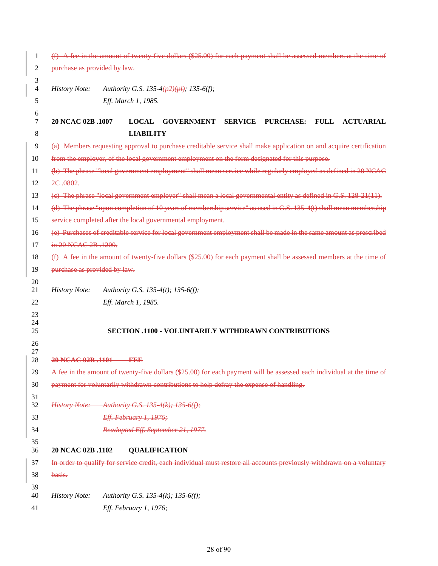| 1              | $(f)$ A fee in the amount of twenty five dollars $(\$25.00)$ for each payment shall be assessed members at the time of |                        |                  |                                                                                                                        |                |                  |             |                  |
|----------------|------------------------------------------------------------------------------------------------------------------------|------------------------|------------------|------------------------------------------------------------------------------------------------------------------------|----------------|------------------|-------------|------------------|
| 2              | purchase as provided by law.                                                                                           |                        |                  |                                                                                                                        |                |                  |             |                  |
| 3<br>4<br>5    | <b>History Note:</b>                                                                                                   | Eff. March 1, 1985.    |                  | Authority G.S. 135-4(p2)(pl); 135-6(f);                                                                                |                |                  |             |                  |
| 6<br>7         | 20 NCAC 02B .1007                                                                                                      |                        | <b>LOCAL</b>     | <b>GOVERNMENT</b>                                                                                                      | <b>SERVICE</b> | <b>PURCHASE:</b> | <b>FULL</b> | <b>ACTUARIAL</b> |
| 8              |                                                                                                                        |                        | <b>LIABILITY</b> |                                                                                                                        |                |                  |             |                  |
| 9              |                                                                                                                        |                        |                  | (a) Members requesting approval to purchase creditable service shall make application on and acquire certification     |                |                  |             |                  |
| 10             |                                                                                                                        |                        |                  | from the employer, of the local government employment on the form designated for this purpose.                         |                |                  |             |                  |
| 11             |                                                                                                                        |                        |                  | (b) The phrase "local government employment" shall mean service while regularly employed as defined in 20 NCAC         |                |                  |             |                  |
| 12             | 2C.0802.                                                                                                               |                        |                  |                                                                                                                        |                |                  |             |                  |
| 13             |                                                                                                                        |                        |                  | (e) The phrase "local government employer" shall mean a local governmental entity as defined in G.S. 128-21(11).       |                |                  |             |                  |
| 14             |                                                                                                                        |                        |                  | (d) The phrase "upon completion of 10 years of membership service" as used in G.S. 135 4(t) shall mean membership      |                |                  |             |                  |
| 15             |                                                                                                                        |                        |                  | service completed after the local governmental employment.                                                             |                |                  |             |                  |
| 16             |                                                                                                                        |                        |                  | (e) Purchases of creditable service for local government employment shall be made in the same amount as prescribed     |                |                  |             |                  |
| 17             | in 20 NCAC 2B .1200.                                                                                                   |                        |                  |                                                                                                                        |                |                  |             |                  |
| 18             |                                                                                                                        |                        |                  | $(f)$ A fee in the amount of twenty five dollars $(\$25.00)$ for each payment shall be assessed members at the time of |                |                  |             |                  |
| 19             | purchase as provided by law.                                                                                           |                        |                  |                                                                                                                        |                |                  |             |                  |
| 20<br>21       | <b>History Note:</b>                                                                                                   |                        |                  | Authority G.S. 135-4(t); 135-6(f);                                                                                     |                |                  |             |                  |
| 22             |                                                                                                                        | Eff. March 1, 1985.    |                  |                                                                                                                        |                |                  |             |                  |
| 23<br>24<br>25 |                                                                                                                        |                        |                  | <b>SECTION .1100 - VOLUNTARILY WITHDRAWN CONTRIBUTIONS</b>                                                             |                |                  |             |                  |
| 26<br>27<br>28 | 20 NCAC 02B .1101                                                                                                      |                        |                  |                                                                                                                        |                |                  |             |                  |
| 29             |                                                                                                                        |                        |                  | A fee in the amount of twenty five dollars (\$25.00) for each payment will be assessed each individual at the time of  |                |                  |             |                  |
| 30             |                                                                                                                        |                        |                  | payment for voluntarily withdrawn contributions to help defray the expense of handling.                                |                |                  |             |                  |
| 31<br>32       | History Note: Authority G.S. 135-4(k); 135-6(f);                                                                       |                        |                  |                                                                                                                        |                |                  |             |                  |
| 33             |                                                                                                                        | Eff. February 1, 1976; |                  |                                                                                                                        |                |                  |             |                  |
| 34             |                                                                                                                        |                        |                  | Readopted Eff. September 21, 1977.                                                                                     |                |                  |             |                  |
| 35<br>36       | 20 NCAC 02B .1102                                                                                                      |                        |                  | <b>QUALIFICATION</b>                                                                                                   |                |                  |             |                  |
| 37             |                                                                                                                        |                        |                  | In order to qualify for service credit, each individual must restore all accounts previously withdrawn on a voluntary  |                |                  |             |                  |
| 38             | basis.                                                                                                                 |                        |                  |                                                                                                                        |                |                  |             |                  |
| 39             |                                                                                                                        |                        |                  |                                                                                                                        |                |                  |             |                  |
| 40<br>41       | <b>History Note:</b>                                                                                                   | Eff. February 1, 1976; |                  | Authority G.S. 135-4(k); 135-6(f);                                                                                     |                |                  |             |                  |
|                |                                                                                                                        |                        |                  |                                                                                                                        |                |                  |             |                  |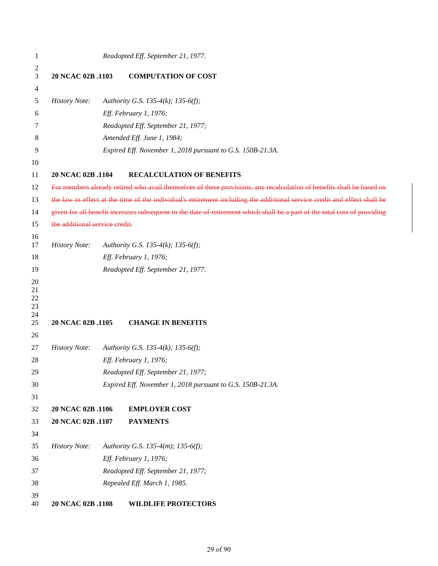| 1                          |                                | Readopted Eff. September 21, 1977.                                                                                        |
|----------------------------|--------------------------------|---------------------------------------------------------------------------------------------------------------------------|
| 2                          |                                |                                                                                                                           |
| 3                          | 20 NCAC 02B .1103              | <b>COMPUTATION OF COST</b>                                                                                                |
| 4                          |                                |                                                                                                                           |
| 5                          | <b>History Note:</b>           | Authority G.S. 135-4(k); 135-6(f);                                                                                        |
| 6                          |                                | Eff. February 1, 1976;                                                                                                    |
| 7                          |                                | Readopted Eff. September 21, 1977;                                                                                        |
| 8                          |                                | Amended Eff. June 1, 1984;                                                                                                |
| 9                          |                                | Expired Eff. November 1, 2018 pursuant to G.S. 150B-21.3A.                                                                |
| 10<br>11                   | 20 NCAC 02B .1104              | <b>RECALCULATION OF BENEFITS</b>                                                                                          |
| 12                         |                                | For members already retired who avail themselves of these provisions, any recalculation of benefits shall be based on     |
| 13                         |                                | the law in effect at the time of the individual's retirement including the additional service credit and effect shall be  |
| 14                         |                                | given for all benefit increases subsequent to the date of retirement which shall be a part of the total cost of providing |
| 15                         | the additional service credit. |                                                                                                                           |
| 16                         |                                |                                                                                                                           |
| 17                         | <b>History Note:</b>           | Authority G.S. 135-4(k); 135-6(f);                                                                                        |
| 18                         |                                | Eff. February 1, 1976;                                                                                                    |
| 19                         |                                | Readopted Eff. September 21, 1977.                                                                                        |
| 20<br>21<br>22<br>23<br>24 |                                |                                                                                                                           |
| 25                         | 20 NCAC 02B .1105              | <b>CHANGE IN BENEFITS</b>                                                                                                 |
| 26                         |                                |                                                                                                                           |
| 27                         | <b>History Note:</b>           | Authority G.S. 135-4(k); 135-6(f);                                                                                        |
| 28                         |                                | Eff. February 1, 1976;                                                                                                    |
| 29                         |                                | Readopted Eff. September 21, 1977;                                                                                        |
| 30                         |                                | Expired Eff. November 1, 2018 pursuant to G.S. 150B-21.3A.                                                                |
| 31                         |                                |                                                                                                                           |
| 32                         | 20 NCAC 02B .1106              | <b>EMPLOYER COST</b>                                                                                                      |
| 33                         | 20 NCAC 02B .1107              | <b>PAYMENTS</b>                                                                                                           |
| 34                         |                                |                                                                                                                           |
| 35                         | <b>History Note:</b>           | Authority G.S. 135-4(m); 135-6(f);                                                                                        |
| 36                         |                                | Eff. February 1, 1976;                                                                                                    |
| 37                         |                                | Readopted Eff. September 21, 1977;                                                                                        |
| 38                         |                                | Repealed Eff. March 1, 1985.                                                                                              |
| 39<br>40                   | 20 NCAC 02B .1108              | <b>WILDLIFE PROTECTORS</b>                                                                                                |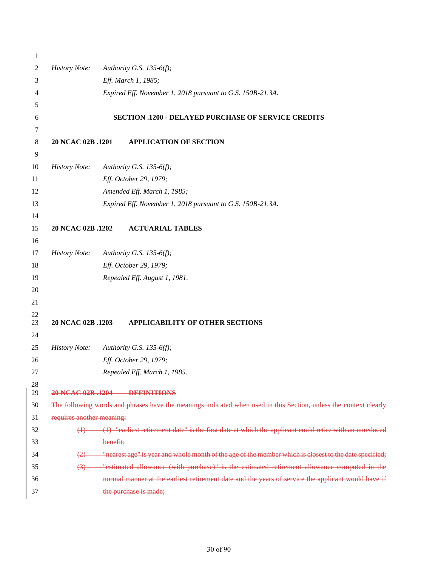| 1        |                           |                                                                                                                   |
|----------|---------------------------|-------------------------------------------------------------------------------------------------------------------|
| 2        | <b>History Note:</b>      | Authority G.S. 135-6(f);                                                                                          |
| 3        |                           | Eff. March 1, 1985;                                                                                               |
| 4        |                           | Expired Eff. November 1, 2018 pursuant to G.S. 150B-21.3A.                                                        |
| 5        |                           |                                                                                                                   |
| 6        |                           | <b>SECTION .1200 - DELAYED PURCHASE OF SERVICE CREDITS</b>                                                        |
| 7        |                           |                                                                                                                   |
| $\,8\,$  | 20 NCAC 02B .1201         | <b>APPLICATION OF SECTION</b>                                                                                     |
| 9        |                           |                                                                                                                   |
| 10       | <b>History Note:</b>      | Authority G.S. 135-6(f);                                                                                          |
| 11       |                           | Eff. October 29, 1979;                                                                                            |
| 12       |                           | Amended Eff. March 1, 1985;                                                                                       |
| 13       |                           | Expired Eff. November 1, 2018 pursuant to G.S. 150B-21.3A.                                                        |
| 14       |                           |                                                                                                                   |
| 15       | 20 NCAC 02B .1202         | <b>ACTUARIAL TABLES</b>                                                                                           |
| 16       |                           |                                                                                                                   |
| 17       | <b>History Note:</b>      | Authority G.S. 135-6(f);                                                                                          |
| 18       |                           | Eff. October 29, 1979;                                                                                            |
| 19       |                           | Repealed Eff. August 1, 1981.                                                                                     |
| 20       |                           |                                                                                                                   |
| 21       |                           |                                                                                                                   |
| $22\,$   |                           |                                                                                                                   |
| 23       | 20 NCAC 02B .1203         | <b>APPLICABILITY OF OTHER SECTIONS</b>                                                                            |
| 24<br>25 | <b>History Note:</b>      | Authority G.S. 135-6(f);                                                                                          |
|          |                           |                                                                                                                   |
| 26<br>27 |                           | Eff. October 29, 1979;                                                                                            |
| 28       |                           | Repealed Eff. March 1, 1985.                                                                                      |
| 29       |                           | 20 NCAC 02B .1204 DEFINITIONS                                                                                     |
| 30       |                           | The following words and phrases have the meanings indicated when used in this Section, unless the context clearly |
| 31       | requires another meaning: |                                                                                                                   |
| 32       |                           | (1) "earliest retirement date" is the first date at which the applicant could retire with an unreduced            |
| 33       |                           | benefit;                                                                                                          |
| 34       |                           | "nearest age" is year and whole month of the age of the member which is closest to the date specified;            |
| 35       | (3)                       | "estimated allowance (with purchase)" is the estimated retirement allowance computed in the                       |
| 36       |                           | normal manner at the earliest retirement date and the years of service the applicant would have if                |
| 37       |                           | the purchase is made;                                                                                             |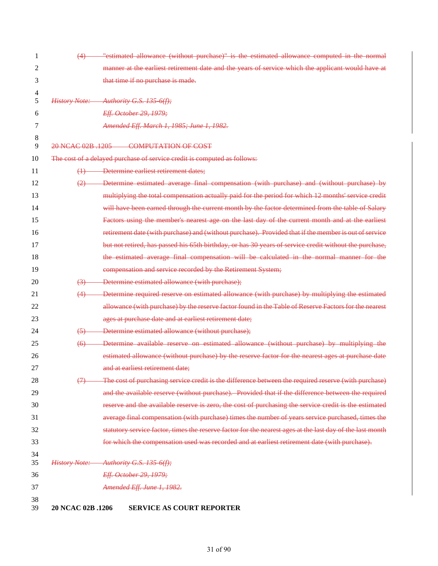| 1        | (4)                | "estimated allowance (without purchase)" is the estimated allowance computed in the normal                |
|----------|--------------------|-----------------------------------------------------------------------------------------------------------|
| 2        |                    | manner at the earliest retirement date and the years of service which the applicant would have at         |
| 3        |                    | that time if no purchase is made.                                                                         |
| 4        |                    |                                                                                                           |
| 5        |                    | History Note: Authority G.S. 135-6(f);                                                                    |
| 6        |                    | Eff. October 29, 1979;                                                                                    |
| 7        |                    | Amended Eff. March 1, 1985; June 1, 1982.                                                                 |
| 8<br>9   |                    | 20 NCAC 02B 1205 COMPUTATION OF COST                                                                      |
| 10       |                    | The cost of a delayed purchase of service credit is computed as follows:                                  |
| 11       | $\leftrightarrow$  | Determine earliest retirement dates;                                                                      |
| 12       | (2)                | Determine estimated average final compensation (with purchase) and (without purchase) by                  |
| 13       |                    | multiplying the total compensation actually paid for the period for which 12 months' service credit       |
| 14       |                    | will have been earned through the current month by the factor determined from the table of Salary         |
| 15       |                    | Factors using the member's nearest age on the last day of the current month and at the earliest           |
| 16       |                    | retirement date (with purchase) and (without purchase). Provided that if the member is out of service     |
| 17       |                    | but not retired, has passed his 65th birthday, or has 30 years of service credit without the purchase,    |
| 18       |                    | the estimated average final compensation will be calculated in the normal manner for the                  |
| 19       |                    | compensation and service recorded by the Retirement System;                                               |
| 20       | (3)                | Determine estimated allowance (with purchase);                                                            |
| 21       | (4)                | Determine required reserve on estimated allowance (with purchase) by multiplying the estimated            |
| 22       |                    | allowance (with purchase) by the reserve factor found in the Table of Reserve Factors for the nearest     |
| 23       |                    | ages at purchase date and at earliest retirement date;                                                    |
| 24       | $\left(5\right)$   | Determine estimated allowance (without purchase);                                                         |
| 25       | $\left( 6 \right)$ | Determine available reserve on estimated allowance (without purchase) by multiplying the                  |
| 26       |                    | estimated allowance (without purchase) by the reserve factor for the nearest ages at purchase date        |
| 27       |                    | and at earliest retirement date;                                                                          |
| 28       | $\leftrightarrow$  | The cost of purchasing service credit is the difference between the required reserve (with purchase)      |
| 29       |                    | and the available reserve (without purchase). Provided that if the difference between the required        |
| 30       |                    | reserve and the available reserve is zero, the cost of purchasing the service credit is the estimated     |
| 31       |                    | average final compensation (with purchase) times the number of years service purchased, times the         |
| 32       |                    | statutory service factor, times the reserve factor for the nearest ages at the last day of the last month |
| 33       |                    | for which the compensation used was recorded and at earliest retirement date (with purchase).             |
| 34<br>35 |                    | History Note: Authority G.S. 135-6(f);                                                                    |
| 36       |                    | Eff. October 29, 1979;                                                                                    |
| 37       |                    | Amended Eff. June 1, 1982.                                                                                |
| 38<br>39 | 20 NCAC 02B .1206  | <b>SERVICE AS COURT REPORTER</b>                                                                          |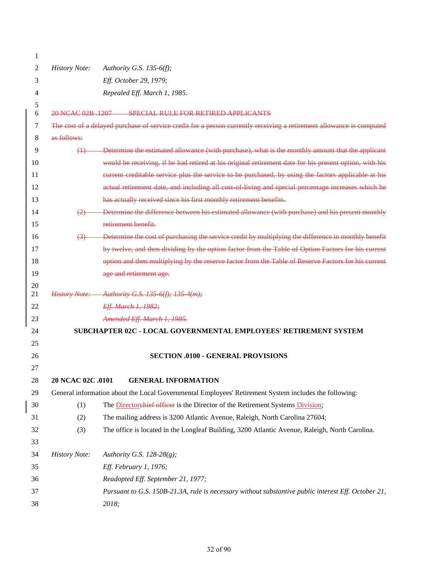| 1  |                                                                                                     |                                                                                                                      |  |  |  |
|----|-----------------------------------------------------------------------------------------------------|----------------------------------------------------------------------------------------------------------------------|--|--|--|
| 2  | <b>History Note:</b>                                                                                | Authority G.S. 135-6(f);                                                                                             |  |  |  |
| 3  |                                                                                                     | Eff. October 29, 1979;                                                                                               |  |  |  |
| 4  |                                                                                                     | Repealed Eff. March 1, 1985.                                                                                         |  |  |  |
| 5  |                                                                                                     |                                                                                                                      |  |  |  |
| 6  | 20 NCAC 02B 1207                                                                                    | SPECIAL RULE FOR RETIRED APPLICANTS                                                                                  |  |  |  |
| 7  |                                                                                                     | The cost of a delayed purchase of service credit for a person currently receiving a retirement allowance is computed |  |  |  |
| 8  | as follows:                                                                                         |                                                                                                                      |  |  |  |
| 9  |                                                                                                     | (1) Determine the estimated allowance (with purchase), what is the monthly amount that the applicant                 |  |  |  |
| 10 |                                                                                                     | would be receiving, if he had retired at his original retirement date for his present option, with his               |  |  |  |
| 11 |                                                                                                     | eurrent creditable service plus the service to be purchased, by using the factors applicable at his                  |  |  |  |
| 12 |                                                                                                     | actual retirement date, and including all cost of living and special percentage increases which he                   |  |  |  |
| 13 |                                                                                                     | has actually received since his first monthly retirement benefits.                                                   |  |  |  |
| 14 | (2)                                                                                                 | Determine the difference between his estimated allowance (with purchase) and his present monthly                     |  |  |  |
| 15 |                                                                                                     | retirement benefit.                                                                                                  |  |  |  |
| 16 | $\leftrightarrow$                                                                                   | Determine the cost of purchasing the service credit by multiplying the difference in monthly benefit                 |  |  |  |
| 17 |                                                                                                     | by twelve, and then dividing by the option factor from the Table of Option Factors for his current                   |  |  |  |
| 18 |                                                                                                     | option and then multiplying by the reserve factor from the Table of Reserve Factors for his current                  |  |  |  |
| 19 |                                                                                                     | age and retirement age.                                                                                              |  |  |  |
| 20 |                                                                                                     |                                                                                                                      |  |  |  |
| 21 |                                                                                                     | History Note: Authority G.S. 135 6(f); 135 4(m);                                                                     |  |  |  |
| 22 |                                                                                                     | Eff. March 1, 1982;                                                                                                  |  |  |  |
| 23 |                                                                                                     | Amended Eff. March 1, 1985.                                                                                          |  |  |  |
| 24 |                                                                                                     | SUBCHAPTER 02C - LOCAL GOVERNMENTAL EMPLOYEES' RETIREMENT SYSTEM                                                     |  |  |  |
| 25 |                                                                                                     |                                                                                                                      |  |  |  |
| 26 |                                                                                                     | <b>SECTION .0100 - GENERAL PROVISIONS</b>                                                                            |  |  |  |
| 27 |                                                                                                     |                                                                                                                      |  |  |  |
| 28 | 20 NCAC 02C .0101                                                                                   | <b>GENERAL INFORMATION</b>                                                                                           |  |  |  |
| 29 |                                                                                                     | General information about the Local Governmental Employees' Retirement System includes the following:                |  |  |  |
| 30 | (1)                                                                                                 | The <b>Directorehief officer</b> is the Director of the Retirement Systems Division,                                 |  |  |  |
| 31 | (2)                                                                                                 | The mailing address is 3200 Atlantic Avenue, Raleigh, North Carolina 27604;                                          |  |  |  |
| 32 | (3)                                                                                                 | The office is located in the Longleaf Building, 3200 Atlantic Avenue, Raleigh, North Carolina.                       |  |  |  |
| 33 |                                                                                                     |                                                                                                                      |  |  |  |
| 34 | <b>History Note:</b>                                                                                | Authority G.S. 128-28(g);                                                                                            |  |  |  |
| 35 |                                                                                                     | Eff. February 1, 1976;                                                                                               |  |  |  |
| 36 |                                                                                                     | Readopted Eff. September 21, 1977;                                                                                   |  |  |  |
| 37 | Pursuant to G.S. 150B-21.3A, rule is necessary without substantive public interest Eff. October 21, |                                                                                                                      |  |  |  |
| 38 |                                                                                                     | 2018;                                                                                                                |  |  |  |

 $\overline{\phantom{a}}$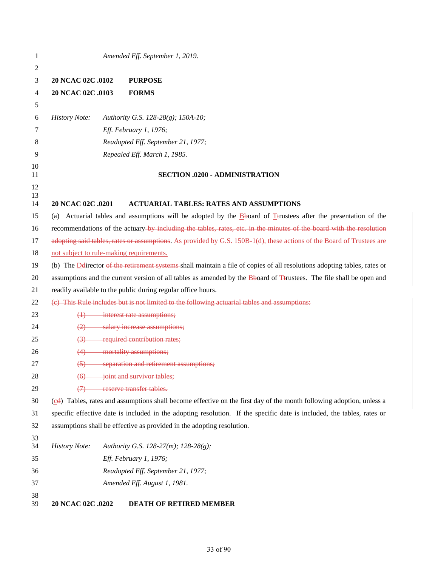| 1        |                      | Amended Eff. September 1, 2019.                                                                                                     |
|----------|----------------------|-------------------------------------------------------------------------------------------------------------------------------------|
| 2        |                      |                                                                                                                                     |
| 3        | 20 NCAC 02C .0102    | <b>PURPOSE</b>                                                                                                                      |
| 4        | 20 NCAC 02C .0103    | <b>FORMS</b>                                                                                                                        |
| 5        |                      |                                                                                                                                     |
| 6        | <b>History Note:</b> | Authority G.S. 128-28(g); 150A-10;                                                                                                  |
| 7        |                      | Eff. February 1, 1976;                                                                                                              |
| 8        |                      | Readopted Eff. September 21, 1977;                                                                                                  |
| 9        |                      | Repealed Eff. March 1, 1985.                                                                                                        |
| 10       |                      |                                                                                                                                     |
| 11       |                      | <b>SECTION .0200 - ADMINISTRATION</b>                                                                                               |
| 12<br>13 |                      |                                                                                                                                     |
| 14       | 20 NCAC 02C .0201    | <b>ACTUARIAL TABLES: RATES AND ASSUMPTIONS</b>                                                                                      |
| 15       | (a)                  | Actuarial tables and assumptions will be adopted by the Bboard of T <sub>trustees</sub> after the presentation of the               |
| 16       |                      | recommendations of the actuary-by including the tables, rates, etc. in the minutes of the board with the resolution                 |
| 17       |                      | adopting said tables, rates or assumptions. As provided by G.S. 150B-1(d), these actions of the Board of Trustees are               |
| 18       |                      | not subject to rule-making requirements.                                                                                            |
| 19       |                      | (b) The Delirector of the retirement systems shall maintain a file of copies of all resolutions adopting tables, rates or           |
| 20       |                      | assumptions and the current version of all tables as amended by the <b>B</b> board of <b>T</b> trustees. The file shall be open and |
| 21       |                      | readily available to the public during regular office hours.                                                                        |
| 22       |                      | (e) This Rule includes but is not limited to the following actuarial tables and assumptions:                                        |
| 23       | $\leftrightarrow$    | interest rate assumptions;                                                                                                          |
| 24       | $\leftrightarrow$    | salary increase assumptions;                                                                                                        |
| 25       | $\leftrightarrow$    | required contribution rates;                                                                                                        |
| 26       | (4)                  | mortality assumptions;                                                                                                              |
| 27       | $\left(5\right)$     | separation and retirement assumptions;                                                                                              |
| 28       | <del>(6)</del>       | joint and survivor tables;                                                                                                          |
| 29       | $\leftrightarrow$    | reserve transfer tables.                                                                                                            |
| 30       |                      | (cd) Tables, rates and assumptions shall become effective on the first day of the month following adoption, unless a                |
| 31       |                      | specific effective date is included in the adopting resolution. If the specific date is included, the tables, rates or              |
| 32       |                      | assumptions shall be effective as provided in the adopting resolution.                                                              |
| 33<br>34 | <b>History Note:</b> | Authority G.S. 128-27(m); 128-28(g);                                                                                                |
| 35       |                      | Eff. February 1, 1976;                                                                                                              |
| 36       |                      | Readopted Eff. September 21, 1977;                                                                                                  |
| 37       |                      | Amended Eff. August 1, 1981.                                                                                                        |
| 38       |                      |                                                                                                                                     |
| 39       | 20 NCAC 02C .0202    | DEATH OF RETIRED MEMBER                                                                                                             |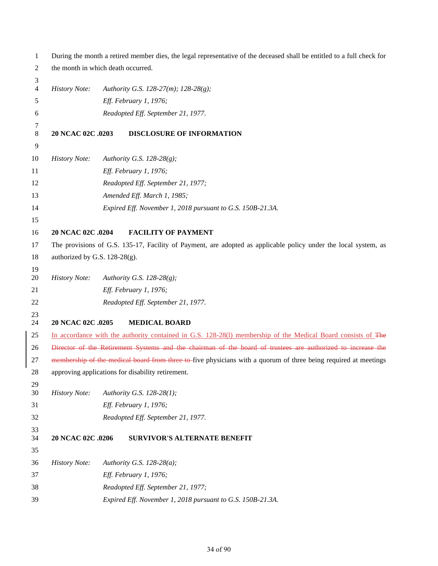| 1        | During the month a retired member dies, the legal representative of the deceased shall be entitled to a full check for |                                                                                                                 |  |
|----------|------------------------------------------------------------------------------------------------------------------------|-----------------------------------------------------------------------------------------------------------------|--|
| 2        |                                                                                                                        | the month in which death occurred.                                                                              |  |
| 3        |                                                                                                                        |                                                                                                                 |  |
| 4        | <b>History Note:</b>                                                                                                   | Authority G.S. 128-27(m); 128-28(g);                                                                            |  |
| 5        |                                                                                                                        | Eff. February 1, 1976;                                                                                          |  |
| 6        |                                                                                                                        | Readopted Eff. September 21, 1977.                                                                              |  |
| 7<br>8   | 20 NCAC 02C .0203                                                                                                      | <b>DISCLOSURE OF INFORMATION</b>                                                                                |  |
| 9        |                                                                                                                        |                                                                                                                 |  |
| 10       | <b>History Note:</b>                                                                                                   | Authority G.S. 128-28 $(g)$ ;                                                                                   |  |
| 11       |                                                                                                                        | Eff. February 1, 1976;                                                                                          |  |
| 12       |                                                                                                                        | Readopted Eff. September 21, 1977;                                                                              |  |
| 13       |                                                                                                                        | Amended Eff. March 1, 1985;                                                                                     |  |
| 14       |                                                                                                                        | Expired Eff. November 1, 2018 pursuant to G.S. 150B-21.3A.                                                      |  |
| 15       |                                                                                                                        |                                                                                                                 |  |
| 16       | 20 NCAC 02C .0204                                                                                                      | <b>FACILITY OF PAYMENT</b>                                                                                      |  |
| 17       |                                                                                                                        | The provisions of G.S. 135-17, Facility of Payment, are adopted as applicable policy under the local system, as |  |
| 18       | authorized by G.S. 128-28(g).                                                                                          |                                                                                                                 |  |
| 19       |                                                                                                                        |                                                                                                                 |  |
| 20       | <b>History Note:</b>                                                                                                   | Authority G.S. 128-28(g);                                                                                       |  |
| 21       |                                                                                                                        | Eff. February 1, 1976;                                                                                          |  |
| 22       |                                                                                                                        | Readopted Eff. September 21, 1977.                                                                              |  |
| 23<br>24 | 20 NCAC 02C .0205                                                                                                      | <b>MEDICAL BOARD</b>                                                                                            |  |
| 25       |                                                                                                                        | In accordance with the authority contained in G.S. 128-28(1) membership of the Medical Board consists of The    |  |
| 26       |                                                                                                                        | Director of the Retirement Systems and the chairman of the board of trustees are authorized to increase the     |  |
| 27       |                                                                                                                        | membership of the medical board from three to five physicians with a quorum of three being required at meetings |  |
| 28       | approving applications for disability retirement.                                                                      |                                                                                                                 |  |
| 29       |                                                                                                                        |                                                                                                                 |  |
| 30       | <b>History Note:</b>                                                                                                   | Authority G.S. 128-28(1);                                                                                       |  |
| 31       |                                                                                                                        | Eff. February 1, 1976;                                                                                          |  |
| 32       |                                                                                                                        | Readopted Eff. September 21, 1977.                                                                              |  |
| 33<br>34 | 20 NCAC 02C .0206                                                                                                      | <b>SURVIVOR'S ALTERNATE BENEFIT</b>                                                                             |  |
| 35       |                                                                                                                        |                                                                                                                 |  |
| 36       | <b>History Note:</b>                                                                                                   | Authority G.S. 128-28(a);                                                                                       |  |
| 37       |                                                                                                                        | Eff. February 1, 1976;                                                                                          |  |
| 38       |                                                                                                                        | Readopted Eff. September 21, 1977;                                                                              |  |
| 39       |                                                                                                                        | Expired Eff. November 1, 2018 pursuant to G.S. 150B-21.3A.                                                      |  |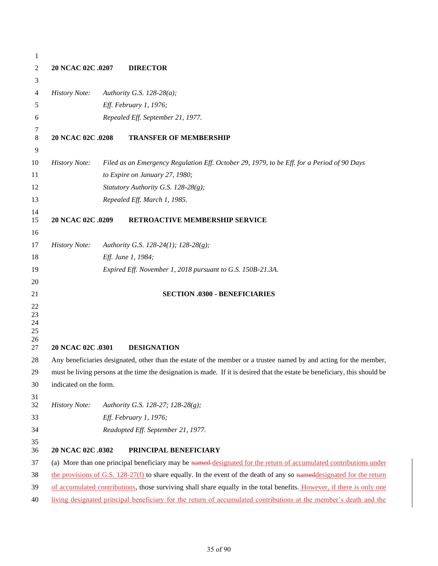| 1                                |                        |                                                                                                                        |                                                                                                                             |  |
|----------------------------------|------------------------|------------------------------------------------------------------------------------------------------------------------|-----------------------------------------------------------------------------------------------------------------------------|--|
| 2                                | 20 NCAC 02C .0207      |                                                                                                                        | <b>DIRECTOR</b>                                                                                                             |  |
| 3                                |                        |                                                                                                                        |                                                                                                                             |  |
| 4                                | <b>History Note:</b>   |                                                                                                                        | Authority G.S. $128-28(a)$ ;                                                                                                |  |
| 5                                |                        |                                                                                                                        | Eff. February 1, 1976;                                                                                                      |  |
| 6                                |                        |                                                                                                                        | Repealed Eff. September 21, 1977.                                                                                           |  |
| 7<br>8                           | 20 NCAC 02C .0208      |                                                                                                                        | <b>TRANSFER OF MEMBERSHIP</b>                                                                                               |  |
| 9                                |                        |                                                                                                                        |                                                                                                                             |  |
| 10                               | <b>History Note:</b>   |                                                                                                                        | Filed as an Emergency Regulation Eff. October 29, 1979, to be Eff. for a Period of 90 Days                                  |  |
| 11                               |                        |                                                                                                                        | to Expire on January 27, 1980;                                                                                              |  |
| 12                               |                        |                                                                                                                        | Statutory Authority G.S. 128-28(g);                                                                                         |  |
| 13                               |                        |                                                                                                                        | Repealed Eff. March 1, 1985.                                                                                                |  |
| 14<br>15                         | 20 NCAC 02C .0209      |                                                                                                                        | RETROACTIVE MEMBERSHIP SERVICE                                                                                              |  |
| 16                               |                        |                                                                                                                        |                                                                                                                             |  |
| 17                               | <b>History Note:</b>   |                                                                                                                        | Authority G.S. 128-24(1); 128-28(g);                                                                                        |  |
| 18                               |                        |                                                                                                                        | Eff. June 1, 1984;                                                                                                          |  |
| 19                               |                        |                                                                                                                        | Expired Eff. November 1, 2018 pursuant to G.S. 150B-21.3A.                                                                  |  |
| 20                               |                        |                                                                                                                        |                                                                                                                             |  |
| 21                               |                        |                                                                                                                        | <b>SECTION .0300 - BENEFICIARIES</b>                                                                                        |  |
| 22<br>23<br>24<br>25<br>26<br>27 | 20 NCAC 02C .0301      |                                                                                                                        | <b>DESIGNATION</b>                                                                                                          |  |
| 28                               |                        |                                                                                                                        | Any beneficiaries designated, other than the estate of the member or a trustee named by and acting for the member,          |  |
| 29                               |                        |                                                                                                                        | must be living persons at the time the designation is made. If it is desired that the estate be beneficiary, this should be |  |
| 30                               | indicated on the form. |                                                                                                                        |                                                                                                                             |  |
| 31<br>32                         | <b>History Note:</b>   |                                                                                                                        | Authority G.S. 128-27; 128-28(g);                                                                                           |  |
| 33                               |                        |                                                                                                                        | Eff. February 1, 1976;                                                                                                      |  |
| 34                               |                        |                                                                                                                        | Readopted Eff. September 21, 1977.                                                                                          |  |
| 35<br>36                         | 20 NCAC 02C .0302      |                                                                                                                        | PRINCIPAL BENEFICIARY                                                                                                       |  |
| 37                               |                        |                                                                                                                        | (a) More than one principal beneficiary may be named designated for the return of accumulated contributions under           |  |
| 38                               |                        |                                                                                                                        | the provisions of G.S. $128-27(f)$ to share equally. In the event of the death of any so namedlesignated for the return     |  |
| 39                               |                        | of accumulated contributions, those surviving shall share equally in the total benefits. However, if there is only one |                                                                                                                             |  |
| 40                               |                        |                                                                                                                        | living designated principal beneficiary for the return of accumulated contributions at the member's death and the           |  |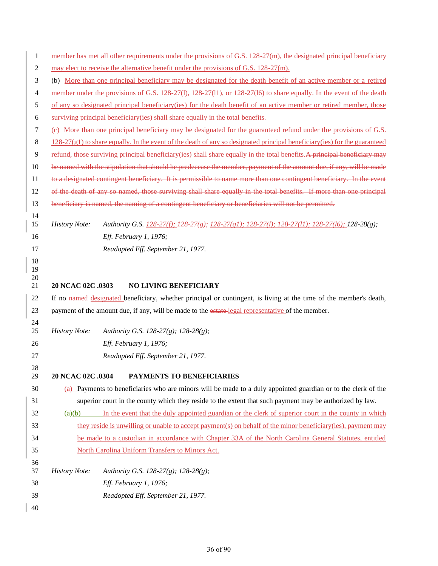| $\mathbf{1}$ | member has met all other requirements under the provisions of G.S. 128-27(m), the designated principal beneficiary                |  |  |  |  |
|--------------|-----------------------------------------------------------------------------------------------------------------------------------|--|--|--|--|
| 2            | may elect to receive the alternative benefit under the provisions of G.S. 128-27(m).                                              |  |  |  |  |
| 3            | (b) More than one principal beneficiary may be designated for the death benefit of an active member or a retired                  |  |  |  |  |
| 4            | member under the provisions of G.S. 128-27(1), 128-27(11), or 128-27(16) to share equally. In the event of the death              |  |  |  |  |
| 5            | of any so designated principal beneficiary (ies) for the death benefit of an active member or retired member, those               |  |  |  |  |
| 6            | surviving principal beneficiary (ies) shall share equally in the total benefits.                                                  |  |  |  |  |
| 7            | (c) More than one principal beneficiary may be designated for the guaranteed refund under the provisions of G.S.                  |  |  |  |  |
| 8            | $128-27(g1)$ to share equally. In the event of the death of any so designated principal beneficiary(ies) for the guaranteed       |  |  |  |  |
| 9            | refund, those surviving principal beneficiary(ies) shall share equally in the total benefits. A principal beneficiary may         |  |  |  |  |
| 10           | be named with the stipulation that should he predecease the member, payment of the amount due, if any, will be made               |  |  |  |  |
| 11           | to a designated contingent beneficiary. It is permissible to name more than one contingent beneficiary. In the event              |  |  |  |  |
| 12           | of the death of any so named, those surviving shall share equally in the total benefits. If more than one principal               |  |  |  |  |
| 13           | beneficiary is named, the naming of a contingent beneficiary or beneficiaries will not be permitted.                              |  |  |  |  |
| 14           |                                                                                                                                   |  |  |  |  |
| 15           | <b>History Note:</b><br>Authority G.S. 128-27(f); 128-27(g); 128-27(g1); 128-27(l); 128-27(l1); 128-27(l6); 128-28(g);            |  |  |  |  |
| 16           | Eff. February 1, 1976;                                                                                                            |  |  |  |  |
| 17           | Readopted Eff. September 21, 1977.                                                                                                |  |  |  |  |
| 18<br>19     |                                                                                                                                   |  |  |  |  |
| 20           |                                                                                                                                   |  |  |  |  |
|              |                                                                                                                                   |  |  |  |  |
| 21           | 20 NCAC 02C .0303<br><b>NO LIVING BENEFICIARY</b>                                                                                 |  |  |  |  |
| 22           | If no named-designated beneficiary, whether principal or contingent, is living at the time of the member's death,                 |  |  |  |  |
| 23           | payment of the amount due, if any, will be made to the estate-legal representative of the member.                                 |  |  |  |  |
| 24<br>25     |                                                                                                                                   |  |  |  |  |
|              | <b>History Note:</b><br>Authority G.S. 128-27(g); 128-28(g);                                                                      |  |  |  |  |
| 26           | Eff. February 1, 1976;                                                                                                            |  |  |  |  |
| 27<br>28     | Readopted Eff. September 21, 1977.                                                                                                |  |  |  |  |
| 29           | PAYMENTS TO BENEFICIARIES<br>20 NCAC 02C .0304                                                                                    |  |  |  |  |
| 30           | (a) Payments to beneficiaries who are minors will be made to a duly appointed guardian or to the clerk of the                     |  |  |  |  |
| 31           | superior court in the county which they reside to the extent that such payment may be authorized by law.                          |  |  |  |  |
| 32           | In the event that the duly appointed guardian or the clerk of superior court in the county in which<br>$\left(\frac{a}{b}\right)$ |  |  |  |  |
| 33           | they reside is unwilling or unable to accept payment(s) on behalf of the minor beneficiary(ies), payment may                      |  |  |  |  |
| 34           | be made to a custodian in accordance with Chapter 33A of the North Carolina General Statutes, entitled                            |  |  |  |  |
| 35           | North Carolina Uniform Transfers to Minors Act.                                                                                   |  |  |  |  |
| 36           |                                                                                                                                   |  |  |  |  |
| 37           | <b>History Note:</b><br>Authority G.S. 128-27(g); 128-28(g);                                                                      |  |  |  |  |
| 38           | Eff. February 1, 1976;                                                                                                            |  |  |  |  |
| 39<br>40     | Readopted Eff. September 21, 1977.                                                                                                |  |  |  |  |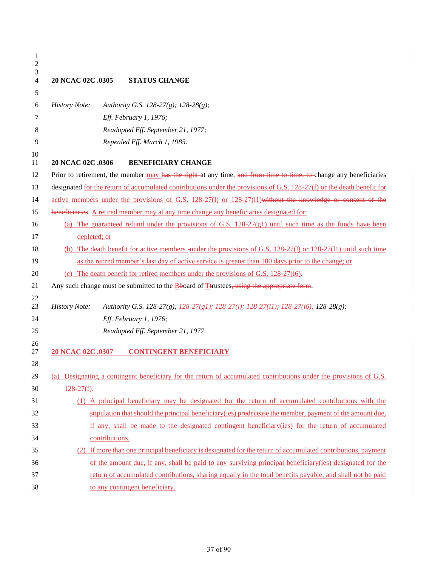| 1<br>$\mathbf{2}$<br>3<br>4 | 20 NCAC 02C .0305<br><b>STATUS CHANGE</b>                                                                              |
|-----------------------------|------------------------------------------------------------------------------------------------------------------------|
| 5                           |                                                                                                                        |
| 6                           | <b>History Note:</b><br>Authority G.S. 128-27(g); 128-28(g);                                                           |
| 7                           | Eff. February 1, 1976;                                                                                                 |
| 8                           | Readopted Eff. September 21, 1977;                                                                                     |
| 9                           | Repealed Eff. March 1, 1985.                                                                                           |
| 10<br>11                    | 20 NCAC 02C .0306<br><b>BENEFICIARY CHANGE</b>                                                                         |
| 12                          | Prior to retirement, the member may has the right at any time, and from time to time, to change any beneficiaries      |
| 13                          | designated for the return of accumulated contributions under the provisions of G.S. 128-27(f) or the death benefit for |
| 14                          | active members under the provisions of G.S. 128-27(1) or 128-27(11) without the knowledge or consent of the            |
| 15                          | beneficiaries. A retired member may at any time change any beneficiaries designated for:                               |
| 16                          | (a) The guaranteed refund under the provisions of G.S. $128-27(g1)$ until such time as the funds have been             |
| 17                          | depleted; or                                                                                                           |
| 18                          | (b) The death benefit for active members -under the provisions of G.S. 128-27(1) or 128-27(11) until such time         |
| 19                          | as the retired member's last day of active service is greater than 180 days prior to the change; or                    |
| 20                          | (c) The death benefit for retired members under the provisions of G.S. 128-27(16).                                     |
| 21                          | Any such change must be submitted to the $\underline{B}$ board of Ttrustees, using the appropriate form.               |
| 22<br>23                    | <b>History Note:</b><br>Authority G.S. 128-27(g); 128-27(g1); 128-27(l); 128-27(l1); 128-27(l6); 128-28(g);            |
| 24                          | Eff. February 1, 1976;                                                                                                 |
| 25                          | Readopted Eff. September 21, 1977.                                                                                     |
| 26                          |                                                                                                                        |
| 27                          | 20 NCAC 02C .0307<br><b>CONTINGENT BENEFICIARY</b>                                                                     |
| 28                          |                                                                                                                        |
| 29                          | (a) Designating a contingent beneficiary for the return of accumulated contributions under the provisions of G.S.      |
| 30                          | $128-27(f)$ :                                                                                                          |
| 31                          | (1) A principal beneficiary may be designated for the return of accumulated contributions with the                     |
| 32                          | stipulation that should the principal beneficiary (ies) predecease the member, payment of the amount due,              |
| 33                          | if any, shall be made to the designated contingent beneficiary(ies) for the return of accumulated                      |
| 34                          | contributions.                                                                                                         |
| 35                          | (2) If more than one principal beneficiary is designated for the return of accumulated contributions, payment          |
| 36                          | of the amount due, if any, shall be paid to any surviving principal beneficiary(ies) designated for the                |
| 37                          | return of accumulated contributions, sharing equally in the total benefits payable, and shall not be paid              |
| 38                          | to any contingent beneficiary.                                                                                         |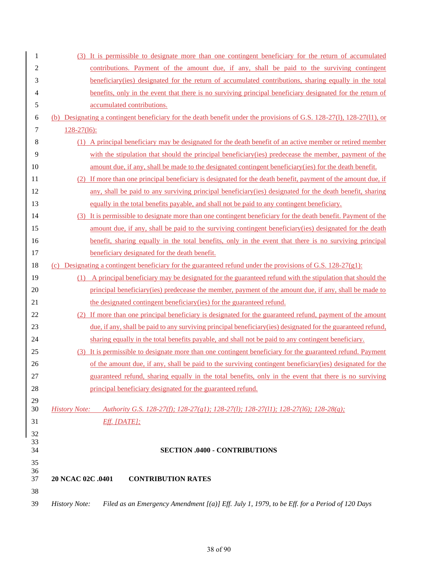| 1        | (3) It is permissible to designate more than one contingent beneficiary for the return of accumulated                  |
|----------|------------------------------------------------------------------------------------------------------------------------|
| 2        | contributions. Payment of the amount due, if any, shall be paid to the surviving contingent                            |
| 3        | beneficiary (ies) designated for the return of accumulated contributions, sharing equally in the total                 |
| 4        | benefits, only in the event that there is no surviving principal beneficiary designated for the return of              |
| 5        | accumulated contributions.                                                                                             |
| 6        | (b) Designating a contingent beneficiary for the death benefit under the provisions of G.S. 128-27(1), 128-27(1), or   |
| 7        | $128 - 27(16)$ :                                                                                                       |
| 8        | (1) A principal beneficiary may be designated for the death benefit of an active member or retired member              |
| 9        | with the stipulation that should the principal beneficiary (ies) predecease the member, payment of the                 |
| 10       | amount due, if any, shall be made to the designated contingent beneficiary (ies) for the death benefit.                |
| 11       | (2) If more than one principal beneficiary is designated for the death benefit, payment of the amount due, if          |
| 12       | any, shall be paid to any surviving principal beneficiary (ies) designated for the death benefit, sharing              |
| 13       | equally in the total benefits payable, and shall not be paid to any contingent beneficiary.                            |
| 14       | (3) It is permissible to designate more than one contingent beneficiary for the death benefit. Payment of the          |
| 15       | amount due, if any, shall be paid to the surviving contingent beneficiary(ies) designated for the death                |
| 16       | benefit, sharing equally in the total benefits, only in the event that there is no surviving principal                 |
| 17       | beneficiary designated for the death benefit.                                                                          |
| 18       | (c) Designating a contingent beneficiary for the guaranteed refund under the provisions of G.S. 128-27(g1):            |
| 19       | (1) A principal beneficiary may be designated for the guaranteed refund with the stipulation that should the           |
| 20       | principal beneficiary (ies) predecease the member, payment of the amount due, if any, shall be made to                 |
| 21       | the designated contingent beneficiary (ies) for the guaranteed refund.                                                 |
| 22       | If more than one principal beneficiary is designated for the guaranteed refund, payment of the amount                  |
| 23       | due, if any, shall be paid to any surviving principal beneficiary (ies) designated for the guaranteed refund,          |
| 24       | sharing equally in the total benefits payable, and shall not be paid to any contingent beneficiary.                    |
| 25       | It is permissible to designate more than one contingent beneficiary for the guaranteed refund. Payment                 |
| 26       | of the amount due, if any, shall be paid to the surviving contingent beneficiary (ies) designated for the              |
| 27       | guaranteed refund, sharing equally in the total benefits, only in the event that there is no surviving                 |
| 28       | principal beneficiary designated for the guaranteed refund.                                                            |
| 29<br>30 | Authority G.S. 128-27(f); 128-27(g1); 128-27(l); 128-27(l1); 128-27(l6); 128-28(g);<br><b>History Note:</b>            |
| 31       | $Eff.$ [DATE];                                                                                                         |
| 32       |                                                                                                                        |
| 33       |                                                                                                                        |
| 34       | <b>SECTION .0400 - CONTRIBUTIONS</b>                                                                                   |
| 35<br>36 |                                                                                                                        |
| 37       | 20 NCAC 02C .0401<br><b>CONTRIBUTION RATES</b>                                                                         |
| 38       |                                                                                                                        |
| 39       | <b>History Note:</b><br>Filed as an Emergency Amendment $[(a)]$ Eff. July 1, 1979, to be Eff. for a Period of 120 Days |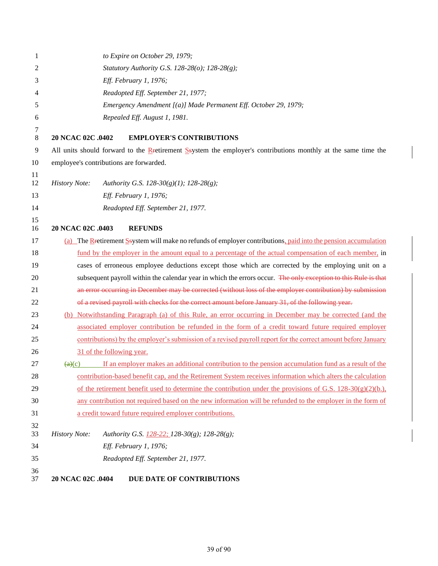| 1            | to Expire on October 29, 1979;                                                                                                    |
|--------------|-----------------------------------------------------------------------------------------------------------------------------------|
| 2            | Statutory Authority G.S. 128-28(o); 128-28(g);                                                                                    |
| 3            | Eff. February 1, 1976;                                                                                                            |
| 4            | Readopted Eff. September 21, 1977;                                                                                                |
| 5            | Emergency Amendment [(a)] Made Permanent Eff. October 29, 1979;                                                                   |
| 6            | Repealed Eff. August 1, 1981.                                                                                                     |
| 7<br>$\,8\,$ | 20 NCAC 02C .0402<br><b>EMPLOYER'S CONTRIBUTIONS</b>                                                                              |
| 9            | All units should forward to the Retirement Ssystem the employer's contributions monthly at the same time the                      |
| 10           | employee's contributions are forwarded.                                                                                           |
| 11<br>12     | <b>History Note:</b><br>Authority G.S. 128-30(g)(1); 128-28(g);                                                                   |
| 13           | Eff. February 1, 1976;                                                                                                            |
| 14           | Readopted Eff. September 21, 1977.                                                                                                |
| 15           |                                                                                                                                   |
| 16           | 20 NCAC 02C .0403<br><b>REFUNDS</b>                                                                                               |
| 17           | (a) The Retirement S system will make no refunds of employer contributions, paid into the pension accumulation                    |
| 18           | fund by the employer in the amount equal to a percentage of the actual compensation of each member, in                            |
| 19           | cases of erroneous employee deductions except those which are corrected by the employing unit on a                                |
| 20           | subsequent payroll within the calendar year in which the errors occur. The only exception to this Rule is that                    |
| 21           | an error occurring in December may be corrected (without loss of the employer contribution) by submission                         |
| 22           | of a revised payroll with checks for the correct amount before January 31, of the following year.                                 |
| 23           | (b) Notwithstanding Paragraph (a) of this Rule, an error occurring in December may be corrected (and the                          |
| 24           | associated employer contribution be refunded in the form of a credit toward future required employer                              |
| 25           | contributions) by the employer's submission of a revised payroll report for the correct amount before January                     |
| 26           | 31 of the following year.                                                                                                         |
| 27           | If an employer makes an additional contribution to the pension accumulation fund as a result of the<br>$\left(\frac{a}{c}\right)$ |
| 28           | contribution-based benefit cap, and the Retirement System receives information which alters the calculation                       |
| 29           | of the retirement benefit used to determine the contribution under the provisions of G.S. $128-30(g)(2)(b)$ ,                     |
| 30           | any contribution not required based on the new information will be refunded to the employer in the form of                        |
| 31           | a credit toward future required employer contributions.                                                                           |
| 32<br>33     | <b>History Note:</b><br>Authority G.S. 128-22; 128-30(g); 128-28(g);                                                              |
| 34           | Eff. February 1, 1976;                                                                                                            |
| 35           | Readopted Eff. September 21, 1977.                                                                                                |
| 36<br>37     | 20 NCAC 02C .0404<br>DUE DATE OF CONTRIBUTIONS                                                                                    |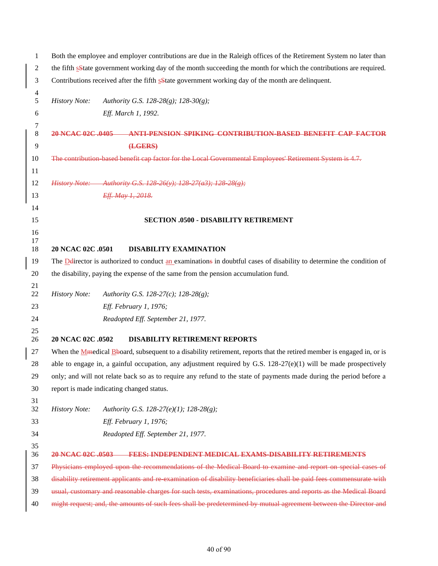| $\mathbf{1}$             | Both the employee and employer contributions are due in the Raleigh offices of the Retirement System no later than      |  |  |
|--------------------------|-------------------------------------------------------------------------------------------------------------------------|--|--|
| $\sqrt{2}$               | the fifth sState government working day of the month succeeding the month for which the contributions are required.     |  |  |
| 3                        | Contributions received after the fifth sState government working day of the month are delinquent.                       |  |  |
| $\overline{\mathcal{A}}$ |                                                                                                                         |  |  |
| 5                        | <b>History Note:</b><br>Authority G.S. 128-28(g); 128-30(g);                                                            |  |  |
| 6                        | Eff. March 1, 1992.                                                                                                     |  |  |
| 7<br>$\,8\,$             | 20 NCAC 02C 0405<br>ANTI-PENSION SPIKING CONTRIBUTION-BASED BENEFIT CAP FACTOR                                          |  |  |
| $\overline{9}$           | (LGERS)                                                                                                                 |  |  |
| 10                       | The contribution based benefit cap factor for the Local Governmental Employees' Retirement System is 4.7.               |  |  |
| 11                       |                                                                                                                         |  |  |
| 12                       | History Note: Authority G.S. 128 26(y); 128 27(a3); 128 28(g);                                                          |  |  |
| 13                       | Eff. May 1, 2018.                                                                                                       |  |  |
| 14                       |                                                                                                                         |  |  |
| 15                       | <b>SECTION .0500 - DISABILITY RETIREMENT</b>                                                                            |  |  |
| 16                       |                                                                                                                         |  |  |
| 17<br>18                 | 20 NCAC 02C .0501<br><b>DISABILITY EXAMINATION</b>                                                                      |  |  |
| 19                       | The Delirector is authorized to conduct an examinations in doubtful cases of disability to determine the condition of   |  |  |
| 20                       | the disability, paying the expense of the same from the pension accumulation fund.                                      |  |  |
| 21                       |                                                                                                                         |  |  |
| 22                       | <b>History Note:</b><br>Authority G.S. 128-27(c); 128-28(g);                                                            |  |  |
| 23                       | Eff. February 1, 1976;                                                                                                  |  |  |
| 24                       | Readopted Eff. September 21, 1977.                                                                                      |  |  |
| 25<br>26                 | 20 NCAC 02C .0502<br><b>DISABILITY RETIREMENT REPORTS</b>                                                               |  |  |
| 27                       | When the Missolical Broard, subsequent to a disability retirement, reports that the retired member is engaged in, or is |  |  |
| 28                       | able to engage in, a gainful occupation, any adjustment required by G.S. $128-27(e)(1)$ will be made prospectively      |  |  |
| 29                       | only; and will not relate back so as to require any refund to the state of payments made during the period before a     |  |  |
| 30                       | report is made indicating changed status.                                                                               |  |  |
| 31<br>32                 | <b>History Note:</b><br>Authority G.S. 128-27(e)(1); 128-28(g);                                                         |  |  |
| 33                       | Eff. February 1, 1976;                                                                                                  |  |  |
| 34                       | Readopted Eff. September 21, 1977.                                                                                      |  |  |
| 35                       |                                                                                                                         |  |  |
| 36                       | <b>FEES: INDEPENDENT MEDICAL EXAMS-DISABILITY RETIREMENTS</b><br>20 NCAC 02C 0503                                       |  |  |
| 37                       | Physicians employed upon the recommendations of the Medical Board to examine and report on special cases of             |  |  |
| 38                       | disability retirement applicants and re examination of disability beneficiaries shall be paid fees commensurate with    |  |  |
| 39                       | usual, customary and reasonable charges for such tests, examinations, procedures and reports as the Medical Board       |  |  |
| 40                       | might request; and, the amounts of such fees shall be predetermined by mutual agreement between the Director and        |  |  |

of 90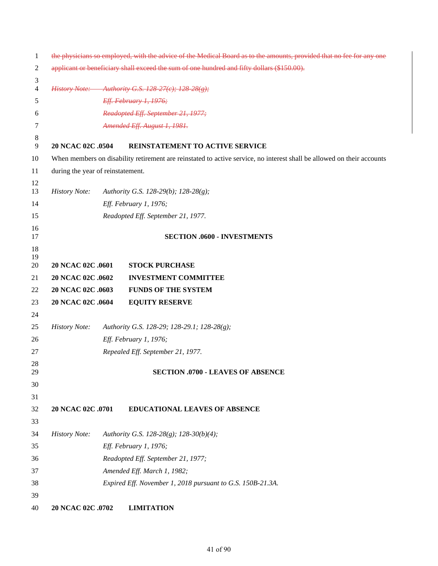| 1        | the physicians so employed, with the advice of the Medical Board as to the amounts, provided that no fee for any one |  |                                                                                                                        |
|----------|----------------------------------------------------------------------------------------------------------------------|--|------------------------------------------------------------------------------------------------------------------------|
| 2        | applicant or beneficiary shall exceed the sum of one hundred and fifty dollars (\$150.00).                           |  |                                                                                                                        |
| 3        |                                                                                                                      |  |                                                                                                                        |
| 4        |                                                                                                                      |  | <i>History Note:</i> Authority G.S. 128-27(e); 128-28(g);                                                              |
| 5        |                                                                                                                      |  | Eff. February 1, 1976;                                                                                                 |
| 6        |                                                                                                                      |  | Readopted Eff. September 21, 1977;                                                                                     |
| 7        |                                                                                                                      |  | Amended Eff. August 1, 1981.                                                                                           |
| 8<br>9   | 20 NCAC 02C .0504                                                                                                    |  | REINSTATEMENT TO ACTIVE SERVICE                                                                                        |
| 10       |                                                                                                                      |  | When members on disability retirement are reinstated to active service, no interest shall be allowed on their accounts |
| 11       | during the year of reinstatement.                                                                                    |  |                                                                                                                        |
| 12       |                                                                                                                      |  |                                                                                                                        |
| 13       | <b>History Note:</b>                                                                                                 |  | Authority G.S. 128-29(b); 128-28(g);                                                                                   |
| 14       |                                                                                                                      |  | Eff. February 1, 1976;                                                                                                 |
| 15       |                                                                                                                      |  | Readopted Eff. September 21, 1977.                                                                                     |
| 16<br>17 |                                                                                                                      |  | <b>SECTION .0600 - INVESTMENTS</b>                                                                                     |
| 18       |                                                                                                                      |  |                                                                                                                        |
| 19       |                                                                                                                      |  |                                                                                                                        |
| 20       | 20 NCAC 02C .0601                                                                                                    |  | <b>STOCK PURCHASE</b>                                                                                                  |
| 21       | 20 NCAC 02C .0602                                                                                                    |  | <b>INVESTMENT COMMITTEE</b>                                                                                            |
| 22       | 20 NCAC 02C .0603                                                                                                    |  | <b>FUNDS OF THE SYSTEM</b>                                                                                             |
| 23       | 20 NCAC 02C .0604                                                                                                    |  | <b>EQUITY RESERVE</b>                                                                                                  |
| 24       |                                                                                                                      |  |                                                                                                                        |
| 25       | <b>History Note:</b>                                                                                                 |  | Authority G.S. 128-29; 128-29.1; 128-28(g);                                                                            |
| 26       |                                                                                                                      |  | Eff. February 1, 1976;                                                                                                 |
| 27       |                                                                                                                      |  | Repealed Eff. September 21, 1977.                                                                                      |
| 28<br>29 |                                                                                                                      |  | <b>SECTION .0700 - LEAVES OF ABSENCE</b>                                                                               |
| 30       |                                                                                                                      |  |                                                                                                                        |
| 31       |                                                                                                                      |  |                                                                                                                        |
| 32       | 20 NCAC 02C .0701                                                                                                    |  | <b>EDUCATIONAL LEAVES OF ABSENCE</b>                                                                                   |
| 33       |                                                                                                                      |  |                                                                                                                        |
| 34       | <b>History Note:</b>                                                                                                 |  | Authority G.S. 128-28(g); 128-30(b)(4);                                                                                |
| 35       |                                                                                                                      |  | Eff. February 1, 1976;                                                                                                 |
| 36       |                                                                                                                      |  | Readopted Eff. September 21, 1977;                                                                                     |
| 37       |                                                                                                                      |  | Amended Eff. March 1, 1982;                                                                                            |
| 38       |                                                                                                                      |  | Expired Eff. November 1, 2018 pursuant to G.S. 150B-21.3A.                                                             |
| 39       |                                                                                                                      |  |                                                                                                                        |
| 40       | 20 NCAC 02C .0702                                                                                                    |  | <b>LIMITATION</b>                                                                                                      |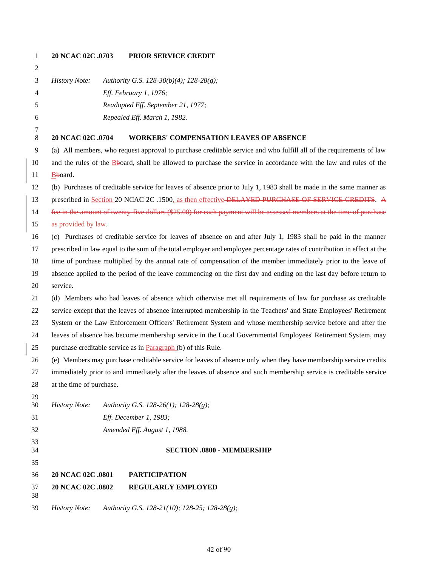| $\mathbf{1}$ | 20 NCAC 02C .0703        | PRIOR SERVICE CREDIT                                                                                                                                                                                                     |
|--------------|--------------------------|--------------------------------------------------------------------------------------------------------------------------------------------------------------------------------------------------------------------------|
| 2            |                          |                                                                                                                                                                                                                          |
| 3            | <b>History Note:</b>     | Authority G.S. 128-30(b)(4); 128-28(g);                                                                                                                                                                                  |
| 4            |                          | Eff. February 1, 1976;                                                                                                                                                                                                   |
| 5            |                          | Readopted Eff. September 21, 1977;                                                                                                                                                                                       |
| 6            |                          | Repealed Eff. March 1, 1982.                                                                                                                                                                                             |
| 7            |                          |                                                                                                                                                                                                                          |
| $\,8\,$      | 20 NCAC 02C .0704        | <b>WORKERS' COMPENSATION LEAVES OF ABSENCE</b>                                                                                                                                                                           |
| 9            |                          | (a) All members, who request approval to purchase creditable service and who fulfill all of the requirements of law                                                                                                      |
| 10           |                          | and the rules of the Bboard, shall be allowed to purchase the service in accordance with the law and rules of the                                                                                                        |
| 11           | Bboard.                  |                                                                                                                                                                                                                          |
| 12           |                          | (b) Purchases of creditable service for leaves of absence prior to July 1, 1983 shall be made in the same manner as                                                                                                      |
| 13           |                          | prescribed in Section 20 NCAC 2C .1500, as then effective-DELAYED PURCHASE OF SERVICE CREDITS. A<br>fee in the amount of twenty five dollars (\$25.00) for each payment will be assessed members at the time of purchase |
| 14           | as provided by law.      |                                                                                                                                                                                                                          |
| 15           |                          |                                                                                                                                                                                                                          |
| 16           |                          | (c) Purchases of creditable service for leaves of absence on and after July 1, 1983 shall be paid in the manner                                                                                                          |
| 17           |                          | prescribed in law equal to the sum of the total employer and employee percentage rates of contribution in effect at the                                                                                                  |
| 18           |                          | time of purchase multiplied by the annual rate of compensation of the member immediately prior to the leave of                                                                                                           |
| 19           |                          | absence applied to the period of the leave commencing on the first day and ending on the last day before return to                                                                                                       |
| 20           | service.                 |                                                                                                                                                                                                                          |
| 21           |                          | (d) Members who had leaves of absence which otherwise met all requirements of law for purchase as creditable                                                                                                             |
| 22           |                          | service except that the leaves of absence interrupted membership in the Teachers' and State Employees' Retirement                                                                                                        |
| 23           |                          | System or the Law Enforcement Officers' Retirement System and whose membership service before and after the                                                                                                              |
| 24           |                          | leaves of absence has become membership service in the Local Governmental Employees' Retirement System, may<br>purchase creditable service as in Paragraph (b) of this Rule.                                             |
| 25           |                          | (e) Members may purchase creditable service for leaves of absence only when they have membership service credits                                                                                                         |
| 26           |                          |                                                                                                                                                                                                                          |
| 27           | at the time of purchase. | immediately prior to and immediately after the leaves of absence and such membership service is creditable service                                                                                                       |
| 28<br>29     |                          |                                                                                                                                                                                                                          |
| 30           | <b>History Note:</b>     | Authority G.S. 128-26(1); 128-28(g);                                                                                                                                                                                     |
| 31           |                          | Eff. December 1, 1983;                                                                                                                                                                                                   |
| 32           |                          | Amended Eff. August 1, 1988.                                                                                                                                                                                             |
| 33           |                          |                                                                                                                                                                                                                          |
| 34           |                          | <b>SECTION .0800 - MEMBERSHIP</b>                                                                                                                                                                                        |
| 35           |                          |                                                                                                                                                                                                                          |
| 36           | 20 NCAC 02C .0801        | <b>PARTICIPATION</b>                                                                                                                                                                                                     |
| 37<br>38     | 20 NCAC 02C .0802        | REGULARLY EMPLOYED                                                                                                                                                                                                       |
| 39           | <b>History Note:</b>     | Authority G.S. 128-21(10); 128-25; 128-28(g);                                                                                                                                                                            |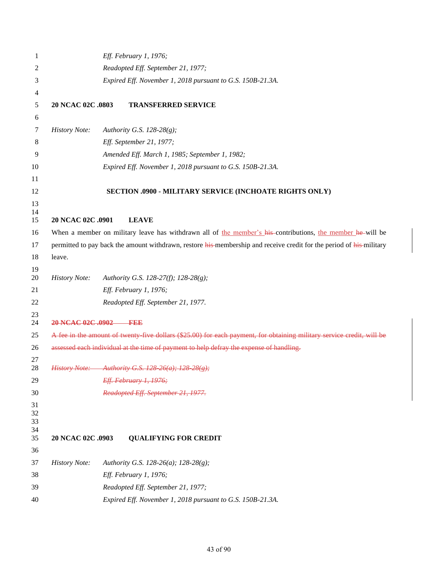| 1                    |                                    | Eff. February 1, 1976;                                                                                                |  |
|----------------------|------------------------------------|-----------------------------------------------------------------------------------------------------------------------|--|
| 2                    | Readopted Eff. September 21, 1977; |                                                                                                                       |  |
| 3                    |                                    | Expired Eff. November 1, 2018 pursuant to G.S. 150B-21.3A.                                                            |  |
| 4                    |                                    |                                                                                                                       |  |
| 5                    | 20 NCAC 02C .0803                  | <b>TRANSFERRED SERVICE</b>                                                                                            |  |
| 6                    |                                    |                                                                                                                       |  |
| 7                    | <b>History Note:</b>               | Authority G.S. 128-28 $(g)$ ;                                                                                         |  |
| 8                    |                                    | Eff. September 21, 1977;                                                                                              |  |
| 9                    |                                    | Amended Eff. March 1, 1985; September 1, 1982;                                                                        |  |
| 10                   |                                    | Expired Eff. November 1, 2018 pursuant to G.S. 150B-21.3A.                                                            |  |
| 11                   |                                    |                                                                                                                       |  |
| 12                   |                                    | SECTION .0900 - MILITARY SERVICE (INCHOATE RIGHTS ONLY)                                                               |  |
| 13                   |                                    |                                                                                                                       |  |
| 14<br>15             | 20 NCAC 02C .0901                  | <b>LEAVE</b>                                                                                                          |  |
| 16                   |                                    | When a member on military leave has withdrawn all of the member's his contributions, the member he will be            |  |
| 17                   |                                    | permitted to pay back the amount withdrawn, restore his-membership and receive credit for the period of his-military  |  |
| 18                   | leave.                             |                                                                                                                       |  |
| 19                   |                                    |                                                                                                                       |  |
| 20                   | <b>History Note:</b>               | Authority G.S. 128-27(f); 128-28(g);                                                                                  |  |
| 21                   |                                    | Eff. February 1, 1976;                                                                                                |  |
| 22                   |                                    | Readopted Eff. September 21, 1977.                                                                                    |  |
| 23<br>24             | 20 NCAC 02C .0902 FEE              |                                                                                                                       |  |
| 25                   |                                    | A fee in the amount of twenty five dollars (\$25.00) for each payment, for obtaining military service credit, will be |  |
| 26                   |                                    | assessed each individual at the time of payment to help defray the expense of handling.                               |  |
| 27<br>28             |                                    | History Note: Authority G.S. 128 26(a); 128 28(g);                                                                    |  |
| 29                   |                                    | Eff. February 1, 1976;                                                                                                |  |
| 30                   |                                    | Readopted Eff. September 21, 1977.                                                                                    |  |
| 31<br>32<br>33<br>34 |                                    |                                                                                                                       |  |
| 35                   | 20 NCAC 02C .0903                  | <b>QUALIFYING FOR CREDIT</b>                                                                                          |  |
| 36                   |                                    |                                                                                                                       |  |
| 37                   | <b>History Note:</b>               | Authority G.S. 128-26(a); 128-28(g);                                                                                  |  |
| 38                   |                                    | Eff. February 1, 1976;                                                                                                |  |
| 39                   |                                    | Readopted Eff. September 21, 1977;                                                                                    |  |
| 40                   |                                    | Expired Eff. November 1, 2018 pursuant to G.S. 150B-21.3A.                                                            |  |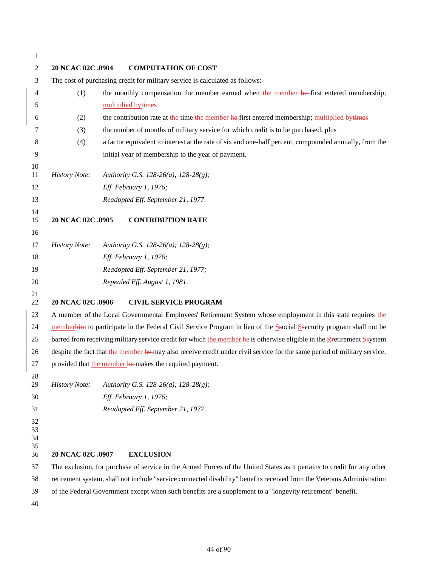| $\overline{2}$             | 20 NCAC 02C .0904    | <b>COMPUTATION OF COST</b>                                                                                               |
|----------------------------|----------------------|--------------------------------------------------------------------------------------------------------------------------|
| 3                          |                      | The cost of purchasing credit for military service is calculated as follows:                                             |
| 4                          | (1)                  | the monthly compensation the member earned when the member he-first entered membership;                                  |
| 5                          |                      | multiplied bytimes                                                                                                       |
| 6                          | (2)                  | the contribution rate at the time the member he-first entered membership; multiplied by times                            |
| 7                          | (3)                  | the number of months of military service for which credit is to be purchased; plus                                       |
| 8                          | (4)                  | a factor equivalent to interest at the rate of six and one-half percent, compounded annually, from the                   |
| 9                          |                      | initial year of membership to the year of payment.                                                                       |
| 10<br>11                   | <b>History Note:</b> | Authority G.S. 128-26(a); 128-28(g);                                                                                     |
| 12                         |                      | Eff. February 1, 1976;                                                                                                   |
| 13                         |                      | Readopted Eff. September 21, 1977.                                                                                       |
| 14                         |                      |                                                                                                                          |
| 15                         | 20 NCAC 02C .0905    | <b>CONTRIBUTION RATE</b>                                                                                                 |
| 16                         |                      |                                                                                                                          |
| 17                         | <b>History Note:</b> | Authority G.S. 128-26(a); 128-28(g);                                                                                     |
| 18                         |                      | Eff. February 1, 1976;                                                                                                   |
| 19                         |                      | Readopted Eff. September 21, 1977;                                                                                       |
| 20                         |                      | Repealed Eff. August 1, 1981.                                                                                            |
| 21<br>22                   | 20 NCAC 02C .0906    | <b>CIVIL SERVICE PROGRAM</b>                                                                                             |
| 23                         |                      | A member of the Local Governmental Employees' Retirement System whose employment in this state requires the              |
| 24                         |                      | memberhim to participate in the Federal Civil Service Program in lieu of the Ssocial Ssecurity program shall not be      |
| 25                         |                      | barred from receiving military service credit for which the member he-is otherwise eligible in the Retirement Seystem    |
| 26                         |                      | despite the fact that the member he-may also receive credit under civil service for the same period of military service, |
| 27                         |                      | provided that the member he-makes the required payment.                                                                  |
| 28<br>29                   | <b>History Note:</b> | Authority G.S. 128-26(a); 128-28(g);                                                                                     |
| 30                         |                      | Eff. February 1, 1976;                                                                                                   |
| 31                         |                      | Readopted Eff. September 21, 1977.                                                                                       |
| 32<br>33<br>34<br>35<br>36 | 20 NCAC 02C .0907    | <b>EXCLUSION</b>                                                                                                         |
| 37                         |                      | The exclusion, for purchase of service in the Armed Forces of the United States as it pertains to credit for any other   |
| 38                         |                      | retirement system, shall not include "service connected disability" benefits received from the Veterans Administration   |
| 39                         |                      | of the Federal Government except when such benefits are a supplement to a "longevity retirement" benefit.                |
| 40                         |                      |                                                                                                                          |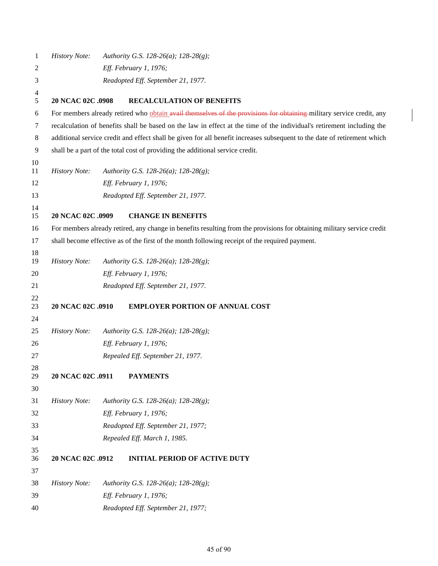| 1        | <b>History Note:</b> | Authority G.S. 128-26(a); 128-28(g);                                                                                     |
|----------|----------------------|--------------------------------------------------------------------------------------------------------------------------|
| 2        |                      | Eff. February 1, 1976;                                                                                                   |
| 3        |                      | Readopted Eff. September 21, 1977.                                                                                       |
| 4<br>5   | 20 NCAC 02C .0908    | <b>RECALCULATION OF BENEFITS</b>                                                                                         |
| 6        |                      | For members already retired who obtain avail themselves of the provisions for obtaining military service credit, any     |
| 7        |                      | recalculation of benefits shall be based on the law in effect at the time of the individual's retirement including the   |
| 8        |                      | additional service credit and effect shall be given for all benefit increases subsequent to the date of retirement which |
| 9        |                      | shall be a part of the total cost of providing the additional service credit.                                            |
| 10       |                      |                                                                                                                          |
| 11       | <b>History Note:</b> | Authority G.S. 128-26(a); 128-28(g);                                                                                     |
| 12       |                      | Eff. February 1, 1976;                                                                                                   |
| 13       |                      | Readopted Eff. September 21, 1977.                                                                                       |
| 14<br>15 | 20 NCAC 02C .0909    | <b>CHANGE IN BENEFITS</b>                                                                                                |
| 16       |                      | For members already retired, any change in benefits resulting from the provisions for obtaining military service credit  |
| 17       |                      | shall become effective as of the first of the month following receipt of the required payment.                           |
| 18       |                      |                                                                                                                          |
| 19       | <b>History Note:</b> | Authority G.S. 128-26(a); 128-28(g);                                                                                     |
| 20       |                      | Eff. February 1, 1976;                                                                                                   |
| 21       |                      | Readopted Eff. September 21, 1977.                                                                                       |
| 22<br>23 | 20 NCAC 02C .0910    | <b>EMPLOYER PORTION OF ANNUAL COST</b>                                                                                   |
| 24       |                      |                                                                                                                          |
| 25       | <b>History Note:</b> | Authority G.S. 128-26(a); 128-28(g);                                                                                     |
| 26       |                      | Eff. February 1, 1976;                                                                                                   |
| 27       |                      | Repealed Eff. September 21, 1977.                                                                                        |
| 28<br>29 | 20 NCAC 02C .0911    | <b>PAYMENTS</b>                                                                                                          |
| 30       |                      |                                                                                                                          |
| 31       | <b>History Note:</b> | Authority G.S. 128-26(a); 128-28(g);                                                                                     |
| 32       |                      | Eff. February 1, 1976;                                                                                                   |
| 33       |                      | Readopted Eff. September 21, 1977;                                                                                       |
| 34       |                      | Repealed Eff. March 1, 1985.                                                                                             |
| 35       |                      |                                                                                                                          |
| 36       | 20 NCAC 02C .0912    | <b>INITIAL PERIOD OF ACTIVE DUTY</b>                                                                                     |
| 37       |                      |                                                                                                                          |
| 38       | <b>History Note:</b> | Authority G.S. 128-26(a); 128-28(g);                                                                                     |
| 39       |                      | Eff. February 1, 1976;                                                                                                   |
| 40       |                      | Readopted Eff. September 21, 1977;                                                                                       |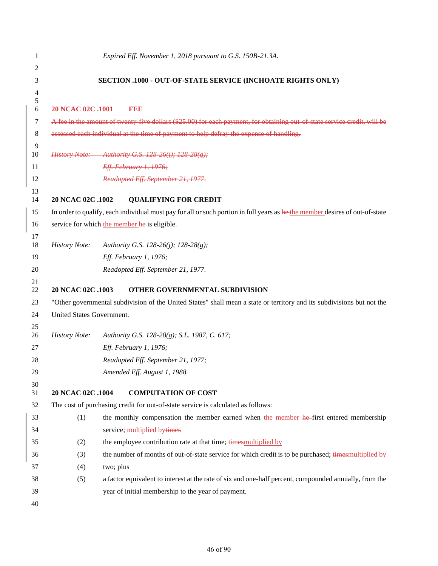| 1              |                                                             | Expired Eff. November 1, 2018 pursuant to G.S. 150B-21.3A.                                                                   |  |  |  |
|----------------|-------------------------------------------------------------|------------------------------------------------------------------------------------------------------------------------------|--|--|--|
| 2              |                                                             |                                                                                                                              |  |  |  |
| 3              | SECTION .1000 - OUT-OF-STATE SERVICE (INCHOATE RIGHTS ONLY) |                                                                                                                              |  |  |  |
| $\overline{4}$ |                                                             |                                                                                                                              |  |  |  |
| 5<br>6         | 20 NCAC 02C .1001                                           | ——1992                                                                                                                       |  |  |  |
| 7              |                                                             | A fee in the amount of twenty five dollars (\$25.00) for each payment, for obtaining out of state service credit, will be    |  |  |  |
| 8              |                                                             | assessed each individual at the time of payment to help defray the expense of handling.                                      |  |  |  |
| 9<br>10        |                                                             | History Note: Authority G.S. 128-26(j); 128-28(g);                                                                           |  |  |  |
| 11             |                                                             | Eff. February 1, 1976;                                                                                                       |  |  |  |
| 12             |                                                             | Readopted Eff. September 21, 1977.                                                                                           |  |  |  |
| 13             |                                                             |                                                                                                                              |  |  |  |
| 14             | 20 NCAC 02C .1002                                           | <b>QUALIFYING FOR CREDIT</b>                                                                                                 |  |  |  |
| 15             |                                                             | In order to qualify, each individual must pay for all or such portion in full years as he the member desires of out-of-state |  |  |  |
| 16             |                                                             | service for which the member he is eligible.                                                                                 |  |  |  |
| 17<br>18       | <b>History Note:</b>                                        | Authority G.S. 128-26(j); 128-28(g);                                                                                         |  |  |  |
| 19             |                                                             | Eff. February 1, 1976;                                                                                                       |  |  |  |
| 20             |                                                             | Readopted Eff. September 21, 1977.                                                                                           |  |  |  |
| 21<br>22       | 20 NCAC 02C .1003                                           | OTHER GOVERNMENTAL SUBDIVISION                                                                                               |  |  |  |
| 23             |                                                             | "Other governmental subdivision of the United States" shall mean a state or territory and its subdivisions but not the       |  |  |  |
| 24             | United States Government.                                   |                                                                                                                              |  |  |  |
| 25             |                                                             |                                                                                                                              |  |  |  |
| 26             | <b>History Note:</b>                                        | Authority G.S. 128-28(g); S.L. 1987, C. 617;                                                                                 |  |  |  |
| 27             |                                                             | Eff. February 1, 1976;                                                                                                       |  |  |  |
| 28             |                                                             | Readopted Eff. September 21, 1977;                                                                                           |  |  |  |
| 29             |                                                             | Amended Eff. August 1, 1988.                                                                                                 |  |  |  |
| 30<br>31       | 20 NCAC 02C .1004                                           | <b>COMPUTATION OF COST</b>                                                                                                   |  |  |  |
| 32             |                                                             | The cost of purchasing credit for out-of-state service is calculated as follows:                                             |  |  |  |
| 33             | (1)                                                         | the monthly compensation the member earned when the member he-first entered membership                                       |  |  |  |
| 34             |                                                             | service; multiplied bytimes                                                                                                  |  |  |  |
| 35             | (2)                                                         | the employee contribution rate at that time; times multiplied by                                                             |  |  |  |
| 36             | (3)                                                         | the number of months of out-of-state service for which credit is to be purchased; times multiplied by                        |  |  |  |
| 37             | (4)                                                         | two; plus                                                                                                                    |  |  |  |
| 38             | (5)                                                         | a factor equivalent to interest at the rate of six and one-half percent, compounded annually, from the                       |  |  |  |
| 39             |                                                             | year of initial membership to the year of payment.                                                                           |  |  |  |
| 40             |                                                             |                                                                                                                              |  |  |  |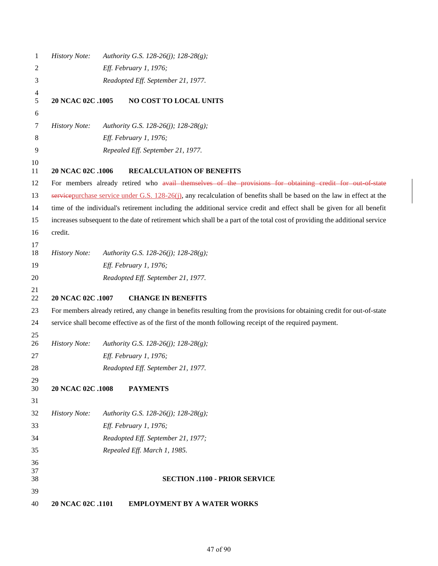| 1              | <b>History Note:</b> | Authority G.S. 128-26(j); 128-28(g);                                                                                       |
|----------------|----------------------|----------------------------------------------------------------------------------------------------------------------------|
| 2              |                      | Eff. February 1, 1976;                                                                                                     |
| 3              |                      | Readopted Eff. September 21, 1977.                                                                                         |
| 4<br>5         | 20 NCAC 02C .1005    | NO COST TO LOCAL UNITS                                                                                                     |
| 6              |                      |                                                                                                                            |
| 7              | <b>History Note:</b> | Authority G.S. 128-26(j); 128-28(g);                                                                                       |
| 8              |                      | Eff. February 1, 1976;                                                                                                     |
| 9              |                      | Repealed Eff. September 21, 1977.                                                                                          |
| 10<br>11       | 20 NCAC 02C .1006    | <b>RECALCULATION OF BENEFITS</b>                                                                                           |
| 12             |                      | For members already retired who avail themselves of the provisions for obtaining credit for out of state                   |
| 13             |                      | service purchase service under G.S. $128-26(i)$ , any recalculation of benefits shall be based on the law in effect at the |
| 14             |                      | time of the individual's retirement including the additional service credit and effect shall be given for all benefit      |
| 15             |                      | increases subsequent to the date of retirement which shall be a part of the total cost of providing the additional service |
| 16             | credit.              |                                                                                                                            |
| 17<br>18       | <b>History Note:</b> | Authority G.S. 128-26(j); 128-28(g);                                                                                       |
| 19             |                      | Eff. February 1, 1976;                                                                                                     |
| 20             |                      | Readopted Eff. September 21, 1977.                                                                                         |
| 21<br>22       | 20 NCAC 02C .1007    | <b>CHANGE IN BENEFITS</b>                                                                                                  |
| 23             |                      | For members already retired, any change in benefits resulting from the provisions for obtaining credit for out-of-state    |
| 24             |                      | service shall become effective as of the first of the month following receipt of the required payment.                     |
| 25<br>26       | <b>History Note:</b> | Authority G.S. 128-26(j); 128-28(g);                                                                                       |
| 27             |                      | Eff. February 1, 1976;                                                                                                     |
| 28             |                      | Readopted Eff. September 21, 1977.                                                                                         |
| 29<br>30       | 20 NCAC 02C .1008    | <b>PAYMENTS</b>                                                                                                            |
| 31             |                      |                                                                                                                            |
| 32             | <b>History Note:</b> | Authority G.S. 128-26(j); 128-28(g);                                                                                       |
| 33             |                      | Eff. February 1, 1976;                                                                                                     |
| 34             |                      | Readopted Eff. September 21, 1977;                                                                                         |
| 35             |                      | Repealed Eff. March 1, 1985.                                                                                               |
| 36<br>37<br>38 |                      | <b>SECTION .1100 - PRIOR SERVICE</b>                                                                                       |
| 39             |                      |                                                                                                                            |
| 40             | 20 NCAC 02C .1101    | <b>EMPLOYMENT BY A WATER WORKS</b>                                                                                         |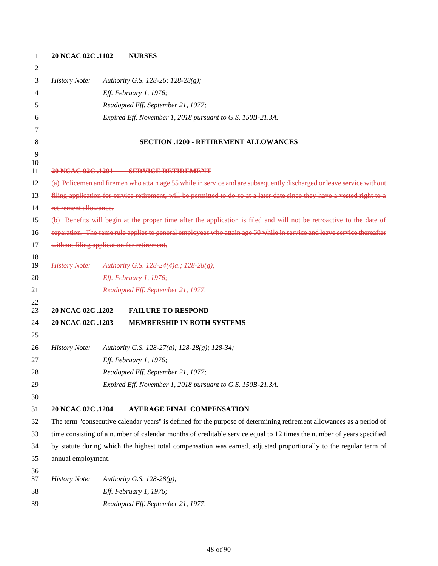| 1        | 20 NCAC 02C .1102                          | <b>NURSES</b>                                                                                                             |
|----------|--------------------------------------------|---------------------------------------------------------------------------------------------------------------------------|
| 2        |                                            |                                                                                                                           |
| 3        | <b>History Note:</b>                       | Authority G.S. 128-26; 128-28(g);                                                                                         |
| 4        |                                            | Eff. February 1, 1976;                                                                                                    |
| 5        |                                            | Readopted Eff. September 21, 1977;                                                                                        |
| 6        |                                            | Expired Eff. November 1, 2018 pursuant to G.S. 150B-21.3A.                                                                |
| 7        |                                            |                                                                                                                           |
| 8        |                                            | <b>SECTION .1200 - RETIREMENT ALLOWANCES</b>                                                                              |
| 9        |                                            |                                                                                                                           |
| 10<br>11 |                                            | 20 NCAC 02C 1201 SERVICE RETIREMENT                                                                                       |
| 12       |                                            | (a) Policemen and firemen who attain age 55 while in service and are subsequently discharged or leave service without     |
| 13       |                                            | filing application for service retirement, will be permitted to do so at a later date since they have a vested right to a |
| 14       | retirement allowance.                      |                                                                                                                           |
| 15       |                                            | (b) Benefits will begin at the proper time after the application is filed and will not be retroactive to the date of      |
| 16       |                                            | separation. The same rule applies to general employees who attain age 60 while in service and leave service thereafter    |
| 17       | without filing application for retirement. |                                                                                                                           |
| 18       |                                            |                                                                                                                           |
| 19       |                                            | <i>History Note:</i> Authority G.S. 128 24(4)a.; 128 28(g);                                                               |
| 20       |                                            | Eff. February 1, 1976;                                                                                                    |
| 21       |                                            | Readopted Eff. September 21, 1977.                                                                                        |
| 22<br>23 | 20 NCAC 02C .1202                          | <b>FAILURE TO RESPOND</b>                                                                                                 |
| 24       | 20 NCAC 02C .1203                          | <b>MEMBERSHIP IN BOTH SYSTEMS</b>                                                                                         |
| 25       |                                            |                                                                                                                           |
| 26       | <b>History Note:</b>                       | Authority G.S. 128-27(a); 128-28(g); 128-34;                                                                              |
| 27       |                                            | Eff. February 1, 1976;                                                                                                    |
| 28       |                                            | Readopted Eff. September 21, 1977;                                                                                        |
| 29       |                                            | Expired Eff. November 1, 2018 pursuant to G.S. 150B-21.3A.                                                                |
| 30       |                                            |                                                                                                                           |
| 31       | 20 NCAC 02C .1204                          | <b>AVERAGE FINAL COMPENSATION</b>                                                                                         |
| 32       |                                            | The term "consecutive calendar years" is defined for the purpose of determining retirement allowances as a period of      |
| 33       |                                            | time consisting of a number of calendar months of creditable service equal to 12 times the number of years specified      |
| 34       |                                            | by statute during which the highest total compensation was earned, adjusted proportionally to the regular term of         |
| 35       | annual employment.                         |                                                                                                                           |
| 36       |                                            |                                                                                                                           |
| 37       | <b>History Note:</b>                       | Authority G.S. 128-28 $(g)$ ;                                                                                             |
| 38<br>39 |                                            | Eff. February 1, 1976;                                                                                                    |
|          |                                            | Readopted Eff. September 21, 1977.                                                                                        |

## of 90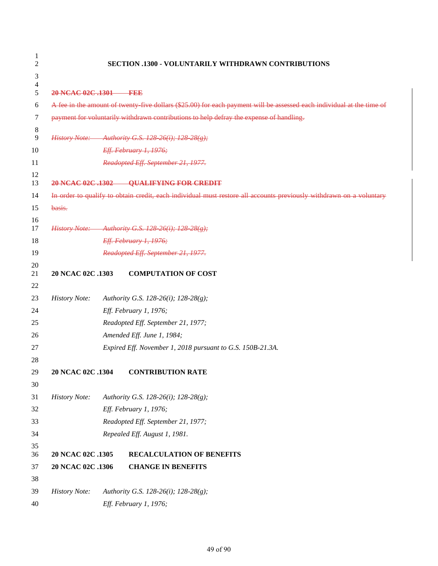| 1<br>2   |                       | <b>SECTION .1300 - VOLUNTARILY WITHDRAWN CONTRIBUTIONS</b>                                                            |
|----------|-----------------------|-----------------------------------------------------------------------------------------------------------------------|
| 3        |                       |                                                                                                                       |
| 4<br>5   | 20 NCAC 02C .1301 FEE |                                                                                                                       |
| 6        |                       | A fee in the amount of twenty five dollars (\$25.00) for each payment will be assessed each individual at the time of |
| 7        |                       | payment for voluntarily withdrawn contributions to help defray the expense of handling.                               |
| 8        |                       |                                                                                                                       |
| 9        | <b>History Note:</b>  | Authority G.S. 128-26(i); 128-28(g);                                                                                  |
| 10       |                       | Eff. February 1, 1976;                                                                                                |
| 11       |                       | Readopted Eff. September 21, 1977.                                                                                    |
| 12<br>13 |                       | 20 NCAC 02C .1302 QUALIFYING FOR CREDIT                                                                               |
| 14       |                       | In order to qualify to obtain credit, each individual must restore all accounts previously withdrawn on a voluntary   |
| 15       | basis.                |                                                                                                                       |
| 16       |                       |                                                                                                                       |
| 17<br>18 |                       | History Note: Authority G.S. 128-26(i); 128-28(g);<br>Eff. February 1, 1976;                                          |
| 19       |                       | Readopted Eff. September 21, 1977.                                                                                    |
| 20       |                       |                                                                                                                       |
| 21       | 20 NCAC 02C .1303     | <b>COMPUTATION OF COST</b>                                                                                            |
| 22       |                       |                                                                                                                       |
| 23       | <b>History Note:</b>  | Authority G.S. 128-26(i); 128-28(g);                                                                                  |
| 24       |                       | Eff. February 1, 1976;                                                                                                |
| 25       |                       | Readopted Eff. September 21, 1977;                                                                                    |
| 26       |                       | Amended Eff. June 1, 1984;                                                                                            |
| 27       |                       | Expired Eff. November 1, 2018 pursuant to G.S. 150B-21.3A.                                                            |
| 28       |                       |                                                                                                                       |
| 29       | 20 NCAC 02C .1304     | <b>CONTRIBUTION RATE</b>                                                                                              |
| 30       |                       |                                                                                                                       |
| 31       | <b>History Note:</b>  | Authority G.S. 128-26(i); 128-28(g);                                                                                  |
| 32       |                       | Eff. February 1, 1976;                                                                                                |
| 33       |                       | Readopted Eff. September 21, 1977;                                                                                    |
| 34       |                       | Repealed Eff. August 1, 1981.                                                                                         |
| 35<br>36 | 20 NCAC 02C .1305     | <b>RECALCULATION OF BENEFITS</b>                                                                                      |
| 37       | 20 NCAC 02C .1306     | <b>CHANGE IN BENEFITS</b>                                                                                             |
| 38       |                       |                                                                                                                       |
| 39       | <b>History Note:</b>  | Authority G.S. 128-26(i); 128-28(g);                                                                                  |
| 40       |                       | Eff. February 1, 1976;                                                                                                |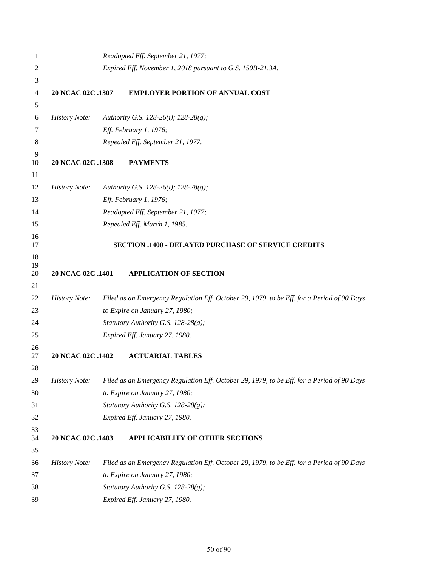| 1              |                      |  | Readopted Eff. September 21, 1977;                                                         |
|----------------|----------------------|--|--------------------------------------------------------------------------------------------|
| $\overline{c}$ |                      |  | Expired Eff. November 1, 2018 pursuant to G.S. 150B-21.3A.                                 |
| 3              |                      |  |                                                                                            |
| 4              | 20 NCAC 02C .1307    |  | <b>EMPLOYER PORTION OF ANNUAL COST</b>                                                     |
| 5              |                      |  |                                                                                            |
| 6              | <b>History Note:</b> |  | Authority G.S. 128-26(i); 128-28(g);                                                       |
| 7              |                      |  | Eff. February 1, 1976;                                                                     |
| 8              |                      |  | Repealed Eff. September 21, 1977.                                                          |
| 9              |                      |  |                                                                                            |
| 10             | 20 NCAC 02C .1308    |  | <b>PAYMENTS</b>                                                                            |
| 11<br>12       | <b>History Note:</b> |  |                                                                                            |
|                |                      |  | Authority G.S. 128-26(i); 128-28(g);                                                       |
| 13<br>14       |                      |  | Eff. February 1, 1976;<br>Readopted Eff. September 21, 1977;                               |
| 15             |                      |  | Repealed Eff. March 1, 1985.                                                               |
| 16             |                      |  |                                                                                            |
| 17             |                      |  | <b>SECTION .1400 - DELAYED PURCHASE OF SERVICE CREDITS</b>                                 |
| 18<br>19       |                      |  |                                                                                            |
| 20             | 20 NCAC 02C .1401    |  | <b>APPLICATION OF SECTION</b>                                                              |
| 21             |                      |  |                                                                                            |
| 22             | <b>History Note:</b> |  | Filed as an Emergency Regulation Eff. October 29, 1979, to be Eff. for a Period of 90 Days |
| 23             |                      |  | to Expire on January 27, 1980;                                                             |
| 24             |                      |  | Statutory Authority G.S. 128-28(g);                                                        |
| 25             |                      |  | Expired Eff. January 27, 1980.                                                             |
| 26<br>27       | 20 NCAC 02C .1402    |  | <b>ACTUARIAL TABLES</b>                                                                    |
| 28             |                      |  |                                                                                            |
| 29             | <b>History Note:</b> |  | Filed as an Emergency Regulation Eff. October 29, 1979, to be Eff. for a Period of 90 Days |
| 30             |                      |  | to Expire on January 27, 1980;                                                             |
| 31             |                      |  | Statutory Authority G.S. 128-28(g);                                                        |
| 32             |                      |  | Expired Eff. January 27, 1980.                                                             |
| 33<br>34       | 20 NCAC 02C .1403    |  | APPLICABILITY OF OTHER SECTIONS                                                            |
| 35             |                      |  |                                                                                            |
| 36             | <b>History Note:</b> |  | Filed as an Emergency Regulation Eff. October 29, 1979, to be Eff. for a Period of 90 Days |
| 37             |                      |  | to Expire on January 27, 1980;                                                             |
| 38             |                      |  | Statutory Authority G.S. 128-28(g);                                                        |
| 39             |                      |  | Expired Eff. January 27, 1980.                                                             |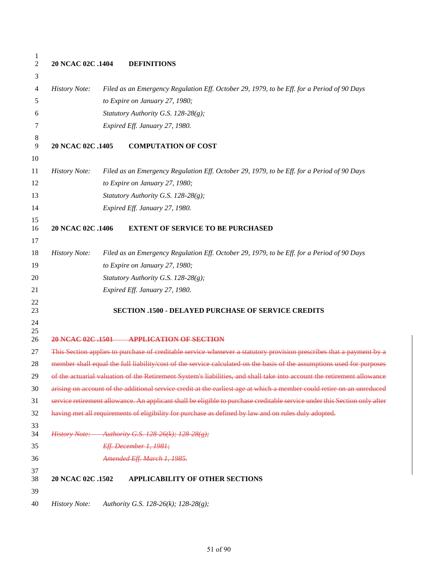| 1<br>$\mathfrak{2}$ | 20 NCAC 02C .1404    | <b>DEFINITIONS</b>                                                                                                        |
|---------------------|----------------------|---------------------------------------------------------------------------------------------------------------------------|
| 3                   |                      |                                                                                                                           |
| 4                   | <b>History Note:</b> | Filed as an Emergency Regulation Eff. October 29, 1979, to be Eff. for a Period of 90 Days                                |
| 5                   |                      | to Expire on January 27, 1980;                                                                                            |
| 6                   |                      | Statutory Authority G.S. 128-28(g);                                                                                       |
| 7                   |                      | Expired Eff. January 27, 1980.                                                                                            |
| 8<br>9              | 20 NCAC 02C .1405    | <b>COMPUTATION OF COST</b>                                                                                                |
| 10                  |                      |                                                                                                                           |
| 11                  | <b>History Note:</b> | Filed as an Emergency Regulation Eff. October 29, 1979, to be Eff. for a Period of 90 Days                                |
| 12                  |                      | to Expire on January 27, 1980;                                                                                            |
| 13                  |                      | Statutory Authority G.S. 128-28(g);                                                                                       |
| 14                  |                      | Expired Eff. January 27, 1980.                                                                                            |
| 15<br>16            | 20 NCAC 02C .1406    | <b>EXTENT OF SERVICE TO BE PURCHASED</b>                                                                                  |
| 17                  |                      |                                                                                                                           |
| 18                  | <b>History Note:</b> | Filed as an Emergency Regulation Eff. October 29, 1979, to be Eff. for a Period of 90 Days                                |
| 19                  |                      | to Expire on January 27, 1980;                                                                                            |
| 20                  |                      | Statutory Authority G.S. 128-28(g);                                                                                       |
| 21                  |                      | Expired Eff. January 27, 1980.                                                                                            |
| 22<br>23            |                      | <b>SECTION .1500 - DELAYED PURCHASE OF SERVICE CREDITS</b>                                                                |
| 24<br>25<br>26      |                      | 20 NCAC 02C .1501 APPLICATION OF SECTION                                                                                  |
| 27                  |                      | This Section applies to purchase of creditable service whenever a statutory provision prescribes that a payment by a      |
| 28                  |                      | member shall equal the full liability/cost of the service calculated on the basis of the assumptions used for purposes    |
| 29                  |                      | of the actuarial valuation of the Retirement System's liabilities, and shall take into account the retirement allowance   |
| 30                  |                      | arising on account of the additional service credit at the earliest age at which a member could retire on an unreduced    |
| 31                  |                      | service retirement allowance. An applicant shall be eligible to purchase creditable service under this Section only after |
| 32                  |                      | having met all requirements of eligibility for purchase as defined by law and on rules duly adopted.                      |
| 33<br>34            |                      | History Note: Authority G.S. 128-26(k); 128-28(g);                                                                        |
| 35                  |                      | Eff. December 1, 1981;                                                                                                    |
| 36                  |                      | Amended Eff. March 1, 1985.                                                                                               |
| 37<br>38            | 20 NCAC 02C .1502    | <b>APPLICABILITY OF OTHER SECTIONS</b>                                                                                    |
| 39                  |                      |                                                                                                                           |
| 40                  | <b>History Note:</b> | Authority G.S. 128-26(k); 128-28(g);                                                                                      |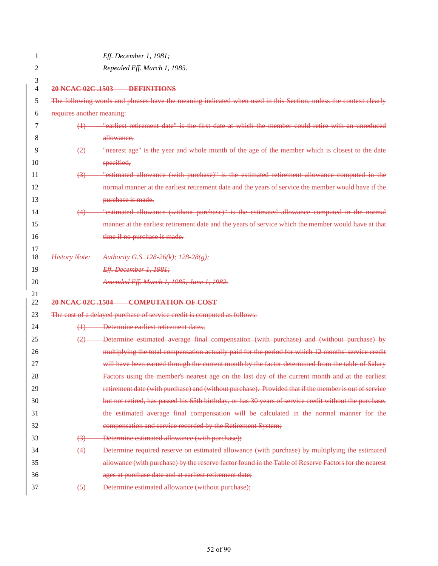| 1                   |                           | Eff. December 1, 1981;                                                                                           |
|---------------------|---------------------------|------------------------------------------------------------------------------------------------------------------|
| 2                   |                           | Repealed Eff. March 1, 1985.                                                                                     |
| 3<br>$\overline{4}$ |                           | 20 NCAC 02C .1503 DEFINITIONS                                                                                    |
| 5                   |                           | The following words and phrases have the meaning indicated when used in this Section, unless the context clearly |
| 6                   | requires another meaning: |                                                                                                                  |
| 7                   | $\leftrightarrow$         | "earliest retirement date" is the first date at which the member could retire with an unreduced                  |
| 8                   |                           | allowance,                                                                                                       |
| 9                   |                           | "nearest age" is the year and whole month of the age of the member which is closest to the date                  |
| 10                  |                           | specified,                                                                                                       |
| 11                  | $\left(3\right)$          | "estimated allowance (with purchase)" is the estimated retirement allowance computed in the                      |
| 12                  |                           | normal manner at the earliest retirement date and the years of service the member would have if the              |
| 13                  |                           | purchase is made,                                                                                                |
| 14                  | (4)                       | "estimated allowance (without purchase)" is the estimated allowance computed in the normal                       |
| 15                  |                           | manner at the earliest retirement date and the years of service which the member would have at that              |
| 16                  |                           | time if no purchase is made.                                                                                     |
| 17                  |                           |                                                                                                                  |
| 18                  | <b>History Note:</b>      | Authority G.S. 128 26(k); 128 28(g);                                                                             |
| 19                  |                           | Eff. December 1, 1981;                                                                                           |
| 20                  |                           | Amended Eff. March 1, 1985; June 1, 1982.                                                                        |
| 21<br>22            |                           | 20 NCAC 02C .1504 COMPUTATION OF COST                                                                            |
| 23                  |                           | The cost of a delayed purchase of service credit is computed as follows:                                         |
| 24                  |                           | (1) Determine earliest retirement dates;                                                                         |
| 25                  | (2)                       | - Determine estimated average final compensation (with purchase) and (without purchase) by                       |
| 26                  |                           | multiplying the total compensation actually paid for the period for which 12 months' service credit              |
| 27                  |                           | will have been earned through the current month by the factor determined from the table of Salary                |
| 28                  |                           | Factors using the member's nearest age on the last day of the current month and at the earliest                  |
| 29                  |                           | retirement date (with purchase) and (without purchase). Provided that if the member is out of service            |
| 30                  |                           | but not retired, has passed his 65th birthday, or has 30 years of service credit without the purchase,           |
| 31                  |                           | the estimated average final compensation will be calculated in the normal manner for the                         |
| 32                  |                           | compensation and service recorded by the Retirement System;                                                      |
| 33                  | $\left(3\right)$          | Determine estimated allowance (with purchase);                                                                   |
| 34                  | (4)                       | Determine required reserve on estimated allowance (with purchase) by multiplying the estimated                   |
| 35                  |                           | allowance (with purchase) by the reserve factor found in the Table of Reserve Factors for the nearest            |
| 36                  |                           | ages at purchase date and at earliest retirement date;                                                           |
| 37                  | $\left(5\right)$          | Determine estimated allowance (without purchase);                                                                |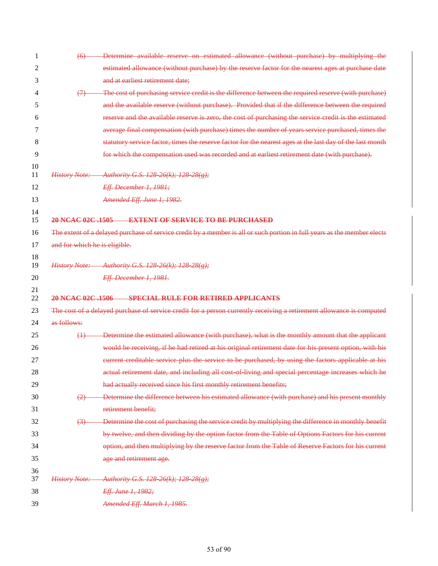| 1        | (6)                           | Determine available reserve on estimated allowance (without purchase) by multiplying the                                 |
|----------|-------------------------------|--------------------------------------------------------------------------------------------------------------------------|
| 2        |                               | estimated allowance (without purchase) by the reserve factor for the nearest ages at purchase date                       |
| 3        |                               | and at earliest retirement date;                                                                                         |
| 4        | (7)                           | The cost of purchasing service credit is the difference between the required reserve (with purchase)                     |
| 5        |                               | and the available reserve (without purchase). Provided that if the difference between the required                       |
| 6        |                               | reserve and the available reserve is zero, the cost of purchasing the service credit is the estimated                    |
| 7        |                               | average final compensation (with purchase) times the number of years service purchased, times the                        |
| 8        |                               | statutory service factor, times the reserve factor for the nearest ages at the last day of the last month                |
| 9        |                               | for which the compensation used was recorded and at earliest retirement date (with purchase).                            |
| 10<br>11 | <b>History Note:</b>          | Authority G.S. 128-26(k); 128-28(g);                                                                                     |
| 12       |                               | Eff. December 1, 1981;                                                                                                   |
| 13       |                               | Amended Eff. June 1, 1982.                                                                                               |
| 14<br>15 | 20 NCAC 02C .1505             | <b>EXTENT OF SERVICE TO BE PURCHASED</b>                                                                                 |
| 16       |                               | The extent of a delayed purchase of service credit by a member is all or such portion in full years as the member elects |
| 17       | and for which he is eligible. |                                                                                                                          |
| 18<br>19 |                               | History Note: Authority G.S. 128 26(k); 128 28(g);                                                                       |
| 20       |                               | <b>Eff. December 1, 1981.</b>                                                                                            |
| 21<br>22 | 20 NCAC 02C .1506             | SPECIAL RULE FOR RETIRED APPLICANTS                                                                                      |
| 23       |                               | The cost of a delayed purchase of service credit for a person currently receiving a retirement allowance is computed     |
| 24       | as follows:                   |                                                                                                                          |
| 25       | $\leftrightarrow$             | Determine the estimated allowance (with purchase), what is the monthly amount that the applicant                         |
| 26       |                               | would be receiving, if he had retired at his original retirement date for his present option, with his                   |
| 27       |                               | eurrent creditable service plus the service to be purchased, by using the factors applicable at his                      |
| 28       |                               | actual retirement date, and including all cost of living and special percentage increases which he                       |
| 29       |                               | had actually received since his first monthly retirement benefits;                                                       |
| 30       | (2)                           | Determine the difference between his estimated allowance (with purchase) and his present monthly                         |
| 31       |                               | retirement benefit;                                                                                                      |
| 32       | (3)                           | Determine the cost of purchasing the service credit by multiplying the difference in monthly benefit                     |
| 33       |                               | by twelve, and then dividing by the option factor from the Table of Options Factors for his current                      |
| 34       |                               | option, and then multiplying by the reserve factor from the Table of Reserve Factors for his current                     |
| 35       |                               | age and retirement age.                                                                                                  |
| 36<br>37 | <b>History Note:</b>          | - Authority G.S. 128-26(k); 128-28(g);                                                                                   |
| 38       |                               | Eff. June 1, 1982;                                                                                                       |
| 39       |                               | Amended Eff. March 1, 1985.                                                                                              |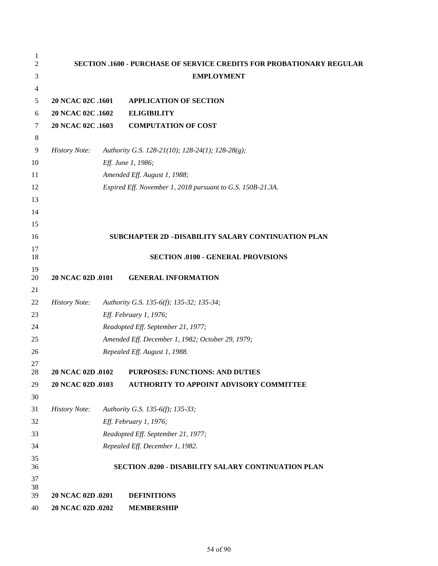| 1<br>2   |                      | <b>SECTION .1600 - PURCHASE OF SERVICE CREDITS FOR PROBATIONARY REGULAR</b> |
|----------|----------------------|-----------------------------------------------------------------------------|
| 3        |                      | <b>EMPLOYMENT</b>                                                           |
| 4        |                      |                                                                             |
| 5        | 20 NCAC 02C .1601    | <b>APPLICATION OF SECTION</b>                                               |
| 6        | 20 NCAC 02C .1602    | <b>ELIGIBILITY</b>                                                          |
| 7        | 20 NCAC 02C .1603    | <b>COMPUTATION OF COST</b>                                                  |
| 8        |                      |                                                                             |
| 9        | <b>History Note:</b> | Authority G.S. 128-21(10); 128-24(1); 128-28(g);                            |
| 10       |                      | Eff. June 1, 1986;                                                          |
| 11       |                      | Amended Eff. August 1, 1988;                                                |
| 12       |                      | Expired Eff. November 1, 2018 pursuant to G.S. 150B-21.3A.                  |
| 13       |                      |                                                                             |
| 14       |                      |                                                                             |
| 15       |                      |                                                                             |
| 16       |                      | SUBCHAPTER 2D-DISABILITY SALARY CONTINUATION PLAN                           |
| 17       |                      |                                                                             |
| 18       |                      | <b>SECTION .0100 - GENERAL PROVISIONS</b>                                   |
| 19<br>20 | 20 NCAC 02D .0101    | <b>GENERAL INFORMATION</b>                                                  |
| 21       |                      |                                                                             |
| 22       | <b>History Note:</b> | Authority G.S. 135-6(f); 135-32; 135-34;                                    |
| 23       |                      | Eff. February 1, 1976;                                                      |
| 24       |                      | Readopted Eff. September 21, 1977;                                          |
| 25       |                      | Amended Eff. December 1, 1982; October 29, 1979;                            |
| 26       |                      | Repealed Eff. August 1, 1988.                                               |
| 27       |                      |                                                                             |
| 28       | 20 NCAC 02D .0102    | PURPOSES: FUNCTIONS: AND DUTIES                                             |
| 29       | 20 NCAC 02D .0103    | <b>AUTHORITY TO APPOINT ADVISORY COMMITTEE</b>                              |
| 30       |                      |                                                                             |
| 31       | <b>History Note:</b> | Authority G.S. 135-6(f); 135-33;                                            |
| 32       |                      | Eff. February 1, 1976;                                                      |
| 33       |                      | Readopted Eff. September 21, 1977;                                          |
| 34       |                      | Repealed Eff. December 1, 1982.                                             |
| 35<br>36 |                      | SECTION .0200 - DISABILITY SALARY CONTINUATION PLAN                         |
| 37       |                      |                                                                             |
| 38       |                      |                                                                             |
| 39       | 20 NCAC 02D .0201    | <b>DEFINITIONS</b>                                                          |
| 40       | 20 NCAC 02D .0202    | <b>MEMBERSHIP</b>                                                           |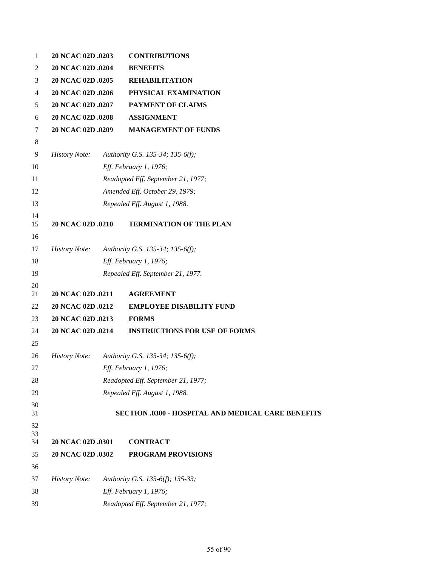| 1        | 20 NCAC 02D .0203    | <b>CONTRIBUTIONS</b>                                      |
|----------|----------------------|-----------------------------------------------------------|
| 2        | 20 NCAC 02D .0204    | <b>BENEFITS</b>                                           |
| 3        | 20 NCAC 02D .0205    | <b>REHABILITATION</b>                                     |
| 4        | 20 NCAC 02D .0206    | PHYSICAL EXAMINATION                                      |
| 5        | 20 NCAC 02D .0207    | <b>PAYMENT OF CLAIMS</b>                                  |
| 6        | 20 NCAC 02D .0208    | <b>ASSIGNMENT</b>                                         |
| 7        | 20 NCAC 02D .0209    | <b>MANAGEMENT OF FUNDS</b>                                |
| 8        |                      |                                                           |
| 9        | <b>History Note:</b> | Authority G.S. 135-34; 135-6(f);                          |
| 10       |                      | Eff. February 1, 1976;                                    |
| 11       |                      | Readopted Eff. September 21, 1977;                        |
| 12       |                      | Amended Eff. October 29, 1979;                            |
| 13       |                      | Repealed Eff. August 1, 1988.                             |
| 14<br>15 | 20 NCAC 02D .0210    | <b>TERMINATION OF THE PLAN</b>                            |
| 16       |                      |                                                           |
| 17       | <b>History Note:</b> | Authority G.S. 135-34; 135-6(f);                          |
| 18       |                      | Eff. February 1, 1976;                                    |
| 19       |                      | Repealed Eff. September 21, 1977.                         |
| 20       |                      |                                                           |
| 21       | 20 NCAC 02D .0211    | <b>AGREEMENT</b>                                          |
| 22       | 20 NCAC 02D .0212    | <b>EMPLOYEE DISABILITY FUND</b>                           |
| 23       | 20 NCAC 02D .0213    | <b>FORMS</b>                                              |
| 24       | 20 NCAC 02D .0214    | <b>INSTRUCTIONS FOR USE OF FORMS</b>                      |
| 25       |                      |                                                           |
| 26       | <b>History Note:</b> | Authority G.S. 135-34; 135-6(f);                          |
| 27       |                      | Eff. February 1, 1976;                                    |
| 28       |                      | Readopted Eff. September 21, 1977;                        |
| 29       |                      | Repealed Eff. August 1, 1988.                             |
| 30<br>31 |                      | <b>SECTION .0300 - HOSPITAL AND MEDICAL CARE BENEFITS</b> |
| 32       |                      |                                                           |
| 33<br>34 | 20 NCAC 02D .0301    | <b>CONTRACT</b>                                           |
| 35       | 20 NCAC 02D .0302    | PROGRAM PROVISIONS                                        |
| 36       |                      |                                                           |
| 37       | <b>History Note:</b> | Authority G.S. 135-6(f); 135-33;                          |
| 38       |                      | Eff. February 1, 1976;                                    |
| 39       |                      | Readopted Eff. September 21, 1977;                        |
|          |                      |                                                           |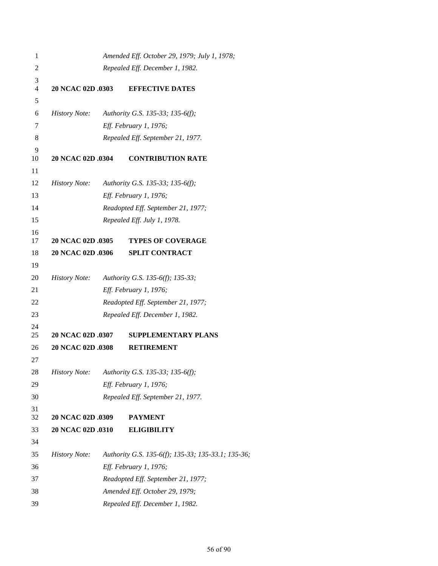| 1              |                      | Amended Eff. October 29, 1979; July 1, 1978;       |
|----------------|----------------------|----------------------------------------------------|
| $\overline{c}$ |                      | Repealed Eff. December 1, 1982.                    |
| $\mathfrak{Z}$ |                      |                                                    |
| $\overline{4}$ | 20 NCAC 02D .0303    | <b>EFFECTIVE DATES</b>                             |
| 5              |                      |                                                    |
| 6              | <i>History Note:</i> | Authority G.S. 135-33; 135-6(f);                   |
| 7              |                      | Eff. February 1, 1976;                             |
| 8              |                      | Repealed Eff. September 21, 1977.                  |
| 9<br>10        | 20 NCAC 02D .0304    | <b>CONTRIBUTION RATE</b>                           |
| 11             |                      |                                                    |
| 12             | <i>History Note:</i> | Authority G.S. 135-33; 135-6(f);                   |
| 13             |                      | Eff. February 1, 1976;                             |
| 14             |                      | Readopted Eff. September 21, 1977;                 |
| 15             |                      | Repealed Eff. July 1, 1978.                        |
| 16             |                      |                                                    |
| 17             | 20 NCAC 02D .0305    | <b>TYPES OF COVERAGE</b>                           |
| 18             | 20 NCAC 02D .0306    | <b>SPLIT CONTRACT</b>                              |
| 19             |                      |                                                    |
| 20             | <i>History Note:</i> | Authority G.S. 135-6(f); 135-33;                   |
| 21             |                      | Eff. February 1, 1976;                             |
| 22             |                      | Readopted Eff. September 21, 1977;                 |
| 23             |                      | Repealed Eff. December 1, 1982.                    |
| 24<br>25       | 20 NCAC 02D .0307    | <b>SUPPLEMENTARY PLANS</b>                         |
| 26             | 20 NCAC 02D .0308    | <b>RETIREMENT</b>                                  |
| 27             |                      |                                                    |
| 28             |                      | History Note: Authority G.S. 135-33; 135-6(f);     |
| 29             |                      | Eff. February 1, 1976;                             |
| 30             |                      | Repealed Eff. September 21, 1977.                  |
| 31             |                      |                                                    |
| 32             | 20 NCAC 02D .0309    | <b>PAYMENT</b>                                     |
| 33             | 20 NCAC 02D .0310    | <b>ELIGIBILITY</b>                                 |
| 34             |                      |                                                    |
| 35             | <b>History Note:</b> | Authority G.S. 135-6(f); 135-33; 135-33.1; 135-36; |
| 36             |                      | Eff. February 1, 1976;                             |
| 37             |                      | Readopted Eff. September 21, 1977;                 |
| 38             |                      | Amended Eff. October 29, 1979;                     |
| 39             |                      | Repealed Eff. December 1, 1982.                    |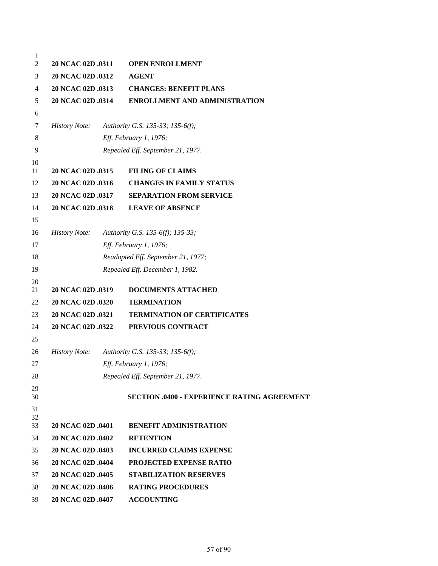```
1
2 20 NCAC 02D .0311 OPEN ENROLLMENT
3 20 NCAC 02D .0312 AGENT
4 20 NCAC 02D .0313 CHANGES: BENEFIT PLANS
5 20 NCAC 02D .0314 ENROLLMENT AND ADMINISTRATION
6
7 History Note: Authority G.S. 135-33; 135-6(f);
8 Eff. February 1, 1976;
9 Repealed Eff. September 21, 1977.
10
11 20 NCAC 02D .0315 FILING OF CLAIMS
12 20 NCAC 02D .0316 CHANGES IN FAMILY STATUS
13 20 NCAC 02D .0317 SEPARATION FROM SERVICE
14 20 NCAC 02D .0318 LEAVE OF ABSENCE
15
16 History Note: Authority G.S. 135-6(f); 135-33;
17 Eff. February 1, 1976;
18 Readopted Eff. September 21, 1977;
19 Repealed Eff. December 1, 1982.
20
21 20 NCAC 02D .0319 DOCUMENTS ATTACHED
22 20 NCAC 02D .0320 TERMINATION
23 20 NCAC 02D .0321 TERMINATION OF CERTIFICATES
24 20 NCAC 02D .0322 PREVIOUS CONTRACT
25
26 History Note: Authority G.S. 135-33; 135-6(f);
27 Eff. February 1, 1976;
28 Repealed Eff. September 21, 1977.
29
30 SECTION .0400 - EXPERIENCE RATING AGREEMENT
31
32
33 20 NCAC 02D .0401 BENEFIT ADMINISTRATION
34 20 NCAC 02D .0402 RETENTION
35 20 NCAC 02D .0403 INCURRED CLAIMS EXPENSE
36 20 NCAC 02D .0404 PROJECTED EXPENSE RATIO
37 20 NCAC 02D .0405 STABILIZATION RESERVES
38 20 NCAC 02D .0406 RATING PROCEDURES
39 20 NCAC 02D .0407 ACCOUNTING
```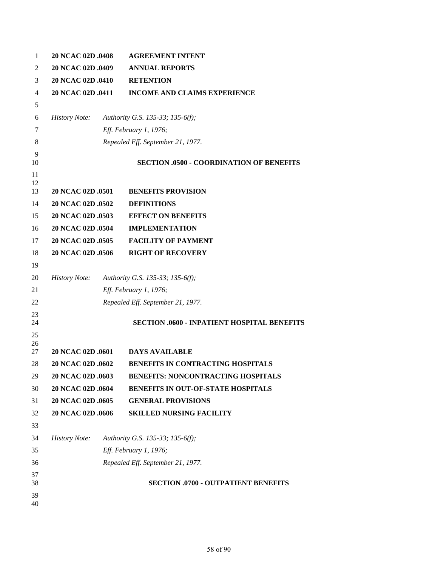| 1              | 20 NCAC 02D .0408    | <b>AGREEMENT INTENT</b>                            |
|----------------|----------------------|----------------------------------------------------|
| 2              | 20 NCAC 02D .0409    | <b>ANNUAL REPORTS</b>                              |
| 3              | 20 NCAC 02D .0410    | <b>RETENTION</b>                                   |
| $\overline{4}$ | 20 NCAC 02D .0411    | <b>INCOME AND CLAIMS EXPERIENCE</b>                |
| 5              |                      |                                                    |
| 6              | <b>History Note:</b> | Authority G.S. 135-33; 135-6(f);                   |
| 7              |                      | Eff. February 1, 1976;                             |
| 8              |                      | Repealed Eff. September 21, 1977.                  |
| 9<br>10        |                      | <b>SECTION .0500 - COORDINATION OF BENEFITS</b>    |
| 11<br>12       |                      |                                                    |
| 13             | 20 NCAC 02D .0501    | <b>BENEFITS PROVISION</b>                          |
| 14             | 20 NCAC 02D .0502    | <b>DEFINITIONS</b>                                 |
| 15             | 20 NCAC 02D .0503    | <b>EFFECT ON BENEFITS</b>                          |
| 16             | 20 NCAC 02D .0504    | <b>IMPLEMENTATION</b>                              |
| 17             | 20 NCAC 02D .0505    | <b>FACILITY OF PAYMENT</b>                         |
| 18             | 20 NCAC 02D .0506    | <b>RIGHT OF RECOVERY</b>                           |
| 19             |                      |                                                    |
| 20             | <i>History Note:</i> | Authority G.S. 135-33; 135-6(f);                   |
| 21             |                      | Eff. February 1, 1976;                             |
| 22             |                      | Repealed Eff. September 21, 1977.                  |
| 23<br>24       |                      | <b>SECTION .0600 - INPATIENT HOSPITAL BENEFITS</b> |
| 25             |                      |                                                    |
| 26<br>27       | 20 NCAC 02D .0601    | <b>DAYS AVAILABLE</b>                              |
| 28             | 20 NCAC 02D .0602    | BENEFITS IN CONTRACTING HOSPITALS                  |
| 29             | 20 NCAC 02D .0603    | <b>BENEFITS: NONCONTRACTING HOSPITALS</b>          |
| 30             | 20 NCAC 02D .0604    | BENEFITS IN OUT-OF-STATE HOSPITALS                 |
| 31             | 20 NCAC 02D .0605    | <b>GENERAL PROVISIONS</b>                          |
| 32             | 20 NCAC 02D .0606    | <b>SKILLED NURSING FACILITY</b>                    |
| 33             |                      |                                                    |
| 34             | <b>History Note:</b> | Authority G.S. 135-33; 135-6(f);                   |
| 35             |                      | Eff. February 1, 1976;                             |
| 36             |                      | Repealed Eff. September 21, 1977.                  |
| 37<br>38       |                      | <b>SECTION .0700 - OUTPATIENT BENEFITS</b>         |
| 39<br>40       |                      |                                                    |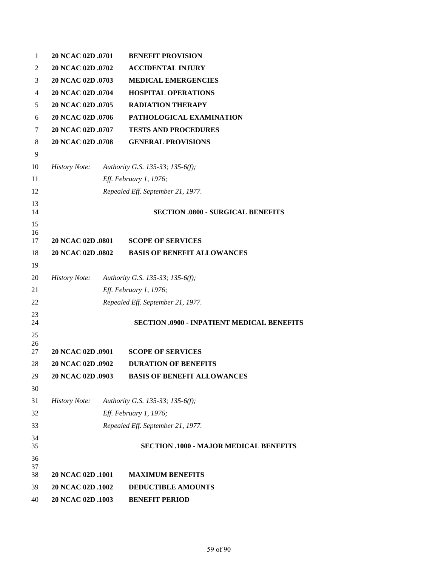| 1              | 20 NCAC 02D .0701        | <b>BENEFIT PROVISION</b>                          |
|----------------|--------------------------|---------------------------------------------------|
| 2              | 20 NCAC 02D .0702        | <b>ACCIDENTAL INJURY</b>                          |
| 3              | 20 NCAC 02D .0703        | <b>MEDICAL EMERGENCIES</b>                        |
| $\overline{4}$ | 20 NCAC 02D .0704        | <b>HOSPITAL OPERATIONS</b>                        |
| 5              | 20 NCAC 02D .0705        | <b>RADIATION THERAPY</b>                          |
| 6              | 20 NCAC 02D .0706        | PATHOLOGICAL EXAMINATION                          |
| 7              | 20 NCAC 02D .0707        | <b>TESTS AND PROCEDURES</b>                       |
| 8              | 20 NCAC 02D .0708        | <b>GENERAL PROVISIONS</b>                         |
| 9              |                          |                                                   |
| 10             | <b>History Note:</b>     | Authority G.S. 135-33; 135-6(f);                  |
| 11             |                          | Eff. February 1, 1976;                            |
| 12             |                          | Repealed Eff. September 21, 1977.                 |
| 13             |                          |                                                   |
| 14             |                          | <b>SECTION .0800 - SURGICAL BENEFITS</b>          |
| 15<br>16       |                          |                                                   |
| 17             | <b>20 NCAC 02D .0801</b> | <b>SCOPE OF SERVICES</b>                          |
| 18             | <b>20 NCAC 02D .0802</b> | <b>BASIS OF BENEFIT ALLOWANCES</b>                |
| 19             |                          |                                                   |
| 20             | <b>History Note:</b>     | Authority G.S. 135-33; 135-6(f);                  |
| 21             |                          | Eff. February 1, 1976;                            |
| 22             |                          | Repealed Eff. September 21, 1977.                 |
| 23             |                          |                                                   |
| 24             |                          | <b>SECTION .0900 - INPATIENT MEDICAL BENEFITS</b> |
| 25<br>26       |                          |                                                   |
| 27             | 20 NCAC 02D .0901        | <b>SCOPE OF SERVICES</b>                          |
| 28             | 20 NCAC 02D .0902        | <b>DURATION OF BENEFITS</b>                       |
| 29             | 20 NCAC 02D .0903        | <b>BASIS OF BENEFIT ALLOWANCES</b>                |
| 30             |                          |                                                   |
| 31             | <b>History Note:</b>     | Authority G.S. 135-33; 135-6(f);                  |
| 32             |                          | Eff. February 1, 1976;                            |
| 33             |                          | Repealed Eff. September 21, 1977.                 |
| 34<br>35       |                          | <b>SECTION .1000 - MAJOR MEDICAL BENEFITS</b>     |
| 36             |                          |                                                   |
| 37<br>38       | 20 NCAC 02D .1001        | <b>MAXIMUM BENEFITS</b>                           |
| 39             | 20 NCAC 02D .1002        | <b>DEDUCTIBLE AMOUNTS</b>                         |
| 40             | 20 NCAC 02D .1003        | <b>BENEFIT PERIOD</b>                             |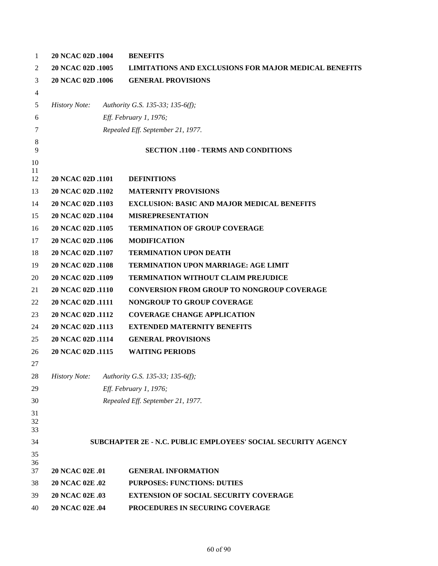| $\mathbf{1}$ | 20 NCAC 02D .1004      | <b>BENEFITS</b>                                               |
|--------------|------------------------|---------------------------------------------------------------|
| 2            | 20 NCAC 02D .1005      | <b>LIMITATIONS AND EXCLUSIONS FOR MAJOR MEDICAL BENEFITS</b>  |
| 3            | 20 NCAC 02D .1006      | <b>GENERAL PROVISIONS</b>                                     |
| 4            |                        |                                                               |
| 5            | <b>History Note:</b>   | Authority G.S. 135-33; 135-6(f);                              |
| 6            |                        | Eff. February 1, 1976;                                        |
| 7            |                        | Repealed Eff. September 21, 1977.                             |
| $\,8\,$      |                        |                                                               |
| 9            |                        | <b>SECTION .1100 - TERMS AND CONDITIONS</b>                   |
| 10<br>11     |                        |                                                               |
| 12           | 20 NCAC 02D .1101      | <b>DEFINITIONS</b>                                            |
| 13           | 20 NCAC 02D .1102      | <b>MATERNITY PROVISIONS</b>                                   |
| 14           | 20 NCAC 02D .1103      | <b>EXCLUSION: BASIC AND MAJOR MEDICAL BENEFITS</b>            |
| 15           | 20 NCAC 02D .1104      | <b>MISREPRESENTATION</b>                                      |
| 16           | 20 NCAC 02D .1105      | <b>TERMINATION OF GROUP COVERAGE</b>                          |
| 17           | 20 NCAC 02D .1106      | <b>MODIFICATION</b>                                           |
| 18           | 20 NCAC 02D .1107      | <b>TERMINATION UPON DEATH</b>                                 |
| 19           | 20 NCAC 02D .1108      | <b>TERMINATION UPON MARRIAGE: AGE LIMIT</b>                   |
| 20           | 20 NCAC 02D .1109      | TERMINATION WITHOUT CLAIM PREJUDICE                           |
| 21           | 20 NCAC 02D .1110      | <b>CONVERSION FROM GROUP TO NONGROUP COVERAGE</b>             |
| 22           | 20 NCAC 02D .1111      | NONGROUP TO GROUP COVERAGE                                    |
| 23           | 20 NCAC 02D .1112      | <b>COVERAGE CHANGE APPLICATION</b>                            |
| 24           | 20 NCAC 02D .1113      | <b>EXTENDED MATERNITY BENEFITS</b>                            |
| 25           | 20 NCAC 02D .1114      | <b>GENERAL PROVISIONS</b>                                     |
| 26           | 20 NCAC 02D .1115      | <b>WAITING PERIODS</b>                                        |
| 27           |                        |                                                               |
| 28           | <b>History Note:</b>   | Authority G.S. 135-33; 135-6(f);                              |
| 29           |                        | Eff. February 1, 1976;                                        |
| 30           |                        | Repealed Eff. September 21, 1977.                             |
| 31           |                        |                                                               |
| 32<br>33     |                        |                                                               |
| 34           |                        | SUBCHAPTER 2E - N.C. PUBLIC EMPLOYEES' SOCIAL SECURITY AGENCY |
| 35           |                        |                                                               |
| 36           |                        |                                                               |
| 37           | <b>20 NCAC 02E .01</b> | <b>GENERAL INFORMATION</b>                                    |
| 38           | 20 NCAC 02E .02        | <b>PURPOSES: FUNCTIONS: DUTIES</b>                            |
| 39           | 20 NCAC 02E .03        | <b>EXTENSION OF SOCIAL SECURITY COVERAGE</b>                  |
| 40           | 20 NCAC 02E .04        | PROCEDURES IN SECURING COVERAGE                               |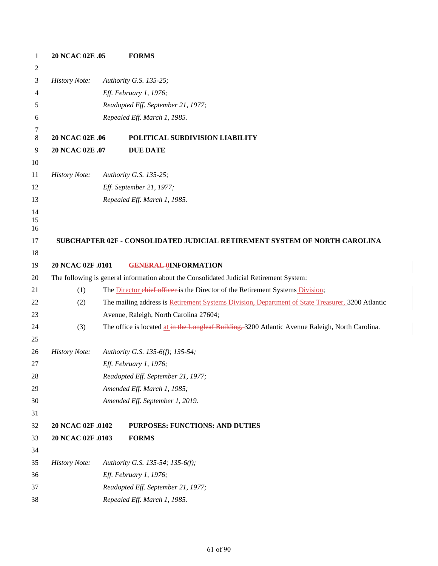| 1              | 20 NCAC 02E .05      | <b>FORMS</b>                                                                                     |  |  |  |  |
|----------------|----------------------|--------------------------------------------------------------------------------------------------|--|--|--|--|
| $\overline{2}$ |                      |                                                                                                  |  |  |  |  |
| 3              | <b>History Note:</b> | Authority G.S. 135-25;                                                                           |  |  |  |  |
| 4              |                      | Eff. February 1, 1976;                                                                           |  |  |  |  |
| 5              |                      | Readopted Eff. September 21, 1977;                                                               |  |  |  |  |
| 6              |                      | Repealed Eff. March 1, 1985.                                                                     |  |  |  |  |
| 7              |                      |                                                                                                  |  |  |  |  |
| $\,8\,$        | 20 NCAC 02E .06      | POLITICAL SUBDIVISION LIABILITY                                                                  |  |  |  |  |
| $\overline{9}$ | 20 NCAC 02E .07      | <b>DUE DATE</b>                                                                                  |  |  |  |  |
| 10             |                      |                                                                                                  |  |  |  |  |
| 11             | <b>History Note:</b> | Authority G.S. 135-25;                                                                           |  |  |  |  |
| 12             |                      | Eff. September 21, 1977;                                                                         |  |  |  |  |
| 13             |                      | Repealed Eff. March 1, 1985.                                                                     |  |  |  |  |
| 14<br>15       |                      |                                                                                                  |  |  |  |  |
| 16             |                      |                                                                                                  |  |  |  |  |
| 17             |                      | SUBCHAPTER 02F - CONSOLIDATED JUDICIAL RETIREMENT SYSTEM OF NORTH CAROLINA                       |  |  |  |  |
| 18             |                      |                                                                                                  |  |  |  |  |
| 19             | 20 NCAC 02F .0101    | <b>GENERAL OINFORMATION</b>                                                                      |  |  |  |  |
| 20             |                      | The following is general information about the Consolidated Judicial Retirement System:          |  |  |  |  |
| 21             | (1)                  | The <b>Director</b> chief officer is the Director of the Retirement Systems Division;            |  |  |  |  |
| 22             | (2)                  | The mailing address is Retirement Systems Division, Department of State Treasurer, 3200 Atlantic |  |  |  |  |
| 23             |                      | Avenue, Raleigh, North Carolina 27604;                                                           |  |  |  |  |
| 24             | (3)                  | The office is located at in the Longleaf Building, 3200 Atlantic Avenue Raleigh, North Carolina. |  |  |  |  |
| 25             |                      |                                                                                                  |  |  |  |  |
| 26             | <b>History Note:</b> | Authority G.S. 135-6(f); 135-54;                                                                 |  |  |  |  |
| 27             |                      | Eff. February 1, 1976;                                                                           |  |  |  |  |
| 28             |                      | Readopted Eff. September 21, 1977;                                                               |  |  |  |  |
| 29             |                      | Amended Eff. March 1, 1985;                                                                      |  |  |  |  |
| 30             |                      | Amended Eff. September 1, 2019.                                                                  |  |  |  |  |
| 31             |                      |                                                                                                  |  |  |  |  |
| 32             | 20 NCAC 02F .0102    | PURPOSES: FUNCTIONS: AND DUTIES                                                                  |  |  |  |  |
| 33             | 20 NCAC 02F .0103    | <b>FORMS</b>                                                                                     |  |  |  |  |
| 34             |                      |                                                                                                  |  |  |  |  |
| 35             | <b>History Note:</b> | Authority G.S. 135-54; 135-6(f);                                                                 |  |  |  |  |
| 36             |                      | Eff. February 1, 1976;                                                                           |  |  |  |  |
| 37             |                      | Readopted Eff. September 21, 1977;                                                               |  |  |  |  |
| 38             |                      | Repealed Eff. March 1, 1985.                                                                     |  |  |  |  |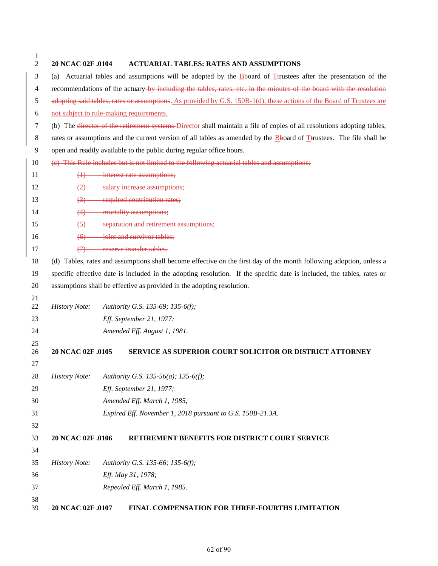| 1<br>2   | 20 NCAC 02F .0104                                                                                                   | <b>ACTUARIAL TABLES: RATES AND ASSUMPTIONS</b>                                                                          |  |  |  |  |
|----------|---------------------------------------------------------------------------------------------------------------------|-------------------------------------------------------------------------------------------------------------------------|--|--|--|--|
| 3        |                                                                                                                     | (a) Actuarial tables and assumptions will be adopted by the Bboard of Trustees after the presentation of the            |  |  |  |  |
| 4        | recommendations of the actuary-by including the tables, rates, etc. in the minutes of the board with the resolution |                                                                                                                         |  |  |  |  |
| 5        |                                                                                                                     | adopting said tables, rates or assumptions. As provided by G.S. 150B-1(d), these actions of the Board of Trustees are   |  |  |  |  |
| 6        |                                                                                                                     | not subject to rule-making requirements.                                                                                |  |  |  |  |
| 7        |                                                                                                                     | (b) The director of the retirement systems-Director shall maintain a file of copies of all resolutions adopting tables, |  |  |  |  |
| 8        |                                                                                                                     | rates or assumptions and the current version of all tables as amended by the Bboard of Terustees. The file shall be     |  |  |  |  |
| 9        |                                                                                                                     | open and readily available to the public during regular office hours.                                                   |  |  |  |  |
| 10       |                                                                                                                     | (e) This Rule includes but is not limited to the following actuarial tables and assumptions:                            |  |  |  |  |
| 11       |                                                                                                                     | $(1)$ interest rate assumptions;                                                                                        |  |  |  |  |
| 12       |                                                                                                                     | (2) salary increase assumptions;                                                                                        |  |  |  |  |
| 13       | $\leftrightarrow$                                                                                                   | required contribution rates;                                                                                            |  |  |  |  |
| 14       |                                                                                                                     | (4) mortality assumptions;                                                                                              |  |  |  |  |
| 15       | $\leftrightarrow$                                                                                                   | separation and retirement assumptions;                                                                                  |  |  |  |  |
| 16       | $\leftrightarrow$                                                                                                   | joint and survivor tables;                                                                                              |  |  |  |  |
| 17       | $\leftrightarrow$                                                                                                   | reserve transfer tables.                                                                                                |  |  |  |  |
| 18       |                                                                                                                     | (d) Tables, rates and assumptions shall become effective on the first day of the month following adoption, unless a     |  |  |  |  |
| 19       |                                                                                                                     | specific effective date is included in the adopting resolution. If the specific date is included, the tables, rates or  |  |  |  |  |
| 20       |                                                                                                                     | assumptions shall be effective as provided in the adopting resolution.                                                  |  |  |  |  |
| 21       |                                                                                                                     |                                                                                                                         |  |  |  |  |
| 22       | <b>History Note:</b>                                                                                                | Authority G.S. 135-69; 135-6(f);                                                                                        |  |  |  |  |
| 23       |                                                                                                                     | Eff. September 21, 1977;                                                                                                |  |  |  |  |
| 24       |                                                                                                                     | Amended Eff. August 1, 1981.                                                                                            |  |  |  |  |
| 25       |                                                                                                                     |                                                                                                                         |  |  |  |  |
| 26       | 20 NCAC 02F .0105                                                                                                   | <b>SERVICE AS SUPERIOR COURT SOLICITOR OR DISTRICT ATTORNEY</b>                                                         |  |  |  |  |
| 27       |                                                                                                                     |                                                                                                                         |  |  |  |  |
| 28       | <b>History Note:</b>                                                                                                | Authority G.S. 135-56(a); 135-6(f);                                                                                     |  |  |  |  |
| 29       |                                                                                                                     | Eff. September 21, 1977;                                                                                                |  |  |  |  |
| 30       |                                                                                                                     | Amended Eff. March 1, 1985;                                                                                             |  |  |  |  |
| 31       |                                                                                                                     | Expired Eff. November 1, 2018 pursuant to G.S. 150B-21.3A.                                                              |  |  |  |  |
| 32       |                                                                                                                     |                                                                                                                         |  |  |  |  |
| 33       | 20 NCAC 02F .0106                                                                                                   | RETIREMENT BENEFITS FOR DISTRICT COURT SERVICE                                                                          |  |  |  |  |
| 34       |                                                                                                                     |                                                                                                                         |  |  |  |  |
| 35       | <b>History Note:</b>                                                                                                | Authority G.S. 135-66; 135-6(f);                                                                                        |  |  |  |  |
| 36       |                                                                                                                     | Eff. May 31, 1978;                                                                                                      |  |  |  |  |
| 37       |                                                                                                                     | Repealed Eff. March 1, 1985.                                                                                            |  |  |  |  |
| 38<br>39 | 20 NCAC 02F .0107                                                                                                   | FINAL COMPENSATION FOR THREE-FOURTHS LIMITATION                                                                         |  |  |  |  |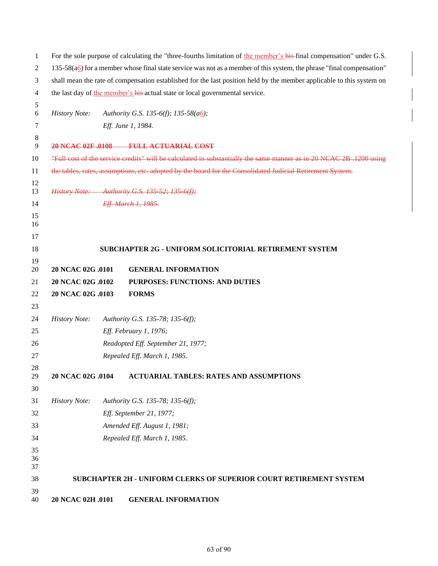| 1              | For the sole purpose of calculating the "three-fourths limitation of the member's his-final compensation" under G.S.    |  |                                                                                                                       |  |
|----------------|-------------------------------------------------------------------------------------------------------------------------|--|-----------------------------------------------------------------------------------------------------------------------|--|
| 2              | $135-58(a6)$ for a member whose final state service was not as a member of this system, the phrase "final compensation" |  |                                                                                                                       |  |
| 3              |                                                                                                                         |  | shall mean the rate of compensation established for the last position held by the member applicable to this system on |  |
| 4              |                                                                                                                         |  | the last day of the member's his-actual state or local governmental service.                                          |  |
| 5              |                                                                                                                         |  |                                                                                                                       |  |
| 6              | <b>History Note:</b>                                                                                                    |  | Authority G.S. 135-6(f); 135-58(a6);                                                                                  |  |
| 7              |                                                                                                                         |  | Eff. June 1, 1984.                                                                                                    |  |
| 8<br>9         |                                                                                                                         |  | 20 NCAC 02F .0108 FULL ACTUARIAL COST                                                                                 |  |
| 10             |                                                                                                                         |  | "Full cost of the service credits" will be calculated in substantially the same manner as in 20 NCAC 2B .1200 using   |  |
| 11             |                                                                                                                         |  | the tables, rates, assumptions, etc. adopted by the board for the Consolidated Judicial Retirement System.            |  |
| 12<br>13       |                                                                                                                         |  | History Note: Authority G.S. 135-52; 135-6(f);                                                                        |  |
| 14             |                                                                                                                         |  | Eff. March 1, 1985.                                                                                                   |  |
| 15<br>16       |                                                                                                                         |  |                                                                                                                       |  |
| 17             |                                                                                                                         |  |                                                                                                                       |  |
| 18             |                                                                                                                         |  | <b>SUBCHAPTER 2G - UNIFORM SOLICITORIAL RETIREMENT SYSTEM</b>                                                         |  |
| 19             |                                                                                                                         |  |                                                                                                                       |  |
| 20             | 20 NCAC 02G .0101                                                                                                       |  | <b>GENERAL INFORMATION</b>                                                                                            |  |
| 21             | 20 NCAC 02G .0102                                                                                                       |  | PURPOSES: FUNCTIONS: AND DUTIES                                                                                       |  |
| 22             | 20 NCAC 02G .0103                                                                                                       |  | <b>FORMS</b>                                                                                                          |  |
| 23             |                                                                                                                         |  |                                                                                                                       |  |
| 24             | <b>History Note:</b>                                                                                                    |  | Authority G.S. 135-78; 135-6(f);                                                                                      |  |
| 25             |                                                                                                                         |  | Eff. February 1, 1976;                                                                                                |  |
| 26             |                                                                                                                         |  | Readopted Eff. September 21, 1977;                                                                                    |  |
| 27             |                                                                                                                         |  | Repealed Eff. March 1, 1985.                                                                                          |  |
| 28<br>29       | 20 NCAC 02G .0104                                                                                                       |  | <b>ACTUARIAL TABLES: RATES AND ASSUMPTIONS</b>                                                                        |  |
| 30             |                                                                                                                         |  |                                                                                                                       |  |
| 31             | <b>History Note:</b>                                                                                                    |  | Authority G.S. 135-78; 135-6(f);                                                                                      |  |
| 32             |                                                                                                                         |  | Eff. September 21, 1977;                                                                                              |  |
| 33             |                                                                                                                         |  | Amended Eff. August 1, 1981;                                                                                          |  |
| 34             |                                                                                                                         |  | Repealed Eff. March 1, 1985.                                                                                          |  |
| 35<br>36<br>37 |                                                                                                                         |  |                                                                                                                       |  |
| 38             |                                                                                                                         |  | SUBCHAPTER 2H - UNIFORM CLERKS OF SUPERIOR COURT RETIREMENT SYSTEM                                                    |  |
| 39             |                                                                                                                         |  |                                                                                                                       |  |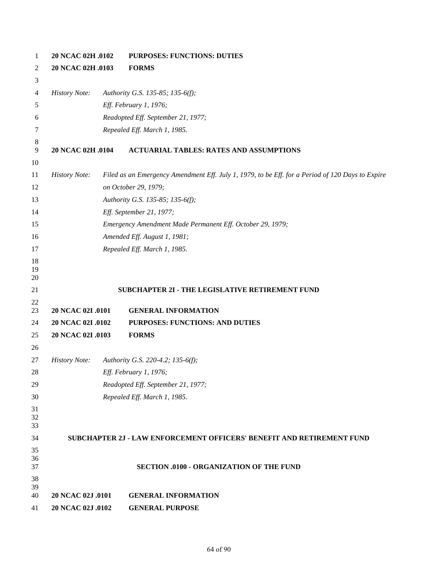| $\mathbf{1}$   | 20 NCAC 02H .0102    |  | <b>PURPOSES: FUNCTIONS: DUTIES</b>                                                               |  |  |
|----------------|----------------------|--|--------------------------------------------------------------------------------------------------|--|--|
| 2              | 20 NCAC 02H .0103    |  | <b>FORMS</b>                                                                                     |  |  |
| 3              |                      |  |                                                                                                  |  |  |
| 4              | <b>History Note:</b> |  | Authority G.S. 135-85; 135-6(f);                                                                 |  |  |
| 5              |                      |  | Eff. February 1, 1976;                                                                           |  |  |
| 6              |                      |  | Readopted Eff. September 21, 1977;                                                               |  |  |
| 7              |                      |  | Repealed Eff. March 1, 1985.                                                                     |  |  |
| 8              |                      |  |                                                                                                  |  |  |
| 9              | 20 NCAC 02H .0104    |  | <b>ACTUARIAL TABLES: RATES AND ASSUMPTIONS</b>                                                   |  |  |
| 10             |                      |  |                                                                                                  |  |  |
| 11             | <b>History Note:</b> |  | Filed as an Emergency Amendment Eff. July 1, 1979, to be Eff. for a Period of 120 Days to Expire |  |  |
| 12             |                      |  | on October 29, 1979;<br>Authority G.S. 135-85; 135-6(f);                                         |  |  |
| 13             |                      |  |                                                                                                  |  |  |
| 14             |                      |  | Eff. September 21, 1977;                                                                         |  |  |
| 15             |                      |  | Emergency Amendment Made Permanent Eff. October 29, 1979;                                        |  |  |
| 16             |                      |  | Amended Eff. August 1, 1981;                                                                     |  |  |
| 17             |                      |  | Repealed Eff. March 1, 1985.                                                                     |  |  |
| 18<br>19<br>20 |                      |  |                                                                                                  |  |  |
| 21             |                      |  | SUBCHAPTER 2I - THE LEGISLATIVE RETIREMENT FUND                                                  |  |  |
| 22             |                      |  |                                                                                                  |  |  |
| 23             | 20 NCAC 02I .0101    |  | <b>GENERAL INFORMATION</b>                                                                       |  |  |
| 24             | 20 NCAC 02I .0102    |  | PURPOSES: FUNCTIONS: AND DUTIES                                                                  |  |  |
| 25             | 20 NCAC 02I .0103    |  | <b>FORMS</b>                                                                                     |  |  |
| 26             |                      |  |                                                                                                  |  |  |
| 27             | <b>History Note:</b> |  | Authority G.S. 220-4.2; 135-6(f);                                                                |  |  |
| 28             |                      |  | <i>Eff. February 1, 1976;</i>                                                                    |  |  |
| 29             |                      |  | Readopted Eff. September 21, 1977;                                                               |  |  |
| 30             |                      |  | Repealed Eff. March 1, 1985.                                                                     |  |  |
| 31<br>32       |                      |  |                                                                                                  |  |  |
| 33             |                      |  |                                                                                                  |  |  |
| 34             |                      |  | SUBCHAPTER 2J - LAW ENFORCEMENT OFFICERS' BENEFIT AND RETIREMENT FUND                            |  |  |
| 35             |                      |  |                                                                                                  |  |  |
| 36<br>37       |                      |  | <b>SECTION .0100 - ORGANIZATION OF THE FUND</b>                                                  |  |  |
| 38             |                      |  |                                                                                                  |  |  |
| 39             |                      |  |                                                                                                  |  |  |
| 40             | 20 NCAC 02J .0101    |  | <b>GENERAL INFORMATION</b>                                                                       |  |  |
| 41             | 20 NCAC 02J .0102    |  | <b>GENERAL PURPOSE</b>                                                                           |  |  |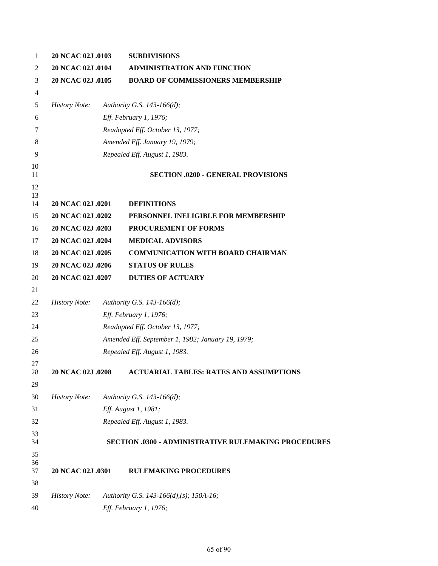| 1              | 20 NCAC 02J .0103    | <b>SUBDIVISIONS</b>                                         |
|----------------|----------------------|-------------------------------------------------------------|
| 2              | 20 NCAC 02J .0104    | <b>ADMINISTRATION AND FUNCTION</b>                          |
| 3              | 20 NCAC 02J .0105    | <b>BOARD OF COMMISSIONERS MEMBERSHIP</b>                    |
| $\overline{4}$ |                      |                                                             |
| 5              | <b>History Note:</b> | Authority G.S. 143-166(d);                                  |
| 6              |                      | Eff. February 1, 1976;                                      |
| 7              |                      | Readopted Eff. October 13, 1977;                            |
| 8              |                      | Amended Eff. January 19, 1979;                              |
| 9              |                      | Repealed Eff. August 1, 1983.                               |
| 10<br>11       |                      | <b>SECTION .0200 - GENERAL PROVISIONS</b>                   |
| 12<br>13<br>14 | 20 NCAC 02J .0201    | <b>DEFINITIONS</b>                                          |
| 15             | 20 NCAC 02J .0202    | PERSONNEL INELIGIBLE FOR MEMBERSHIP                         |
| 16             | 20 NCAC 02J .0203    | PROCUREMENT OF FORMS                                        |
| 17             | 20 NCAC 02J .0204    | <b>MEDICAL ADVISORS</b>                                     |
| 18             | 20 NCAC 02J .0205    | <b>COMMUNICATION WITH BOARD CHAIRMAN</b>                    |
| 19             | 20 NCAC 02J .0206    | <b>STATUS OF RULES</b>                                      |
| 20             | 20 NCAC 02J .0207    | <b>DUTIES OF ACTUARY</b>                                    |
| 21             |                      |                                                             |
| 22             | <b>History Note:</b> | Authority G.S. 143-166(d);                                  |
| 23             |                      | Eff. February 1, 1976;                                      |
| 24             |                      | Readopted Eff. October 13, 1977;                            |
| 25             |                      | Amended Eff. September 1, 1982; January 19, 1979;           |
| 26             |                      | Repealed Eff. August 1, 1983.                               |
| 27<br>28       | 20 NCAC 02J .0208    | ACTUARIAL TABLES: RATES AND ASSUMPTIONS                     |
| 29             |                      |                                                             |
| 30             | <b>History Note:</b> | Authority G.S. 143-166(d);                                  |
| 31             |                      | Eff. August 1, 1981;                                        |
| 32             |                      | Repealed Eff. August 1, 1983.                               |
| 33<br>34       |                      | <b>SECTION .0300 - ADMINISTRATIVE RULEMAKING PROCEDURES</b> |
| 35<br>36       |                      |                                                             |
| 37             | 20 NCAC 02J .0301    | <b>RULEMAKING PROCEDURES</b>                                |
| 38             |                      |                                                             |
| 39             | <b>History Note:</b> | Authority G.S. 143-166(d),(s); 150A-16;                     |
| 40             |                      | Eff. February 1, 1976;                                      |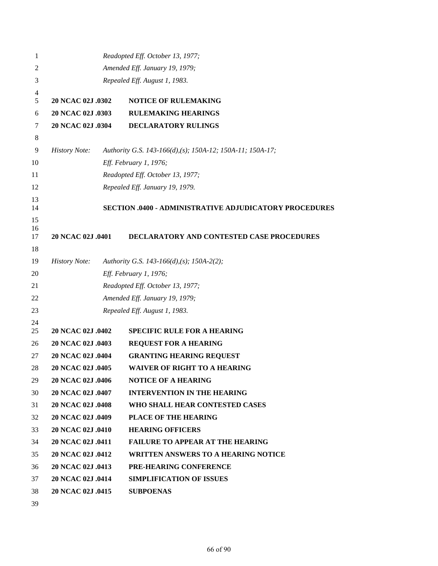| 1              |                          | Readopted Eff. October 13, 1977;                              |
|----------------|--------------------------|---------------------------------------------------------------|
| 2              |                          | Amended Eff. January 19, 1979;                                |
| 3              |                          | Repealed Eff. August 1, 1983.                                 |
| 4<br>5         | 20 NCAC 02J .0302        | <b>NOTICE OF RULEMAKING</b>                                   |
| 6              | 20 NCAC 02J .0303        | <b>RULEMAKING HEARINGS</b>                                    |
| 7              | <b>20 NCAC 02J .0304</b> | <b>DECLARATORY RULINGS</b>                                    |
| 8              |                          |                                                               |
| 9              | <b>History Note:</b>     | Authority G.S. 143-166(d),(s); 150A-12; 150A-11; 150A-17;     |
| 10             |                          | Eff. February 1, 1976;                                        |
| 11             |                          | Readopted Eff. October 13, 1977;                              |
| 12             |                          | Repealed Eff. January 19, 1979.                               |
| 13<br>14       |                          | <b>SECTION .0400 - ADMINISTRATIVE ADJUDICATORY PROCEDURES</b> |
| 15<br>16<br>17 | 20 NCAC 02J .0401        | DECLARATORY AND CONTESTED CASE PROCEDURES                     |
| 18             |                          |                                                               |
| 19             | <b>History Note:</b>     | Authority G.S. 143-166(d),(s); 150A-2(2);                     |
| 20             |                          | Eff. February 1, 1976;                                        |
| 21             |                          | Readopted Eff. October 13, 1977;                              |
| 22             |                          | Amended Eff. January 19, 1979;                                |
| 23             |                          | Repealed Eff. August 1, 1983.                                 |
| 24<br>25       | 20 NCAC 02J .0402        | <b>SPECIFIC RULE FOR A HEARING</b>                            |
| 26             | 20 NCAC 02J .0403        | <b>REQUEST FOR A HEARING</b>                                  |
| 27             | 20 NCAC 02J .0404        | <b>GRANTING HEARING REQUEST</b>                               |
| 28             | 20 NCAC 02J .0405        | <b>WAIVER OF RIGHT TO A HEARING</b>                           |
| 29             | 20 NCAC 02J .0406        | <b>NOTICE OF A HEARING</b>                                    |
| 30             | 20 NCAC 02J .0407        | <b>INTERVENTION IN THE HEARING</b>                            |
| 31             | 20 NCAC 02J .0408        | WHO SHALL HEAR CONTESTED CASES                                |
| 32             | 20 NCAC 02J .0409        | <b>PLACE OF THE HEARING</b>                                   |
| 33             | 20 NCAC 02J .0410        | <b>HEARING OFFICERS</b>                                       |
| 34             | 20 NCAC 02J .0411        | <b>FAILURE TO APPEAR AT THE HEARING</b>                       |
| 35             | 20 NCAC 02J .0412        | <b>WRITTEN ANSWERS TO A HEARING NOTICE</b>                    |
| 36             | 20 NCAC 02J .0413        | PRE-HEARING CONFERENCE                                        |
| 37             | 20 NCAC 02J .0414        | <b>SIMPLIFICATION OF ISSUES</b>                               |
| 38             | 20 NCAC 02J .0415        | <b>SUBPOENAS</b>                                              |
| 39             |                          |                                                               |

of 90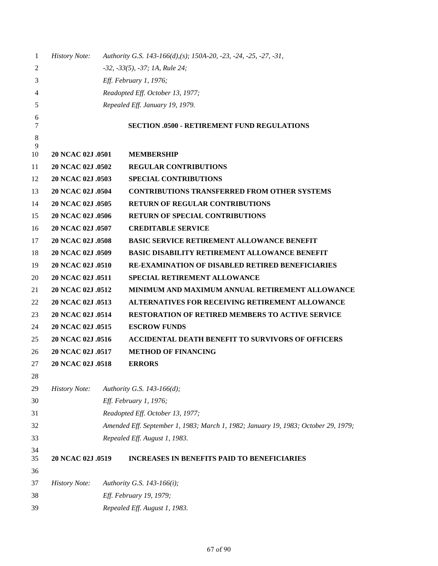| 1        | <b>History Note:</b> | Authority G.S. 143-166(d),(s); 150A-20, -23, -24, -25, -27, -31,                   |
|----------|----------------------|------------------------------------------------------------------------------------|
| 2        |                      | $-32, -33(5), -37; 1A, Rule 24;$                                                   |
| 3        |                      | Eff. February 1, 1976;                                                             |
| 4        |                      | Readopted Eff. October 13, 1977;                                                   |
| 5        |                      | Repealed Eff. January 19, 1979.                                                    |
| 6        |                      |                                                                                    |
| 7        |                      | <b>SECTION .0500 - RETIREMENT FUND REGULATIONS</b>                                 |
| 8<br>9   |                      |                                                                                    |
| 10       | 20 NCAC 02J .0501    | <b>MEMBERSHIP</b>                                                                  |
| 11       | 20 NCAC 02J .0502    | <b>REGULAR CONTRIBUTIONS</b>                                                       |
| 12       | 20 NCAC 02J .0503    | <b>SPECIAL CONTRIBUTIONS</b>                                                       |
| 13       | 20 NCAC 02J .0504    | <b>CONTRIBUTIONS TRANSFERRED FROM OTHER SYSTEMS</b>                                |
| 14       | 20 NCAC 02J .0505    | <b>RETURN OF REGULAR CONTRIBUTIONS</b>                                             |
| 15       | 20 NCAC 02J .0506    | <b>RETURN OF SPECIAL CONTRIBUTIONS</b>                                             |
| 16       | 20 NCAC 02J .0507    | <b>CREDITABLE SERVICE</b>                                                          |
| 17       | 20 NCAC 02J .0508    | <b>BASIC SERVICE RETIREMENT ALLOWANCE BENEFIT</b>                                  |
| 18       | 20 NCAC 02J .0509    | <b>BASIC DISABILITY RETIREMENT ALLOWANCE BENEFIT</b>                               |
| 19       | 20 NCAC 02J .0510    | <b>RE-EXAMINATION OF DISABLED RETIRED BENEFICIARIES</b>                            |
| 20       | 20 NCAC 02J .0511    | <b>SPECIAL RETIREMENT ALLOWANCE</b>                                                |
| 21       | 20 NCAC 02J .0512    | MINIMUM AND MAXIMUM ANNUAL RETIREMENT ALLOWANCE                                    |
| 22       | 20 NCAC 02J .0513    | <b>ALTERNATIVES FOR RECEIVING RETIREMENT ALLOWANCE</b>                             |
| 23       | 20 NCAC 02J .0514    | <b>RESTORATION OF RETIRED MEMBERS TO ACTIVE SERVICE</b>                            |
| 24       | 20 NCAC 02J .0515    | <b>ESCROW FUNDS</b>                                                                |
| 25       | 20 NCAC 02J .0516    | <b>ACCIDENTAL DEATH BENEFIT TO SURVIVORS OF OFFICERS</b>                           |
| 26       | 20 NCAC 02J .0517    | <b>METHOD OF FINANCING</b>                                                         |
| 27       | 20 NCAC 02J .0518    | <b>ERRORS</b>                                                                      |
| 28       |                      |                                                                                    |
| 29       | <b>History Note:</b> | Authority G.S. 143-166(d);                                                         |
| 30       |                      | Eff. February 1, 1976;                                                             |
| 31       |                      | Readopted Eff. October 13, 1977;                                                   |
| 32       |                      | Amended Eff. September 1, 1983; March 1, 1982; January 19, 1983; October 29, 1979; |
| 33       |                      | Repealed Eff. August 1, 1983.                                                      |
| 34<br>35 | 20 NCAC 02J .0519    | <b>INCREASES IN BENEFITS PAID TO BENEFICIARIES</b>                                 |
| 36       |                      |                                                                                    |
| 37       | <b>History Note:</b> | Authority G.S. 143-166(i);                                                         |
| 38       |                      | Eff. February 19, 1979;                                                            |
| 39       |                      | Repealed Eff. August 1, 1983.                                                      |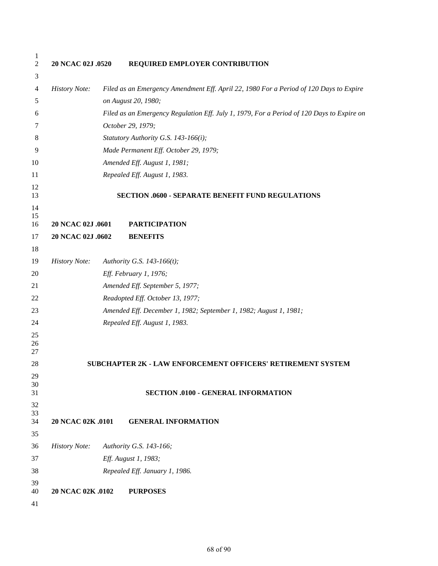| 1<br>$\mathbf{2}$ | 20 NCAC 02J .0520    | REQUIRED EMPLOYER CONTRIBUTION                                                            |
|-------------------|----------------------|-------------------------------------------------------------------------------------------|
| 3                 |                      |                                                                                           |
| 4                 | <b>History Note:</b> | Filed as an Emergency Amendment Eff. April 22, 1980 For a Period of 120 Days to Expire    |
| 5                 |                      | on August 20, 1980;                                                                       |
| 6                 |                      | Filed as an Emergency Regulation Eff. July 1, 1979, For a Period of 120 Days to Expire on |
| 7                 |                      | October 29, 1979;                                                                         |
| 8                 |                      | Statutory Authority G.S. 143-166(i);                                                      |
| 9                 |                      | Made Permanent Eff. October 29, 1979;                                                     |
| 10                |                      | Amended Eff. August 1, 1981;                                                              |
| 11                |                      | Repealed Eff. August 1, 1983.                                                             |
| 12<br>13<br>14    |                      | <b>SECTION .0600 - SEPARATE BENEFIT FUND REGULATIONS</b>                                  |
| 15                |                      |                                                                                           |
| 16                | 20 NCAC 02J .0601    | <b>PARTICIPATION</b>                                                                      |
| 17                | 20 NCAC 02J .0602    | <b>BENEFITS</b>                                                                           |
| 18<br>19          |                      |                                                                                           |
|                   | <b>History Note:</b> | Authority G.S. 143-166(t);                                                                |
| 20                |                      | Eff. February 1, 1976;                                                                    |
| 21                |                      | Amended Eff. September 5, 1977;                                                           |
| 22                |                      | Readopted Eff. October 13, 1977;                                                          |
| 23                |                      | Amended Eff. December 1, 1982; September 1, 1982; August 1, 1981;                         |
| 24                |                      | Repealed Eff. August 1, 1983.                                                             |
| 25<br>26          |                      |                                                                                           |
| 27                |                      |                                                                                           |
| 28                |                      | SUBCHAPTER 2K - LAW ENFORCEMENT OFFICERS' RETIREMENT SYSTEM                               |
| 29                |                      |                                                                                           |
| 30<br>31          |                      | <b>SECTION .0100 - GENERAL INFORMATION</b>                                                |
| 32                |                      |                                                                                           |
| 33                |                      |                                                                                           |
| 34                | 20 NCAC 02K .0101    | <b>GENERAL INFORMATION</b>                                                                |
| 35                |                      |                                                                                           |
| 36                | <b>History Note:</b> | Authority G.S. 143-166;                                                                   |
| 37                |                      | Eff. August 1, 1983;                                                                      |
| 38                |                      | Repealed Eff. January 1, 1986.                                                            |
| 39<br>40          | 20 NCAC 02K .0102    | <b>PURPOSES</b>                                                                           |
| 41                |                      |                                                                                           |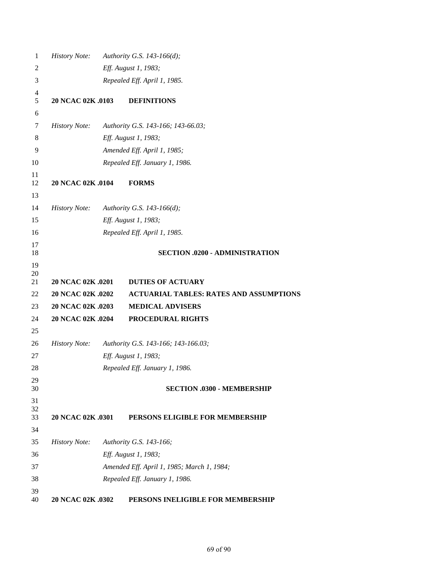| 1              | <b>History Note:</b> | Authority G.S. 143-166(d);                     |
|----------------|----------------------|------------------------------------------------|
| $\overline{2}$ |                      | Eff. August 1, 1983;                           |
| 3              |                      | Repealed Eff. April 1, 1985.                   |
| 4              |                      |                                                |
| 5              | 20 NCAC 02K .0103    | <b>DEFINITIONS</b>                             |
| 6              |                      |                                                |
| 7              | <b>History Note:</b> | Authority G.S. 143-166; 143-66.03;             |
| 8              |                      | Eff. August 1, 1983;                           |
| 9              |                      | Amended Eff. April 1, 1985;                    |
| 10             |                      | Repealed Eff. January 1, 1986.                 |
| 11<br>12       | 20 NCAC 02K .0104    | <b>FORMS</b>                                   |
| 13             |                      |                                                |
| 14             | <b>History Note:</b> | Authority G.S. 143-166(d);                     |
| 15             |                      | Eff. August 1, 1983;                           |
| 16             |                      | Repealed Eff. April 1, 1985.                   |
| 17<br>18       |                      | <b>SECTION .0200 - ADMINISTRATION</b>          |
| 19<br>20       |                      |                                                |
| 21             | 20 NCAC 02K .0201    | <b>DUTIES OF ACTUARY</b>                       |
| 22             | 20 NCAC 02K .0202    | <b>ACTUARIAL TABLES: RATES AND ASSUMPTIONS</b> |
| 23             | 20 NCAC 02K .0203    | <b>MEDICAL ADVISERS</b>                        |
| 24             | 20 NCAC 02K .0204    | PROCEDURAL RIGHTS                              |
| 25             |                      |                                                |
| 26             | <b>History Note:</b> | Authority G.S. 143-166; 143-166.03;            |
| 27             |                      | Eff. August 1, 1983;                           |
| 28             |                      | Repealed Eff. January 1, 1986.                 |
| 29<br>30       |                      | <b>SECTION .0300 - MEMBERSHIP</b>              |
| 31             |                      |                                                |
| 32<br>33       | 20 NCAC 02K .0301    | PERSONS ELIGIBLE FOR MEMBERSHIP                |
| 34             |                      |                                                |
| 35             | <b>History Note:</b> | Authority G.S. 143-166;                        |
| 36             |                      | Eff. August 1, 1983;                           |
| 37             |                      | Amended Eff. April 1, 1985; March 1, 1984;     |
| 38             |                      | Repealed Eff. January 1, 1986.                 |
| 39             |                      |                                                |
| 40             | 20 NCAC 02K .0302    | PERSONS INELIGIBLE FOR MEMBERSHIP              |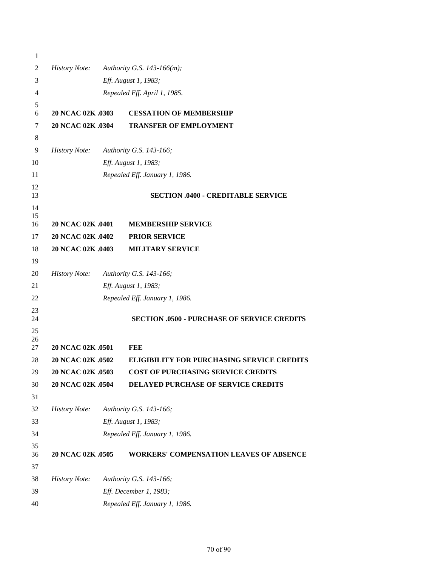| 1        |                      |                                                    |
|----------|----------------------|----------------------------------------------------|
| 2        | <b>History Note:</b> | Authority G.S. 143-166(m);                         |
| 3        |                      | Eff. August 1, 1983;                               |
| 4        |                      | Repealed Eff. April 1, 1985.                       |
| 5        |                      |                                                    |
| 6        | 20 NCAC 02K .0303    | <b>CESSATION OF MEMBERSHIP</b>                     |
| 7        | 20 NCAC 02K .0304    | <b>TRANSFER OF EMPLOYMENT</b>                      |
| 8        |                      |                                                    |
| 9        | <b>History Note:</b> | Authority G.S. 143-166;                            |
| 10       |                      | Eff. August 1, 1983;                               |
| 11       |                      | Repealed Eff. January 1, 1986.                     |
| 12<br>13 |                      | <b>SECTION .0400 - CREDITABLE SERVICE</b>          |
| 14<br>15 |                      |                                                    |
| 16       | 20 NCAC 02K .0401    | <b>MEMBERSHIP SERVICE</b>                          |
| 17       | 20 NCAC 02K .0402    | <b>PRIOR SERVICE</b>                               |
| 18       | 20 NCAC 02K .0403    | <b>MILITARY SERVICE</b>                            |
| 19       |                      |                                                    |
| 20       | <b>History Note:</b> | Authority G.S. 143-166;                            |
| 21       |                      | Eff. August 1, 1983;                               |
| 22       |                      | Repealed Eff. January 1, 1986.                     |
| 23<br>24 |                      | <b>SECTION .0500 - PURCHASE OF SERVICE CREDITS</b> |
| 25       |                      |                                                    |
| 26<br>27 | 20 NCAC 02K .0501    | <b>FEE</b>                                         |
| 28       | 20 NCAC 02K .0502    | <b>ELIGIBILITY FOR PURCHASING SERVICE CREDITS</b>  |
| 29       | 20 NCAC 02K .0503    | COST OF PURCHASING SERVICE CREDITS                 |
| 30       | 20 NCAC 02K .0504    | DELAYED PURCHASE OF SERVICE CREDITS                |
| 31       |                      |                                                    |
| 32       | <b>History Note:</b> | Authority G.S. 143-166;                            |
| 33       |                      | Eff. August 1, 1983;                               |
| 34       |                      | Repealed Eff. January 1, 1986.                     |
| 35       |                      |                                                    |
| 36       | 20 NCAC 02K .0505    | <b>WORKERS' COMPENSATION LEAVES OF ABSENCE</b>     |
| 37       |                      |                                                    |
| 38       | <b>History Note:</b> | Authority G.S. 143-166;                            |
| 39       |                      | Eff. December 1, 1983;                             |
| 40       |                      | Repealed Eff. January 1, 1986.                     |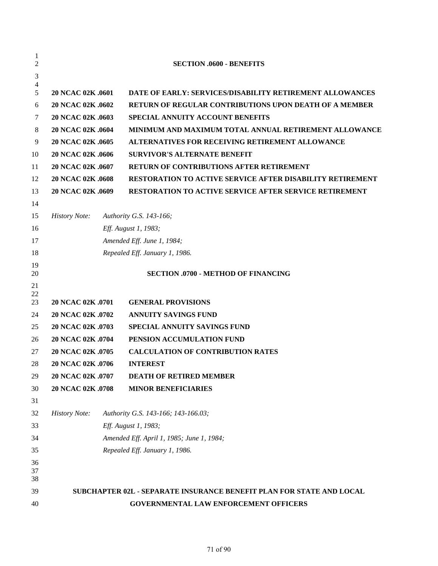| 1<br>2   |                      | <b>SECTION .0600 - BENEFITS</b>                                      |
|----------|----------------------|----------------------------------------------------------------------|
| 3        |                      |                                                                      |
| 4        |                      |                                                                      |
| 5        | 20 NCAC 02K .0601    | <b>DATE OF EARLY: SERVICES/DISABILITY RETIREMENT ALLOWANCES</b>      |
| 6        | 20 NCAC 02K .0602    | <b>RETURN OF REGULAR CONTRIBUTIONS UPON DEATH OF A MEMBER</b>        |
| 7        | 20 NCAC 02K .0603    | <b>SPECIAL ANNUITY ACCOUNT BENEFITS</b>                              |
| 8        | 20 NCAC 02K .0604    | MINIMUM AND MAXIMUM TOTAL ANNUAL RETIREMENT ALLOWANCE                |
| 9        | 20 NCAC 02K .0605    | <b>ALTERNATIVES FOR RECEIVING RETIREMENT ALLOWANCE</b>               |
| 10       | 20 NCAC 02K .0606    | <b>SURVIVOR'S ALTERNATE BENEFIT</b>                                  |
| 11       | 20 NCAC 02K .0607    | <b>RETURN OF CONTRIBUTIONS AFTER RETIREMENT</b>                      |
| 12       | 20 NCAC 02K .0608    | <b>RESTORATION TO ACTIVE SERVICE AFTER DISABILITY RETIREMENT</b>     |
| 13       | 20 NCAC 02K .0609    | <b>RESTORATION TO ACTIVE SERVICE AFTER SERVICE RETIREMENT</b>        |
| 14       |                      |                                                                      |
| 15       | <b>History Note:</b> | Authority G.S. 143-166;                                              |
| 16       |                      | Eff. August 1, 1983;                                                 |
| 17       |                      | Amended Eff. June 1, 1984;                                           |
| 18       |                      | Repealed Eff. January 1, 1986.                                       |
| 19       |                      |                                                                      |
| 20       |                      | <b>SECTION .0700 - METHOD OF FINANCING</b>                           |
| 21<br>22 |                      |                                                                      |
| 23       | 20 NCAC 02K .0701    | <b>GENERAL PROVISIONS</b>                                            |
| 24       | 20 NCAC 02K .0702    | <b>ANNUITY SAVINGS FUND</b>                                          |
| 25       | 20 NCAC 02K .0703    | <b>SPECIAL ANNUITY SAVINGS FUND</b>                                  |
| 26       | 20 NCAC 02K .0704    | PENSION ACCUMULATION FUND                                            |
| 27       | 20 NCAC 02K .0705    | <b>CALCULATION OF CONTRIBUTION RATES</b>                             |
| 28       | 20 NCAC 02K .0706    | <b>INTEREST</b>                                                      |
| 29       | 20 NCAC 02K .0707    | <b>DEATH OF RETIRED MEMBER</b>                                       |
| 30       | 20 NCAC 02K .0708    | <b>MINOR BENEFICIARIES</b>                                           |
| 31       |                      |                                                                      |
| 32       | <b>History Note:</b> | Authority G.S. 143-166; 143-166.03;                                  |
| 33       |                      | Eff. August 1, 1983;                                                 |
| 34       |                      | Amended Eff. April 1, 1985; June 1, 1984;                            |
| 35       |                      | Repealed Eff. January 1, 1986.                                       |
| 36       |                      |                                                                      |
| 37<br>38 |                      |                                                                      |
| 39       |                      | SUBCHAPTER 02L - SEPARATE INSURANCE BENEFIT PLAN FOR STATE AND LOCAL |
| 40       |                      | GOVERNMENTAL LAW ENFORCEMENT OFFICERS                                |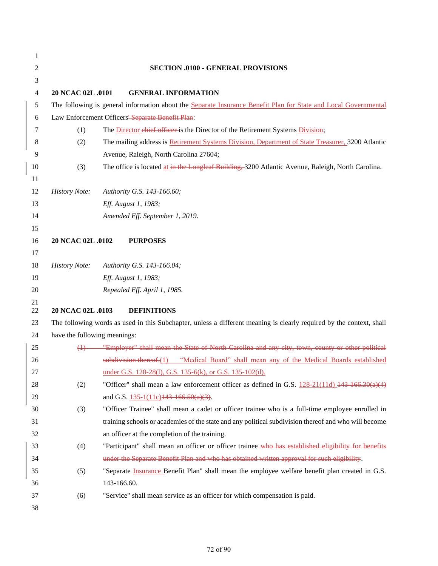| 1                |                              |                                                                                                                                                                |
|------------------|------------------------------|----------------------------------------------------------------------------------------------------------------------------------------------------------------|
| $\overline{c}$   |                              | <b>SECTION .0100 - GENERAL PROVISIONS</b>                                                                                                                      |
| 3                |                              |                                                                                                                                                                |
| $\overline{4}$   | 20 NCAC 02L .0101            | <b>GENERAL INFORMATION</b>                                                                                                                                     |
| $\sqrt{5}$       |                              | The following is general information about the Separate Insurance Benefit Plan for State and Local Governmental                                                |
| $\boldsymbol{6}$ |                              | Law Enforcement Officers' Separate Benefit Plan:                                                                                                               |
| 7                | (1)                          | The Director chief officer is the Director of the Retirement Systems Division;                                                                                 |
| $\,8\,$          | (2)                          | The mailing address is Retirement Systems Division, Department of State Treasurer, 3200 Atlantic                                                               |
| 9                |                              | Avenue, Raleigh, North Carolina 27604;                                                                                                                         |
| 10               | (3)                          | The office is located at in the Longleaf Building, 3200 Atlantic Avenue, Raleigh, North Carolina.                                                              |
| 11               |                              |                                                                                                                                                                |
| 12               | <b>History Note:</b>         | Authority G.S. 143-166.60;                                                                                                                                     |
| 13               |                              | Eff. August 1, 1983;                                                                                                                                           |
| 14               |                              | Amended Eff. September 1, 2019.                                                                                                                                |
| 15               |                              |                                                                                                                                                                |
| 16               | 20 NCAC 02L .0102            | <b>PURPOSES</b>                                                                                                                                                |
| 17               |                              |                                                                                                                                                                |
| 18               | <b>History Note:</b>         | Authority G.S. 143-166.04;                                                                                                                                     |
| 19               |                              | Eff. August 1, 1983;                                                                                                                                           |
| 20               |                              | Repealed Eff. April 1, 1985.                                                                                                                                   |
| 21               |                              |                                                                                                                                                                |
| $22\,$           | 20 NCAC 02L .0103            | <b>DEFINITIONS</b>                                                                                                                                             |
| 23               |                              | The following words as used in this Subchapter, unless a different meaning is clearly required by the context, shall                                           |
| 24               | have the following meanings: | (1) "Employer" shall mean the State of North Carolina and any city, town, county or other political                                                            |
| 25               |                              | subdivision thereof.(1) "Medical Board" shall mean any of the Medical Boards established                                                                       |
| 26<br>27         |                              |                                                                                                                                                                |
| 28               |                              | under G.S. 128-28(1), G.S. 135-6(k), or G.S. 135-102(d).<br>"Officer" shall mean a law enforcement officer as defined in G.S. $128-21(11d)$ $143-166.30(a)(4)$ |
| 29               | (2)                          |                                                                                                                                                                |
| 30               | (3)                          | and G.S. $\frac{135 - 1(11c)}{143 - 166.50(a)(3)}$ .<br>"Officer Trainee" shall mean a cadet or officer trainee who is a full-time employee enrolled in        |
| 31               |                              | training schools or academies of the state and any political subdivision thereof and who will become                                                           |
| 32               |                              | an officer at the completion of the training.                                                                                                                  |
| 33               | (4)                          | "Participant" shall mean an officer or officer trainee-who has established eligibility for benefits                                                            |
| 34               |                              | under the Separate Benefit Plan and who has obtained written approval for such eligibility.                                                                    |
| 35               | (5)                          | "Separate Insurance Benefit Plan" shall mean the employee welfare benefit plan created in G.S.                                                                 |
| 36               |                              | 143-166.60.                                                                                                                                                    |
| 37               | (6)                          | "Service" shall mean service as an officer for which compensation is paid.                                                                                     |
|                  |                              |                                                                                                                                                                |
| 38               |                              |                                                                                                                                                                |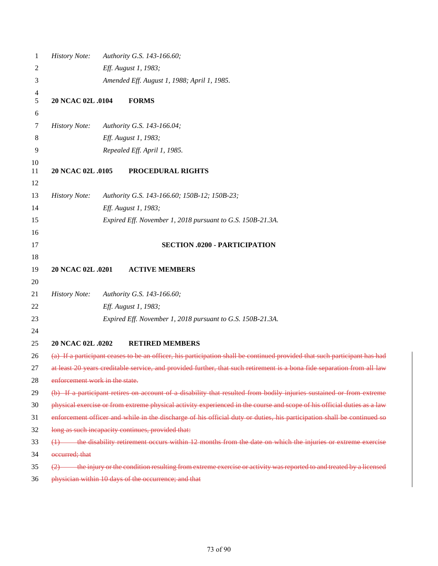| 1        | <b>History Note:</b>           | Authority G.S. 143-166.60;                                                                                                |
|----------|--------------------------------|---------------------------------------------------------------------------------------------------------------------------|
| 2        |                                | Eff. August 1, 1983;                                                                                                      |
| 3        |                                | Amended Eff. August 1, 1988; April 1, 1985.                                                                               |
| 4<br>5   | 20 NCAC 02L .0104              | <b>FORMS</b>                                                                                                              |
| 6        |                                |                                                                                                                           |
| 7        | <b>History Note:</b>           | Authority G.S. 143-166.04;                                                                                                |
| 8        |                                | Eff. August 1, 1983;                                                                                                      |
| 9        |                                | Repealed Eff. April 1, 1985.                                                                                              |
| 10       |                                |                                                                                                                           |
| 11       | 20 NCAC 02L .0105              | PROCEDURAL RIGHTS                                                                                                         |
| 12       |                                |                                                                                                                           |
| 13       | <b>History Note:</b>           | Authority G.S. 143-166.60; 150B-12; 150B-23;                                                                              |
| 14       |                                | Eff. August 1, 1983;                                                                                                      |
| 15       |                                | Expired Eff. November 1, 2018 pursuant to G.S. 150B-21.3A.                                                                |
| 16       |                                |                                                                                                                           |
| 17       |                                | <b>SECTION .0200 - PARTICIPATION</b>                                                                                      |
| 18       |                                |                                                                                                                           |
| 19       | 20 NCAC 02L .0201              | <b>ACTIVE MEMBERS</b>                                                                                                     |
| 20       |                                |                                                                                                                           |
| 21       | <b>History Note:</b>           | Authority G.S. 143-166.60;                                                                                                |
| 22       |                                | Eff. August 1, 1983;                                                                                                      |
| 23       |                                | Expired Eff. November 1, 2018 pursuant to G.S. 150B-21.3A.                                                                |
| 24<br>25 | 20 NCAC 02L .0202              | <b>RETIRED MEMBERS</b>                                                                                                    |
| 26       |                                | (a) If a participant ceases to be an officer, his participation shall be continued provided that such participant has had |
| 27       |                                | at least 20 years creditable service, and provided further, that such retirement is a bona fide separation from all law   |
| 28       | enforcement work in the state. |                                                                                                                           |
| 29       |                                | (b) If a participant retires on account of a disability that resulted from bodily injuries sustained or from extreme      |
| 30       |                                | physical exercise or from extreme physical activity experienced in the course and scope of his official duties as a law   |
| 31       |                                | enforcement officer and while in the discharge of his official duty or duties, his participation shall be continued so    |
| 32       |                                | long as such incapacity continues, provided that:                                                                         |
| 33       |                                | the disability retirement occurs within 12 months from the date on which the injuries or extreme exercise                 |
| 34       | occurred; that                 |                                                                                                                           |
| 35       |                                | the injury or the condition resulting from extreme exercise or activity was reported to and treated by a licensed         |
| 36       |                                | physician within 10 days of the occurrence; and that                                                                      |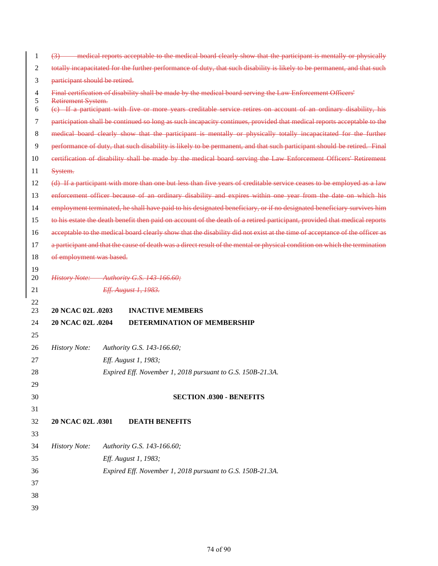| 1        | $\leftrightarrow$              | - medical reports acceptable to the medical board clearly show that the participant is mentally or physically              |  |
|----------|--------------------------------|----------------------------------------------------------------------------------------------------------------------------|--|
| 2        |                                | totally incapacitated for the further performance of duty, that such disability is likely to be permanent, and that such   |  |
| 3        | participant should be retired. |                                                                                                                            |  |
| 4        |                                | Final certification of disability shall be made by the medical board serving the Law Enforcement Officers'                 |  |
| 5<br>6   | Retirement System.             | (e) If a participant with five or more years creditable service retires on account of an ordinary disability, his          |  |
| 7        |                                | participation shall be continued so long as such incapacity continues, provided that medical reports acceptable to the     |  |
| 8        |                                | medical board clearly show that the participant is mentally or physically totally incapacitated for the further            |  |
| 9        |                                | performance of duty, that such disability is likely to be permanent, and that such participant should be retired. Final    |  |
| 10       |                                | eertification of disability shall be made by the medical board serving the Law Enforcement Officers' Retirement            |  |
| 11       | System.                        |                                                                                                                            |  |
| 12       |                                | (d) If a participant with more than one but less than five years of creditable service ceases to be employed as a law      |  |
| 13       |                                | enforcement officer because of an ordinary disability and expires within one year from the date on which his               |  |
| 14       |                                | employment terminated, he shall have paid to his designated beneficiary, or if no designated beneficiary survives him      |  |
| 15       |                                | to his estate the death benefit then paid on account of the death of a retired participant, provided that medical reports  |  |
| 16       |                                | acceptable to the medical board clearly show that the disability did not exist at the time of acceptance of the officer as |  |
| 17       |                                | a participant and that the cause of death was a direct result of the mental or physical condition on which the termination |  |
| 18       | of employment was based.       |                                                                                                                            |  |
| 19       |                                |                                                                                                                            |  |
| 20<br>21 |                                | History Note: Authority G.S. 143 166.60;<br>Eff. August 1, 1983.                                                           |  |
| 22       |                                |                                                                                                                            |  |
| 23       | 20 NCAC 02L .0203              | <b>INACTIVE MEMBERS</b>                                                                                                    |  |
| 24       | 20 NCAC 02L .0204              | <b>DETERMINATION OF MEMBERSHIP</b>                                                                                         |  |
| 25       |                                |                                                                                                                            |  |
| 26       | <b>History Note:</b>           | Authority G.S. 143-166.60;                                                                                                 |  |
| 27       |                                | Eff. August 1, 1983;                                                                                                       |  |
| 28       |                                | Expired Eff. November 1, 2018 pursuant to G.S. 150B-21.3A.                                                                 |  |
| 29       |                                |                                                                                                                            |  |
| 30       |                                | <b>SECTION .0300 - BENEFITS</b>                                                                                            |  |
| 31       |                                |                                                                                                                            |  |
| 32       | 20 NCAC 02L .0301              | <b>DEATH BENEFITS</b>                                                                                                      |  |
| 33       |                                |                                                                                                                            |  |
| 34       | <b>History Note:</b>           | Authority G.S. 143-166.60;                                                                                                 |  |
| 35       |                                | Eff. August 1, 1983;                                                                                                       |  |
| 36       |                                | Expired Eff. November 1, 2018 pursuant to G.S. 150B-21.3A.                                                                 |  |
| 37       |                                |                                                                                                                            |  |
| 38       |                                |                                                                                                                            |  |
| 39       |                                |                                                                                                                            |  |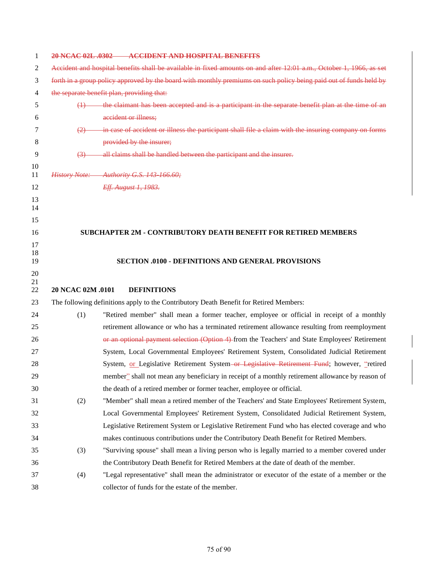| 1        |                   | 20 NCAC 02L .0302 ACCIDENT AND HOSPITAL BENEFITS                                                                    |
|----------|-------------------|---------------------------------------------------------------------------------------------------------------------|
| 2        |                   | Accident and hospital benefits shall be available in fixed amounts on and after 12:01 a.m., October 1, 1966, as set |
| 3        |                   | forth in a group policy approved by the board with monthly premiums on such policy being paid out of funds held by  |
| 4        |                   | the separate benefit plan, providing that:                                                                          |
| 5        | $\leftrightarrow$ | the claimant has been accepted and is a participant in the separate benefit plan at the time of an                  |
| 6        |                   | accident or illness;                                                                                                |
| 7        |                   | in case of accident or illness the participant shall file a claim with the insuring company on forms                |
| 8        |                   | provided by the insurer;                                                                                            |
| 9        | $\leftrightarrow$ | all claims shall be handled between the participant and the insurer.                                                |
| 10       |                   |                                                                                                                     |
| 11       |                   | History Note: Authority G.S. 143-166.60;                                                                            |
| 12       |                   | Eff. August 1, 1983.                                                                                                |
| 13<br>14 |                   |                                                                                                                     |
| 15       |                   |                                                                                                                     |
| 16       |                   | <b>SUBCHAPTER 2M - CONTRIBUTORY DEATH BENEFIT FOR RETIRED MEMBERS</b>                                               |
| 17       |                   |                                                                                                                     |
| 18       |                   |                                                                                                                     |
| 19       |                   | <b>SECTION .0100 - DEFINITIONS AND GENERAL PROVISIONS</b>                                                           |
|          |                   |                                                                                                                     |
| 20       |                   |                                                                                                                     |
| 21<br>22 | 20 NCAC 02M .0101 | <b>DEFINITIONS</b>                                                                                                  |
| 23       |                   | The following definitions apply to the Contributory Death Benefit for Retired Members:                              |
| 24       | (1)               | "Retired member" shall mean a former teacher, employee or official in receipt of a monthly                          |
| 25       |                   | retirement allowance or who has a terminated retirement allowance resulting from reemployment                       |
| 26       |                   | or an optional payment selection (Option 4) from the Teachers' and State Employees' Retirement                      |
| 27       |                   | System, Local Governmental Employees' Retirement System, Consolidated Judicial Retirement                           |
| 28       |                   | System, or Legislative Retirement System-or Legislative Retirement Fund; however, "retired                          |
| 29       |                   | member" shall not mean any beneficiary in receipt of a monthly retirement allowance by reason of                    |
| 30       |                   | the death of a retired member or former teacher, employee or official.                                              |
| 31       | (2)               | "Member" shall mean a retired member of the Teachers' and State Employees' Retirement System,                       |
| 32       |                   | Local Governmental Employees' Retirement System, Consolidated Judicial Retirement System,                           |
| 33       |                   | Legislative Retirement System or Legislative Retirement Fund who has elected coverage and who                       |
| 34       |                   | makes continuous contributions under the Contributory Death Benefit for Retired Members.                            |
| 35       | (3)               | "Surviving spouse" shall mean a living person who is legally married to a member covered under                      |
| 36       |                   | the Contributory Death Benefit for Retired Members at the date of death of the member.                              |
| 37       | (4)               | "Legal representative" shall mean the administrator or executor of the estate of a member or the                    |

 $\mathsf{l}$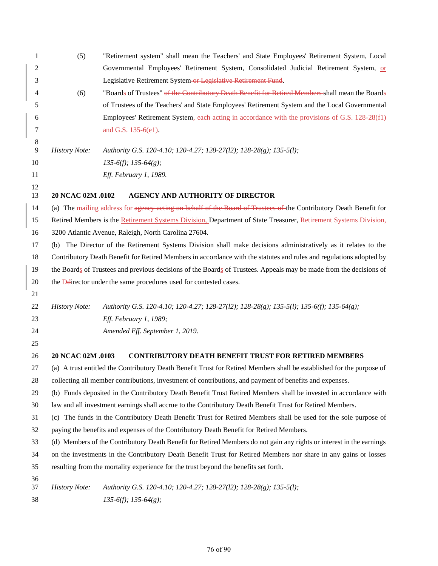| 1              | (5)                  | "Retirement system" shall mean the Teachers' and State Employees' Retirement System, Local                            |
|----------------|----------------------|-----------------------------------------------------------------------------------------------------------------------|
| $\mathfrak{2}$ |                      | Governmental Employees' Retirement System, Consolidated Judicial Retirement System, or                                |
| 3              |                      | Legislative Retirement System-or Legislative Retirement Fund.                                                         |
| 4              | (6)                  | "Boards of Trustees" of the Contributory Death Benefit for Retired Members-shall mean the Boards                      |
| 5              |                      | of Trustees of the Teachers' and State Employees' Retirement System and the Local Governmental                        |
| 6              |                      | Employees' Retirement System, each acting in accordance with the provisions of G.S. 128-28(f1)                        |
| 7              |                      | and G.S. 135-6(e1).                                                                                                   |
| 8              |                      |                                                                                                                       |
| 9              | <b>History Note:</b> | Authority G.S. 120-4.10; 120-4.27; 128-27(12); 128-28(g); 135-5(1);                                                   |
| 10             |                      | $135-6(f)$ ; $135-64(g)$ ;                                                                                            |
| 11             |                      | Eff. February 1, 1989.                                                                                                |
| 12<br>13       | 20 NCAC 02M .0102    | <b>AGENCY AND AUTHORITY OF DIRECTOR</b>                                                                               |
| 14             |                      | (a) The mailing address for agency acting on behalf of the Board of Trustees of the Contributory Death Benefit for    |
| 15             |                      | Retired Members is the Retirement Systems Division, Department of State Treasurer, Retirement Systems Division,       |
| 16             |                      | 3200 Atlantic Avenue, Raleigh, North Carolina 27604.                                                                  |
| 17             |                      | (b) The Director of the Retirement Systems Division shall make decisions administratively as it relates to the        |
| 18             |                      | Contributory Death Benefit for Retired Members in accordance with the statutes and rules and regulations adopted by   |
| 19             |                      | the Boards of Trustees and previous decisions of the Boards of Trustees. Appeals may be made from the decisions of    |
| $20\,$         |                      | the <b>D</b> director under the same procedures used for contested cases.                                             |
| 21             |                      |                                                                                                                       |
| $22\,$         | <b>History Note:</b> | Authority G.S. 120-4.10; 120-4.27; 128-27(12); 128-28(g); 135-5(l); 135-6(f); 135-64(g);                              |
| 23             |                      | Eff. February 1, 1989;                                                                                                |
| 24             |                      | Amended Eff. September 1, 2019.                                                                                       |
| 25             |                      |                                                                                                                       |
| 26             | 20 NCAC 02M .0103    | <b>CONTRIBUTORY DEATH BENEFIT TRUST FOR RETIRED MEMBERS</b>                                                           |
| 27             |                      | (a) A trust entitled the Contributory Death Benefit Trust for Retired Members shall be established for the purpose of |
| 28             |                      | collecting all member contributions, investment of contributions, and payment of benefits and expenses.               |
| 29             |                      | (b) Funds deposited in the Contributory Death Benefit Trust Retired Members shall be invested in accordance with      |
| 30             |                      | law and all investment earnings shall accrue to the Contributory Death Benefit Trust for Retired Members.             |
| 31             |                      | (c) The funds in the Contributory Death Benefit Trust for Retired Members shall be used for the sole purpose of       |
| 32             |                      | paying the benefits and expenses of the Contributory Death Benefit for Retired Members.                               |
| 33             |                      | (d) Members of the Contributory Death Benefit for Retired Members do not gain any rights or interest in the earnings  |
| 34             |                      | on the investments in the Contributory Death Benefit Trust for Retired Members nor share in any gains or losses       |
| 35             |                      | resulting from the mortality experience for the trust beyond the benefits set forth.                                  |
| 36             |                      |                                                                                                                       |
| 37             | <b>History Note:</b> | Authority G.S. 120-4.10; 120-4.27; 128-27(12); 128-28(g); 135-5(1);                                                   |
| 38             |                      | $135-6(f)$ ; $135-64(g)$ ;                                                                                            |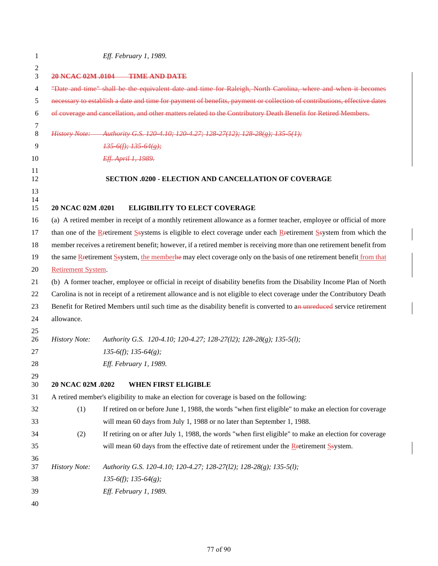| 1        |                      | Eff. February 1, 1989.                                                                                                  |
|----------|----------------------|-------------------------------------------------------------------------------------------------------------------------|
| 2        |                      |                                                                                                                         |
| 3        |                      | 20 NCAC 02M .0104 TIME AND DATE                                                                                         |
| 4        |                      | "Date and time" shall be the equivalent date and time for Raleigh, North Carolina, where and when it becomes            |
| 5        |                      | necessary to establish a date and time for payment of benefits, payment or collection of contributions, effective dates |
| 6        |                      | of coverage and cancellation, and other matters related to the Contributory Death Benefit for Retired Members.          |
| 7<br>8   |                      | History Note: Authority G.S. 120 4.10; 120 4.27; 128 27(12); 128 28(g); 135 5(1);                                       |
| 9        |                      | 1356(f); 13564(g);                                                                                                      |
| 10       |                      | Eff. April 1, 1989.                                                                                                     |
| 11<br>12 |                      | <b>SECTION .0200 - ELECTION AND CANCELLATION OF COVERAGE</b>                                                            |
| 13       |                      |                                                                                                                         |
| 14<br>15 | 20 NCAC 02M .0201    | <b>ELIGIBILITY TO ELECT COVERAGE</b>                                                                                    |
| 16       |                      | (a) A retired member in receipt of a monthly retirement allowance as a former teacher, employee or official of more     |
| 17       |                      | than one of the Rectirement Ssystems is eligible to elect coverage under each Rectirement Ssystem from which the        |
| 18       |                      | member receives a retirement benefit; however, if a retired member is receiving more than one retirement benefit from   |
| 19       |                      | the same Retirement System, the memberke may elect coverage only on the basis of one retirement benefit from that       |
| 20       | Retirement System.   |                                                                                                                         |
| 21       |                      | (b) A former teacher, employee or official in receipt of disability benefits from the Disability Income Plan of North   |
| 22       |                      | Carolina is not in receipt of a retirement allowance and is not eligible to elect coverage under the Contributory Death |
| 23       |                      | Benefit for Retired Members until such time as the disability benefit is converted to an unreduced service retirement   |
| 24       | allowance.           |                                                                                                                         |
| 25       |                      |                                                                                                                         |
| 26       | <b>History Note:</b> | Authority G.S. 120-4.10; 120-4.27; 128-27(12); 128-28(g); 135-5(1);                                                     |
| 27       |                      | $135-6(f)$ ; $135-64(g)$ ;                                                                                              |
| 28       |                      | Eff. February 1, 1989.                                                                                                  |
| 29<br>30 | 20 NCAC 02M .0202    | WHEN FIRST ELIGIBLE                                                                                                     |
| 31       |                      | A retired member's eligibility to make an election for coverage is based on the following:                              |
| 32       | (1)                  | If retired on or before June 1, 1988, the words "when first eligible" to make an election for coverage                  |
| 33       |                      | will mean 60 days from July 1, 1988 or no later than September 1, 1988.                                                 |
| 34       | (2)                  | If retiring on or after July 1, 1988, the words "when first eligible" to make an election for coverage                  |
| 35       |                      | will mean 60 days from the effective date of retirement under the Restirement Ssystem.                                  |
| 36<br>37 | <b>History Note:</b> | Authority G.S. 120-4.10; 120-4.27; 128-27(12); 128-28(g); 135-5(1);                                                     |
| 38       |                      | $135-6(f)$ ; $135-64(g)$ ;                                                                                              |
| 39       |                      | Eff. February 1, 1989.                                                                                                  |
| 40       |                      |                                                                                                                         |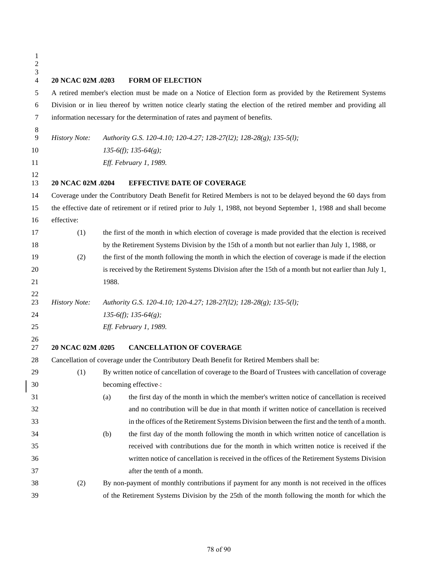| $\mathbf{1}$<br>$\overline{c}$<br>3 |                      |                                                                                                                     |
|-------------------------------------|----------------------|---------------------------------------------------------------------------------------------------------------------|
| $\overline{4}$                      | 20 NCAC 02M .0203    | <b>FORM OF ELECTION</b>                                                                                             |
| 5                                   |                      | A retired member's election must be made on a Notice of Election form as provided by the Retirement Systems         |
| 6                                   |                      | Division or in lieu thereof by written notice clearly stating the election of the retired member and providing all  |
| 7                                   |                      | information necessary for the determination of rates and payment of benefits.                                       |
| 8<br>$\overline{9}$                 | <b>History Note:</b> | Authority G.S. 120-4.10; 120-4.27; 128-27(12); 128-28(g); 135-5(1);                                                 |
| 10                                  |                      | $135-6(f)$ ; $135-64(g)$ ;                                                                                          |
| 11                                  |                      | Eff. February 1, 1989.                                                                                              |
| 12<br>13                            | 20 NCAC 02M .0204    | <b>EFFECTIVE DATE OF COVERAGE</b>                                                                                   |
| 14                                  |                      | Coverage under the Contributory Death Benefit for Retired Members is not to be delayed beyond the 60 days from      |
| 15                                  |                      | the effective date of retirement or if retired prior to July 1, 1988, not beyond September 1, 1988 and shall become |
| 16                                  | effective:           |                                                                                                                     |
| 17                                  | (1)                  | the first of the month in which election of coverage is made provided that the election is received                 |
| 18                                  |                      | by the Retirement Systems Division by the 15th of a month but not earlier than July 1, 1988, or                     |
| 19                                  | (2)                  | the first of the month following the month in which the election of coverage is made if the election                |
| 20                                  |                      | is received by the Retirement Systems Division after the 15th of a month but not earlier than July 1,               |
| 21                                  |                      | 1988.                                                                                                               |
| 22                                  |                      |                                                                                                                     |
| 23                                  | <b>History Note:</b> | Authority G.S. 120-4.10; 120-4.27; 128-27(12); 128-28(g); 135-5(1);                                                 |
| 24                                  |                      | $135-6(f)$ ; $135-64(g)$ ;                                                                                          |
| 25                                  |                      | Eff. February 1, 1989.                                                                                              |
| 26<br>27                            | 20 NCAC 02M .0205    | <b>CANCELLATION OF COVERAGE</b>                                                                                     |
| 28                                  |                      | Cancellation of coverage under the Contributory Death Benefit for Retired Members shall be:                         |
| 29                                  |                      | (1) By written notice of cancellation of coverage to the Board of Trustees with cancellation of coverage            |
| 30                                  |                      | becoming effective-:                                                                                                |
| 31                                  |                      | the first day of the month in which the member's written notice of cancellation is received<br>(a)                  |
| 32                                  |                      | and no contribution will be due in that month if written notice of cancellation is received                         |
| 33                                  |                      | in the offices of the Retirement Systems Division between the first and the tenth of a month.                       |
| 34                                  |                      | the first day of the month following the month in which written notice of cancellation is<br>(b)                    |
| 35                                  |                      | received with contributions due for the month in which written notice is received if the                            |
| 36                                  |                      | written notice of cancellation is received in the offices of the Retirement Systems Division                        |
| 37                                  |                      | after the tenth of a month.                                                                                         |
| 38                                  | (2)                  | By non-payment of monthly contributions if payment for any month is not received in the offices                     |
| 39                                  |                      | of the Retirement Systems Division by the 25th of the month following the month for which the                       |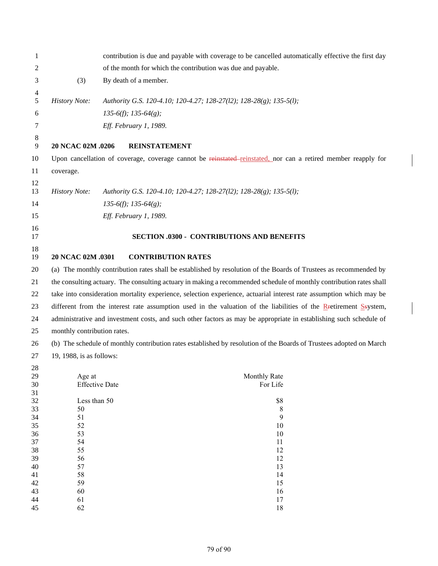| 1        |                             | contribution is due and payable with coverage to be cancelled automatically effective the first day                 |
|----------|-----------------------------|---------------------------------------------------------------------------------------------------------------------|
| 2        |                             | of the month for which the contribution was due and payable.                                                        |
| 3        | (3)                         | By death of a member.                                                                                               |
| 4        |                             |                                                                                                                     |
| 5        | <b>History Note:</b>        | Authority G.S. 120-4.10; 120-4.27; 128-27(12); 128-28(g); 135-5(1);                                                 |
| 6        |                             | $135-6(f)$ ; $135-64(g)$ ;                                                                                          |
| 7        |                             | Eff. February 1, 1989.                                                                                              |
| 8        |                             |                                                                                                                     |
| 9        | 20 NCAC 02M .0206           | <b>REINSTATEMENT</b>                                                                                                |
| 10       |                             | Upon cancellation of coverage, coverage cannot be reinstated-reinstated, nor can a retired member reapply for       |
| 11       | coverage.                   |                                                                                                                     |
| 12       |                             |                                                                                                                     |
| 13       | <b>History Note:</b>        | Authority G.S. 120-4.10; 120-4.27; 128-27(12); 128-28(g); 135-5(1);                                                 |
| 14       |                             | $135-6(f)$ ; $135-64(g)$ ;                                                                                          |
| 15       |                             | Eff. February 1, 1989.                                                                                              |
| 16       |                             |                                                                                                                     |
| 17       |                             | <b>SECTION .0300 - CONTRIBUTIONS AND BENEFITS</b>                                                                   |
| 18       |                             |                                                                                                                     |
| 19       | 20 NCAC 02M .0301           | <b>CONTRIBUTION RATES</b>                                                                                           |
| 20       |                             | (a) The monthly contribution rates shall be established by resolution of the Boards of Trustees as recommended by   |
| 21       |                             | the consulting actuary. The consulting actuary in making a recommended schedule of monthly contribution rates shall |
| 22       |                             | take into consideration mortality experience, selection experience, actuarial interest rate assumption which may be |
| 23       |                             | different from the interest rate assumption used in the valuation of the liabilities of the Retirement System,      |
| 24       |                             | administrative and investment costs, and such other factors as may be appropriate in establishing such schedule of  |
| 25       | monthly contribution rates. |                                                                                                                     |
| 26       |                             | (b) The schedule of monthly contribution rates established by resolution of the Boards of Trustees adopted on March |
| 27       | 19, 1988, is as follows:    |                                                                                                                     |
| 28       |                             |                                                                                                                     |
| 29       | Age at                      | Monthly Rate                                                                                                        |
| 30<br>31 |                             | <b>Effective Date</b><br>For Life                                                                                   |
| 32       | Less than 50                | \$8                                                                                                                 |
| 33       | 50                          | 8                                                                                                                   |
| 34       | 51                          | 9                                                                                                                   |
| 35       | 52                          | 10                                                                                                                  |
| 36       | 53                          | 10                                                                                                                  |
| 37       | 54                          | 11                                                                                                                  |
| 38<br>39 | 55<br>56                    | 12<br>12                                                                                                            |
| 40       | 57                          | 13                                                                                                                  |
| 41       | 58                          | 14                                                                                                                  |
| 42       | 59                          | 15                                                                                                                  |
| 43       | 60                          | 16                                                                                                                  |
| 44       | 61                          | 17                                                                                                                  |
| 45       | 62                          | 18                                                                                                                  |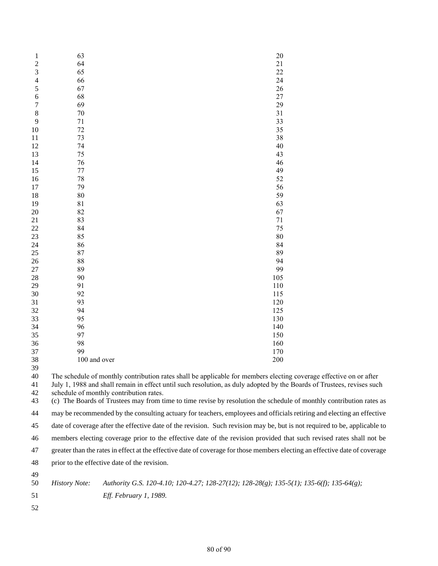| 1     | 63                                      | 20                                                                                                                     |
|-------|-----------------------------------------|------------------------------------------------------------------------------------------------------------------------|
| 2     | 64                                      | 21                                                                                                                     |
| 3     | 65                                      | 22                                                                                                                     |
| 4     | 66                                      | 24                                                                                                                     |
| 5     | 67                                      | 26                                                                                                                     |
| 6     | 68                                      | 27                                                                                                                     |
| 7     | 69                                      | 29                                                                                                                     |
| $\,8$ | 70                                      | 31                                                                                                                     |
| 9     | 71                                      | 33                                                                                                                     |
| 10    | 72                                      | 35                                                                                                                     |
| 11    | 73                                      | 38                                                                                                                     |
| 12    | 74                                      | 40                                                                                                                     |
| 13    | 75                                      | 43                                                                                                                     |
| 14    | 76                                      | 46                                                                                                                     |
| 15    | 77                                      | 49                                                                                                                     |
| 16    | 78                                      | 52                                                                                                                     |
| 17    | 79                                      | 56                                                                                                                     |
| 18    | 80                                      | 59                                                                                                                     |
| 19    | 81                                      | 63                                                                                                                     |
| 20    | 82                                      | 67                                                                                                                     |
| 21    | 83                                      | 71                                                                                                                     |
| 22    | 84                                      | 75                                                                                                                     |
| 23    | 85                                      | 80                                                                                                                     |
| 24    | 86                                      | 84                                                                                                                     |
| 25    | 87                                      | 89                                                                                                                     |
| 26    | 88                                      | 94                                                                                                                     |
| 27    | 89                                      | 99                                                                                                                     |
| 28    | 90                                      | 105                                                                                                                    |
| 29    | 91                                      | 110                                                                                                                    |
| 30    | 92                                      | 115                                                                                                                    |
| 31    | 93                                      | 120                                                                                                                    |
| 32    | 94                                      | 125                                                                                                                    |
| 33    | 95                                      | 130                                                                                                                    |
| 34    | 96                                      | 140                                                                                                                    |
| 35    | 97                                      | 150                                                                                                                    |
| 36    | 98                                      | 160                                                                                                                    |
| 37    | 99                                      | 170                                                                                                                    |
| 38    | 100 and over                            | 200                                                                                                                    |
| 39    |                                         |                                                                                                                        |
| 40    |                                         | The schedule of monthly contribution rates shall be applicable for members electing coverage effective on or after     |
| 41    |                                         | July 1, 1988 and shall remain in effect until such resolution, as duly adopted by the Boards of Trustees, revises such |
| 42    | schedule of monthly contribution rates. |                                                                                                                        |
| 43    |                                         | (c) The Boards of Trustees may from time to time revise by resolution the schedule of monthly contribution rates as    |
| 44    |                                         | may be recommended by the consulting actuary for teachers, employees and officials retiring and electing an effective  |

 date of coverage after the effective date of the revision. Such revision may be, but is not required to be, applicable to members electing coverage prior to the effective date of the revision provided that such revised rates shall not be greater than the rates in effect at the effective date of coverage for those members electing an effective date of coverage

prior to the effective date of the revision.

 *History Note: Authority G.S. 120-4.10; 120-4.27; 128-27(12); 128-28(g); 135-5(1); 135-6(f); 135-64(g); Eff. February 1, 1989.*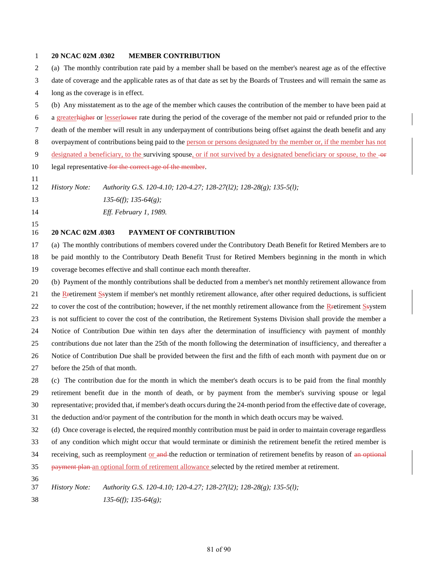## **20 NCAC 02M .0302 MEMBER CONTRIBUTION**

 (a) The monthly contribution rate paid by a member shall be based on the member's nearest age as of the effective date of coverage and the applicable rates as of that date as set by the Boards of Trustees and will remain the same as long as the coverage is in effect. (b) Any misstatement as to the age of the member which causes the contribution of the member to have been paid at a greaterhigher or lesserlower rate during the period of the coverage of the member not paid or refunded prior to the death of the member will result in any underpayment of contributions being offset against the death benefit and any overpayment of contributions being paid to the person or persons designated by the member or, if the member has not 9 designated a beneficiary, to the surviving spouse, or if not survived by a designated beneficiary or spouse, to the  $-$ or 10 legal representative for the correct age of the member. *History Note: Authority G.S. 120-4.10; 120-4.27; 128-27(l2); 128-28(g); 135-5(l); 135-6(f); 135-64(g); Eff. February 1, 1989.* **20 NCAC 02M .0303 PAYMENT OF CONTRIBUTION** (a) The monthly contributions of members covered under the Contributory Death Benefit for Retired Members are to be paid monthly to the Contributory Death Benefit Trust for Retired Members beginning in the month in which coverage becomes effective and shall continue each month thereafter.

 (b) Payment of the monthly contributions shall be deducted from a member's net monthly retirement allowance from 21 the Rretirement Ssystem if member's net monthly retirement allowance, after other required deductions, is sufficient

22 to cover the cost of the contribution; however, if the net monthly retirement allowance from the Retirement Ssystem

is not sufficient to cover the cost of the contribution, the Retirement Systems Division shall provide the member a

Notice of Contribution Due within ten days after the determination of insufficiency with payment of monthly

contributions due not later than the 25th of the month following the determination of insufficiency, and thereafter a

- Notice of Contribution Due shall be provided between the first and the fifth of each month with payment due on or
- before the 25th of that month.

 (c) The contribution due for the month in which the member's death occurs is to be paid from the final monthly retirement benefit due in the month of death, or by payment from the member's surviving spouse or legal representative; provided that, if member's death occurs during the 24-month period from the effective date of coverage,

the deduction and/or payment of the contribution for the month in which death occurs may be waived.

(d) Once coverage is elected, the required monthly contribution must be paid in order to maintain coverage regardless

of any condition which might occur that would terminate or diminish the retirement benefit the retired member is

34 receiving, such as reemployment or and the reduction or termination of retirement benefits by reason of an optional

payment plan an optional form of retirement allowance selected by the retired member at retirement.

*History Note: Authority G.S. 120-4.10; 120-4.27; 128-27(l2); 128-28(g); 135-5(l);*

*135-6(f); 135-64(g);*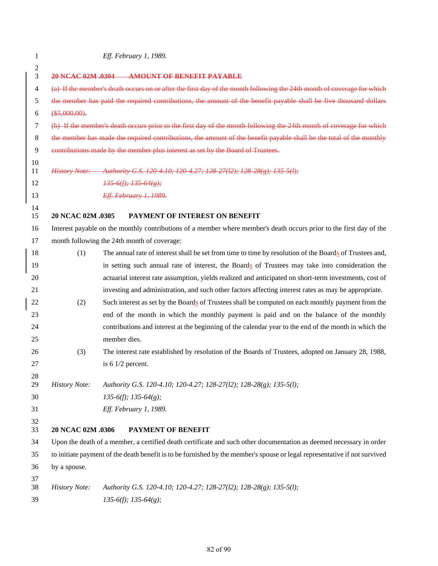| 1              |                      | Eff. February 1, 1989.                                                                                                     |
|----------------|----------------------|----------------------------------------------------------------------------------------------------------------------------|
| $\overline{c}$ |                      |                                                                                                                            |
| 3              |                      | 20 NCAC 02M .0304 AMOUNT OF BENEFIT PAYABLE                                                                                |
| $\overline{4}$ |                      | (a) If the member's death occurs on or after the first day of the month following the 24th month of coverage for which     |
| 5              |                      | the member has paid the required contributions, the amount of the benefit payable shall be five thousand dollars           |
| 6              | (\$5,000.00).        |                                                                                                                            |
| 7              |                      | (b) If the member's death occurs prior to the first day of the month following the 24th month of coverage for which        |
| 8              |                      | the member has made the required contributions, the amount of the benefit payable shall be the total of the monthly        |
| 9              |                      | contributions made by the member plus interest as set by the Board of Trustees.                                            |
| 10<br>11       |                      | History Note: Authority G.S. 120 4.10; 120 4.27; 128 27(12); 128 28(g); 135 5(l);                                          |
| 12             |                      | $1356(f)$ ; $13564(g)$ ;                                                                                                   |
| 13             |                      | Eff. February 1, 1989.                                                                                                     |
| 14             |                      |                                                                                                                            |
| 15             | 20 NCAC 02M .0305    | PAYMENT OF INTEREST ON BENEFIT                                                                                             |
| 16             |                      | Interest payable on the monthly contributions of a member where member's death occurs prior to the first day of the        |
| 17             |                      | month following the 24th month of coverage:                                                                                |
| 18             | (1)                  | The annual rate of interest shall be set from time to time by resolution of the Boards of Trustees and,                    |
| 19             |                      | in setting such annual rate of interest, the Boards of Trustees may take into consideration the                            |
| 20             |                      | actuarial interest rate assumption, yields realized and anticipated on short-term investments, cost of                     |
| 21             |                      | investing and administration, and such other factors affecting interest rates as may be appropriate.                       |
| 22             | (2)                  | Such interest as set by the Boards of Trustees shall be computed on each monthly payment from the                          |
| 23             |                      | end of the month in which the monthly payment is paid and on the balance of the monthly                                    |
| 24             |                      | contributions and interest at the beginning of the calendar year to the end of the month in which the                      |
| 25             |                      | member dies.                                                                                                               |
| 26             | (3)                  | The interest rate established by resolution of the Boards of Trustees, adopted on January 28, 1988,                        |
| 27             |                      | is $61/2$ percent.                                                                                                         |
| 28             |                      |                                                                                                                            |
| 29             | <b>History Note:</b> | Authority G.S. 120-4.10; 120-4.27; 128-27(12); 128-28(g); 135-5(l);                                                        |
| 30             |                      | $135-6(f)$ ; $135-64(g)$ ;                                                                                                 |
| 31             |                      | Eff. February 1, 1989.                                                                                                     |
| 32<br>33       | 20 NCAC 02M .0306    | PAYMENT OF BENEFIT                                                                                                         |
| 34             |                      | Upon the death of a member, a certified death certificate and such other documentation as deemed necessary in order        |
| 35             |                      | to initiate payment of the death benefit is to be furnished by the member's spouse or legal representative if not survived |
| 36             | by a spouse.         |                                                                                                                            |
| 37             |                      |                                                                                                                            |
| 38             | <b>History Note:</b> | Authority G.S. 120-4.10; 120-4.27; 128-27(12); 128-28(g); 135-5(l);                                                        |
| 39             |                      | $135-6(f)$ ; $135-64(g)$ ;                                                                                                 |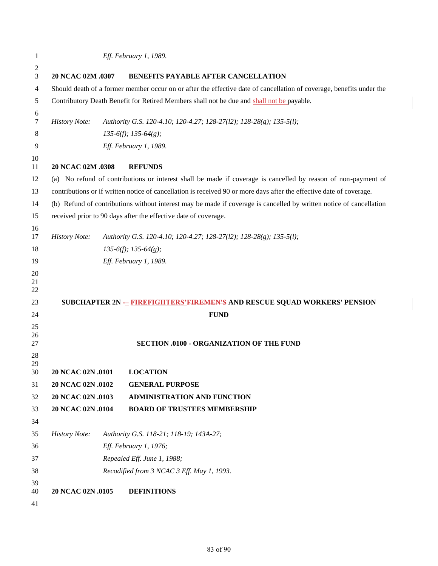| 1              | Eff. February 1, 1989. |                                                                                                                      |  |
|----------------|------------------------|----------------------------------------------------------------------------------------------------------------------|--|
| 2<br>3         | 20 NCAC 02M .0307      | BENEFITS PAYABLE AFTER CANCELLATION                                                                                  |  |
| 4              |                        | Should death of a former member occur on or after the effective date of cancellation of coverage, benefits under the |  |
| 5              |                        | Contributory Death Benefit for Retired Members shall not be due and shall not be payable.                            |  |
| 6              |                        |                                                                                                                      |  |
| 7              | <b>History Note:</b>   | Authority G.S. 120-4.10; 120-4.27; 128-27(12); 128-28(g); 135-5(l);                                                  |  |
| 8              |                        | $135-6(f)$ ; $135-64(g)$ ;                                                                                           |  |
| 9              |                        | Eff. February 1, 1989.                                                                                               |  |
| 10<br>11       | 20 NCAC 02M .0308      | <b>REFUNDS</b>                                                                                                       |  |
| 12             |                        | (a) No refund of contributions or interest shall be made if coverage is cancelled by reason of non-payment of        |  |
| 13             |                        | contributions or if written notice of cancellation is received 90 or more days after the effective date of coverage. |  |
| 14             |                        | (b) Refund of contributions without interest may be made if coverage is cancelled by written notice of cancellation  |  |
| 15             |                        | received prior to 90 days after the effective date of coverage.                                                      |  |
| 16<br>17       | <b>History Note:</b>   | Authority G.S. 120-4.10; 120-4.27; 128-27(12); 128-28(g); 135-5(l);                                                  |  |
| 18             |                        | $135-6(f)$ ; $135-64(g)$ ;                                                                                           |  |
| 19             |                        | Eff. February 1, 1989.                                                                                               |  |
| 20<br>21<br>22 |                        |                                                                                                                      |  |
| 23             |                        | SUBCHAPTER 2N - FIREFIGHTERS'FIREMEN'S AND RESCUE SQUAD WORKERS' PENSION                                             |  |
| 24             |                        | <b>FUND</b>                                                                                                          |  |
| 25<br>26<br>27 |                        | SECTION .0100 - ORGANIZATION OF THE FUND                                                                             |  |
| 28             |                        |                                                                                                                      |  |
| 29<br>30       | 20 NCAC 02N .0101      | <b>LOCATION</b>                                                                                                      |  |
| 31             | 20 NCAC 02N .0102      | <b>GENERAL PURPOSE</b>                                                                                               |  |
| 32             | 20 NCAC 02N .0103      | <b>ADMINISTRATION AND FUNCTION</b>                                                                                   |  |
| 33             | 20 NCAC 02N .0104      | <b>BOARD OF TRUSTEES MEMBERSHIP</b>                                                                                  |  |
| 34             |                        |                                                                                                                      |  |
| 35             | <b>History Note:</b>   | Authority G.S. 118-21; 118-19; 143A-27;                                                                              |  |
| 36             | Eff. February 1, 1976; |                                                                                                                      |  |
| 37             |                        | Repealed Eff. June 1, 1988;                                                                                          |  |
| 38             |                        | Recodified from 3 NCAC 3 Eff. May 1, 1993.                                                                           |  |
| 39<br>40       | 20 NCAC 02N .0105      | <b>DEFINITIONS</b>                                                                                                   |  |
| 41             |                        |                                                                                                                      |  |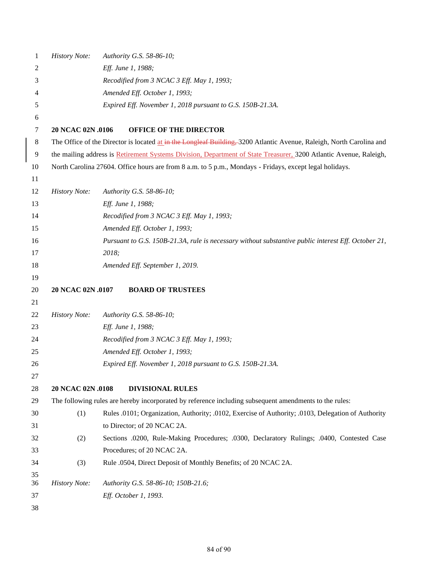| 1        | <b>History Note:</b>                                                                                   | Authority G.S. 58-86-10;                                                                                             |  |  |  |
|----------|--------------------------------------------------------------------------------------------------------|----------------------------------------------------------------------------------------------------------------------|--|--|--|
| 2        |                                                                                                        | Eff. June 1, 1988;                                                                                                   |  |  |  |
| 3        |                                                                                                        | Recodified from 3 NCAC 3 Eff. May 1, 1993;                                                                           |  |  |  |
| 4        |                                                                                                        | Amended Eff. October 1, 1993;                                                                                        |  |  |  |
| 5        | Expired Eff. November 1, 2018 pursuant to G.S. 150B-21.3A.                                             |                                                                                                                      |  |  |  |
| 6        |                                                                                                        |                                                                                                                      |  |  |  |
| 7        | 20 NCAC 02N .0106                                                                                      | <b>OFFICE OF THE DIRECTOR</b>                                                                                        |  |  |  |
| 8        |                                                                                                        | The Office of the Director is located at in the Longleaf Building, 3200 Atlantic Avenue, Raleigh, North Carolina and |  |  |  |
| 9        |                                                                                                        | the mailing address is Retirement Systems Division, Department of State Treasurer, 3200 Atlantic Avenue, Raleigh,    |  |  |  |
| 10       |                                                                                                        | North Carolina 27604. Office hours are from 8 a.m. to 5 p.m., Mondays - Fridays, except legal holidays.              |  |  |  |
| 11       |                                                                                                        |                                                                                                                      |  |  |  |
| 12       | <b>History Note:</b>                                                                                   | Authority G.S. 58-86-10;                                                                                             |  |  |  |
| 13       |                                                                                                        | Eff. June 1, 1988;                                                                                                   |  |  |  |
| 14       |                                                                                                        | Recodified from 3 NCAC 3 Eff. May 1, 1993;                                                                           |  |  |  |
| 15       |                                                                                                        | Amended Eff. October 1, 1993;                                                                                        |  |  |  |
| 16       |                                                                                                        | Pursuant to G.S. 150B-21.3A, rule is necessary without substantive public interest Eff. October 21,                  |  |  |  |
| 17       |                                                                                                        | 2018;                                                                                                                |  |  |  |
| 18       |                                                                                                        | Amended Eff. September 1, 2019.                                                                                      |  |  |  |
| 19       |                                                                                                        |                                                                                                                      |  |  |  |
| 20       | 20 NCAC 02N .0107                                                                                      | <b>BOARD OF TRUSTEES</b>                                                                                             |  |  |  |
| 21       |                                                                                                        |                                                                                                                      |  |  |  |
| 22       | <b>History Note:</b>                                                                                   | Authority G.S. 58-86-10;                                                                                             |  |  |  |
| 23       |                                                                                                        | Eff. June 1, 1988;                                                                                                   |  |  |  |
| 24       |                                                                                                        | Recodified from 3 NCAC 3 Eff. May 1, 1993;                                                                           |  |  |  |
| 25       |                                                                                                        | Amended Eff. October 1, 1993;                                                                                        |  |  |  |
| 26       |                                                                                                        | Expired Eff. November 1, 2018 pursuant to G.S. 150B-21.3A.                                                           |  |  |  |
| 27       |                                                                                                        |                                                                                                                      |  |  |  |
| 28       | 20 NCAC 02N .0108                                                                                      | <b>DIVISIONAL RULES</b>                                                                                              |  |  |  |
| 29       | The following rules are hereby incorporated by reference including subsequent amendments to the rules: |                                                                                                                      |  |  |  |
| 30       | (1)                                                                                                    | Rules .0101; Organization, Authority; .0102, Exercise of Authority; .0103, Delegation of Authority                   |  |  |  |
| 31       |                                                                                                        | to Director; of 20 NCAC 2A.                                                                                          |  |  |  |
| 32       | (2)                                                                                                    | Sections .0200, Rule-Making Procedures; .0300, Declaratory Rulings; .0400, Contested Case                            |  |  |  |
| 33       |                                                                                                        | Procedures; of 20 NCAC 2A.                                                                                           |  |  |  |
| 34       | (3)                                                                                                    | Rule .0504, Direct Deposit of Monthly Benefits; of 20 NCAC 2A.                                                       |  |  |  |
| 35       |                                                                                                        |                                                                                                                      |  |  |  |
| 36       | <b>History Note:</b>                                                                                   | Authority G.S. 58-86-10; 150B-21.6;                                                                                  |  |  |  |
| 37<br>38 |                                                                                                        | Eff. October 1, 1993.                                                                                                |  |  |  |
|          |                                                                                                        |                                                                                                                      |  |  |  |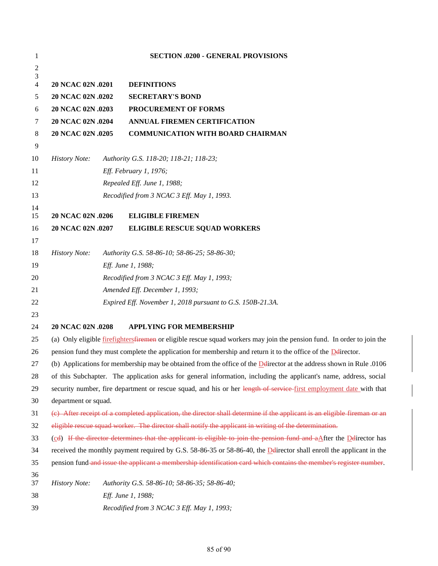| 1              |                                                                                                                                                                                                                                              |  | <b>SECTION .0200 - GENERAL PROVISIONS</b>                  |
|----------------|----------------------------------------------------------------------------------------------------------------------------------------------------------------------------------------------------------------------------------------------|--|------------------------------------------------------------|
| $\overline{c}$ |                                                                                                                                                                                                                                              |  |                                                            |
| 3<br>4         | 20 NCAC 02N .0201                                                                                                                                                                                                                            |  | <b>DEFINITIONS</b>                                         |
| 5              | 20 NCAC 02N .0202                                                                                                                                                                                                                            |  | <b>SECRETARY'S BOND</b>                                    |
| 6              | 20 NCAC 02N .0203                                                                                                                                                                                                                            |  | PROCUREMENT OF FORMS                                       |
| 7              | 20 NCAC 02N .0204                                                                                                                                                                                                                            |  | ANNUAL FIREMEN CERTIFICATION                               |
| 8              | 20 NCAC 02N .0205                                                                                                                                                                                                                            |  | <b>COMMUNICATION WITH BOARD CHAIRMAN</b>                   |
| 9              |                                                                                                                                                                                                                                              |  |                                                            |
| 10             | <b>History Note:</b>                                                                                                                                                                                                                         |  | Authority G.S. 118-20; 118-21; 118-23;                     |
| 11             |                                                                                                                                                                                                                                              |  | Eff. February 1, 1976;                                     |
| 12             |                                                                                                                                                                                                                                              |  | Repealed Eff. June 1, 1988;                                |
| 13             |                                                                                                                                                                                                                                              |  | Recodified from 3 NCAC 3 Eff. May 1, 1993.                 |
| 14             |                                                                                                                                                                                                                                              |  |                                                            |
| 15             | 20 NCAC 02N .0206                                                                                                                                                                                                                            |  | <b>ELIGIBLE FIREMEN</b>                                    |
| 16             | 20 NCAC 02N .0207                                                                                                                                                                                                                            |  | <b>ELIGIBLE RESCUE SQUAD WORKERS</b>                       |
| 17             |                                                                                                                                                                                                                                              |  |                                                            |
| 18             | <b>History Note:</b>                                                                                                                                                                                                                         |  | Authority G.S. 58-86-10; 58-86-25; 58-86-30;               |
| 19             |                                                                                                                                                                                                                                              |  | Eff. June 1, 1988;                                         |
| 20             |                                                                                                                                                                                                                                              |  | Recodified from 3 NCAC 3 Eff. May 1, 1993;                 |
| 21             |                                                                                                                                                                                                                                              |  | Amended Eff. December 1, 1993;                             |
| 22             |                                                                                                                                                                                                                                              |  | Expired Eff. November 1, 2018 pursuant to G.S. 150B-21.3A. |
| 23             |                                                                                                                                                                                                                                              |  |                                                            |
| 24             | 20 NCAC 02N .0208                                                                                                                                                                                                                            |  | <b>APPLYING FOR MEMBERSHIP</b>                             |
| 25             | (a) Only eligible <i>firefighters firemen</i> or eligible rescue squad workers may join the pension fund. In order to join the                                                                                                               |  |                                                            |
| 26             | pension fund they must complete the application for membership and return it to the office of the Delirector.                                                                                                                                |  |                                                            |
| 27             | (b) Applications for membership may be obtained from the office of the $\Delta$ director at the address shown in Rule .0106                                                                                                                  |  |                                                            |
| 28             | of this Subchapter. The application asks for general information, including the applicant's name, address, social                                                                                                                            |  |                                                            |
| 29             | security number, fire department or rescue squad, and his or her length of service-first employment date with that                                                                                                                           |  |                                                            |
| 30<br>31       | department or squad.                                                                                                                                                                                                                         |  |                                                            |
|                | (e) After receipt of a completed application, the director shall determine if the applicant is an eligible fireman or an                                                                                                                     |  |                                                            |
| 32<br>33       | eligible rescue squad worker. The director shall notify the applicant in writing of the determination.                                                                                                                                       |  |                                                            |
| 34             | (cd) If the director determines that the applicant is eligible to join the pension fund and aAfter the Ddirector has<br>received the monthly payment required by G.S. 58-86-35 or 58-86-40, the Delirector shall enroll the applicant in the |  |                                                            |
| 35             | pension fund and issue the applicant a membership identification card which contains the member's register number.                                                                                                                           |  |                                                            |
| 36             |                                                                                                                                                                                                                                              |  |                                                            |
| 37             | <b>History Note:</b>                                                                                                                                                                                                                         |  | Authority G.S. 58-86-10; 58-86-35; 58-86-40;               |
| 38             |                                                                                                                                                                                                                                              |  | Eff. June 1, 1988;                                         |
| 39             |                                                                                                                                                                                                                                              |  | Recodified from 3 NCAC 3 Eff. May 1, 1993;                 |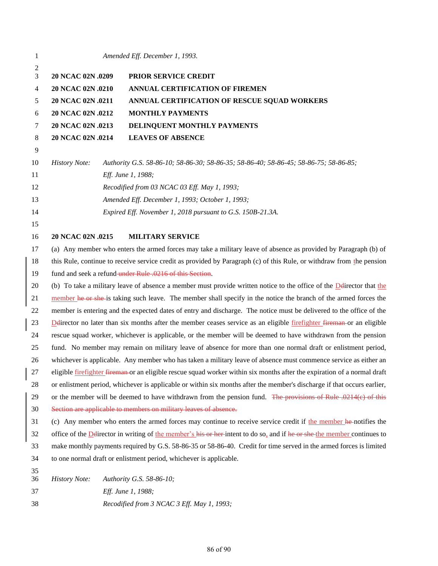| 1              |                                                                                                                                 |  | Amended Eff. December 1, 1993.                                                                                                |
|----------------|---------------------------------------------------------------------------------------------------------------------------------|--|-------------------------------------------------------------------------------------------------------------------------------|
| 2<br>3         | 20 NCAC 02N .0209                                                                                                               |  | PRIOR SERVICE CREDIT                                                                                                          |
| 4              | 20 NCAC 02N .0210                                                                                                               |  | ANNUAL CERTIFICATION OF FIREMEN                                                                                               |
| 5              | 20 NCAC 02N .0211                                                                                                               |  | ANNUAL CERTIFICATION OF RESCUE SQUAD WORKERS                                                                                  |
| 6              | 20 NCAC 02N .0212                                                                                                               |  | <b>MONTHLY PAYMENTS</b>                                                                                                       |
| 7              | 20 NCAC 02N .0213                                                                                                               |  | DELINQUENT MONTHLY PAYMENTS                                                                                                   |
| 8              | 20 NCAC 02N .0214                                                                                                               |  | <b>LEAVES OF ABSENCE</b>                                                                                                      |
| $\overline{9}$ |                                                                                                                                 |  |                                                                                                                               |
| 10             | <b>History Note:</b>                                                                                                            |  | Authority G.S. 58-86-10; 58-86-30; 58-86-35; 58-86-40; 58-86-45; 58-86-75; 58-86-85;                                          |
| 11             |                                                                                                                                 |  | Eff. June 1, 1988;                                                                                                            |
| 12             |                                                                                                                                 |  | Recodified from 03 NCAC 03 Eff. May 1, 1993;                                                                                  |
| 13             |                                                                                                                                 |  | Amended Eff. December 1, 1993; October 1, 1993;                                                                               |
| 14             |                                                                                                                                 |  | Expired Eff. November 1, 2018 pursuant to G.S. 150B-21.3A.                                                                    |
| 15             |                                                                                                                                 |  |                                                                                                                               |
| 16             | 20 NCAC 02N .0215                                                                                                               |  | <b>MILITARY SERVICE</b>                                                                                                       |
| 17             |                                                                                                                                 |  | (a) Any member who enters the armed forces may take a military leave of absence as provided by Paragraph (b) of               |
| 18             |                                                                                                                                 |  | this Rule, continue to receive service credit as provided by Paragraph (c) of this Rule, or withdraw from the pension         |
| 19             |                                                                                                                                 |  | fund and seek a refund under Rule .0216 of this Section.                                                                      |
| 20             |                                                                                                                                 |  | (b) To take a military leave of absence a member must provide written notice to the office of the $\Delta$ edirector that the |
| 21             | member he or she-is taking such leave. The member shall specify in the notice the branch of the armed forces the                |  |                                                                                                                               |
| 22             | member is entering and the expected dates of entry and discharge. The notice must be delivered to the office of the             |  |                                                                                                                               |
| 23             | Delirector no later than six months after the member ceases service as an eligible firefighter fireman or an eligible           |  |                                                                                                                               |
| 24             | rescue squad worker, whichever is applicable, or the member will be deemed to have withdrawn from the pension                   |  |                                                                                                                               |
| 25             | fund. No member may remain on military leave of absence for more than one normal draft or enlistment period,                    |  |                                                                                                                               |
| 26             | whichever is applicable. Any member who has taken a military leave of absence must commence service as either an                |  |                                                                                                                               |
| 27             | eligible <u>firefighter</u> fireman or an eligible rescue squad worker within six months after the expiration of a normal draft |  |                                                                                                                               |
| 28             | or enlistment period, whichever is applicable or within six months after the member's discharge if that occurs earlier,         |  |                                                                                                                               |
| 29             | or the member will be deemed to have withdrawn from the pension fund. The provisions of Rule .0214(e) of this                   |  |                                                                                                                               |
| 30             | Section are applicable to members on military leaves of absence.                                                                |  |                                                                                                                               |
| 31             |                                                                                                                                 |  | (c) Any member who enters the armed forces may continue to receive service credit if the member he-notifies the               |
| 32             | office of the Delirector in writing of the member's his or her-intent to do so, and if he or she the member continues to        |  |                                                                                                                               |
| 33             | make monthly payments required by G.S. 58-86-35 or 58-86-40. Credit for time served in the armed forces is limited              |  |                                                                                                                               |
| 34             |                                                                                                                                 |  | to one normal draft or enlistment period, whichever is applicable.                                                            |
| 35             |                                                                                                                                 |  |                                                                                                                               |
| 36             | <b>History Note:</b>                                                                                                            |  | Authority G.S. 58-86-10;                                                                                                      |
| 37             |                                                                                                                                 |  | Eff. June 1, 1988;                                                                                                            |
| 38             |                                                                                                                                 |  | Recodified from 3 NCAC 3 Eff. May 1, 1993;                                                                                    |
|                |                                                                                                                                 |  |                                                                                                                               |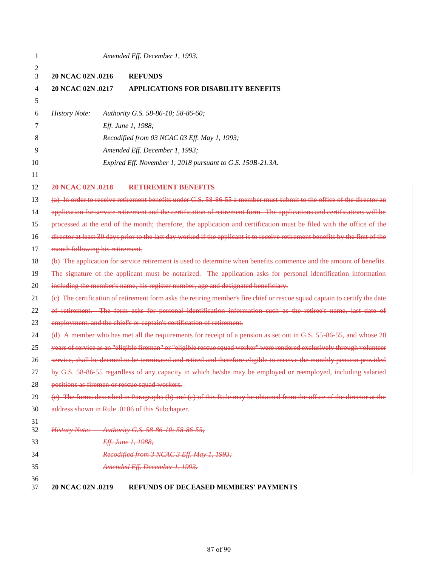| 1        |                                                                                                               | Amended Eff. December 1, 1993.                                                                                                |  |
|----------|---------------------------------------------------------------------------------------------------------------|-------------------------------------------------------------------------------------------------------------------------------|--|
| 2<br>3   | 20 NCAC 02N .0216                                                                                             | <b>REFUNDS</b>                                                                                                                |  |
| 4        | 20 NCAC 02N .0217                                                                                             | <b>APPLICATIONS FOR DISABILITY BENEFITS</b>                                                                                   |  |
| 5        |                                                                                                               |                                                                                                                               |  |
| 6        | <b>History Note:</b>                                                                                          | Authority G.S. 58-86-10; 58-86-60;                                                                                            |  |
| 7        |                                                                                                               | Eff. June 1, 1988;                                                                                                            |  |
| 8        |                                                                                                               | Recodified from 03 NCAC 03 Eff. May 1, 1993;                                                                                  |  |
| 9        |                                                                                                               | Amended Eff. December 1, 1993;                                                                                                |  |
| 10       |                                                                                                               | Expired Eff. November 1, 2018 pursuant to G.S. 150B-21.3A.                                                                    |  |
| 11       |                                                                                                               |                                                                                                                               |  |
| 12       |                                                                                                               | 20 NCAC 02N 0218 RETIREMENT BENEFITS                                                                                          |  |
| 13       |                                                                                                               | (a) In order to receive retirement benefits under G.S. 58 86 55 a member must submit to the office of the director an         |  |
| 14       |                                                                                                               | application for service retirement and the certification of retirement form. The applications and certifications will be      |  |
| 15       |                                                                                                               | processed at the end of the month; therefore, the application and certification must be filed with the office of the          |  |
| 16       |                                                                                                               | director at least 30 days prior to the last day worked if the applicant is to receive retirement benefits by the first of the |  |
| 17       | month following his retirement.                                                                               |                                                                                                                               |  |
| 18       |                                                                                                               | (b) The application for service retirement is used to determine when benefits commence and the amount of benefits.            |  |
| 19       |                                                                                                               | The signature of the applicant must be notarized. The application asks for personal identification information                |  |
| 20       |                                                                                                               | including the member's name, his register number, age and designated beneficiary.                                             |  |
| 21       |                                                                                                               | (e) The certification of retirement form asks the retiring member's fire chief or rescue squad captain to certify the date    |  |
| 22       | of retirement. The form asks for personal identification information such as the retiree's name, last date of |                                                                                                                               |  |
| 23       |                                                                                                               | employment, and the chief's or captain's certification of retirement.                                                         |  |
| 24       |                                                                                                               | (d) A member who has met all the requirements for receipt of a pension as set out in G.S. 55 86 55, and whose 20              |  |
| 25       |                                                                                                               | years of service as an "eligible fireman" or "eligible rescue squad worker" were rendered exclusively through volunteer       |  |
| 26       |                                                                                                               | service, shall be deemed to be terminated and retired and therefore eligible to receive the monthly pension provided          |  |
| 27       |                                                                                                               | by G.S. 58 86 55 regardless of any capacity in which he/she may be employed or reemployed, including salaried                 |  |
| 28       | positions as firemen or rescue squad workers.                                                                 |                                                                                                                               |  |
| 29       |                                                                                                               | (e) The forms described in Paragraphs (b) and (c) of this Rule may be obtained from the office of the director at the         |  |
| 30       |                                                                                                               | address shown in Rule .0106 of this Subchapter.                                                                               |  |
| 31<br>32 |                                                                                                               | History Note: Authority G.S. 58 86 10; 58 86 55;                                                                              |  |
| 33       |                                                                                                               | Eff. June 1, 1988;                                                                                                            |  |
| 34       |                                                                                                               | Recodified from 3 NCAC 3 Eff. May 1, 1993;                                                                                    |  |
| 35       |                                                                                                               | Amended Eff. December 1, 1993.                                                                                                |  |
| 36       |                                                                                                               |                                                                                                                               |  |
| 37       | 20 NCAC 02N .0219                                                                                             | <b>REFUNDS OF DECEASED MEMBERS' PAYMENTS</b>                                                                                  |  |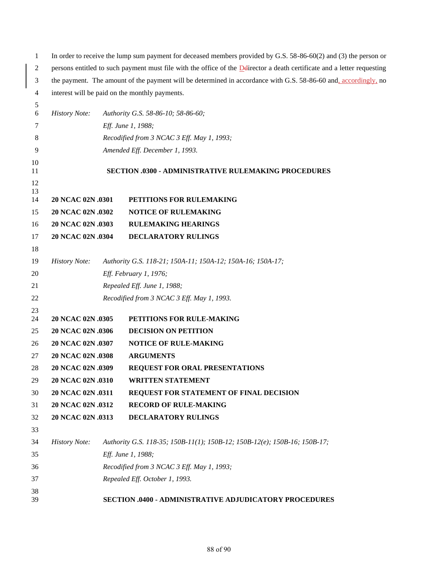| 1              | In order to receive the lump sum payment for deceased members provided by G.S. 58-86-60(2) and (3) the person or                 |  |                                                                           |
|----------------|----------------------------------------------------------------------------------------------------------------------------------|--|---------------------------------------------------------------------------|
| 2              | persons entitled to such payment must file with the office of the <b>Deli</b> rector a death certificate and a letter requesting |  |                                                                           |
| 3              | the payment. The amount of the payment will be determined in accordance with G.S. 58-86-60 and, accordingly, no                  |  |                                                                           |
| 4              |                                                                                                                                  |  | interest will be paid on the monthly payments.                            |
| 5              |                                                                                                                                  |  |                                                                           |
| 6              | <b>History Note:</b>                                                                                                             |  | Authority G.S. 58-86-10; 58-86-60;                                        |
| 7              |                                                                                                                                  |  | Eff. June 1, 1988;                                                        |
| 8              |                                                                                                                                  |  | Recodified from 3 NCAC 3 Eff. May 1, 1993;                                |
| 9              |                                                                                                                                  |  | Amended Eff. December 1, 1993.                                            |
| 10<br>11       |                                                                                                                                  |  | SECTION .0300 - ADMINISTRATIVE RULEMAKING PROCEDURES                      |
| 12<br>13<br>14 | 20 NCAC 02N .0301                                                                                                                |  | PETITIONS FOR RULEMAKING                                                  |
| 15             | 20 NCAC 02N .0302                                                                                                                |  | NOTICE OF RULEMAKING                                                      |
| 16             | 20 NCAC 02N .0303                                                                                                                |  | <b>RULEMAKING HEARINGS</b>                                                |
| 17             | 20 NCAC 02N .0304                                                                                                                |  | DECLARATORY RULINGS                                                       |
| 18             |                                                                                                                                  |  |                                                                           |
| 19             | <b>History Note:</b>                                                                                                             |  | Authority G.S. 118-21; 150A-11; 150A-12; 150A-16; 150A-17;                |
| 20             |                                                                                                                                  |  | Eff. February 1, 1976;                                                    |
| 21             |                                                                                                                                  |  | Repealed Eff. June 1, 1988;                                               |
| 22             |                                                                                                                                  |  | Recodified from 3 NCAC 3 Eff. May 1, 1993.                                |
| 23             |                                                                                                                                  |  |                                                                           |
| 24             | 20 NCAC 02N .0305                                                                                                                |  | PETITIONS FOR RULE-MAKING                                                 |
| 25             | 20 NCAC 02N .0306                                                                                                                |  | <b>DECISION ON PETITION</b>                                               |
| 26             | 20 NCAC 02N .0307                                                                                                                |  | NOTICE OF RULE-MAKING                                                     |
| 27             | 20 NCAC 02N .0308                                                                                                                |  | <b>ARGUMENTS</b>                                                          |
| 28             | 20 NCAC 02N .0309                                                                                                                |  | REQUEST FOR ORAL PRESENTATIONS                                            |
| 29             | 20 NCAC 02N .0310                                                                                                                |  | <b>WRITTEN STATEMENT</b>                                                  |
| 30             | 20 NCAC 02N .0311                                                                                                                |  | REQUEST FOR STATEMENT OF FINAL DECISION                                   |
| 31             | 20 NCAC 02N .0312                                                                                                                |  | <b>RECORD OF RULE-MAKING</b>                                              |
| 32             | 20 NCAC 02N .0313                                                                                                                |  | <b>DECLARATORY RULINGS</b>                                                |
| 33             |                                                                                                                                  |  |                                                                           |
| 34             | <b>History Note:</b>                                                                                                             |  | Authority G.S. 118-35; 150B-11(1); 150B-12; 150B-12(e); 150B-16; 150B-17; |
| 35             |                                                                                                                                  |  | Eff. June 1, 1988;                                                        |
| 36             |                                                                                                                                  |  | Recodified from 3 NCAC 3 Eff. May 1, 1993;                                |
| 37             |                                                                                                                                  |  | Repealed Eff. October 1, 1993.                                            |
| 38<br>39       |                                                                                                                                  |  | SECTION .0400 - ADMINISTRATIVE ADJUDICATORY PROCEDURES                    |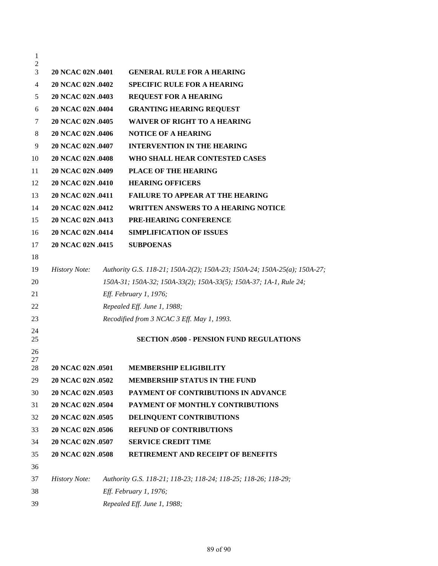| $\mathbf{1}$        |                          |                                                                          |
|---------------------|--------------------------|--------------------------------------------------------------------------|
| $\overline{2}$<br>3 | 20 NCAC 02N .0401        | <b>GENERAL RULE FOR A HEARING</b>                                        |
| 4                   | 20 NCAC 02N .0402        | <b>SPECIFIC RULE FOR A HEARING</b>                                       |
| 5                   | 20 NCAC 02N .0403        | <b>REQUEST FOR A HEARING</b>                                             |
| 6                   | 20 NCAC 02N .0404        | <b>GRANTING HEARING REQUEST</b>                                          |
| 7                   | 20 NCAC 02N .0405        | <b>WAIVER OF RIGHT TO A HEARING</b>                                      |
| 8                   | 20 NCAC 02N .0406        | <b>NOTICE OF A HEARING</b>                                               |
| 9                   | 20 NCAC 02N .0407        | <b>INTERVENTION IN THE HEARING</b>                                       |
| 10                  | 20 NCAC 02N .0408        | WHO SHALL HEAR CONTESTED CASES                                           |
| 11                  | 20 NCAC 02N .0409        | PLACE OF THE HEARING                                                     |
| 12                  | 20 NCAC 02N .0410        | <b>HEARING OFFICERS</b>                                                  |
| 13                  | 20 NCAC 02N .0411        | <b>FAILURE TO APPEAR AT THE HEARING</b>                                  |
| 14                  | 20 NCAC 02N .0412        | <b>WRITTEN ANSWERS TO A HEARING NOTICE</b>                               |
| 15                  | 20 NCAC 02N .0413        | <b>PRE-HEARING CONFERENCE</b>                                            |
| 16                  | 20 NCAC 02N .0414        | <b>SIMPLIFICATION OF ISSUES</b>                                          |
| 17                  | 20 NCAC 02N .0415        | <b>SUBPOENAS</b>                                                         |
| 18                  |                          |                                                                          |
| 19                  | <b>History Note:</b>     | Authority G.S. 118-21; 150A-2(2); 150A-23; 150A-24; 150A-25(a); 150A-27; |
| 20                  |                          | 150A-31; 150A-32; 150A-33(2); 150A-33(5); 150A-37; 1A-1, Rule 24;        |
| 21                  |                          | Eff. February 1, 1976;                                                   |
| 22                  |                          | Repealed Eff. June 1, 1988;                                              |
| 23                  |                          | Recodified from 3 NCAC 3 Eff. May 1, 1993.                               |
| 24<br>25            |                          | <b>SECTION .0500 - PENSION FUND REGULATIONS</b>                          |
| 26                  |                          |                                                                          |
| 27<br>28            | <b>20 NCAC 02N .0501</b> | <b>MEMBERSHIP ELIGIBILITY</b>                                            |
| 29                  | 20 NCAC 02N .0502        | <b>MEMBERSHIP STATUS IN THE FUND</b>                                     |
| 30                  | 20 NCAC 02N .0503        | PAYMENT OF CONTRIBUTIONS IN ADVANCE                                      |
| 31                  | 20 NCAC 02N .0504        | PAYMENT OF MONTHLY CONTRIBUTIONS                                         |
| 32                  | 20 NCAC 02N .0505        | DELINQUENT CONTRIBUTIONS                                                 |
| 33                  | 20 NCAC 02N .0506        | <b>REFUND OF CONTRIBUTIONS</b>                                           |
| 34                  | 20 NCAC 02N .0507        | <b>SERVICE CREDIT TIME</b>                                               |
| 35                  | 20 NCAC 02N .0508        | RETIREMENT AND RECEIPT OF BENEFITS                                       |
| 36                  |                          |                                                                          |
| 37                  | <i>History Note:</i>     | Authority G.S. 118-21; 118-23; 118-24; 118-25; 118-26; 118-29;           |
| 38                  |                          | Eff. February 1, 1976;                                                   |
| 39                  |                          | Repealed Eff. June 1, 1988;                                              |
|                     |                          |                                                                          |